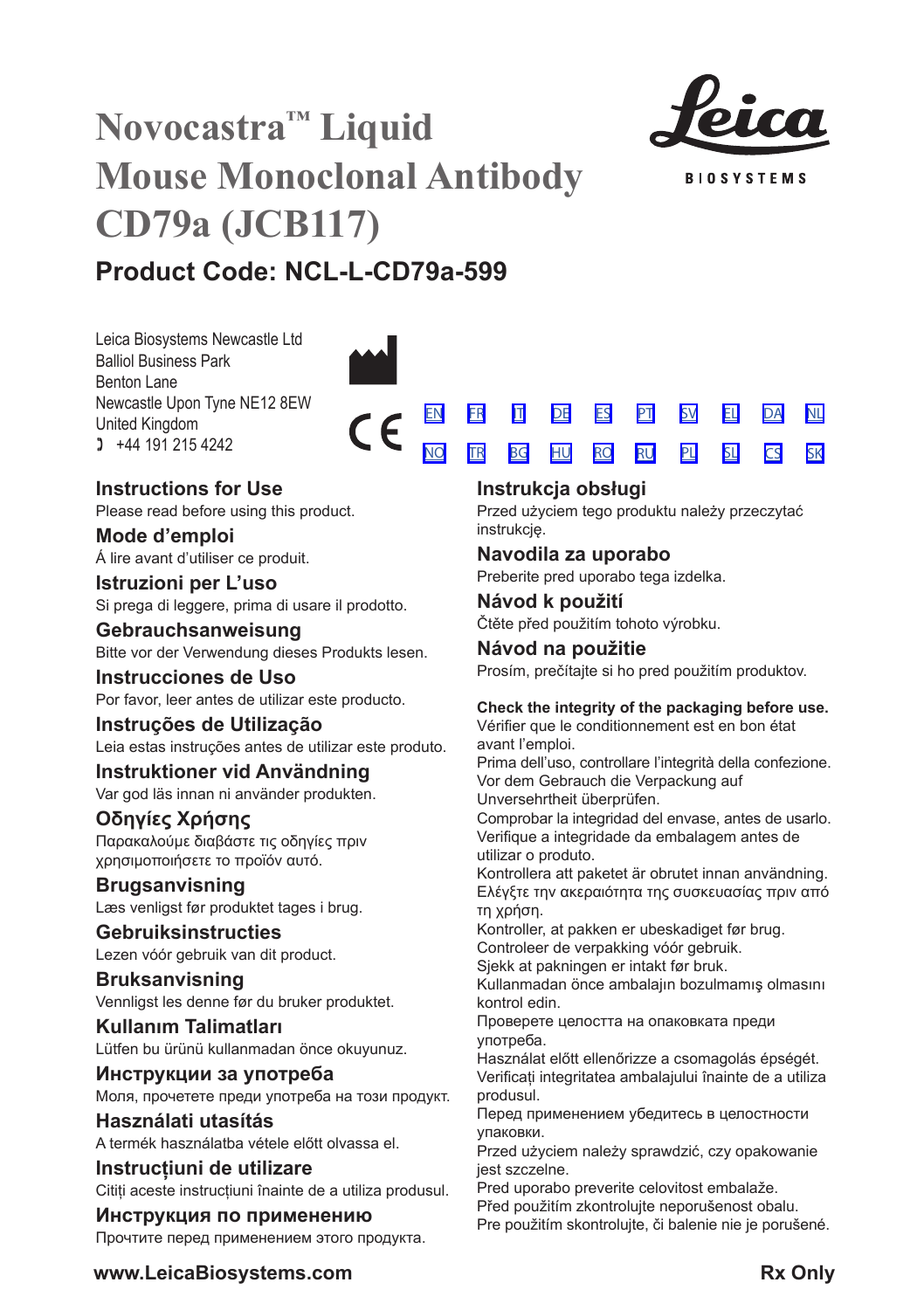# **Novocastra™ Liquid Mouse Monoclonal Antibody CD79a (JCB117)**



**BIOSYSTEMS** 

[SV](#page-20-0) [EL](#page-23-0) [DA](#page-26-0) [PL](#page-50-0) [SL](#page-53-0) [CS](#page-56-0) [NL](#page-29-0) [SK](#page-59-0)

## **Product Code: NCL-L-CD79a-599**

Leica Biosystems Newcastle Ltd Balliol Business Park Benton Lane Newcastle Upon Tyne NE12 8EW United Kingdom  $1 +44 191 215 4242$ 



### **Instructions for Use**

Please read before using this product.

**Mode d'emploi** Á lire avant d'utiliser ce produit.

**Istruzioni per L'uso** Si prega di leggere, prima di usare il prodotto.

**Gebrauchsanweisung** Bitte vor der Verwendung dieses Produkts lesen.

**Instrucciones de Uso** Por favor, leer antes de utilizar este producto.

**Instruções de Utilização** Leia estas instruções antes de utilizar este produto.

**Instruktioner vid Användning** Var god läs innan ni använder produkten.

### **Οδηγίες Χρήσης** Παρακαλούμε διαβάστε τις οδηγίες πριν

χρησιμοποιήσετε το προϊόν αυτό. **Brugsanvisning** Læs venligst før produktet tages i brug.

**Gebruiksinstructies** Lezen vóór gebruik van dit product.

**Bruksanvisning** Vennligst les denne før du bruker produktet.

**Kullanım Talimatları** Lütfen bu ürünü kullanmadan önce okuyunuz.

**Инструкции за употреба** Моля, прочетете преди употреба на този продукт.

**Használati utasítás** A termék használatba vétele előtt olvassa el.

**Instrucțiuni de utilizare** Citiți aceste instrucțiuni înainte de a utiliza produsul.

**Инструкция по применению** Прочтите перед применением этого продукта.

### **Instrukcja obsługi**

<u>[NO](#page-32-0) [TR](#page-35-0) [BG](#page-38-0) [HU](#page-41-0) [RO](#page-44-0) [RU](#page-47-0)</u>

Przed użyciem tego produktu należy przeczytać instrukcję.

### **Navodila za uporabo**

Preberite pred uporabo tega izdelka.

**Návod k použití** Čtěte před použitím tohoto výrobku.

**Návod na použitie** Prosím, prečítajte si ho pred použitím produktov.

### **Check the integrity of the packaging before use.**

Vérifier que le conditionnement est en bon état avant l'emploi.

Prima dell'uso, controllare l'integrità della confezione. Vor dem Gebrauch die Verpackung auf Unversehrtheit überprüfen.

Comprobar la integridad del envase, antes de usarlo. Verifique a integridade da embalagem antes de utilizar o produto.

Kontrollera att paketet är obrutet innan användning. Ελέγξτε την ακεραιότητα της συσκευασίας πριν από τη χρήση.

Kontroller, at pakken er ubeskadiget før brug. Controleer de verpakking vóór gebruik.

Sjekk at pakningen er intakt før bruk.

Kullanmadan önce ambalajın bozulmamış olmasını kontrol edin.

Проверете целостта на опаковката преди употреба.

Használat előtt ellenőrizze a csomagolás épségét. Verificați integritatea ambalajului înainte de a utiliza produsul.

Перед применением убедитесь в целостности упаковки.

Przed użyciem należy sprawdzić, czy opakowanie jest szczelne.

Pred uporabo preverite celovitost embalaže.

Před použitím zkontrolujte neporušenost obalu.

Pre použitím skontrolujte, či balenie nie je porušené.

**www.LeicaBiosystems.com Rx Only**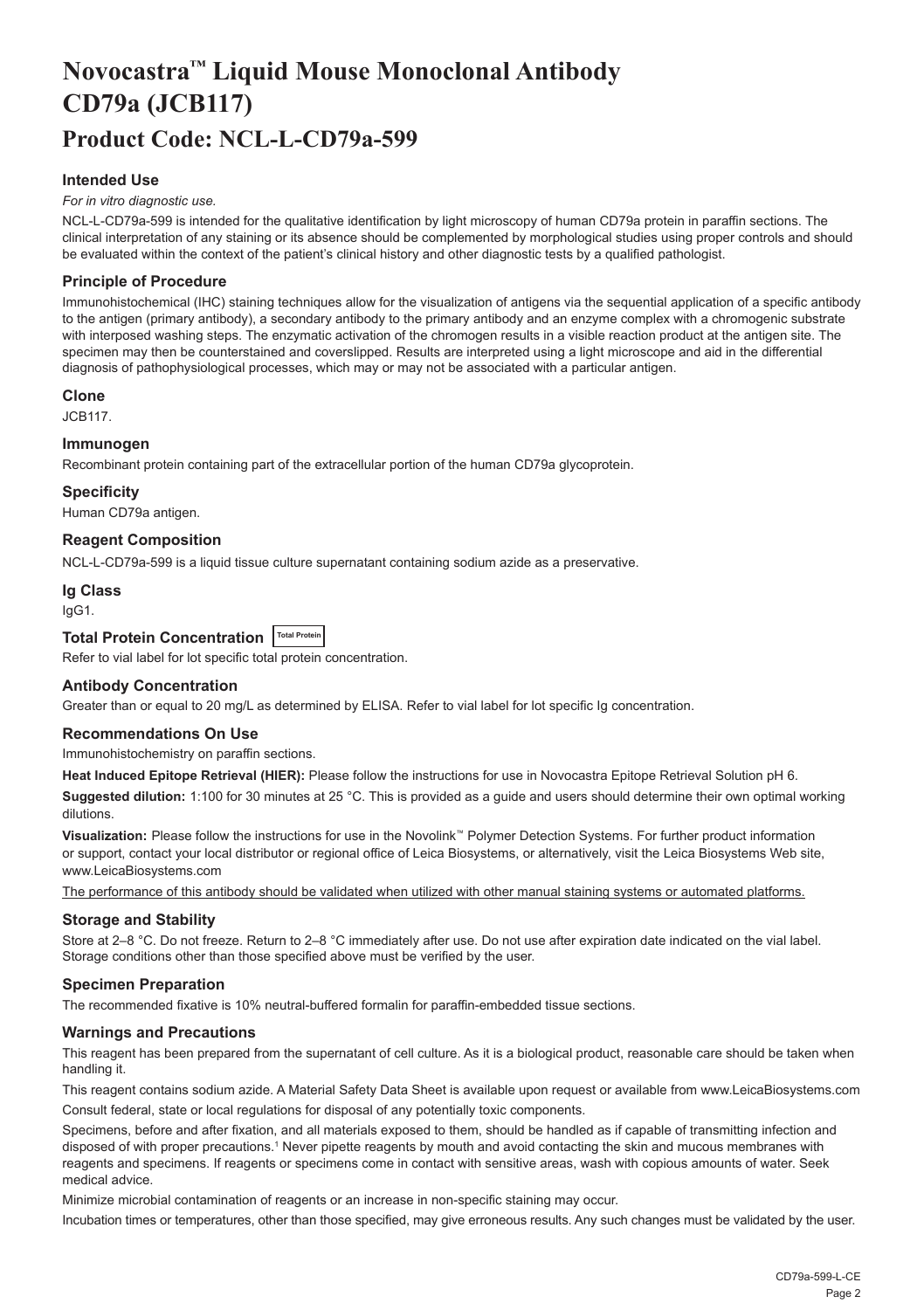## <span id="page-2-0"></span>**Novocastra™ Liquid Mouse Monoclonal Antibody CD79a (JCB117) Product Code: NCL-L-CD79a-599**

#### **Intended Use**

#### *For in vitro diagnostic use.*

NCL-L-CD79a-599 is intended for the qualitative identification by light microscopy of human CD79a protein in paraffin sections. The clinical interpretation of any staining or its absence should be complemented by morphological studies using proper controls and should be evaluated within the context of the patient's clinical history and other diagnostic tests by a qualified pathologist.

#### **Principle of Procedure**

Immunohistochemical (IHC) staining techniques allow for the visualization of antigens via the sequential application of a specific antibody to the antigen (primary antibody), a secondary antibody to the primary antibody and an enzyme complex with a chromogenic substrate with interposed washing steps. The enzymatic activation of the chromogen results in a visible reaction product at the antigen site. The specimen may then be counterstained and coverslipped. Results are interpreted using a light microscope and aid in the differential diagnosis of pathophysiological processes, which may or may not be associated with a particular antigen.

#### **Clone**

JCB117.

#### **Immunogen**

Recombinant protein containing part of the extracellular portion of the human CD79a glycoprotein.

#### **Specificity**

Human CD79a antigen.

#### **Reagent Composition**

NCL-L-CD79a-599 is a liquid tissue culture supernatant containing sodium azide as a preservative.

#### **Ig Class**

IgG1.

#### **Total Protein Concentration** Total Protein

Refer to vial label for lot specific total protein concentration.

#### **Antibody Concentration**

Greater than or equal to 20 mg/L as determined by ELISA. Refer to vial label for lot specific Ig concentration.

#### **Recommendations On Use**

Immunohistochemistry on paraffin sections.

**Heat Induced Epitope Retrieval (HIER):** Please follow the instructions for use in Novocastra Epitope Retrieval Solution pH 6.

**Suggested dilution:** 1:100 for 30 minutes at 25 °C. This is provided as a guide and users should determine their own optimal working dilutions.

**Visualization:** Please follow the instructions for use in the Novolink™ Polymer Detection Systems. For further product information or support, contact your local distributor or regional office of Leica Biosystems, or alternatively, visit the Leica Biosystems Web site, www.LeicaBiosystems.com

The performance of this antibody should be validated when utilized with other manual staining systems or automated platforms.

#### **Storage and Stability**

Store at 2–8 °C. Do not freeze. Return to 2–8 °C immediately after use. Do not use after expiration date indicated on the vial label. Storage conditions other than those specified above must be verified by the user.

#### **Specimen Preparation**

The recommended fixative is 10% neutral-buffered formalin for paraffin-embedded tissue sections.

#### **Warnings and Precautions**

This reagent has been prepared from the supernatant of cell culture. As it is a biological product, reasonable care should be taken when handling it.

This reagent contains sodium azide. A Material Safety Data Sheet is available upon request or available from www.LeicaBiosystems.com Consult federal, state or local regulations for disposal of any potentially toxic components.

Specimens, before and after fixation, and all materials exposed to them, should be handled as if capable of transmitting infection and disposed of with proper precautions.1 Never pipette reagents by mouth and avoid contacting the skin and mucous membranes with reagents and specimens. If reagents or specimens come in contact with sensitive areas, wash with copious amounts of water. Seek medical advice.

Minimize microbial contamination of reagents or an increase in non-specific staining may occur.

Incubation times or temperatures, other than those specified, may give erroneous results. Any such changes must be validated by the user.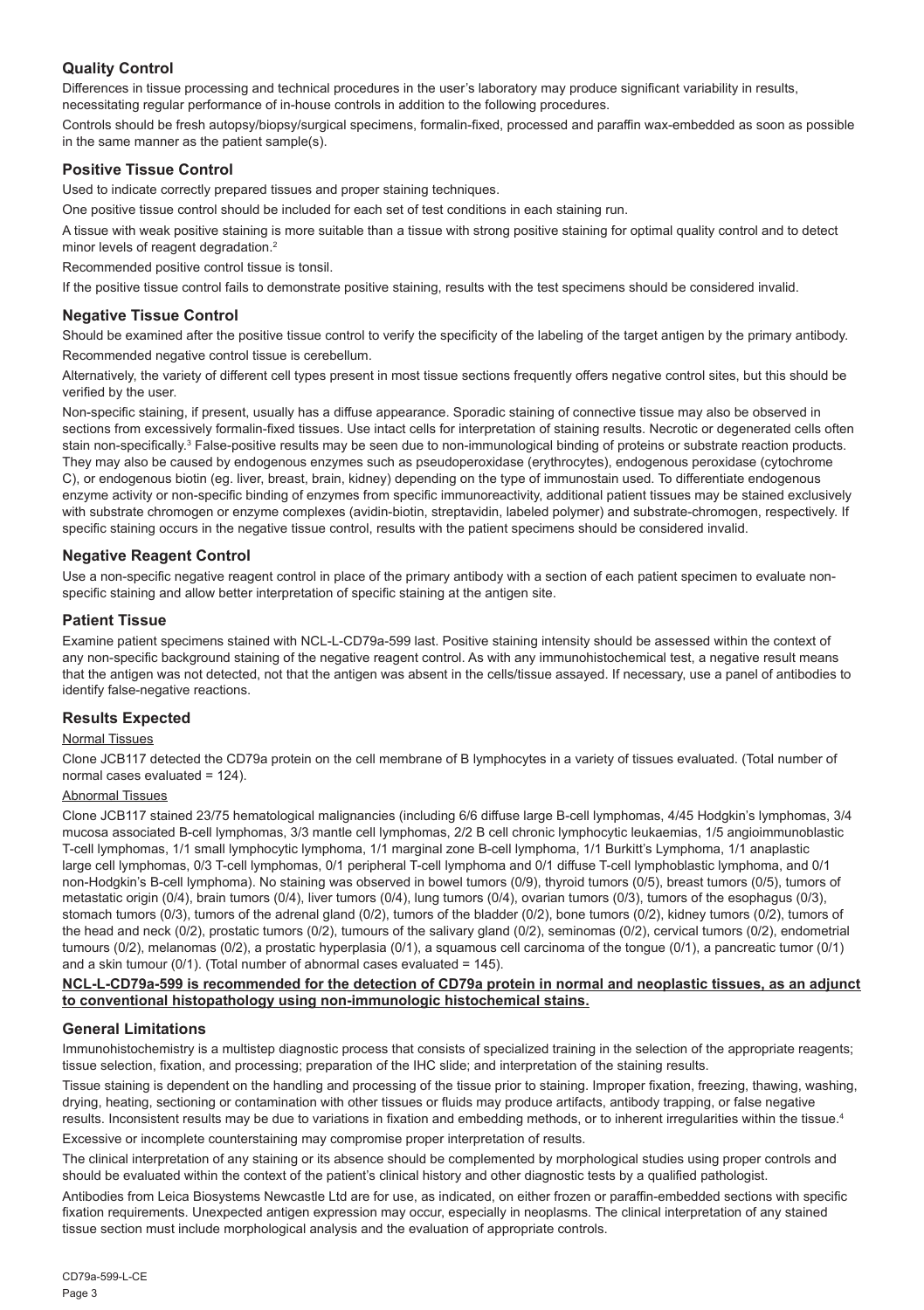#### **Quality Control**

Differences in tissue processing and technical procedures in the user's laboratory may produce significant variability in results, necessitating regular performance of in-house controls in addition to the following procedures.

Controls should be fresh autopsy/biopsy/surgical specimens, formalin-fixed, processed and paraffin wax-embedded as soon as possible in the same manner as the patient sample(s).

#### **Positive Tissue Control**

Used to indicate correctly prepared tissues and proper staining techniques.

One positive tissue control should be included for each set of test conditions in each staining run.

A tissue with weak positive staining is more suitable than a tissue with strong positive staining for optimal quality control and to detect minor levels of reagent degradation.<sup>2</sup>

Recommended positive control tissue is tonsil.

If the positive tissue control fails to demonstrate positive staining, results with the test specimens should be considered invalid.

#### **Negative Tissue Control**

Should be examined after the positive tissue control to verify the specificity of the labeling of the target antigen by the primary antibody. Recommended negative control tissue is cerebellum.

Alternatively, the variety of different cell types present in most tissue sections frequently offers negative control sites, but this should be verified by the user.

Non-specific staining, if present, usually has a diffuse appearance. Sporadic staining of connective tissue may also be observed in sections from excessively formalin-fixed tissues. Use intact cells for interpretation of staining results. Necrotic or degenerated cells often stain non-specifically.<sup>3</sup> False-positive results may be seen due to non-immunological binding of proteins or substrate reaction products. They may also be caused by endogenous enzymes such as pseudoperoxidase (erythrocytes), endogenous peroxidase (cytochrome C), or endogenous biotin (eg. liver, breast, brain, kidney) depending on the type of immunostain used. To differentiate endogenous enzyme activity or non-specific binding of enzymes from specific immunoreactivity, additional patient tissues may be stained exclusively with substrate chromogen or enzyme complexes (avidin-biotin, streptavidin, labeled polymer) and substrate-chromogen, respectively. If specific staining occurs in the negative tissue control, results with the patient specimens should be considered invalid.

#### **Negative Reagent Control**

Use a non-specific negative reagent control in place of the primary antibody with a section of each patient specimen to evaluate nonspecific staining and allow better interpretation of specific staining at the antigen site.

#### **Patient Tissue**

Examine patient specimens stained with NCL-L-CD79a-599 last. Positive staining intensity should be assessed within the context of any non-specific background staining of the negative reagent control. As with any immunohistochemical test, a negative result means that the antigen was not detected, not that the antigen was absent in the cells/tissue assayed. If necessary, use a panel of antibodies to identify false-negative reactions.

#### **Results Expected**

#### Normal Tissues

Clone JCB117 detected the CD79a protein on the cell membrane of B lymphocytes in a variety of tissues evaluated. (Total number of normal cases evaluated = 124).

#### Abnormal Tissues

Clone JCB117 stained 23/75 hematological malignancies (including 6/6 diffuse large B-cell lymphomas, 4/45 Hodgkin's lymphomas, 3/4 mucosa associated B-cell lymphomas, 3/3 mantle cell lymphomas, 2/2 B cell chronic lymphocytic leukaemias, 1/5 angioimmunoblastic T-cell lymphomas, 1/1 small lymphocytic lymphoma, 1/1 marginal zone B-cell lymphoma, 1/1 Burkitt's Lymphoma, 1/1 anaplastic large cell lymphomas, 0/3 T-cell lymphomas, 0/1 peripheral T-cell lymphoma and 0/1 diffuse T-cell lymphoblastic lymphoma, and 0/1 non-Hodgkin's B-cell lymphoma). No staining was observed in bowel tumors (0/9), thyroid tumors (0/5), breast tumors (0/5), tumors of metastatic origin (0/4), brain tumors (0/4), liver tumors (0/4), lung tumors (0/4), ovarian tumors (0/3), tumors of the esophagus (0/3), stomach tumors (0/3), tumors of the adrenal gland (0/2), tumors of the bladder (0/2), bone tumors (0/2), kidney tumors (0/2), tumors of the head and neck (0/2), prostatic tumors (0/2), tumours of the salivary gland (0/2), seminomas (0/2), cervical tumors (0/2), endometrial tumours (0/2), melanomas (0/2), a prostatic hyperplasia (0/1), a squamous cell carcinoma of the tongue (0/1), a pancreatic tumor (0/1) and a skin tumour ( $0/1$ ). (Total number of abnormal cases evaluated = 145).

#### **NCL-L-CD79a-599 is recommended for the detection of CD79a protein in normal and neoplastic tissues, as an adjunct to conventional histopathology using non-immunologic histochemical stains.**

#### **General Limitations**

Immunohistochemistry is a multistep diagnostic process that consists of specialized training in the selection of the appropriate reagents; tissue selection, fixation, and processing; preparation of the IHC slide; and interpretation of the staining results.

Tissue staining is dependent on the handling and processing of the tissue prior to staining. Improper fixation, freezing, thawing, washing, drying, heating, sectioning or contamination with other tissues or fluids may produce artifacts, antibody trapping, or false negative results. Inconsistent results may be due to variations in fixation and embedding methods, or to inherent irregularities within the tissue.4 Excessive or incomplete counterstaining may compromise proper interpretation of results.

The clinical interpretation of any staining or its absence should be complemented by morphological studies using proper controls and should be evaluated within the context of the patient's clinical history and other diagnostic tests by a qualified pathologist.

Antibodies from Leica Biosystems Newcastle Ltd are for use, as indicated, on either frozen or paraffin-embedded sections with specific fixation requirements. Unexpected antigen expression may occur, especially in neoplasms. The clinical interpretation of any stained tissue section must include morphological analysis and the evaluation of appropriate controls.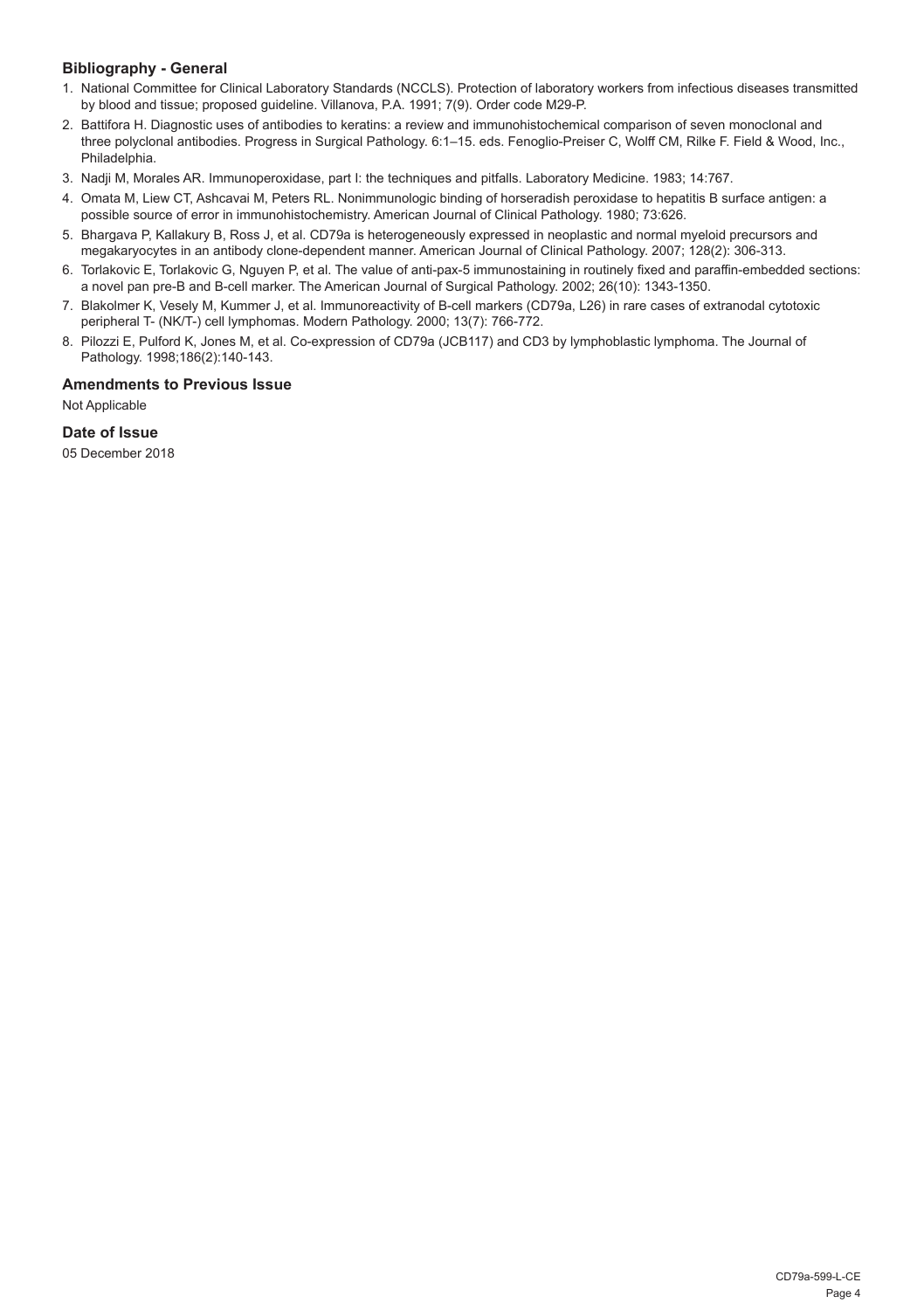#### **Bibliography - General**

- 1. National Committee for Clinical Laboratory Standards (NCCLS). Protection of laboratory workers from infectious diseases transmitted by blood and tissue; proposed guideline. Villanova, P.A. 1991; 7(9). Order code M29-P.
- 2. Battifora H. Diagnostic uses of antibodies to keratins: a review and immunohistochemical comparison of seven monoclonal and three polyclonal antibodies. Progress in Surgical Pathology. 6:1–15. eds. Fenoglio-Preiser C, Wolff CM, Rilke F. Field & Wood, Inc., Philadelphia.
- 3. Nadji M, Morales AR. Immunoperoxidase, part I: the techniques and pitfalls. Laboratory Medicine. 1983; 14:767.
- 4. Omata M, Liew CT, Ashcavai M, Peters RL. Nonimmunologic binding of horseradish peroxidase to hepatitis B surface antigen: a possible source of error in immunohistochemistry. American Journal of Clinical Pathology. 1980; 73:626.
- 5. Bhargava P, Kallakury B, Ross J, et al. CD79a is heterogeneously expressed in neoplastic and normal myeloid precursors and megakaryocytes in an antibody clone-dependent manner. American Journal of Clinical Pathology. 2007; 128(2): 306-313.
- 6. Torlakovic E, Torlakovic G, Nguyen P, et al. The value of anti-pax-5 immunostaining in routinely fixed and paraffin-embedded sections: a novel pan pre-B and B-cell marker. The American Journal of Surgical Pathology. 2002; 26(10): 1343-1350.
- 7. Blakolmer K, Vesely M, Kummer J, et al. Immunoreactivity of B-cell markers (CD79a, L26) in rare cases of extranodal cytotoxic peripheral T- (NK/T-) cell lymphomas. Modern Pathology. 2000; 13(7): 766-772.
- 8. Pilozzi E, Pulford K, Jones M, et al. Co-expression of CD79a (JCB117) and CD3 by lymphoblastic lymphoma. The Journal of Pathology. 1998;186(2):140-143.

#### **Amendments to Previous Issue**

Not Applicable

#### **Date of Issue**

05 December 2018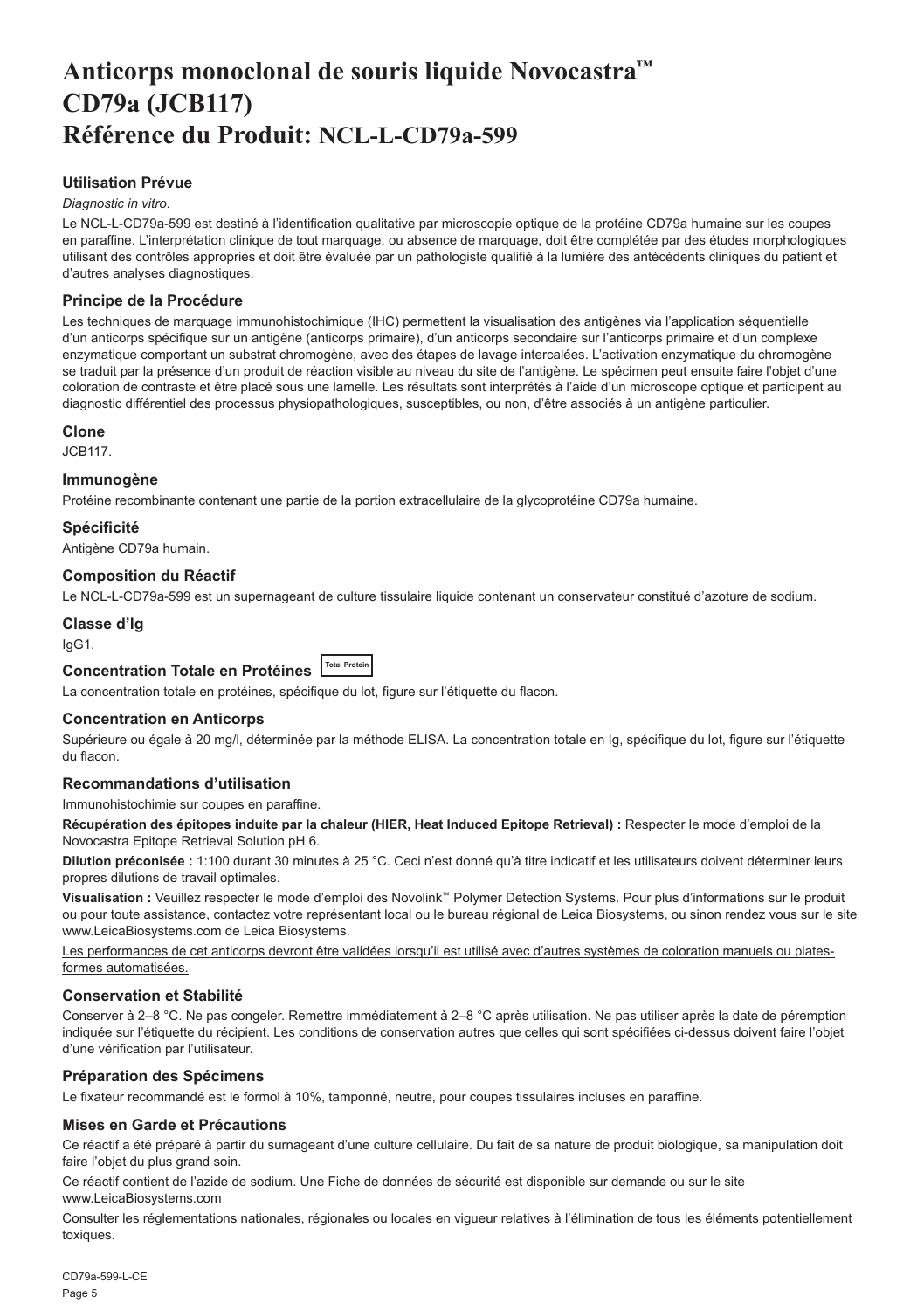## <span id="page-5-0"></span>**Anticorps monoclonal de souris liquide Novocastra™ CD79a (JCB117) Référence du Produit: NCL-L-CD79a-599**

#### **Utilisation Prévue**

#### *Diagnostic in vitro*.

Le NCL-L-CD79a-599 est destiné à l'identification qualitative par microscopie optique de la protéine CD79a humaine sur les coupes en paraffine. L'interprétation clinique de tout marquage, ou absence de marquage, doit être complétée par des études morphologiques utilisant des contrôles appropriés et doit être évaluée par un pathologiste qualifié à la lumière des antécédents cliniques du patient et d'autres analyses diagnostiques.

#### **Principe de la Procédure**

Les techniques de marquage immunohistochimique (IHC) permettent la visualisation des antigènes via l'application séquentielle d'un anticorps spécifique sur un antigène (anticorps primaire), d'un anticorps secondaire sur l'anticorps primaire et d'un complexe enzymatique comportant un substrat chromogène, avec des étapes de lavage intercalées. L'activation enzymatique du chromogène se traduit par la présence d'un produit de réaction visible au niveau du site de l'antigène. Le spécimen peut ensuite faire l'objet d'une coloration de contraste et être placé sous une lamelle. Les résultats sont interprétés à l'aide d'un microscope optique et participent au diagnostic différentiel des processus physiopathologiques, susceptibles, ou non, d'être associés à un antigène particulier.

#### **Clone**

JCB117.

#### **Immunogène**

Protéine recombinante contenant une partie de la portion extracellulaire de la glycoprotéine CD79a humaine.

#### **Spécificité**

Antigène CD79a humain.

#### **Composition du Réactif**

Le NCL-L-CD79a-599 est un supernageant de culture tissulaire liquide contenant un conservateur constitué d'azoture de sodium.

#### **Classe d'Ig**

IgG1.

### Concentration Totale en Protéines **LTotal Protein**

La concentration totale en protéines, spécifique du lot, figure sur l'étiquette du flacon.

#### **Concentration en Anticorps**

Supérieure ou égale à 20 mg/l, déterminée par la méthode ELISA. La concentration totale en Ig, spécifique du lot, figure sur l'étiquette du flacon.

#### **Recommandations d'utilisation**

Immunohistochimie sur coupes en paraffine.

**Récupération des épitopes induite par la chaleur (HIER, Heat Induced Epitope Retrieval) :** Respecter le mode d'emploi de la Novocastra Epitope Retrieval Solution pH 6.

**Dilution préconisée :** 1:100 durant 30 minutes à 25 °C. Ceci n'est donné qu'à titre indicatif et les utilisateurs doivent déterminer leurs propres dilutions de travail optimales.

**Visualisation :** Veuillez respecter le mode d'emploi des Novolink™ Polymer Detection Systems. Pour plus d'informations sur le produit ou pour toute assistance, contactez votre représentant local ou le bureau régional de Leica Biosystems, ou sinon rendez vous sur le site www.LeicaBiosystems.com de Leica Biosystems.

Les performances de cet anticorps devront être validées lorsqu'il est utilisé avec d'autres systèmes de coloration manuels ou platesformes automatisées.

#### **Conservation et Stabilité**

Conserver à 2–8 °C. Ne pas congeler. Remettre immédiatement à 2–8 °C après utilisation. Ne pas utiliser après la date de péremption indiquée sur l'étiquette du récipient. Les conditions de conservation autres que celles qui sont spécifiées ci-dessus doivent faire l'objet d'une vérification par l'utilisateur.

#### **Préparation des Spécimens**

Le fixateur recommandé est le formol à 10%, tamponné, neutre, pour coupes tissulaires incluses en paraffine.

#### **Mises en Garde et Précautions**

Ce réactif a été préparé à partir du surnageant d'une culture cellulaire. Du fait de sa nature de produit biologique, sa manipulation doit faire l'objet du plus grand soin.

Ce réactif contient de l'azide de sodium. Une Fiche de données de sécurité est disponible sur demande ou sur le site www.LeicaBiosystems.com

Consulter les réglementations nationales, régionales ou locales en vigueur relatives à l'élimination de tous les éléments potentiellement toxiques.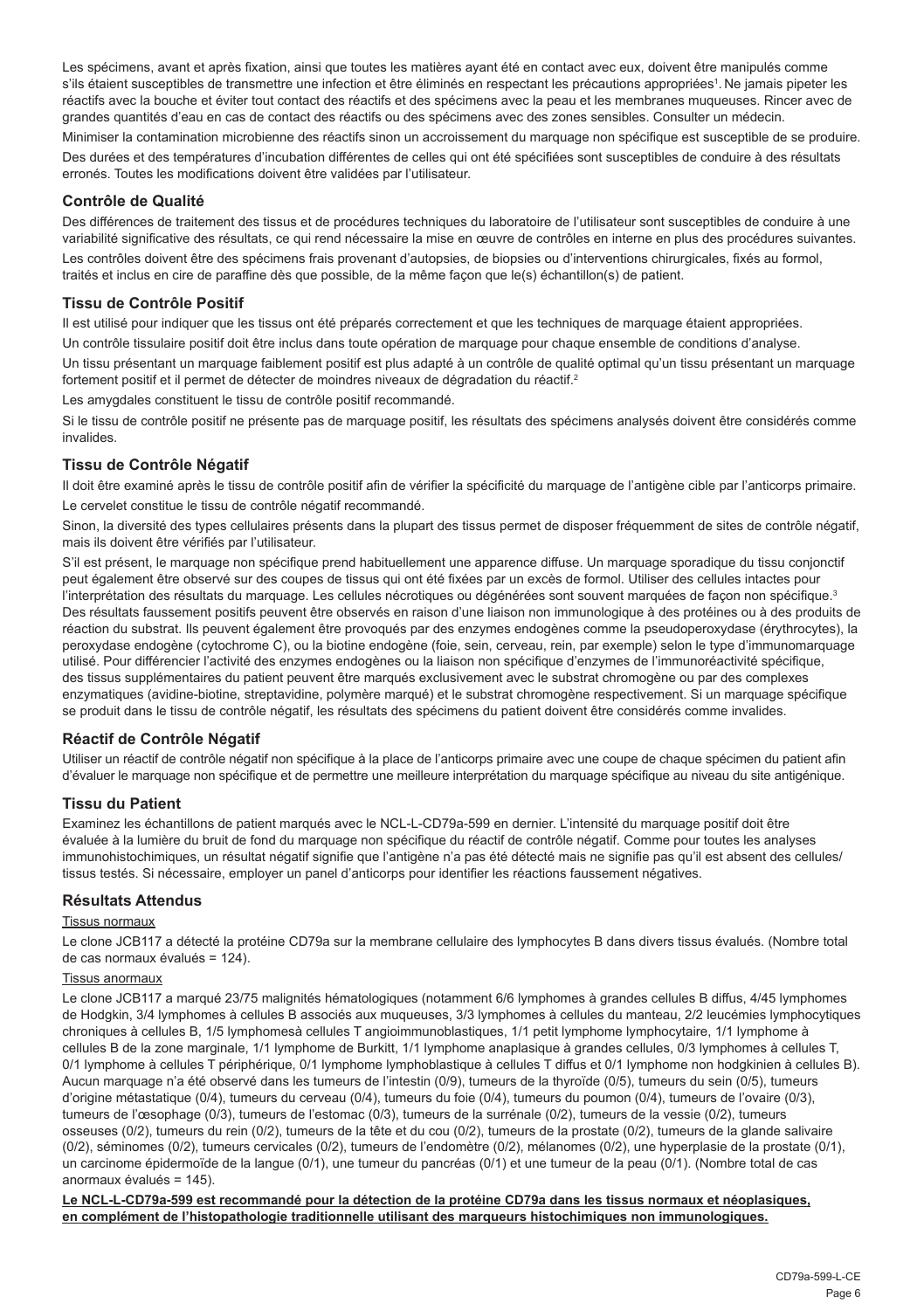Les spécimens, avant et après fixation, ainsi que toutes les matières ayant été en contact avec eux, doivent être manipulés comme s'ils étaient susceptibles de transmettre une infection et être éliminés en respectant les précautions appropriées<sup>1</sup>. Ne jamais pipeter les réactifs avec la bouche et éviter tout contact des réactifs et des spécimens avec la peau et les membranes muqueuses. Rincer avec de grandes quantités d'eau en cas de contact des réactifs ou des spécimens avec des zones sensibles. Consulter un médecin.

Minimiser la contamination microbienne des réactifs sinon un accroissement du marquage non spécifique est susceptible de se produire. Des durées et des températures d'incubation différentes de celles qui ont été spécifiées sont susceptibles de conduire à des résultats erronés. Toutes les modifications doivent être validées par l'utilisateur.

#### **Contrôle de Qualité**

Des différences de traitement des tissus et de procédures techniques du laboratoire de l'utilisateur sont susceptibles de conduire à une variabilité significative des résultats, ce qui rend nécessaire la mise en œuvre de contrôles en interne en plus des procédures suivantes.

Les contrôles doivent être des spécimens frais provenant d'autopsies, de biopsies ou d'interventions chirurgicales, fixés au formol, traités et inclus en cire de paraffine dès que possible, de la même façon que le(s) échantillon(s) de patient.

#### **Tissu de Contrôle Positif**

Il est utilisé pour indiquer que les tissus ont été préparés correctement et que les techniques de marquage étaient appropriées. Un contrôle tissulaire positif doit être inclus dans toute opération de marquage pour chaque ensemble de conditions d'analyse. Un tissu présentant un marquage faiblement positif est plus adapté à un contrôle de qualité optimal qu'un tissu présentant un marquage fortement positif et il permet de détecter de moindres niveaux de dégradation du réactif.<sup>2</sup>

Les amygdales constituent le tissu de contrôle positif recommandé.

Si le tissu de contrôle positif ne présente pas de marquage positif, les résultats des spécimens analysés doivent être considérés comme invalides.

#### **Tissu de Contrôle Négatif**

Il doit être examiné après le tissu de contrôle positif afin de vérifier la spécificité du marquage de l'antigène cible par l'anticorps primaire. Le cervelet constitue le tissu de contrôle négatif recommandé.

Sinon, la diversité des types cellulaires présents dans la plupart des tissus permet de disposer fréquemment de sites de contrôle négatif, mais ils doivent être vérifiés par l'utilisateur.

S'il est présent, le marquage non spécifique prend habituellement une apparence diffuse. Un marquage sporadique du tissu conjonctif peut également être observé sur des coupes de tissus qui ont été fixées par un excès de formol. Utiliser des cellules intactes pour l'interprétation des résultats du marquage. Les cellules nécrotiques ou dégénérées sont souvent marquées de façon non spécifique.<sup>3</sup> Des résultats faussement positifs peuvent être observés en raison d'une liaison non immunologique à des protéines ou à des produits de réaction du substrat. Ils peuvent également être provoqués par des enzymes endogènes comme la pseudoperoxydase (érythrocytes), la peroxydase endogène (cytochrome C), ou la biotine endogène (foie, sein, cerveau, rein, par exemple) selon le type d'immunomarquage utilisé. Pour différencier l'activité des enzymes endogènes ou la liaison non spécifique d'enzymes de l'immunoréactivité spécifique, des tissus supplémentaires du patient peuvent être marqués exclusivement avec le substrat chromogène ou par des complexes enzymatiques (avidine-biotine, streptavidine, polymère marqué) et le substrat chromogène respectivement. Si un marquage spécifique se produit dans le tissu de contrôle négatif, les résultats des spécimens du patient doivent être considérés comme invalides.

#### **Réactif de Contrôle Négatif**

Utiliser un réactif de contrôle négatif non spécifique à la place de l'anticorps primaire avec une coupe de chaque spécimen du patient afin d'évaluer le marquage non spécifique et de permettre une meilleure interprétation du marquage spécifique au niveau du site antigénique.

#### **Tissu du Patient**

Examinez les échantillons de patient marqués avec le NCL-L-CD79a-599 en dernier. L'intensité du marquage positif doit être évaluée à la lumière du bruit de fond du marquage non spécifique du réactif de contrôle négatif. Comme pour toutes les analyses immunohistochimiques, un résultat négatif signifie que l'antigène n'a pas été détecté mais ne signifie pas qu'il est absent des cellules/ tissus testés. Si nécessaire, employer un panel d'anticorps pour identifier les réactions faussement négatives.

#### **Résultats Attendus**

#### Tissus normaux

Le clone JCB117 a détecté la protéine CD79a sur la membrane cellulaire des lymphocytes B dans divers tissus évalués. (Nombre total de cas normaux évalués = 124).

#### Tissus anormaux

Le clone JCB117 a marqué 23/75 malignités hématologiques (notamment 6/6 lymphomes à grandes cellules B diffus, 4/45 lymphomes de Hodgkin, 3/4 lymphomes à cellules B associés aux muqueuses, 3/3 lymphomes à cellules du manteau, 2/2 leucémies lymphocytiques chroniques à cellules B, 1/5 lymphomesà cellules T angioimmunoblastiques, 1/1 petit lymphome lymphocytaire, 1/1 lymphome à cellules B de la zone marginale, 1/1 lymphome de Burkitt, 1/1 lymphome anaplasique à grandes cellules, 0/3 lymphomes à cellules T, 0/1 lymphome à cellules T périphérique, 0/1 lymphome lymphoblastique à cellules T diffus et 0/1 lymphome non hodgkinien à cellules B). Aucun marquage n'a été observé dans les tumeurs de l'intestin (0/9), tumeurs de la thyroïde (0/5), tumeurs du sein (0/5), tumeurs d'origine métastatique (0/4), tumeurs du cerveau (0/4), tumeurs du foie (0/4), tumeurs du poumon (0/4), tumeurs de l'ovaire (0/3), tumeurs de l'œsophage (0/3), tumeurs de l'estomac (0/3), tumeurs de la surrénale (0/2), tumeurs de la vessie (0/2), tumeurs osseuses (0/2), tumeurs du rein (0/2), tumeurs de la tête et du cou (0/2), tumeurs de la prostate (0/2), tumeurs de la glande salivaire (0/2), séminomes (0/2), tumeurs cervicales (0/2), tumeurs de l'endomètre (0/2), mélanomes (0/2), une hyperplasie de la prostate (0/1), un carcinome épidermoïde de la langue (0/1), une tumeur du pancréas (0/1) et une tumeur de la peau (0/1). (Nombre total de cas anormaux évalués = 145).

**Le NCL-L-CD79a-599 est recommandé pour la détection de la protéine CD79a dans les tissus normaux et néoplasiques, en complément de l'histopathologie traditionnelle utilisant des marqueurs histochimiques non immunologiques.**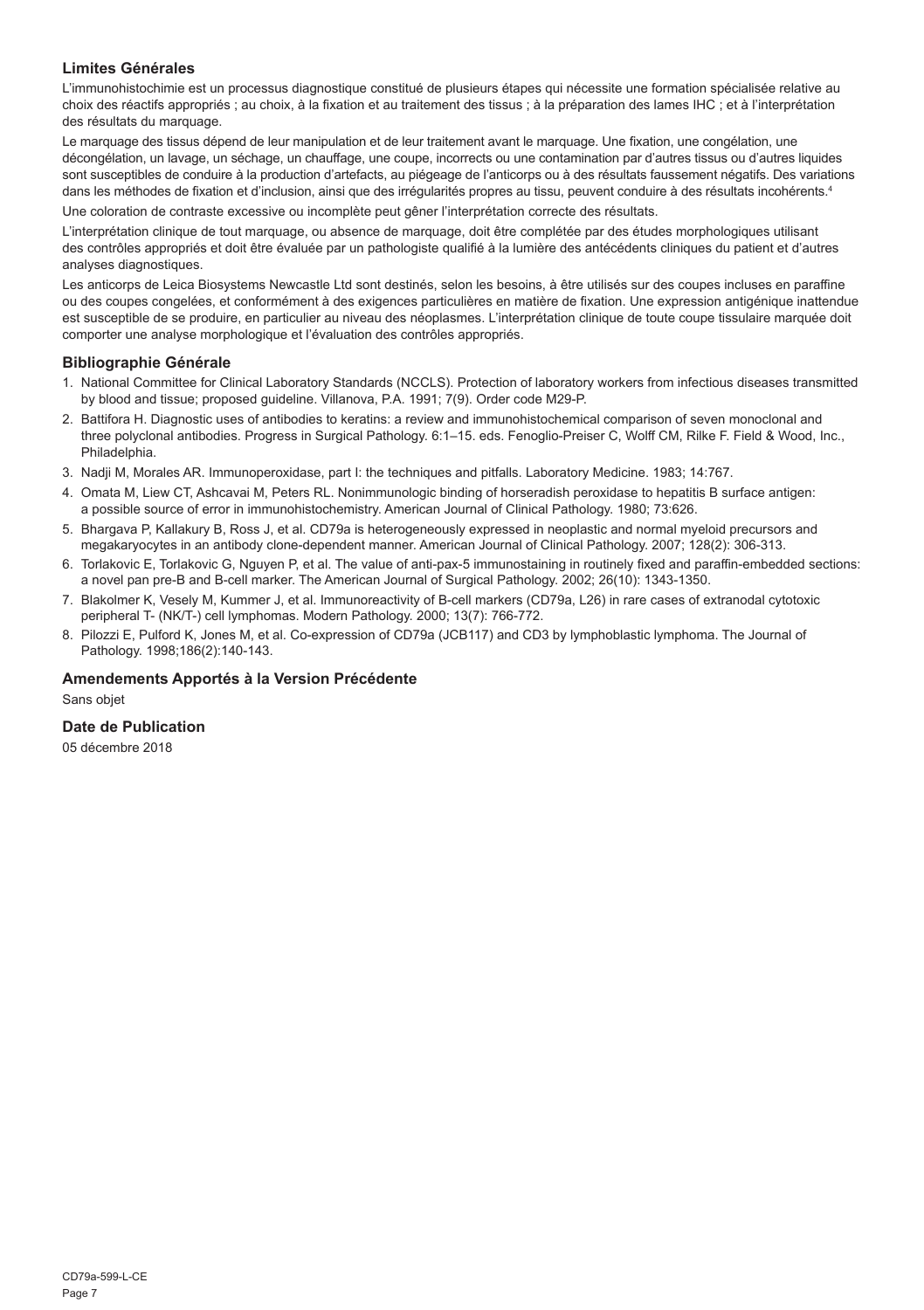#### **Limites Générales**

L'immunohistochimie est un processus diagnostique constitué de plusieurs étapes qui nécessite une formation spécialisée relative au choix des réactifs appropriés ; au choix, à la fixation et au traitement des tissus ; à la préparation des lames IHC ; et à l'interprétation des résultats du marquage.

Le marquage des tissus dépend de leur manipulation et de leur traitement avant le marquage. Une fixation, une congélation, une décongélation, un lavage, un séchage, un chauffage, une coupe, incorrects ou une contamination par d'autres tissus ou d'autres liquides sont susceptibles de conduire à la production d'artefacts, au piégeage de l'anticorps ou à des résultats faussement négatifs. Des variations dans les méthodes de fixation et d'inclusion, ainsi que des irrégularités propres au tissu, peuvent conduire à des résultats incohérents.<sup>4</sup> Une coloration de contraste excessive ou incomplète peut gêner l'interprétation correcte des résultats.

L'interprétation clinique de tout marquage, ou absence de marquage, doit être complétée par des études morphologiques utilisant des contrôles appropriés et doit être évaluée par un pathologiste qualifié à la lumière des antécédents cliniques du patient et d'autres analyses diagnostiques.

Les anticorps de Leica Biosystems Newcastle Ltd sont destinés, selon les besoins, à être utilisés sur des coupes incluses en paraffine ou des coupes congelées, et conformément à des exigences particulières en matière de fixation. Une expression antigénique inattendue est susceptible de se produire, en particulier au niveau des néoplasmes. L'interprétation clinique de toute coupe tissulaire marquée doit comporter une analyse morphologique et l'évaluation des contrôles appropriés.

#### **Bibliographie Générale**

- 1. National Committee for Clinical Laboratory Standards (NCCLS). Protection of laboratory workers from infectious diseases transmitted by blood and tissue; proposed guideline. Villanova, P.A. 1991; 7(9). Order code M29-P.
- 2. Battifora H. Diagnostic uses of antibodies to keratins: a review and immunohistochemical comparison of seven monoclonal and three polyclonal antibodies. Progress in Surgical Pathology. 6:1–15. eds. Fenoglio-Preiser C, Wolff CM, Rilke F. Field & Wood, Inc., Philadelphia.
- 3. Nadji M, Morales AR. Immunoperoxidase, part I: the techniques and pitfalls. Laboratory Medicine. 1983; 14:767.
- 4. Omata M, Liew CT, Ashcavai M, Peters RL. Nonimmunologic binding of horseradish peroxidase to hepatitis B surface antigen: a possible source of error in immunohistochemistry. American Journal of Clinical Pathology. 1980; 73:626.
- 5. Bhargava P, Kallakury B, Ross J, et al. CD79a is heterogeneously expressed in neoplastic and normal myeloid precursors and megakaryocytes in an antibody clone-dependent manner. American Journal of Clinical Pathology. 2007; 128(2): 306-313.
- 6. Torlakovic E, Torlakovic G, Nguyen P, et al. The value of anti-pax-5 immunostaining in routinely fixed and paraffin-embedded sections: a novel pan pre-B and B-cell marker. The American Journal of Surgical Pathology. 2002; 26(10): 1343-1350.
- 7. Blakolmer K, Vesely M, Kummer J, et al. Immunoreactivity of B-cell markers (CD79a, L26) in rare cases of extranodal cytotoxic peripheral T- (NK/T-) cell lymphomas. Modern Pathology. 2000; 13(7): 766-772.
- 8. Pilozzi E, Pulford K, Jones M, et al. Co-expression of CD79a (JCB117) and CD3 by lymphoblastic lymphoma. The Journal of Pathology. 1998;186(2):140-143.

#### **Amendements Apportés à la Version Précédente**

Sans objet

#### **Date de Publication**

05 décembre 2018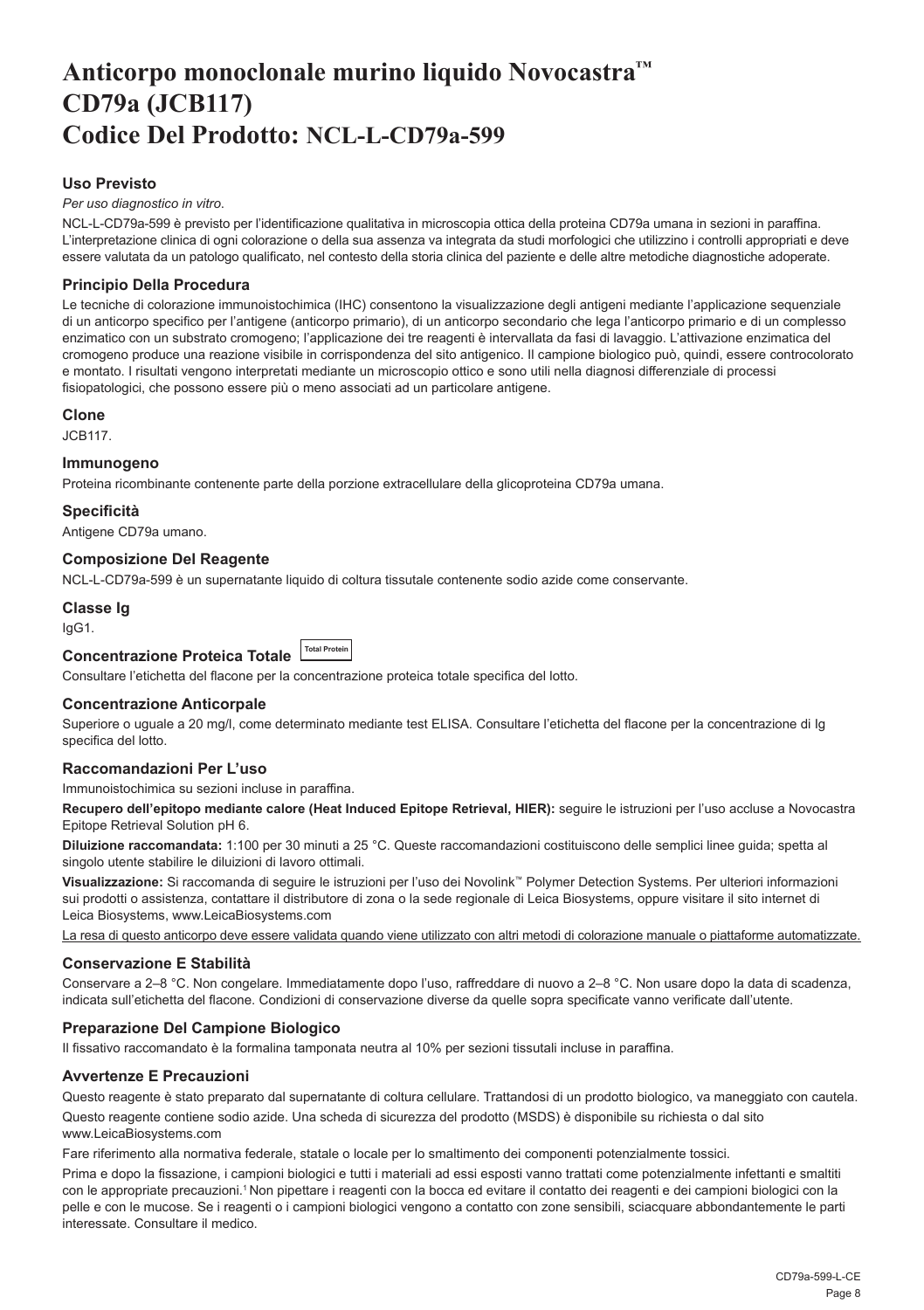## <span id="page-8-0"></span>**Anticorpo monoclonale murino liquido Novocastra™ CD79a (JCB117) Codice Del Prodotto: NCL-L-CD79a-599**

#### **Uso Previsto**

*Per uso diagnostico in vitro*.

NCL-L-CD79a-599 è previsto per l'identificazione qualitativa in microscopia ottica della proteina CD79a umana in sezioni in paraffina. L'interpretazione clinica di ogni colorazione o della sua assenza va integrata da studi morfologici che utilizzino i controlli appropriati e deve essere valutata da un patologo qualificato, nel contesto della storia clinica del paziente e delle altre metodiche diagnostiche adoperate.

#### **Principio Della Procedura**

Le tecniche di colorazione immunoistochimica (IHC) consentono la visualizzazione degli antigeni mediante l'applicazione sequenziale di un anticorpo specifico per l'antigene (anticorpo primario), di un anticorpo secondario che lega l'anticorpo primario e di un complesso enzimatico con un substrato cromogeno; l'applicazione dei tre reagenti è intervallata da fasi di lavaggio. L'attivazione enzimatica del cromogeno produce una reazione visibile in corrispondenza del sito antigenico. Il campione biologico può, quindi, essere controcolorato e montato. I risultati vengono interpretati mediante un microscopio ottico e sono utili nella diagnosi differenziale di processi fisiopatologici, che possono essere più o meno associati ad un particolare antigene.

#### **Clone**

JCB117.

#### **Immunogeno**

Proteina ricombinante contenente parte della porzione extracellulare della glicoproteina CD79a umana.

#### **Specificità**

Antigene CD79a umano.

#### **Composizione Del Reagente**

NCL-L-CD79a-599 è un supernatante liquido di coltura tissutale contenente sodio azide come conservante.

#### **Classe Ig**

IgG1.

**Concentrazione Proteica Totale Total Protein**

Consultare l'etichetta del flacone per la concentrazione proteica totale specifica del lotto.

#### **Concentrazione Anticorpale**

Superiore o uguale a 20 mg/l, come determinato mediante test ELISA. Consultare l'etichetta del flacone per la concentrazione di Ig specifica del lotto.

#### **Raccomandazioni Per L'uso**

Immunoistochimica su sezioni incluse in paraffina.

**Recupero dell'epitopo mediante calore (Heat Induced Epitope Retrieval, HIER):** seguire le istruzioni per l'uso accluse a Novocastra Epitope Retrieval Solution pH 6.

**Diluizione raccomandata:** 1:100 per 30 minuti a 25 °C. Queste raccomandazioni costituiscono delle semplici linee guida; spetta al singolo utente stabilire le diluizioni di lavoro ottimali.

**Visualizzazione:** Si raccomanda di seguire le istruzioni per l'uso dei Novolink™ Polymer Detection Systems. Per ulteriori informazioni sui prodotti o assistenza, contattare il distributore di zona o la sede regionale di Leica Biosystems, oppure visitare il sito internet di Leica Biosystems, www.LeicaBiosystems.com

La resa di questo anticorpo deve essere validata quando viene utilizzato con altri metodi di colorazione manuale o piattaforme automatizzate.

#### **Conservazione E Stabilità**

Conservare a 2–8 °C. Non congelare. Immediatamente dopo l'uso, raffreddare di nuovo a 2–8 °C. Non usare dopo la data di scadenza, indicata sull'etichetta del flacone. Condizioni di conservazione diverse da quelle sopra specificate vanno verificate dall'utente.

#### **Preparazione Del Campione Biologico**

Il fissativo raccomandato è la formalina tamponata neutra al 10% per sezioni tissutali incluse in paraffina.

#### **Avvertenze E Precauzioni**

Questo reagente è stato preparato dal supernatante di coltura cellulare. Trattandosi di un prodotto biologico, va maneggiato con cautela.

Questo reagente contiene sodio azide. Una scheda di sicurezza del prodotto (MSDS) è disponibile su richiesta o dal sito www.LeicaBiosystems.com

Fare riferimento alla normativa federale, statale o locale per lo smaltimento dei componenti potenzialmente tossici.

Prima e dopo la fissazione, i campioni biologici e tutti i materiali ad essi esposti vanno trattati come potenzialmente infettanti e smaltiti con le appropriate precauzioni.<sup>1</sup>Non pipettare i reagenti con la bocca ed evitare il contatto dei reagenti e dei campioni biologici con la pelle e con le mucose. Se i reagenti o i campioni biologici vengono a contatto con zone sensibili, sciacquare abbondantemente le parti interessate. Consultare il medico.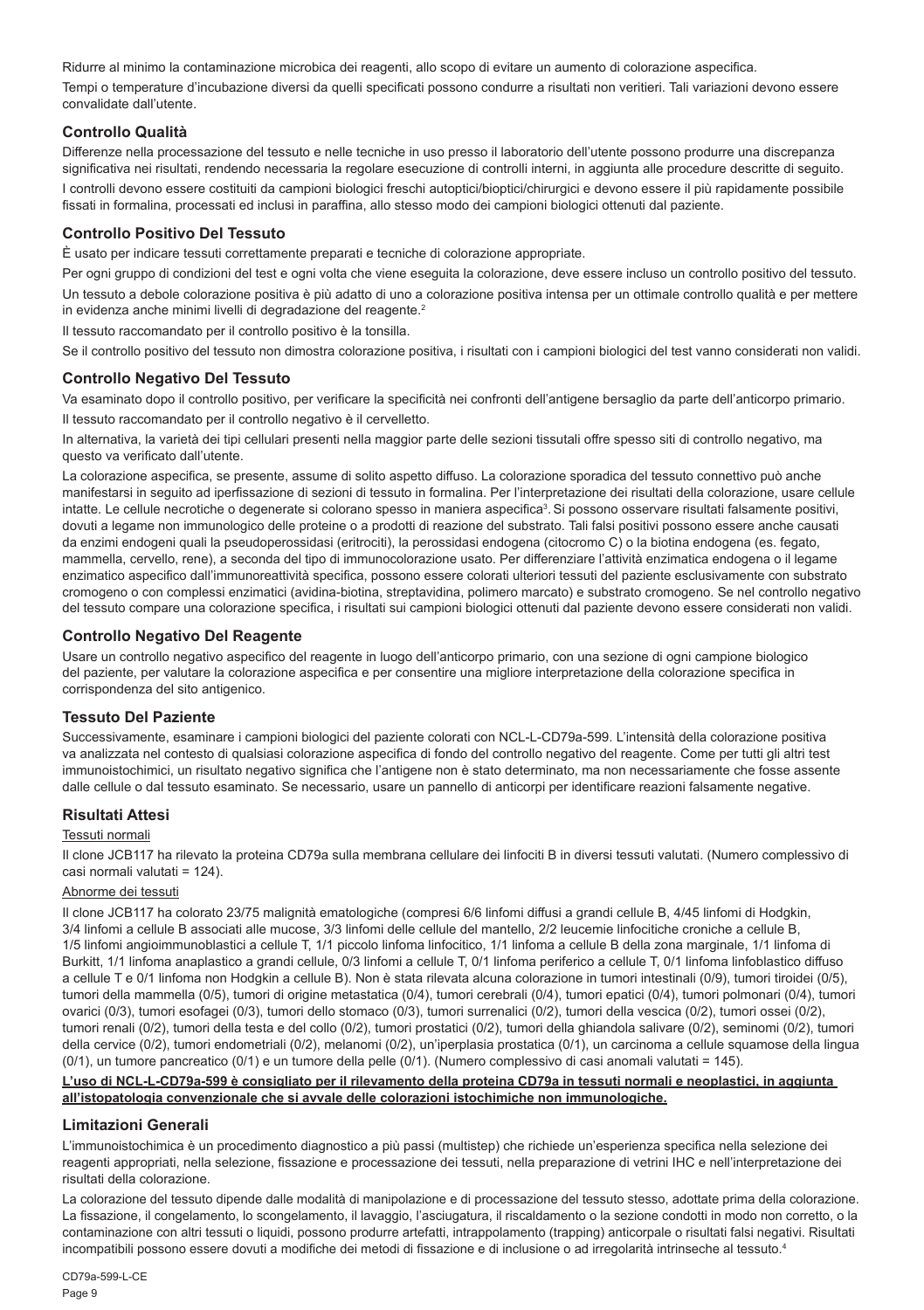Ridurre al minimo la contaminazione microbica dei reagenti, allo scopo di evitare un aumento di colorazione aspecifica. Tempi o temperature d'incubazione diversi da quelli specificati possono condurre a risultati non veritieri. Tali variazioni devono essere convalidate dall'utente.

#### **Controllo Qualità**

Differenze nella processazione del tessuto e nelle tecniche in uso presso il laboratorio dell'utente possono produrre una discrepanza significativa nei risultati, rendendo necessaria la regolare esecuzione di controlli interni, in aggiunta alle procedure descritte di seguito. I controlli devono essere costituiti da campioni biologici freschi autoptici/bioptici/chirurgici e devono essere il più rapidamente possibile fissati in formalina, processati ed inclusi in paraffina, allo stesso modo dei campioni biologici ottenuti dal paziente.

#### **Controllo Positivo Del Tessuto**

È usato per indicare tessuti correttamente preparati e tecniche di colorazione appropriate.

Per ogni gruppo di condizioni del test e ogni volta che viene eseguita la colorazione, deve essere incluso un controllo positivo del tessuto. Un tessuto a debole colorazione positiva è più adatto di uno a colorazione positiva intensa per un ottimale controllo qualità e per mettere in evidenza anche minimi livelli di degradazione del reagente.<sup>2</sup>

Il tessuto raccomandato per il controllo positivo è la tonsilla.

Se il controllo positivo del tessuto non dimostra colorazione positiva, i risultati con i campioni biologici del test vanno considerati non validi.

#### **Controllo Negativo Del Tessuto**

Va esaminato dopo il controllo positivo, per verificare la specificità nei confronti dell'antigene bersaglio da parte dell'anticorpo primario. Il tessuto raccomandato per il controllo negativo è il cervelletto.

In alternativa, la varietà dei tipi cellulari presenti nella maggior parte delle sezioni tissutali offre spesso siti di controllo negativo, ma questo va verificato dall'utente.

La colorazione aspecifica, se presente, assume di solito aspetto diffuso. La colorazione sporadica del tessuto connettivo può anche manifestarsi in seguito ad iperfissazione di sezioni di tessuto in formalina. Per l'interpretazione dei risultati della colorazione, usare cellule intatte. Le cellule necrotiche o degenerate si colorano spesso in maniera aspecifica<sup>3</sup>. Si possono osservare risultati falsamente positivi, dovuti a legame non immunologico delle proteine o a prodotti di reazione del substrato. Tali falsi positivi possono essere anche causati da enzimi endogeni quali la pseudoperossidasi (eritrociti), la perossidasi endogena (citocromo C) o la biotina endogena (es. fegato, mammella, cervello, rene), a seconda del tipo di immunocolorazione usato. Per differenziare l'attività enzimatica endogena o il legame enzimatico aspecifico dall'immunoreattività specifica, possono essere colorati ulteriori tessuti del paziente esclusivamente con substrato cromogeno o con complessi enzimatici (avidina-biotina, streptavidina, polimero marcato) e substrato cromogeno. Se nel controllo negativo del tessuto compare una colorazione specifica, i risultati sui campioni biologici ottenuti dal paziente devono essere considerati non validi.

#### **Controllo Negativo Del Reagente**

Usare un controllo negativo aspecifico del reagente in luogo dell'anticorpo primario, con una sezione di ogni campione biologico del paziente, per valutare la colorazione aspecifica e per consentire una migliore interpretazione della colorazione specifica in corrispondenza del sito antigenico.

#### **Tessuto Del Paziente**

Successivamente, esaminare i campioni biologici del paziente colorati con NCL-L-CD79a-599. L'intensità della colorazione positiva va analizzata nel contesto di qualsiasi colorazione aspecifica di fondo del controllo negativo del reagente. Come per tutti gli altri test immunoistochimici, un risultato negativo significa che l'antigene non è stato determinato, ma non necessariamente che fosse assente dalle cellule o dal tessuto esaminato. Se necessario, usare un pannello di anticorpi per identificare reazioni falsamente negative.

#### **Risultati Attesi**

#### Tessuti normali

Il clone JCB117 ha rilevato la proteina CD79a sulla membrana cellulare dei linfociti B in diversi tessuti valutati. (Numero complessivo di casi normali valutati = 124).

#### Abnorme dei tessuti

Il clone JCB117 ha colorato 23/75 malignità ematologiche (compresi 6/6 linfomi diffusi a grandi cellule B, 4/45 linfomi di Hodgkin, 3/4 linfomi a cellule B associati alle mucose, 3/3 linfomi delle cellule del mantello, 2/2 leucemie linfocitiche croniche a cellule B, 1/5 linfomi angioimmunoblastici a cellule T, 1/1 piccolo linfoma linfocitico, 1/1 linfoma a cellule B della zona marginale, 1/1 linfoma di Burkitt, 1/1 linfoma anaplastico a grandi cellule, 0/3 linfomi a cellule T, 0/1 linfoma periferico a cellule T, 0/1 linfoma linfoblastico diffuso a cellule T e 0/1 linfoma non Hodgkin a cellule B). Non è stata rilevata alcuna colorazione in tumori intestinali (0/9), tumori tiroidei (0/5), tumori della mammella (0/5), tumori di origine metastatica (0/4), tumori cerebrali (0/4), tumori epatici (0/4), tumori polmonari (0/4), tumori ovarici (0/3), tumori esofagei (0/3), tumori dello stomaco (0/3), tumori surrenalici (0/2), tumori della vescica (0/2), tumori ossei (0/2), tumori renali (0/2), tumori della testa e del collo (0/2), tumori prostatici (0/2), tumori della ghiandola salivare (0/2), seminomi (0/2), tumori della cervice (0/2), tumori endometriali (0/2), melanomi (0/2), un'iperplasia prostatica (0/1), un carcinoma a cellule squamose della lingua (0/1), un tumore pancreatico (0/1) e un tumore della pelle (0/1). (Numero complessivo di casi anomali valutati = 145).

#### **L'uso di NCL-L-CD79a-599 è consigliato per il rilevamento della proteina CD79a in tessuti normali e neoplastici, in aggiunta all'istopatologia convenzionale che si avvale delle colorazioni istochimiche non immunologiche.**

#### **Limitazioni Generali**

L'immunoistochimica è un procedimento diagnostico a più passi (multistep) che richiede un'esperienza specifica nella selezione dei reagenti appropriati, nella selezione, fissazione e processazione dei tessuti, nella preparazione di vetrini IHC e nell'interpretazione dei risultati della colorazione.

La colorazione del tessuto dipende dalle modalità di manipolazione e di processazione del tessuto stesso, adottate prima della colorazione. La fissazione, il congelamento, lo scongelamento, il lavaggio, l'asciugatura, il riscaldamento o la sezione condotti in modo non corretto, o la contaminazione con altri tessuti o liquidi, possono produrre artefatti, intrappolamento (trapping) anticorpale o risultati falsi negativi. Risultati incompatibili possono essere dovuti a modifiche dei metodi di fissazione e di inclusione o ad irregolarità intrinseche al tessuto.4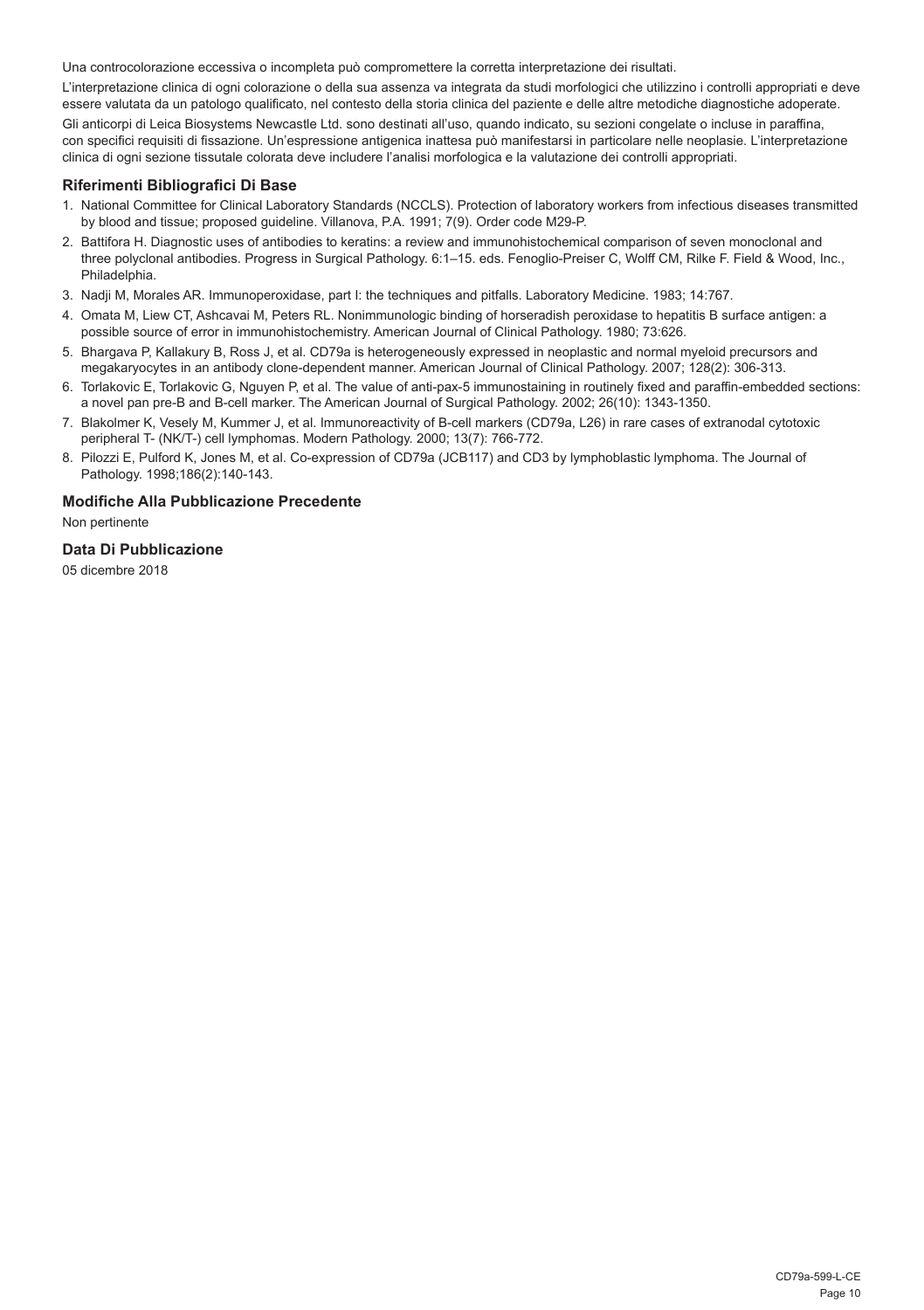Una controcolorazione eccessiva o incompleta può compromettere la corretta interpretazione dei risultati.

L'interpretazione clinica di ogni colorazione o della sua assenza va integrata da studi morfologici che utilizzino i controlli appropriati e deve essere valutata da un patologo qualificato, nel contesto della storia clinica del paziente e delle altre metodiche diagnostiche adoperate.

Gli anticorpi di Leica Biosystems Newcastle Ltd. sono destinati all'uso, quando indicato, su sezioni congelate o incluse in paraffina, con specifici requisiti di fissazione. Un'espressione antigenica inattesa può manifestarsi in particolare nelle neoplasie. L'interpretazione clinica di ogni sezione tissutale colorata deve includere l'analisi morfologica e la valutazione dei controlli appropriati.

#### **Riferimenti Bibliografici Di Base**

- 1. National Committee for Clinical Laboratory Standards (NCCLS). Protection of laboratory workers from infectious diseases transmitted by blood and tissue; proposed guideline. Villanova, P.A. 1991; 7(9). Order code M29-P.
- 2. Battifora H. Diagnostic uses of antibodies to keratins: a review and immunohistochemical comparison of seven monoclonal and three polyclonal antibodies. Progress in Surgical Pathology. 6:1–15. eds. Fenoglio-Preiser C, Wolff CM, Rilke F. Field & Wood, Inc., Philadelphia.
- 3. Nadji M, Morales AR. Immunoperoxidase, part I: the techniques and pitfalls. Laboratory Medicine. 1983; 14:767.
- 4. Omata M, Liew CT, Ashcavai M, Peters RL. Nonimmunologic binding of horseradish peroxidase to hepatitis B surface antigen: a possible source of error in immunohistochemistry. American Journal of Clinical Pathology. 1980; 73:626.
- 5. Bhargava P, Kallakury B, Ross J, et al. CD79a is heterogeneously expressed in neoplastic and normal myeloid precursors and megakaryocytes in an antibody clone-dependent manner. American Journal of Clinical Pathology. 2007; 128(2): 306-313.
- 6. Torlakovic E, Torlakovic G, Nguyen P, et al. The value of anti-pax-5 immunostaining in routinely fixed and paraffin-embedded sections: a novel pan pre-B and B-cell marker. The American Journal of Surgical Pathology. 2002; 26(10): 1343-1350.
- 7. Blakolmer K, Vesely M, Kummer J, et al. Immunoreactivity of B-cell markers (CD79a, L26) in rare cases of extranodal cytotoxic peripheral T- (NK/T-) cell lymphomas. Modern Pathology. 2000; 13(7): 766-772.
- 8. Pilozzi E, Pulford K, Jones M, et al. Co-expression of CD79a (JCB117) and CD3 by lymphoblastic lymphoma. The Journal of Pathology. 1998;186(2):140-143.

#### **Modifiche Alla Pubblicazione Precedente**

Non pertinente

#### **Data Di Pubblicazione**

05 dicembre 2018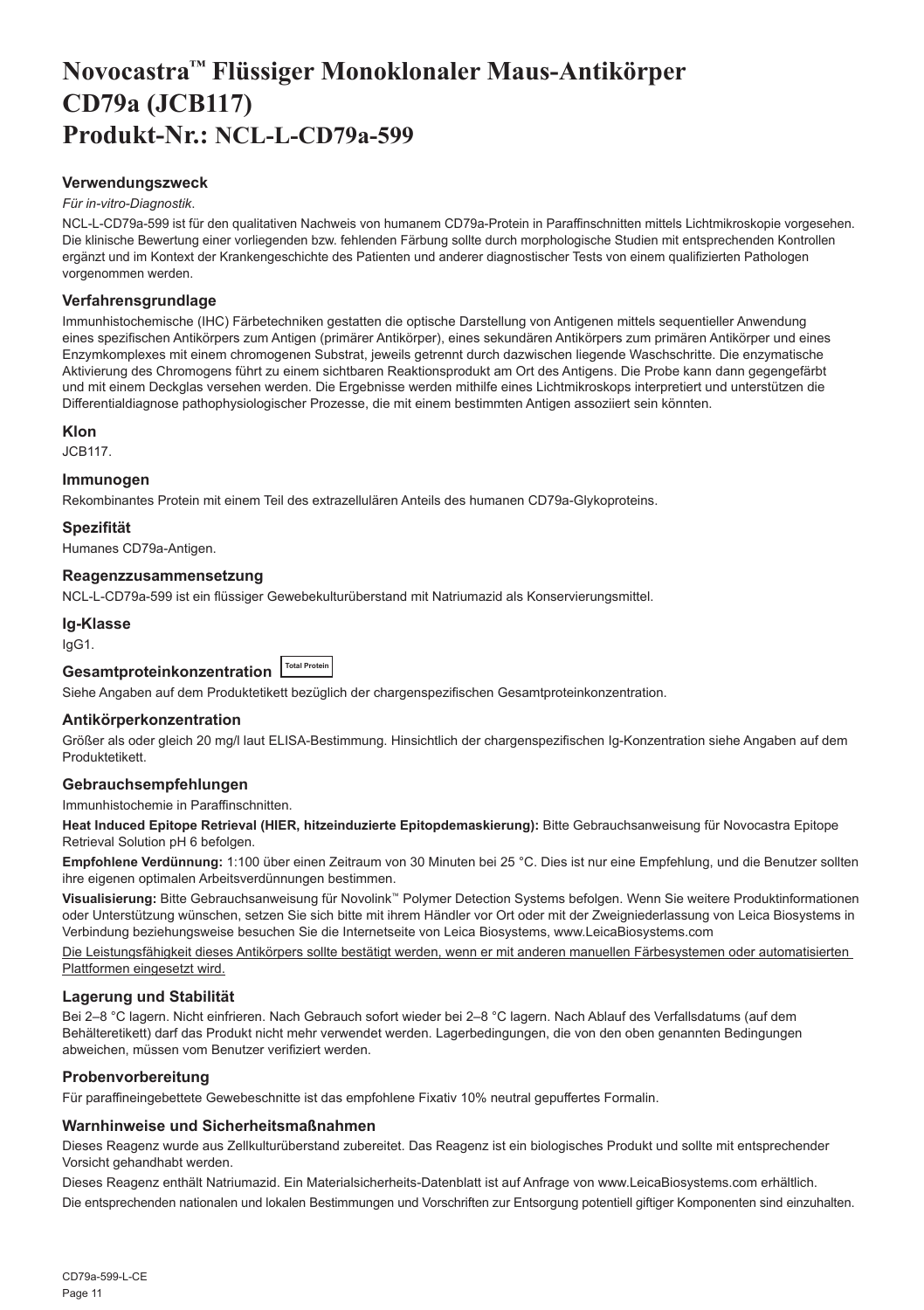## <span id="page-11-0"></span>**Novocastra™ Flüssiger Monoklonaler Maus-Antikörper CD79a (JCB117) Produkt-Nr.: NCL-L-CD79a-599**

#### **Verwendungszweck**

#### *Für in-vitro-Diagnostik*.

NCL-L-CD79a-599 ist für den qualitativen Nachweis von humanem CD79a-Protein in Paraffinschnitten mittels Lichtmikroskopie vorgesehen. Die klinische Bewertung einer vorliegenden bzw. fehlenden Färbung sollte durch morphologische Studien mit entsprechenden Kontrollen ergänzt und im Kontext der Krankengeschichte des Patienten und anderer diagnostischer Tests von einem qualifizierten Pathologen vorgenommen werden.

#### **Verfahrensgrundlage**

Immunhistochemische (IHC) Färbetechniken gestatten die optische Darstellung von Antigenen mittels sequentieller Anwendung eines spezifischen Antikörpers zum Antigen (primärer Antikörper), eines sekundären Antikörpers zum primären Antikörper und eines Enzymkomplexes mit einem chromogenen Substrat, jeweils getrennt durch dazwischen liegende Waschschritte. Die enzymatische Aktivierung des Chromogens führt zu einem sichtbaren Reaktionsprodukt am Ort des Antigens. Die Probe kann dann gegengefärbt und mit einem Deckglas versehen werden. Die Ergebnisse werden mithilfe eines Lichtmikroskops interpretiert und unterstützen die Differentialdiagnose pathophysiologischer Prozesse, die mit einem bestimmten Antigen assoziiert sein könnten.

#### **Klon**

JCB117.

#### **Immunogen**

Rekombinantes Protein mit einem Teil des extrazellulären Anteils des humanen CD79a-Glykoproteins.

#### **Spezifität**

Humanes CD79a-Antigen.

#### **Reagenzzusammensetzung**

NCL-L-CD79a-599 ist ein flüssiger Gewebekulturüberstand mit Natriumazid als Konservierungsmittel.

### **Ig-Klasse**

IgG1.

### **Gesamtproteinkonzentration Total Protein**

Siehe Angaben auf dem Produktetikett bezüglich der chargenspezifischen Gesamtproteinkonzentration.

#### **Antikörperkonzentration**

Größer als oder gleich 20 mg/l laut ELISA-Bestimmung. Hinsichtlich der chargenspezifischen Ig-Konzentration siehe Angaben auf dem Produktetikett.

#### **Gebrauchsempfehlungen**

Immunhistochemie in Paraffinschnitten.

**Heat Induced Epitope Retrieval (HIER, hitzeinduzierte Epitopdemaskierung):** Bitte Gebrauchsanweisung für Novocastra Epitope Retrieval Solution pH 6 befolgen.

**Empfohlene Verdünnung:** 1:100 über einen Zeitraum von 30 Minuten bei 25 °C. Dies ist nur eine Empfehlung, und die Benutzer sollten ihre eigenen optimalen Arbeitsverdünnungen bestimmen.

**Visualisierung:** Bitte Gebrauchsanweisung für Novolink™ Polymer Detection Systems befolgen. Wenn Sie weitere Produktinformationen oder Unterstützung wünschen, setzen Sie sich bitte mit ihrem Händler vor Ort oder mit der Zweigniederlassung von Leica Biosystems in Verbindung beziehungsweise besuchen Sie die Internetseite von Leica Biosystems, www.LeicaBiosystems.com

Die Leistungsfähigkeit dieses Antikörpers sollte bestätigt werden, wenn er mit anderen manuellen Färbesystemen oder automatisierten Plattformen eingesetzt wird.

#### **Lagerung und Stabilität**

Bei 2–8 °C lagern. Nicht einfrieren. Nach Gebrauch sofort wieder bei 2–8 °C lagern. Nach Ablauf des Verfallsdatums (auf dem Behälteretikett) darf das Produkt nicht mehr verwendet werden. Lagerbedingungen, die von den oben genannten Bedingungen abweichen, müssen vom Benutzer verifiziert werden.

#### **Probenvorbereitung**

Für paraffineingebettete Gewebeschnitte ist das empfohlene Fixativ 10% neutral gepuffertes Formalin.

#### **Warnhinweise und Sicherheitsmaßnahmen**

Dieses Reagenz wurde aus Zellkulturüberstand zubereitet. Das Reagenz ist ein biologisches Produkt und sollte mit entsprechender Vorsicht gehandhabt werden.

Dieses Reagenz enthält Natriumazid. Ein Materialsicherheits-Datenblatt ist auf Anfrage von www.LeicaBiosystems.com erhältlich. Die entsprechenden nationalen und lokalen Bestimmungen und Vorschriften zur Entsorgung potentiell giftiger Komponenten sind einzuhalten.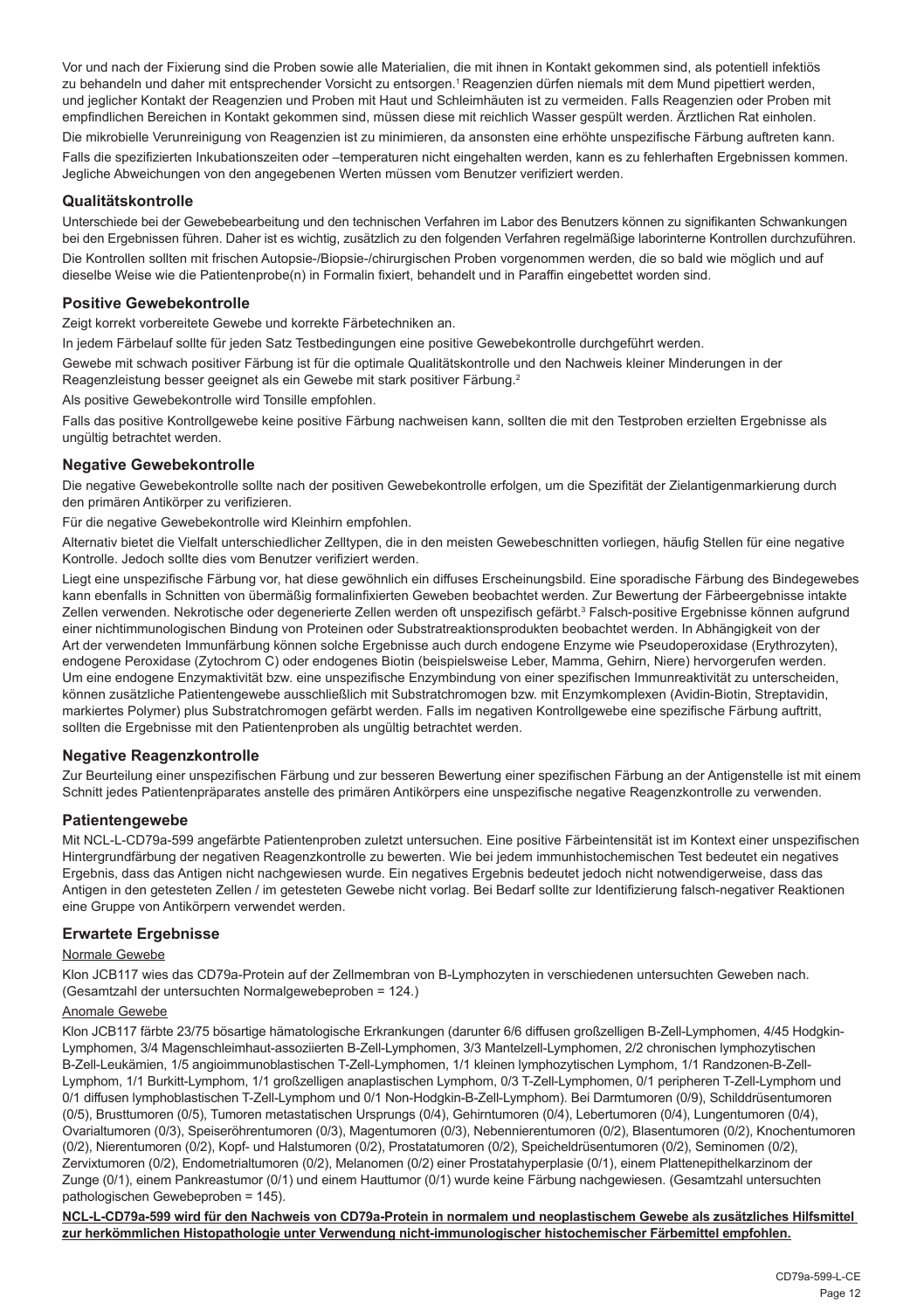Vor und nach der Fixierung sind die Proben sowie alle Materialien, die mit ihnen in Kontakt gekommen sind, als potentiell infektiös zu behandeln und daher mit entsprechender Vorsicht zu entsorgen.<sup>1</sup> Reagenzien dürfen niemals mit dem Mund pipettiert werden, und jeglicher Kontakt der Reagenzien und Proben mit Haut und Schleimhäuten ist zu vermeiden. Falls Reagenzien oder Proben mit empfindlichen Bereichen in Kontakt gekommen sind, müssen diese mit reichlich Wasser gespült werden. Ärztlichen Rat einholen.

Die mikrobielle Verunreinigung von Reagenzien ist zu minimieren, da ansonsten eine erhöhte unspezifische Färbung auftreten kann. Falls die spezifizierten Inkubationszeiten oder –temperaturen nicht eingehalten werden, kann es zu fehlerhaften Ergebnissen kommen. Jegliche Abweichungen von den angegebenen Werten müssen vom Benutzer verifiziert werden.

#### **Qualitätskontrolle**

Unterschiede bei der Gewebebearbeitung und den technischen Verfahren im Labor des Benutzers können zu signifikanten Schwankungen bei den Ergebnissen führen. Daher ist es wichtig, zusätzlich zu den folgenden Verfahren regelmäßige laborinterne Kontrollen durchzuführen.

Die Kontrollen sollten mit frischen Autopsie-/Biopsie-/chirurgischen Proben vorgenommen werden, die so bald wie möglich und auf dieselbe Weise wie die Patientenprobe(n) in Formalin fixiert, behandelt und in Paraffin eingebettet worden sind.

#### **Positive Gewebekontrolle**

Zeigt korrekt vorbereitete Gewebe und korrekte Färbetechniken an.

In jedem Färbelauf sollte für jeden Satz Testbedingungen eine positive Gewebekontrolle durchgeführt werden.

Gewebe mit schwach positiver Färbung ist für die optimale Qualitätskontrolle und den Nachweis kleiner Minderungen in der Reagenzleistung besser geeignet als ein Gewebe mit stark positiver Färbung.<sup>2</sup>

Als positive Gewebekontrolle wird Tonsille empfohlen.

Falls das positive Kontrollgewebe keine positive Färbung nachweisen kann, sollten die mit den Testproben erzielten Ergebnisse als ungültig betrachtet werden.

#### **Negative Gewebekontrolle**

Die negative Gewebekontrolle sollte nach der positiven Gewebekontrolle erfolgen, um die Spezifität der Zielantigenmarkierung durch den primären Antikörper zu verifizieren.

Für die negative Gewebekontrolle wird Kleinhirn empfohlen.

Alternativ bietet die Vielfalt unterschiedlicher Zelltypen, die in den meisten Gewebeschnitten vorliegen, häufig Stellen für eine negative Kontrolle. Jedoch sollte dies vom Benutzer verifiziert werden.

Liegt eine unspezifische Färbung vor, hat diese gewöhnlich ein diffuses Erscheinungsbild. Eine sporadische Färbung des Bindegewebes kann ebenfalls in Schnitten von übermäßig formalinfixierten Geweben beobachtet werden. Zur Bewertung der Färbeergebnisse intakte Zellen verwenden. Nekrotische oder degenerierte Zellen werden oft unspezifisch gefärbt.<sup>3</sup> Falsch-positive Ergebnisse können aufgrund einer nichtimmunologischen Bindung von Proteinen oder Substratreaktionsprodukten beobachtet werden. In Abhängigkeit von der Art der verwendeten Immunfärbung können solche Ergebnisse auch durch endogene Enzyme wie Pseudoperoxidase (Erythrozyten), endogene Peroxidase (Zytochrom C) oder endogenes Biotin (beispielsweise Leber, Mamma, Gehirn, Niere) hervorgerufen werden. Um eine endogene Enzymaktivität bzw. eine unspezifische Enzymbindung von einer spezifischen Immunreaktivität zu unterscheiden, können zusätzliche Patientengewebe ausschließlich mit Substratchromogen bzw. mit Enzymkomplexen (Avidin-Biotin, Streptavidin, markiertes Polymer) plus Substratchromogen gefärbt werden. Falls im negativen Kontrollgewebe eine spezifische Färbung auftritt, sollten die Ergebnisse mit den Patientenproben als ungültig betrachtet werden.

#### **Negative Reagenzkontrolle**

Zur Beurteilung einer unspezifischen Färbung und zur besseren Bewertung einer spezifischen Färbung an der Antigenstelle ist mit einem Schnitt jedes Patientenpräparates anstelle des primären Antikörpers eine unspezifische negative Reagenzkontrolle zu verwenden.

#### **Patientengewebe**

Mit NCL-L-CD79a-599 angefärbte Patientenproben zuletzt untersuchen. Eine positive Färbeintensität ist im Kontext einer unspezifischen Hintergrundfärbung der negativen Reagenzkontrolle zu bewerten. Wie bei jedem immunhistochemischen Test bedeutet ein negatives Ergebnis, dass das Antigen nicht nachgewiesen wurde. Ein negatives Ergebnis bedeutet jedoch nicht notwendigerweise, dass das Antigen in den getesteten Zellen / im getesteten Gewebe nicht vorlag. Bei Bedarf sollte zur Identifizierung falsch-negativer Reaktionen eine Gruppe von Antikörpern verwendet werden.

#### **Erwartete Ergebnisse**

#### Normale Gewebe

Klon JCB117 wies das CD79a-Protein auf der Zellmembran von B-Lymphozyten in verschiedenen untersuchten Geweben nach. (Gesamtzahl der untersuchten Normalgewebeproben = 124.)

#### Anomale Gewebe

Klon JCB117 färbte 23/75 bösartige hämatologische Erkrankungen (darunter 6/6 diffusen großzelligen B-Zell-Lymphomen, 4/45 Hodgkin-Lymphomen, 3/4 Magenschleimhaut-assoziierten B-Zell-Lymphomen, 3/3 Mantelzell-Lymphomen, 2/2 chronischen lymphozytischen B-Zell-Leukämien, 1/5 angioimmunoblastischen T-Zell-Lymphomen, 1/1 kleinen lymphozytischen Lymphom, 1/1 Randzonen-B-Zell-Lymphom, 1/1 Burkitt-Lymphom, 1/1 großzelligen anaplastischen Lymphom, 0/3 T-Zell-Lymphomen, 0/1 peripheren T-Zell-Lymphom und 0/1 diffusen lymphoblastischen T-Zell-Lymphom und 0/1 Non-Hodgkin-B-Zell-Lymphom). Bei Darmtumoren (0/9), Schilddrüsentumoren (0/5), Brusttumoren (0/5), Tumoren metastatischen Ursprungs (0/4), Gehirntumoren (0/4), Lebertumoren (0/4), Lungentumoren (0/4), Ovarialtumoren (0/3), Speiseröhrentumoren (0/3), Magentumoren (0/3), Nebennierentumoren (0/2), Blasentumoren (0/2), Knochentumoren (0/2), Nierentumoren (0/2), Kopf- und Halstumoren (0/2), Prostatatumoren (0/2), Speicheldrüsentumoren (0/2), Seminomen (0/2), Zervixtumoren (0/2), Endometrialtumoren (0/2), Melanomen (0/2) einer Prostatahyperplasie (0/1), einem Plattenepithelkarzinom der Zunge (0/1), einem Pankreastumor (0/1) und einem Hauttumor (0/1) wurde keine Färbung nachgewiesen. (Gesamtzahl untersuchten pathologischen Gewebeproben = 145).

**NCL-L-CD79a-599 wird für den Nachweis von CD79a-Protein in normalem und neoplastischem Gewebe als zusätzliches Hilfsmittel zur herkömmlichen Histopathologie unter Verwendung nicht-immunologischer histochemischer Färbemittel empfohlen.**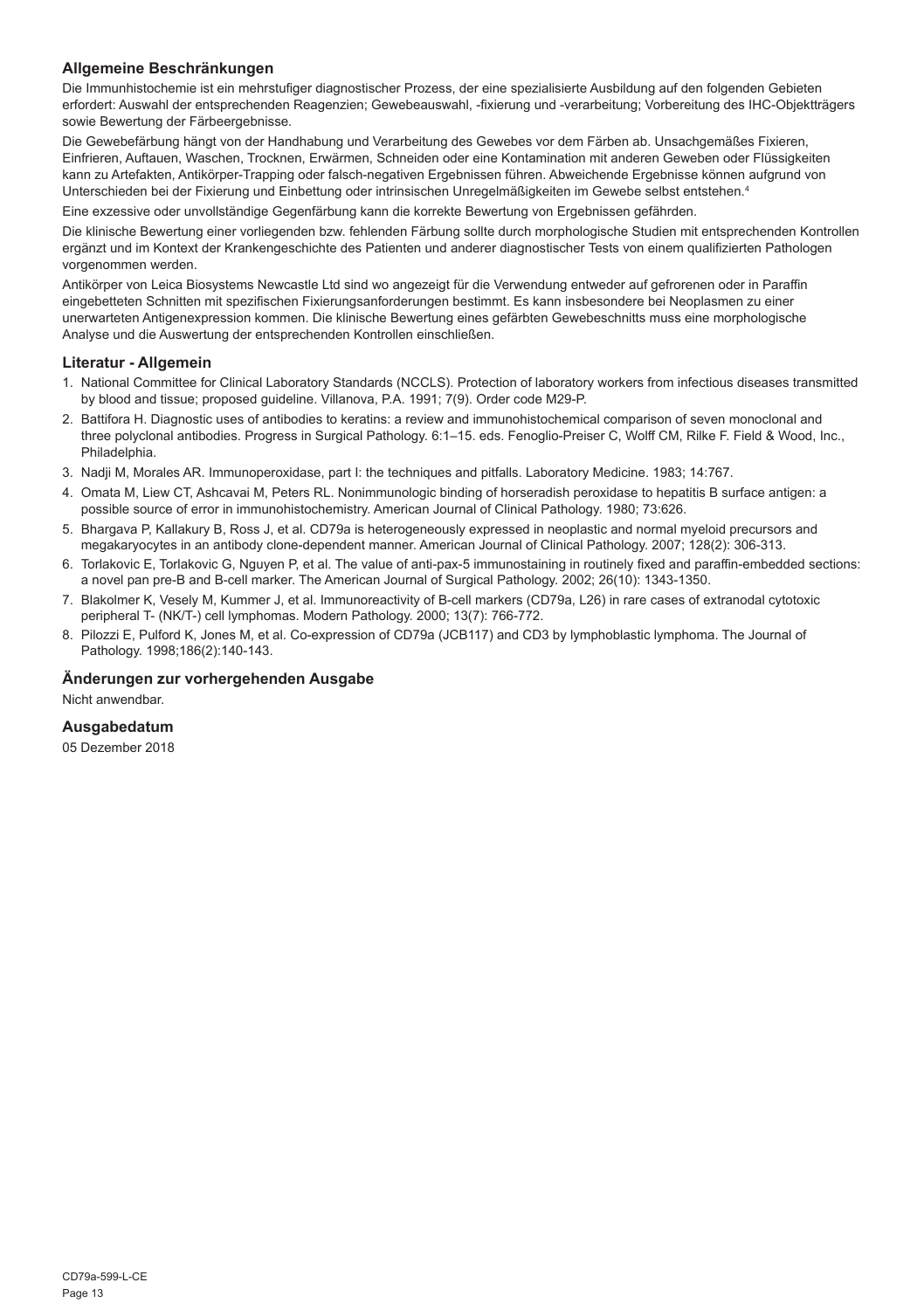#### **Allgemeine Beschränkungen**

Die Immunhistochemie ist ein mehrstufiger diagnostischer Prozess, der eine spezialisierte Ausbildung auf den folgenden Gebieten erfordert: Auswahl der entsprechenden Reagenzien; Gewebeauswahl, -fixierung und -verarbeitung; Vorbereitung des IHC-Objektträgers sowie Bewertung der Färbeergebnisse.

Die Gewebefärbung hängt von der Handhabung und Verarbeitung des Gewebes vor dem Färben ab. Unsachgemäßes Fixieren, Einfrieren, Auftauen, Waschen, Trocknen, Erwärmen, Schneiden oder eine Kontamination mit anderen Geweben oder Flüssigkeiten kann zu Artefakten, Antikörper-Trapping oder falsch-negativen Ergebnissen führen. Abweichende Ergebnisse können aufgrund von Unterschieden bei der Fixierung und Einbettung oder intrinsischen Unregelmäßigkeiten im Gewebe selbst entstehen.4

Eine exzessive oder unvollständige Gegenfärbung kann die korrekte Bewertung von Ergebnissen gefährden.

Die klinische Bewertung einer vorliegenden bzw. fehlenden Färbung sollte durch morphologische Studien mit entsprechenden Kontrollen ergänzt und im Kontext der Krankengeschichte des Patienten und anderer diagnostischer Tests von einem qualifizierten Pathologen vorgenommen werden.

Antikörper von Leica Biosystems Newcastle Ltd sind wo angezeigt für die Verwendung entweder auf gefrorenen oder in Paraffin eingebetteten Schnitten mit spezifischen Fixierungsanforderungen bestimmt. Es kann insbesondere bei Neoplasmen zu einer unerwarteten Antigenexpression kommen. Die klinische Bewertung eines gefärbten Gewebeschnitts muss eine morphologische Analyse und die Auswertung der entsprechenden Kontrollen einschließen.

#### **Literatur - Allgemein**

- 1. National Committee for Clinical Laboratory Standards (NCCLS). Protection of laboratory workers from infectious diseases transmitted by blood and tissue; proposed guideline. Villanova, P.A. 1991; 7(9). Order code M29-P.
- 2. Battifora H. Diagnostic uses of antibodies to keratins: a review and immunohistochemical comparison of seven monoclonal and three polyclonal antibodies. Progress in Surgical Pathology. 6:1–15. eds. Fenoglio-Preiser C, Wolff CM, Rilke F. Field & Wood, Inc., Philadelphia.
- 3. Nadji M, Morales AR. Immunoperoxidase, part I: the techniques and pitfalls. Laboratory Medicine. 1983; 14:767.
- 4. Omata M, Liew CT, Ashcavai M, Peters RL. Nonimmunologic binding of horseradish peroxidase to hepatitis B surface antigen: a possible source of error in immunohistochemistry. American Journal of Clinical Pathology. 1980; 73:626.
- 5. Bhargava P, Kallakury B, Ross J, et al. CD79a is heterogeneously expressed in neoplastic and normal myeloid precursors and megakaryocytes in an antibody clone-dependent manner. American Journal of Clinical Pathology. 2007; 128(2): 306-313.
- 6. Torlakovic E, Torlakovic G, Nguyen P, et al. The value of anti-pax-5 immunostaining in routinely fixed and paraffin-embedded sections: a novel pan pre-B and B-cell marker. The American Journal of Surgical Pathology. 2002; 26(10): 1343-1350.
- 7. Blakolmer K, Vesely M, Kummer J, et al. Immunoreactivity of B-cell markers (CD79a, L26) in rare cases of extranodal cytotoxic peripheral T- (NK/T-) cell lymphomas. Modern Pathology. 2000; 13(7): 766-772.
- 8. Pilozzi E, Pulford K, Jones M, et al. Co-expression of CD79a (JCB117) and CD3 by lymphoblastic lymphoma. The Journal of Pathology. 1998;186(2):140-143.

#### **Änderungen zur vorhergehenden Ausgabe**

Nicht anwendbar.

#### **Ausgabedatum**

05 Dezember 2018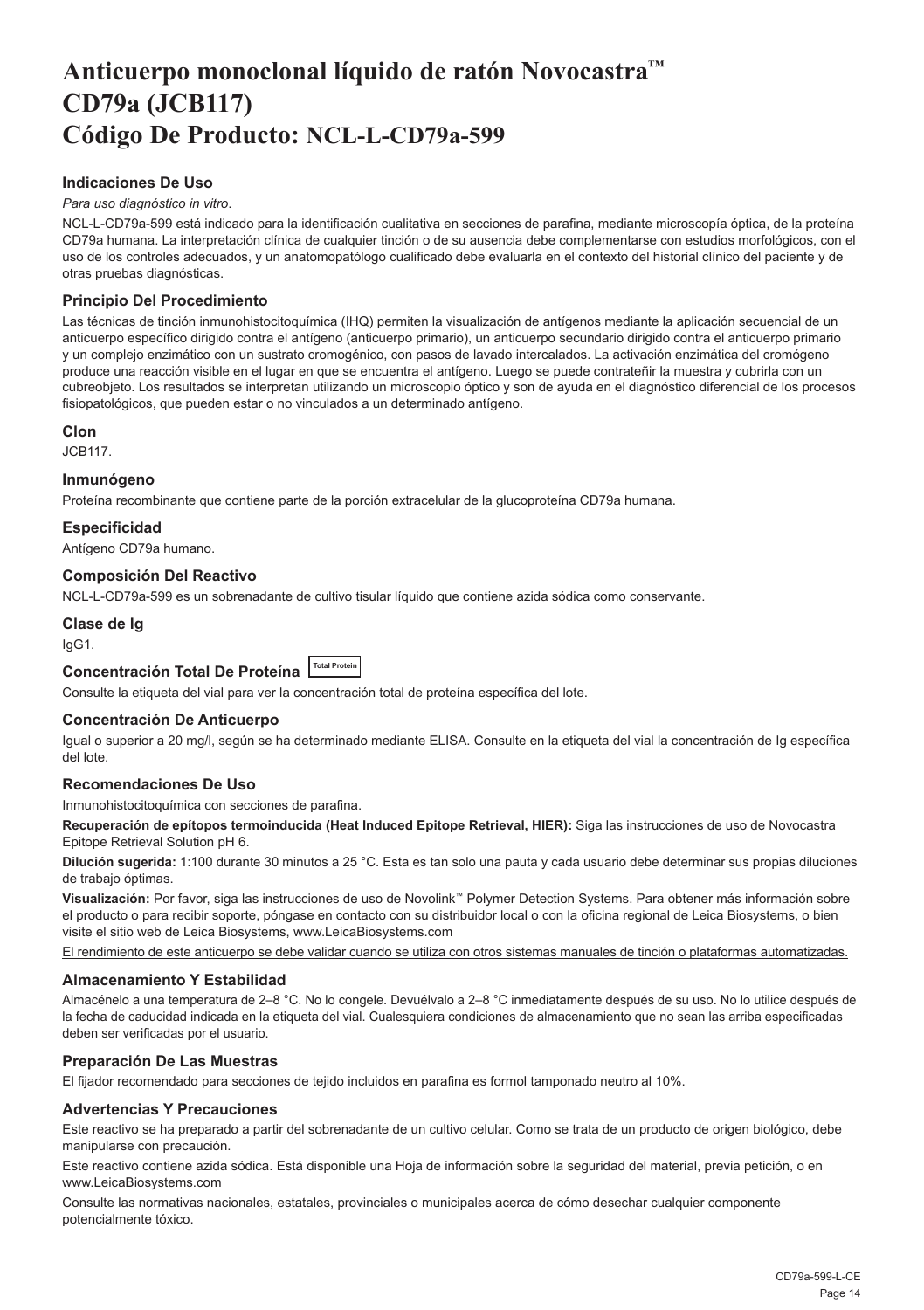## <span id="page-14-0"></span>**Anticuerpo monoclonal líquido de ratón Novocastra™ CD79a (JCB117) Código De Producto: NCL-L-CD79a-599**

#### **Indicaciones De Uso**

#### *Para uso diagnóstico in vitro*.

NCL-L-CD79a-599 está indicado para la identificación cualitativa en secciones de parafina, mediante microscopía óptica, de la proteína CD79a humana. La interpretación clínica de cualquier tinción o de su ausencia debe complementarse con estudios morfológicos, con el uso de los controles adecuados, y un anatomopatólogo cualificado debe evaluarla en el contexto del historial clínico del paciente y de otras pruebas diagnósticas.

#### **Principio Del Procedimiento**

Las técnicas de tinción inmunohistocitoquímica (IHQ) permiten la visualización de antígenos mediante la aplicación secuencial de un anticuerpo específico dirigido contra el antígeno (anticuerpo primario), un anticuerpo secundario dirigido contra el anticuerpo primario y un complejo enzimático con un sustrato cromogénico, con pasos de lavado intercalados. La activación enzimática del cromógeno produce una reacción visible en el lugar en que se encuentra el antígeno. Luego se puede contrateñir la muestra y cubrirla con un cubreobjeto. Los resultados se interpretan utilizando un microscopio óptico y son de ayuda en el diagnóstico diferencial de los procesos fisiopatológicos, que pueden estar o no vinculados a un determinado antígeno.

#### **Clon**

JCB117.

#### **Inmunógeno**

Proteína recombinante que contiene parte de la porción extracelular de la glucoproteína CD79a humana.

#### **Especificidad**

Antígeno CD79a humano.

#### **Composición Del Reactivo**

NCL-L-CD79a-599 es un sobrenadante de cultivo tisular líquido que contiene azida sódica como conservante.

### **Clase de Ig**

IgG1.

### **Concentración Total De Proteína Total Protein**

Consulte la etiqueta del vial para ver la concentración total de proteína específica del lote.

#### **Concentración De Anticuerpo**

Igual o superior a 20 mg/l, según se ha determinado mediante ELISA. Consulte en la etiqueta del vial la concentración de Ig específica del lote.

#### **Recomendaciones De Uso**

Inmunohistocitoquímica con secciones de parafina.

**Recuperación de epítopos termoinducida (Heat Induced Epitope Retrieval, HIER):** Siga las instrucciones de uso de Novocastra Epitope Retrieval Solution pH 6.

**Dilución sugerida:** 1:100 durante 30 minutos a 25 °C. Esta es tan solo una pauta y cada usuario debe determinar sus propias diluciones de trabajo óptimas.

**Visualización:** Por favor, siga las instrucciones de uso de Novolink™ Polymer Detection Systems. Para obtener más información sobre el producto o para recibir soporte, póngase en contacto con su distribuidor local o con la oficina regional de Leica Biosystems, o bien visite el sitio web de Leica Biosystems, www.LeicaBiosystems.com

El rendimiento de este anticuerpo se debe validar cuando se utiliza con otros sistemas manuales de tinción o plataformas automatizadas.

#### **Almacenamiento Y Estabilidad**

Almacénelo a una temperatura de 2–8 °C. No lo congele. Devuélvalo a 2–8 °C inmediatamente después de su uso. No lo utilice después de la fecha de caducidad indicada en la etiqueta del vial. Cualesquiera condiciones de almacenamiento que no sean las arriba especificadas deben ser verificadas por el usuario.

#### **Preparación De Las Muestras**

El fijador recomendado para secciones de tejido incluidos en parafina es formol tamponado neutro al 10%.

#### **Advertencias Y Precauciones**

Este reactivo se ha preparado a partir del sobrenadante de un cultivo celular. Como se trata de un producto de origen biológico, debe manipularse con precaución.

Este reactivo contiene azida sódica. Está disponible una Hoja de información sobre la seguridad del material, previa petición, o en www.LeicaBiosystems.com

Consulte las normativas nacionales, estatales, provinciales o municipales acerca de cómo desechar cualquier componente potencialmente tóxico.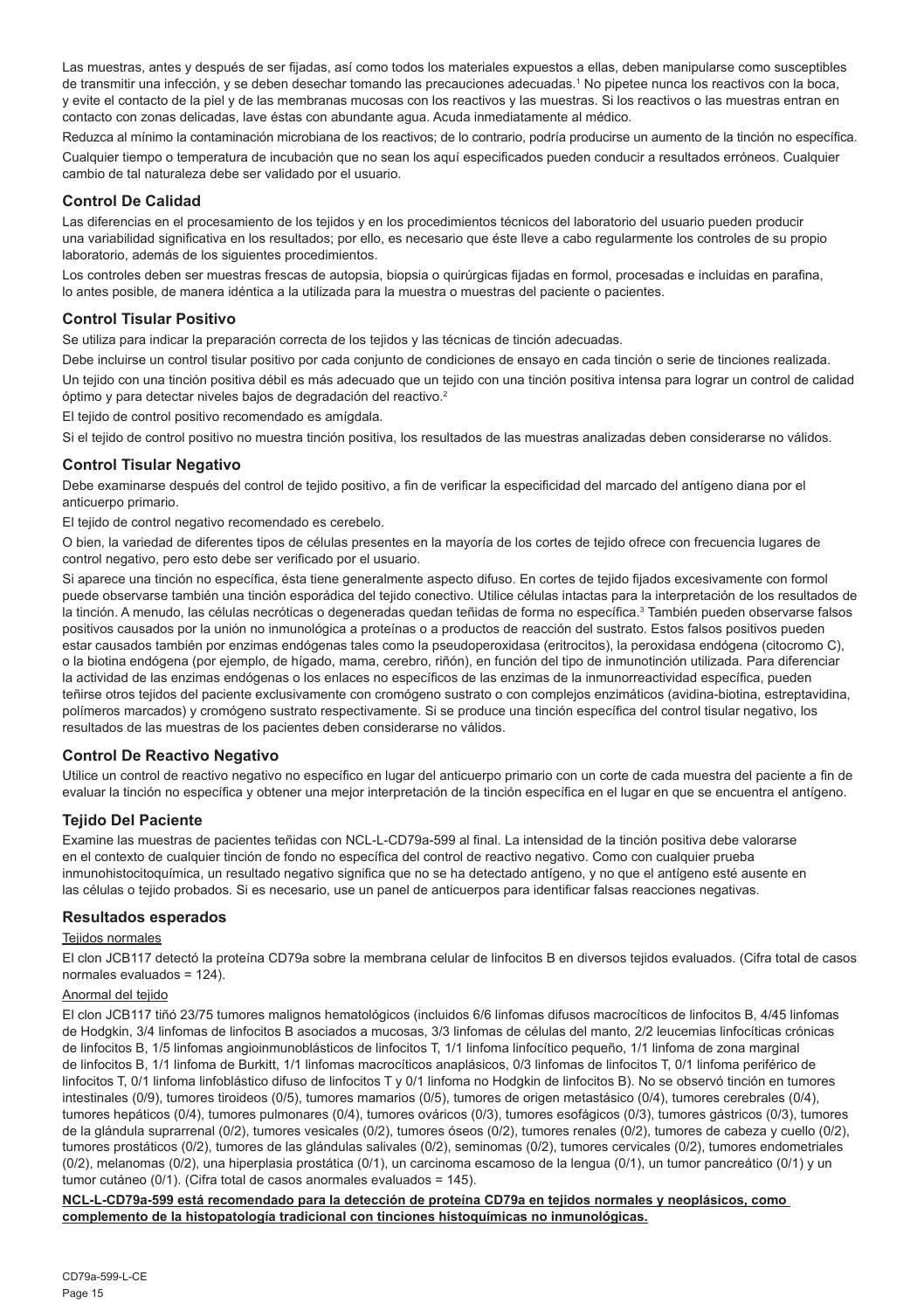Las muestras, antes y después de ser fijadas, así como todos los materiales expuestos a ellas, deben manipularse como susceptibles de transmitir una infección, y se deben desechar tomando las precauciones adecuadas.<sup>1</sup> No pipetee nunca los reactivos con la boca, y evite el contacto de la piel y de las membranas mucosas con los reactivos y las muestras. Si los reactivos o las muestras entran en contacto con zonas delicadas, lave éstas con abundante agua. Acuda inmediatamente al médico.

Reduzca al mínimo la contaminación microbiana de los reactivos; de lo contrario, podría producirse un aumento de la tinción no específica. Cualquier tiempo o temperatura de incubación que no sean los aquí especificados pueden conducir a resultados erróneos. Cualquier cambio de tal naturaleza debe ser validado por el usuario.

#### **Control De Calidad**

Las diferencias en el procesamiento de los tejidos y en los procedimientos técnicos del laboratorio del usuario pueden producir una variabilidad significativa en los resultados; por ello, es necesario que éste lleve a cabo regularmente los controles de su propio laboratorio, además de los siguientes procedimientos.

Los controles deben ser muestras frescas de autopsia, biopsia o quirúrgicas fijadas en formol, procesadas e incluidas en parafina, lo antes posible, de manera idéntica a la utilizada para la muestra o muestras del paciente o pacientes.

#### **Control Tisular Positivo**

Se utiliza para indicar la preparación correcta de los tejidos y las técnicas de tinción adecuadas.

Debe incluirse un control tisular positivo por cada conjunto de condiciones de ensayo en cada tinción o serie de tinciones realizada. Un tejido con una tinción positiva débil es más adecuado que un tejido con una tinción positiva intensa para lograr un control de calidad óptimo y para detectar niveles bajos de degradación del reactivo.<sup>2</sup>

El tejido de control positivo recomendado es amígdala.

Si el tejido de control positivo no muestra tinción positiva, los resultados de las muestras analizadas deben considerarse no válidos.

#### **Control Tisular Negativo**

Debe examinarse después del control de tejido positivo, a fin de verificar la especificidad del marcado del antígeno diana por el anticuerpo primario.

El tejido de control negativo recomendado es cerebelo.

O bien, la variedad de diferentes tipos de células presentes en la mayoría de los cortes de tejido ofrece con frecuencia lugares de control negativo, pero esto debe ser verificado por el usuario.

Si aparece una tinción no específica, ésta tiene generalmente aspecto difuso. En cortes de tejido fijados excesivamente con formol puede observarse también una tinción esporádica del tejido conectivo. Utilice células intactas para la interpretación de los resultados de la tinción. A menudo, las células necróticas o degeneradas quedan teñidas de forma no específica.<sup>3</sup> También pueden observarse falsos positivos causados por la unión no inmunológica a proteínas o a productos de reacción del sustrato. Estos falsos positivos pueden estar causados también por enzimas endógenas tales como la pseudoperoxidasa (eritrocitos), la peroxidasa endógena (citocromo C), o la biotina endógena (por ejemplo, de hígado, mama, cerebro, riñón), en función del tipo de inmunotinción utilizada. Para diferenciar la actividad de las enzimas endógenas o los enlaces no específicos de las enzimas de la inmunorreactividad específica, pueden teñirse otros tejidos del paciente exclusivamente con cromógeno sustrato o con complejos enzimáticos (avidina-biotina, estreptavidina, polímeros marcados) y cromógeno sustrato respectivamente. Si se produce una tinción específica del control tisular negativo, los resultados de las muestras de los pacientes deben considerarse no válidos.

#### **Control De Reactivo Negativo**

Utilice un control de reactivo negativo no específico en lugar del anticuerpo primario con un corte de cada muestra del paciente a fin de evaluar la tinción no específica y obtener una mejor interpretación de la tinción específica en el lugar en que se encuentra el antígeno.

#### **Tejido Del Paciente**

Examine las muestras de pacientes teñidas con NCL-L-CD79a-599 al final. La intensidad de la tinción positiva debe valorarse en el contexto de cualquier tinción de fondo no específica del control de reactivo negativo. Como con cualquier prueba inmunohistocitoquímica, un resultado negativo significa que no se ha detectado antígeno, y no que el antígeno esté ausente en las células o tejido probados. Si es necesario, use un panel de anticuerpos para identificar falsas reacciones negativas.

#### **Resultados esperados**

#### Teiidos normales

El clon JCB117 detectó la proteína CD79a sobre la membrana celular de linfocitos B en diversos tejidos evaluados. (Cifra total de casos normales evaluados = 124).

#### Anormal del tejido

El clon JCB117 tiñó 23/75 tumores malignos hematológicos (incluidos 6/6 linfomas difusos macrocíticos de linfocitos B, 4/45 linfomas de Hodgkin, 3/4 linfomas de linfocitos B asociados a mucosas, 3/3 linfomas de células del manto, 2/2 leucemias linfocíticas crónicas de linfocitos B, 1/5 linfomas angioinmunoblásticos de linfocitos T, 1/1 linfoma linfocítico pequeño, 1/1 linfoma de zona marginal de linfocitos B, 1/1 linfoma de Burkitt, 1/1 linfomas macrocíticos anaplásicos, 0/3 linfomas de linfocitos T, 0/1 linfoma periférico de linfocitos T, 0/1 linfoma linfoblástico difuso de linfocitos T y 0/1 linfoma no Hodgkin de linfocitos B). No se observó tinción en tumores intestinales (0/9), tumores tiroideos (0/5), tumores mamarios (0/5), tumores de origen metastásico (0/4), tumores cerebrales (0/4), tumores hepáticos (0/4), tumores pulmonares (0/4), tumores ováricos (0/3), tumores esofágicos (0/3), tumores gástricos (0/3), tumores de la glándula suprarrenal (0/2), tumores vesicales (0/2), tumores óseos (0/2), tumores renales (0/2), tumores de cabeza y cuello (0/2), tumores prostáticos (0/2), tumores de las glándulas salivales (0/2), seminomas (0/2), tumores cervicales (0/2), tumores endometriales (0/2), melanomas (0/2), una hiperplasia prostática (0/1), un carcinoma escamoso de la lengua (0/1), un tumor pancreático (0/1) y un tumor cutáneo (0/1). (Cifra total de casos anormales evaluados = 145).

#### **NCL-L-CD79a-599 está recomendado para la detección de proteína CD79a en tejidos normales y neoplásicos, como complemento de la histopatología tradicional con tinciones histoquímicas no inmunológicas.**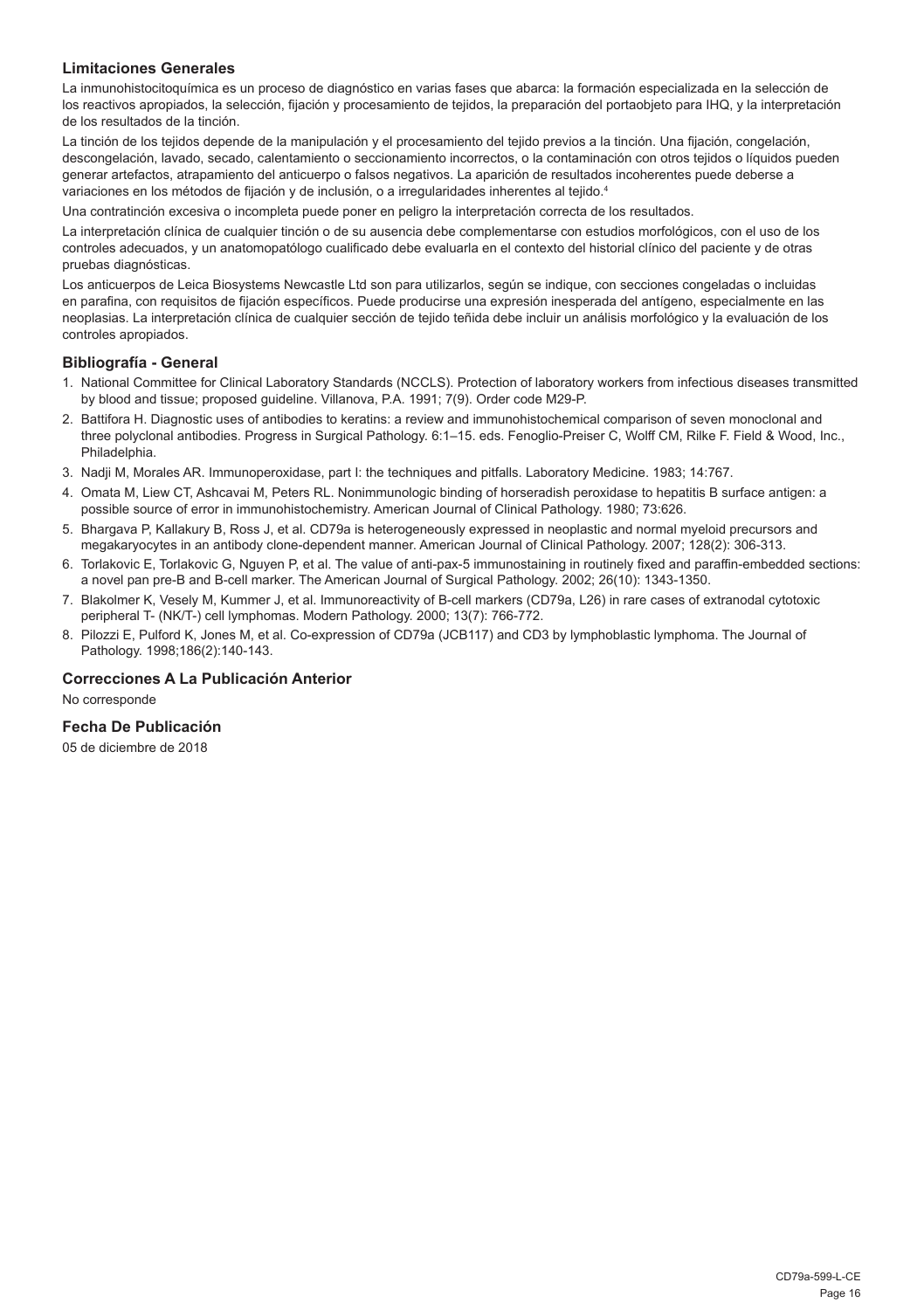#### **Limitaciones Generales**

La inmunohistocitoquímica es un proceso de diagnóstico en varias fases que abarca: la formación especializada en la selección de los reactivos apropiados, la selección, fijación y procesamiento de tejidos, la preparación del portaobjeto para IHQ, y la interpretación de los resultados de la tinción.

La tinción de los tejidos depende de la manipulación y el procesamiento del tejido previos a la tinción. Una fijación, congelación, descongelación, lavado, secado, calentamiento o seccionamiento incorrectos, o la contaminación con otros tejidos o líquidos pueden generar artefactos, atrapamiento del anticuerpo o falsos negativos. La aparición de resultados incoherentes puede deberse a variaciones en los métodos de fijación y de inclusión, o a irregularidades inherentes al tejido.<sup>4</sup>

Una contratinción excesiva o incompleta puede poner en peligro la interpretación correcta de los resultados.

La interpretación clínica de cualquier tinción o de su ausencia debe complementarse con estudios morfológicos, con el uso de los controles adecuados, y un anatomopatólogo cualificado debe evaluarla en el contexto del historial clínico del paciente y de otras pruebas diagnósticas.

Los anticuerpos de Leica Biosystems Newcastle Ltd son para utilizarlos, según se indique, con secciones congeladas o incluidas en parafina, con requisitos de fijación específicos. Puede producirse una expresión inesperada del antígeno, especialmente en las neoplasias. La interpretación clínica de cualquier sección de tejido teñida debe incluir un análisis morfológico y la evaluación de los controles apropiados.

#### **Bibliografía - General**

- 1. National Committee for Clinical Laboratory Standards (NCCLS). Protection of laboratory workers from infectious diseases transmitted by blood and tissue; proposed guideline. Villanova, P.A. 1991; 7(9). Order code M29-P.
- 2. Battifora H. Diagnostic uses of antibodies to keratins: a review and immunohistochemical comparison of seven monoclonal and three polyclonal antibodies. Progress in Surgical Pathology. 6:1–15. eds. Fenoglio-Preiser C, Wolff CM, Rilke F. Field & Wood, Inc., Philadelphia.
- 3. Nadji M, Morales AR. Immunoperoxidase, part I: the techniques and pitfalls. Laboratory Medicine. 1983; 14:767.
- 4. Omata M, Liew CT, Ashcavai M, Peters RL. Nonimmunologic binding of horseradish peroxidase to hepatitis B surface antigen: a possible source of error in immunohistochemistry. American Journal of Clinical Pathology. 1980; 73:626.
- 5. Bhargava P, Kallakury B, Ross J, et al. CD79a is heterogeneously expressed in neoplastic and normal myeloid precursors and megakaryocytes in an antibody clone-dependent manner. American Journal of Clinical Pathology. 2007; 128(2): 306-313.
- 6. Torlakovic E, Torlakovic G, Nguyen P, et al. The value of anti-pax-5 immunostaining in routinely fixed and paraffin-embedded sections: a novel pan pre-B and B-cell marker. The American Journal of Surgical Pathology. 2002; 26(10): 1343-1350.
- 7. Blakolmer K, Vesely M, Kummer J, et al. Immunoreactivity of B-cell markers (CD79a, L26) in rare cases of extranodal cytotoxic peripheral T- (NK/T-) cell lymphomas. Modern Pathology. 2000; 13(7): 766-772.
- 8. Pilozzi E, Pulford K, Jones M, et al. Co-expression of CD79a (JCB117) and CD3 by lymphoblastic lymphoma. The Journal of Pathology. 1998;186(2):140-143.

#### **Correcciones A La Publicación Anterior**

No corresponde

#### **Fecha De Publicación**

05 de diciembre de 2018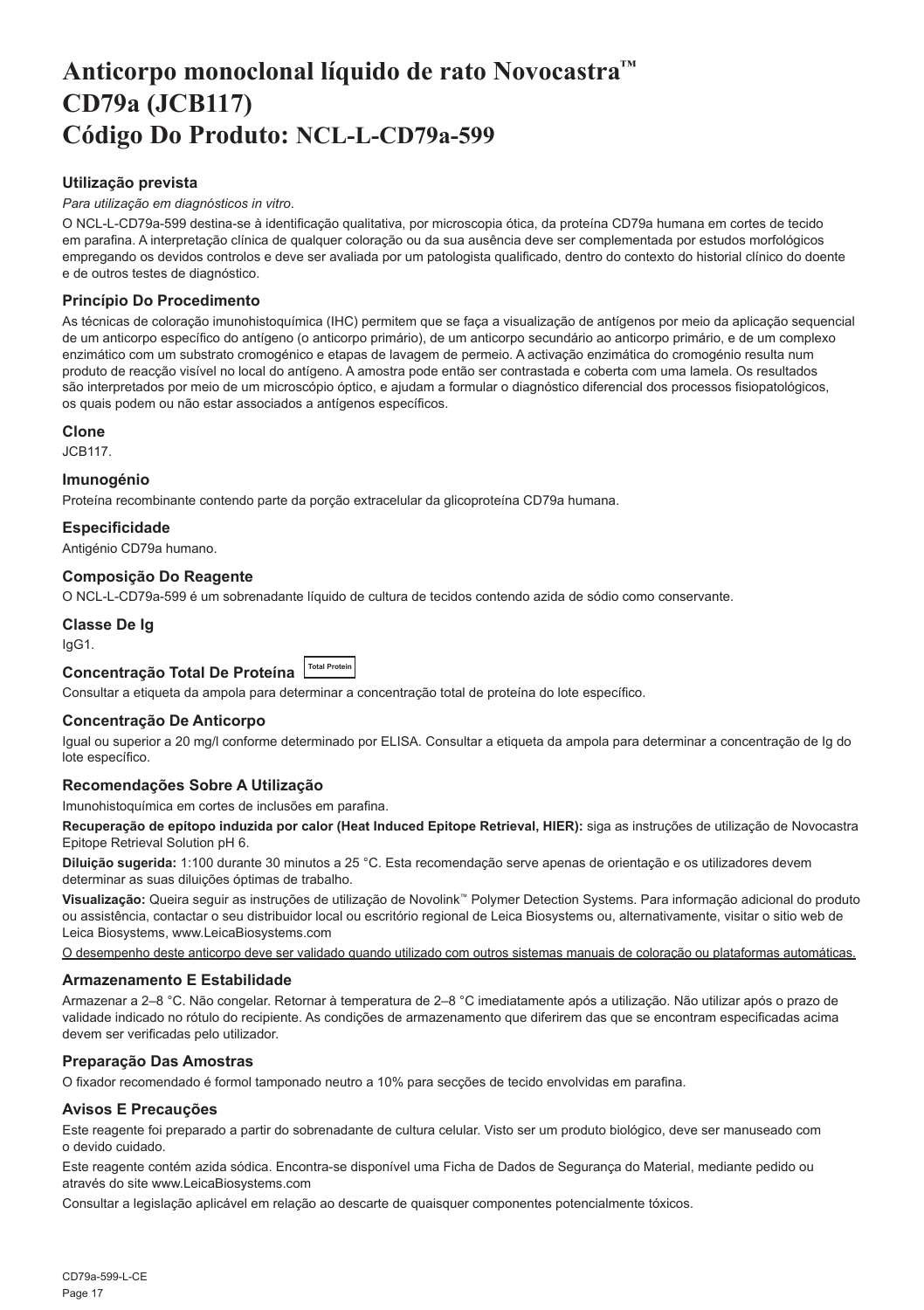## <span id="page-17-0"></span>**Anticorpo monoclonal líquido de rato Novocastra™ CD79a (JCB117) Código Do Produto: NCL-L-CD79a-599**

#### **Utilização prevista**

#### *Para utilização em diagnósticos in vitro*.

O NCL-L-CD79a-599 destina-se à identificação qualitativa, por microscopia ótica, da proteína CD79a humana em cortes de tecido em parafina. A interpretação clínica de qualquer coloração ou da sua ausência deve ser complementada por estudos morfológicos empregando os devidos controlos e deve ser avaliada por um patologista qualificado, dentro do contexto do historial clínico do doente e de outros testes de diagnóstico.

#### **Princípio Do Procedimento**

As técnicas de coloração imunohistoquímica (IHC) permitem que se faça a visualização de antígenos por meio da aplicação sequencial de um anticorpo específico do antígeno (o anticorpo primário), de um anticorpo secundário ao anticorpo primário, e de um complexo enzimático com um substrato cromogénico e etapas de lavagem de permeio. A activação enzimática do cromogénio resulta num produto de reacção visível no local do antígeno. A amostra pode então ser contrastada e coberta com uma lamela. Os resultados são interpretados por meio de um microscópio óptico, e ajudam a formular o diagnóstico diferencial dos processos fisiopatológicos, os quais podem ou não estar associados a antígenos específicos.

#### **Clone**

JCB117.

#### **Imunogénio**

Proteína recombinante contendo parte da porção extracelular da glicoproteína CD79a humana.

#### **Especificidade**

Antigénio CD79a humano.

#### **Composição Do Reagente**

O NCL-L-CD79a-599 é um sobrenadante líquido de cultura de tecidos contendo azida de sódio como conservante.

#### **Classe De Ig**

IgG1.

### **Concentração Total De Proteína Total Protein**

Consultar a etiqueta da ampola para determinar a concentração total de proteína do lote específico.

#### **Concentração De Anticorpo**

Igual ou superior a 20 mg/l conforme determinado por ELISA. Consultar a etiqueta da ampola para determinar a concentração de Ig do lote específico.

#### **Recomendações Sobre A Utilização**

Imunohistoquímica em cortes de inclusões em parafina.

**Recuperação de epítopo induzida por calor (Heat Induced Epitope Retrieval, HIER):** siga as instruções de utilização de Novocastra Epitope Retrieval Solution pH 6.

**Diluição sugerida:** 1:100 durante 30 minutos a 25 °C. Esta recomendação serve apenas de orientação e os utilizadores devem determinar as suas diluições óptimas de trabalho.

**Visualização:** Queira seguir as instruções de utilização de Novolink™ Polymer Detection Systems. Para informação adicional do produto ou assistência, contactar o seu distribuidor local ou escritório regional de Leica Biosystems ou, alternativamente, visitar o sitio web de Leica Biosystems, www.LeicaBiosystems.com

O desempenho deste anticorpo deve ser validado quando utilizado com outros sistemas manuais de coloração ou plataformas automáticas.

#### **Armazenamento E Estabilidade**

Armazenar a 2–8 °C. Não congelar. Retornar à temperatura de 2–8 °C imediatamente após a utilização. Não utilizar após o prazo de validade indicado no rótulo do recipiente. As condições de armazenamento que diferirem das que se encontram especificadas acima devem ser verificadas pelo utilizador.

#### **Preparação Das Amostras**

O fixador recomendado é formol tamponado neutro a 10% para secções de tecido envolvidas em parafina.

#### **Avisos E Precauções**

Este reagente foi preparado a partir do sobrenadante de cultura celular. Visto ser um produto biológico, deve ser manuseado com o devido cuidado.

Este reagente contém azida sódica. Encontra-se disponível uma Ficha de Dados de Segurança do Material, mediante pedido ou através do site www.LeicaBiosystems.com

Consultar a legislação aplicável em relação ao descarte de quaisquer componentes potencialmente tóxicos.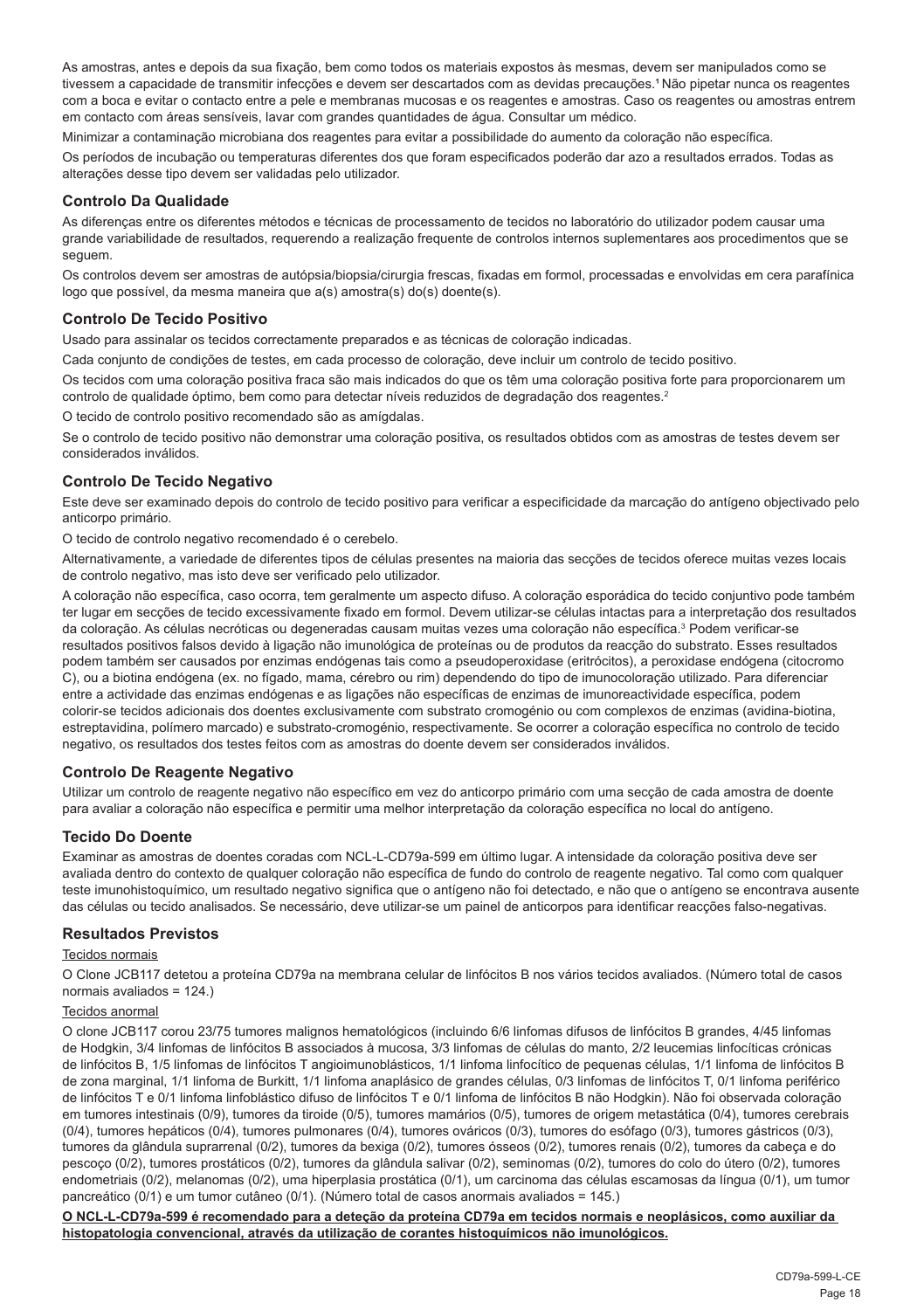As amostras, antes e depois da sua fixação, bem como todos os materiais expostos às mesmas, devem ser manipulados como se tivessem a capacidade de transmitir infecções e devem ser descartados com as devidas precauções.<sup>1</sup> Não pipetar nunca os reagentes com a boca e evitar o contacto entre a pele e membranas mucosas e os reagentes e amostras. Caso os reagentes ou amostras entrem em contacto com áreas sensíveis, lavar com grandes quantidades de água. Consultar um médico.

Minimizar a contaminação microbiana dos reagentes para evitar a possibilidade do aumento da coloração não específica.

Os períodos de incubação ou temperaturas diferentes dos que foram especificados poderão dar azo a resultados errados. Todas as alterações desse tipo devem ser validadas pelo utilizador.

#### **Controlo Da Qualidade**

As diferenças entre os diferentes métodos e técnicas de processamento de tecidos no laboratório do utilizador podem causar uma grande variabilidade de resultados, requerendo a realização frequente de controlos internos suplementares aos procedimentos que se seguem.

Os controlos devem ser amostras de autópsia/biopsia/cirurgia frescas, fixadas em formol, processadas e envolvidas em cera parafínica logo que possível, da mesma maneira que a(s) amostra(s) do(s) doente(s).

#### **Controlo De Tecido Positivo**

Usado para assinalar os tecidos correctamente preparados e as técnicas de coloração indicadas.

Cada conjunto de condições de testes, em cada processo de coloração, deve incluir um controlo de tecido positivo.

Os tecidos com uma coloração positiva fraca são mais indicados do que os têm uma coloração positiva forte para proporcionarem um controlo de qualidade óptimo, bem como para detectar níveis reduzidos de degradação dos reagentes.<sup>2</sup>

O tecido de controlo positivo recomendado são as amígdalas.

Se o controlo de tecido positivo não demonstrar uma coloração positiva, os resultados obtidos com as amostras de testes devem ser considerados inválidos.

#### **Controlo De Tecido Negativo**

Este deve ser examinado depois do controlo de tecido positivo para verificar a especificidade da marcação do antígeno objectivado pelo anticorpo primário.

O tecido de controlo negativo recomendado é o cerebelo.

Alternativamente, a variedade de diferentes tipos de células presentes na maioria das secções de tecidos oferece muitas vezes locais de controlo negativo, mas isto deve ser verificado pelo utilizador.

A coloração não específica, caso ocorra, tem geralmente um aspecto difuso. A coloração esporádica do tecido conjuntivo pode também ter lugar em secções de tecido excessivamente fixado em formol. Devem utilizar-se células intactas para a interpretação dos resultados da coloração. As células necróticas ou degeneradas causam muitas vezes uma coloração não específica.<sup>3</sup> Podem verificar-se resultados positivos falsos devido à ligação não imunológica de proteínas ou de produtos da reacção do substrato. Esses resultados podem também ser causados por enzimas endógenas tais como a pseudoperoxidase (eritrócitos), a peroxidase endógena (citocromo C), ou a biotina endógena (ex. no fígado, mama, cérebro ou rim) dependendo do tipo de imunocoloração utilizado. Para diferenciar entre a actividade das enzimas endógenas e as ligações não específicas de enzimas de imunoreactividade específica, podem colorir-se tecidos adicionais dos doentes exclusivamente com substrato cromogénio ou com complexos de enzimas (avidina-biotina, estreptavidina, polímero marcado) e substrato-cromogénio, respectivamente. Se ocorrer a coloração específica no controlo de tecido negativo, os resultados dos testes feitos com as amostras do doente devem ser considerados inválidos.

#### **Controlo De Reagente Negativo**

Utilizar um controlo de reagente negativo não específico em vez do anticorpo primário com uma secção de cada amostra de doente para avaliar a coloração não específica e permitir uma melhor interpretação da coloração específica no local do antígeno.

#### **Tecido Do Doente**

Examinar as amostras de doentes coradas com NCL-L-CD79a-599 em último lugar. A intensidade da coloração positiva deve ser avaliada dentro do contexto de qualquer coloração não específica de fundo do controlo de reagente negativo. Tal como com qualquer teste imunohistoquímico, um resultado negativo significa que o antígeno não foi detectado, e não que o antígeno se encontrava ausente das células ou tecido analisados. Se necessário, deve utilizar-se um painel de anticorpos para identificar reacções falso-negativas.

#### **Resultados Previstos**

#### Tecidos normais

O Clone JCB117 detetou a proteína CD79a na membrana celular de linfócitos B nos vários tecidos avaliados. (Número total de casos normais avaliados = 124.)

#### Tecidos anormal

O clone JCB117 corou 23/75 tumores malignos hematológicos (incluindo 6/6 linfomas difusos de linfócitos B grandes, 4/45 linfomas de Hodgkin, 3/4 linfomas de linfócitos B associados à mucosa, 3/3 linfomas de células do manto, 2/2 leucemias linfocíticas crónicas de linfócitos B, 1/5 linfomas de linfócitos T angioimunoblásticos, 1/1 linfoma linfocítico de pequenas células, 1/1 linfoma de linfócitos B de zona marginal, 1/1 linfoma de Burkitt, 1/1 linfoma anaplásico de grandes células, 0/3 linfomas de linfócitos T, 0/1 linfoma periférico de linfócitos T e 0/1 linfoma linfoblástico difuso de linfócitos T e 0/1 linfoma de linfócitos B não Hodgkin). Não foi observada coloração em tumores intestinais (0/9), tumores da tiroide (0/5), tumores mamários (0/5), tumores de origem metastática (0/4), tumores cerebrais (0/4), tumores hepáticos (0/4), tumores pulmonares (0/4), tumores ováricos (0/3), tumores do esófago (0/3), tumores gástricos (0/3), tumores da glândula suprarrenal (0/2), tumores da bexiga (0/2), tumores ósseos (0/2), tumores renais (0/2), tumores da cabeça e do pescoço (0/2), tumores prostáticos (0/2), tumores da glândula salivar (0/2), seminomas (0/2), tumores do colo do útero (0/2), tumores endometriais (0/2), melanomas (0/2), uma hiperplasia prostática (0/1), um carcinoma das células escamosas da língua (0/1), um tumor pancreático (0/1) e um tumor cutâneo (0/1). (Número total de casos anormais avaliados = 145.)

**O NCL-L-CD79a-599 é recomendado para a deteção da proteína CD79a em tecidos normais e neoplásicos, como auxiliar da histopatologia convencional, através da utilização de corantes histoquímicos não imunológicos.**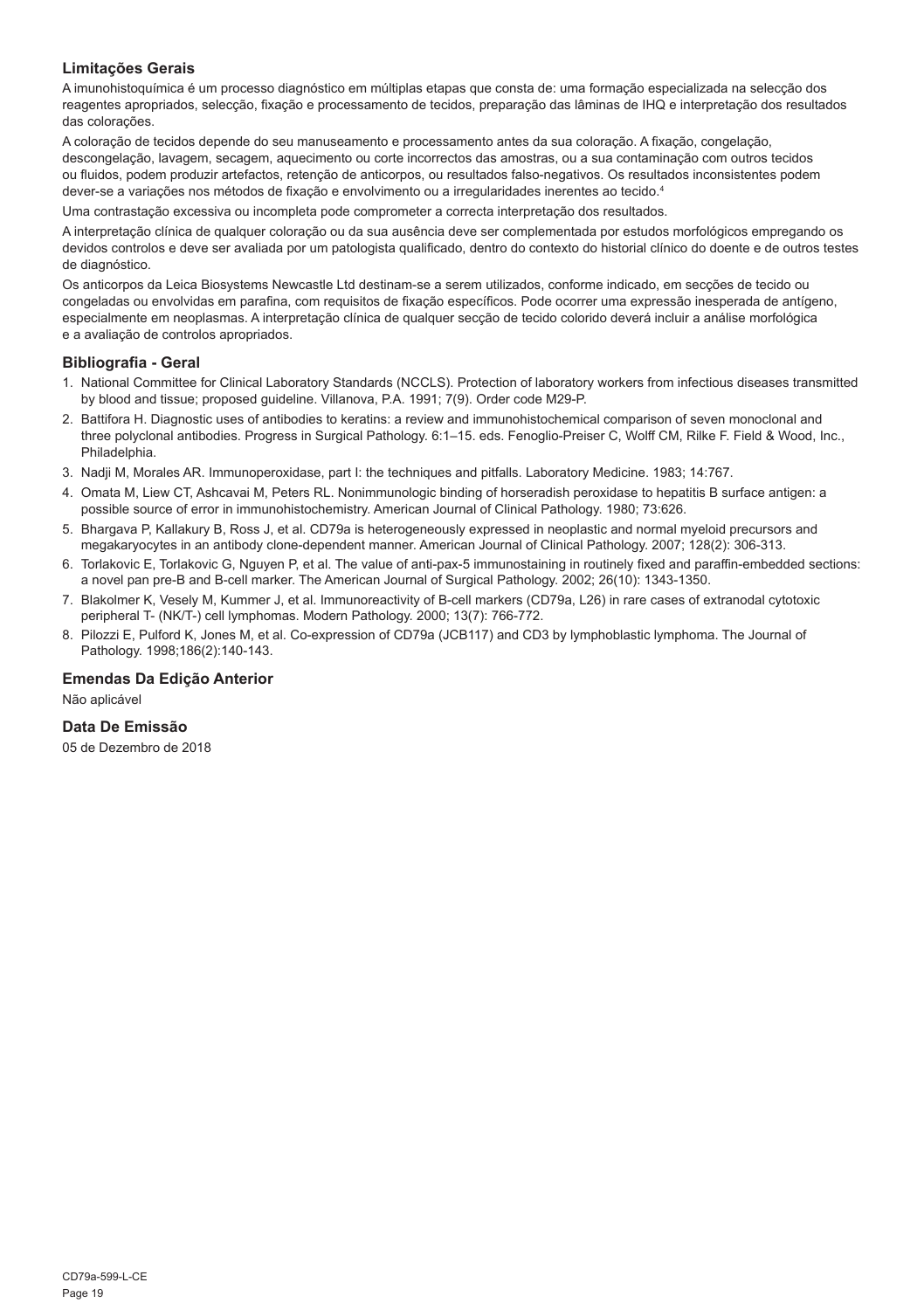#### **Limitações Gerais**

A imunohistoquímica é um processo diagnóstico em múltiplas etapas que consta de: uma formação especializada na selecção dos reagentes apropriados, selecção, fixação e processamento de tecidos, preparação das lâminas de IHQ e interpretação dos resultados das colorações.

A coloração de tecidos depende do seu manuseamento e processamento antes da sua coloração. A fixação, congelação, descongelação, lavagem, secagem, aquecimento ou corte incorrectos das amostras, ou a sua contaminação com outros tecidos ou fluidos, podem produzir artefactos, retenção de anticorpos, ou resultados falso-negativos. Os resultados inconsistentes podem dever-se a variações nos métodos de fixação e envolvimento ou a irregularidades inerentes ao tecido.<sup>4</sup>

Uma contrastação excessiva ou incompleta pode comprometer a correcta interpretação dos resultados.

A interpretação clínica de qualquer coloração ou da sua ausência deve ser complementada por estudos morfológicos empregando os devidos controlos e deve ser avaliada por um patologista qualificado, dentro do contexto do historial clínico do doente e de outros testes de diagnóstico.

Os anticorpos da Leica Biosystems Newcastle Ltd destinam-se a serem utilizados, conforme indicado, em secções de tecido ou congeladas ou envolvidas em parafina, com requisitos de fixação específicos. Pode ocorrer uma expressão inesperada de antígeno, especialmente em neoplasmas. A interpretação clínica de qualquer secção de tecido colorido deverá incluir a análise morfológica e a avaliação de controlos apropriados.

#### **Bibliografia - Geral**

- 1. National Committee for Clinical Laboratory Standards (NCCLS). Protection of laboratory workers from infectious diseases transmitted by blood and tissue; proposed guideline. Villanova, P.A. 1991; 7(9). Order code M29-P.
- 2. Battifora H. Diagnostic uses of antibodies to keratins: a review and immunohistochemical comparison of seven monoclonal and three polyclonal antibodies. Progress in Surgical Pathology. 6:1–15. eds. Fenoglio-Preiser C, Wolff CM, Rilke F. Field & Wood, Inc., Philadelphia.
- 3. Nadji M, Morales AR. Immunoperoxidase, part I: the techniques and pitfalls. Laboratory Medicine. 1983; 14:767.
- 4. Omata M, Liew CT, Ashcavai M, Peters RL. Nonimmunologic binding of horseradish peroxidase to hepatitis B surface antigen: a possible source of error in immunohistochemistry. American Journal of Clinical Pathology. 1980; 73:626.
- 5. Bhargava P, Kallakury B, Ross J, et al. CD79a is heterogeneously expressed in neoplastic and normal myeloid precursors and megakaryocytes in an antibody clone-dependent manner. American Journal of Clinical Pathology. 2007; 128(2): 306-313.
- 6. Torlakovic E, Torlakovic G, Nguyen P, et al. The value of anti-pax-5 immunostaining in routinely fixed and paraffin-embedded sections: a novel pan pre-B and B-cell marker. The American Journal of Surgical Pathology. 2002; 26(10): 1343-1350.
- 7. Blakolmer K, Vesely M, Kummer J, et al. Immunoreactivity of B-cell markers (CD79a, L26) in rare cases of extranodal cytotoxic peripheral T- (NK/T-) cell lymphomas. Modern Pathology. 2000; 13(7): 766-772.
- 8. Pilozzi E, Pulford K, Jones M, et al. Co-expression of CD79a (JCB117) and CD3 by lymphoblastic lymphoma. The Journal of Pathology. 1998;186(2):140-143.

#### **Emendas Da Edição Anterior**

Não aplicável

#### **Data De Emissão**

05 de Dezembro de 2018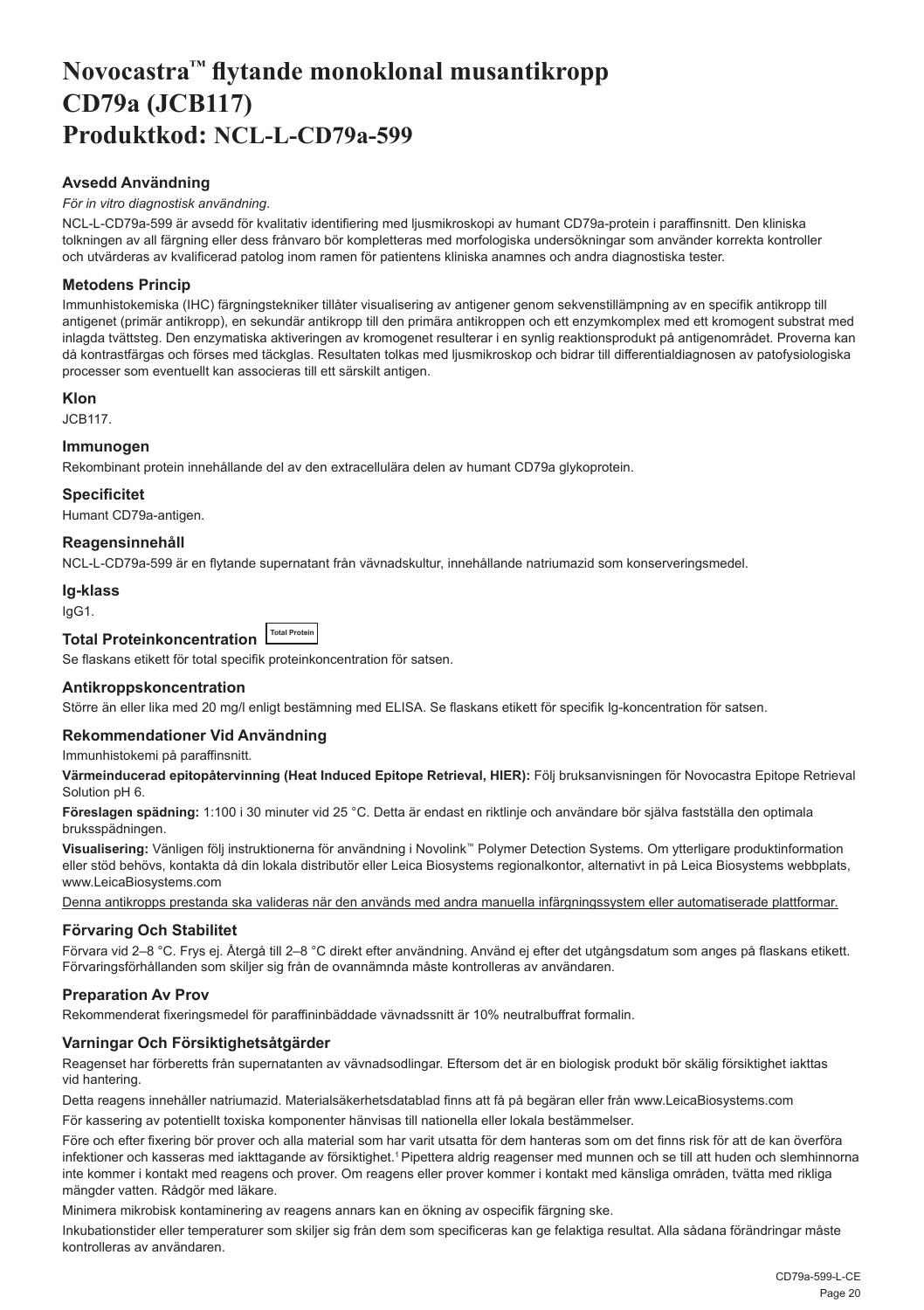## <span id="page-20-0"></span>**Novocastra™ flytande monoklonal musantikropp CD79a (JCB117) Produktkod: NCL-L-CD79a-599**

#### **Avsedd Användning**

#### *För in vitro diagnostisk användning*.

NCL-L-CD79a-599 är avsedd för kvalitativ identifiering med ljusmikroskopi av humant CD79a-protein i paraffinsnitt. Den kliniska tolkningen av all färgning eller dess frånvaro bör kompletteras med morfologiska undersökningar som använder korrekta kontroller och utvärderas av kvalificerad patolog inom ramen för patientens kliniska anamnes och andra diagnostiska tester.

#### **Metodens Princip**

Immunhistokemiska (IHC) färgningstekniker tillåter visualisering av antigener genom sekvenstillämpning av en specifik antikropp till antigenet (primär antikropp), en sekundär antikropp till den primära antikroppen och ett enzymkomplex med ett kromogent substrat med inlagda tvättsteg. Den enzymatiska aktiveringen av kromogenet resulterar i en synlig reaktionsprodukt på antigenområdet. Proverna kan då kontrastfärgas och förses med täckglas. Resultaten tolkas med ljusmikroskop och bidrar till differentialdiagnosen av patofysiologiska processer som eventuellt kan associeras till ett särskilt antigen.

#### **Klon**

JCB117.

#### **Immunogen**

Rekombinant protein innehållande del av den extracellulära delen av humant CD79a glykoprotein.

#### **Specificitet**

Humant CD79a-antigen.

#### **Reagensinnehåll**

NCL-L-CD79a-599 är en flytande supernatant från vävnadskultur, innehållande natriumazid som konserveringsmedel.

#### **Ig-klass**

IgG1.

### **Total Proteinkoncentration Total Protein**

Se flaskans etikett för total specifik proteinkoncentration för satsen.

#### **Antikroppskoncentration**

Större än eller lika med 20 mg/l enligt bestämning med ELISA. Se flaskans etikett för specifik Ig-koncentration för satsen.

#### **Rekommendationer Vid Användning**

Immunhistokemi på paraffinsnitt.

**Värmeinducerad epitopåtervinning (Heat Induced Epitope Retrieval, HIER):** Följ bruksanvisningen för Novocastra Epitope Retrieval Solution pH 6.

**Föreslagen spädning:** 1:100 i 30 minuter vid 25 °C. Detta är endast en riktlinje och användare bör själva fastställa den optimala bruksspädningen.

**Visualisering:** Vänligen följ instruktionerna för användning i Novolink™ Polymer Detection Systems. Om ytterligare produktinformation eller stöd behövs, kontakta då din lokala distributör eller Leica Biosystems regionalkontor, alternativt in på Leica Biosystems webbplats, www.LeicaBiosystems.com

Denna antikropps prestanda ska valideras när den används med andra manuella infärgningssystem eller automatiserade plattformar.

#### **Förvaring Och Stabilitet**

Förvara vid 2–8 °C. Frys ej. Återgå till 2–8 °C direkt efter användning. Använd ej efter det utgångsdatum som anges på flaskans etikett. Förvaringsförhållanden som skiljer sig från de ovannämnda måste kontrolleras av användaren.

#### **Preparation Av Prov**

Rekommenderat fixeringsmedel för paraffininbäddade vävnadssnitt är 10% neutralbuffrat formalin.

#### **Varningar Och Försiktighetsåtgärder**

Reagenset har förberetts från supernatanten av vävnadsodlingar. Eftersom det är en biologisk produkt bör skälig försiktighet iakttas vid hantering.

Detta reagens innehåller natriumazid. Materialsäkerhetsdatablad finns att få på begäran eller från www.LeicaBiosystems.com

För kassering av potentiellt toxiska komponenter hänvisas till nationella eller lokala bestämmelser.

Före och efter fixering bör prover och alla material som har varit utsatta för dem hanteras som om det finns risk för att de kan överföra infektioner och kasseras med iakttagande av försiktighet.<sup>1</sup> Pipettera aldrig reagenser med munnen och se till att huden och slemhinnorna inte kommer i kontakt med reagens och prover. Om reagens eller prover kommer i kontakt med känsliga områden, tvätta med rikliga mängder vatten. Rådgör med läkare.

Minimera mikrobisk kontaminering av reagens annars kan en ökning av ospecifik färgning ske.

Inkubationstider eller temperaturer som skiljer sig från dem som specificeras kan ge felaktiga resultat. Alla sådana förändringar måste kontrolleras av användaren.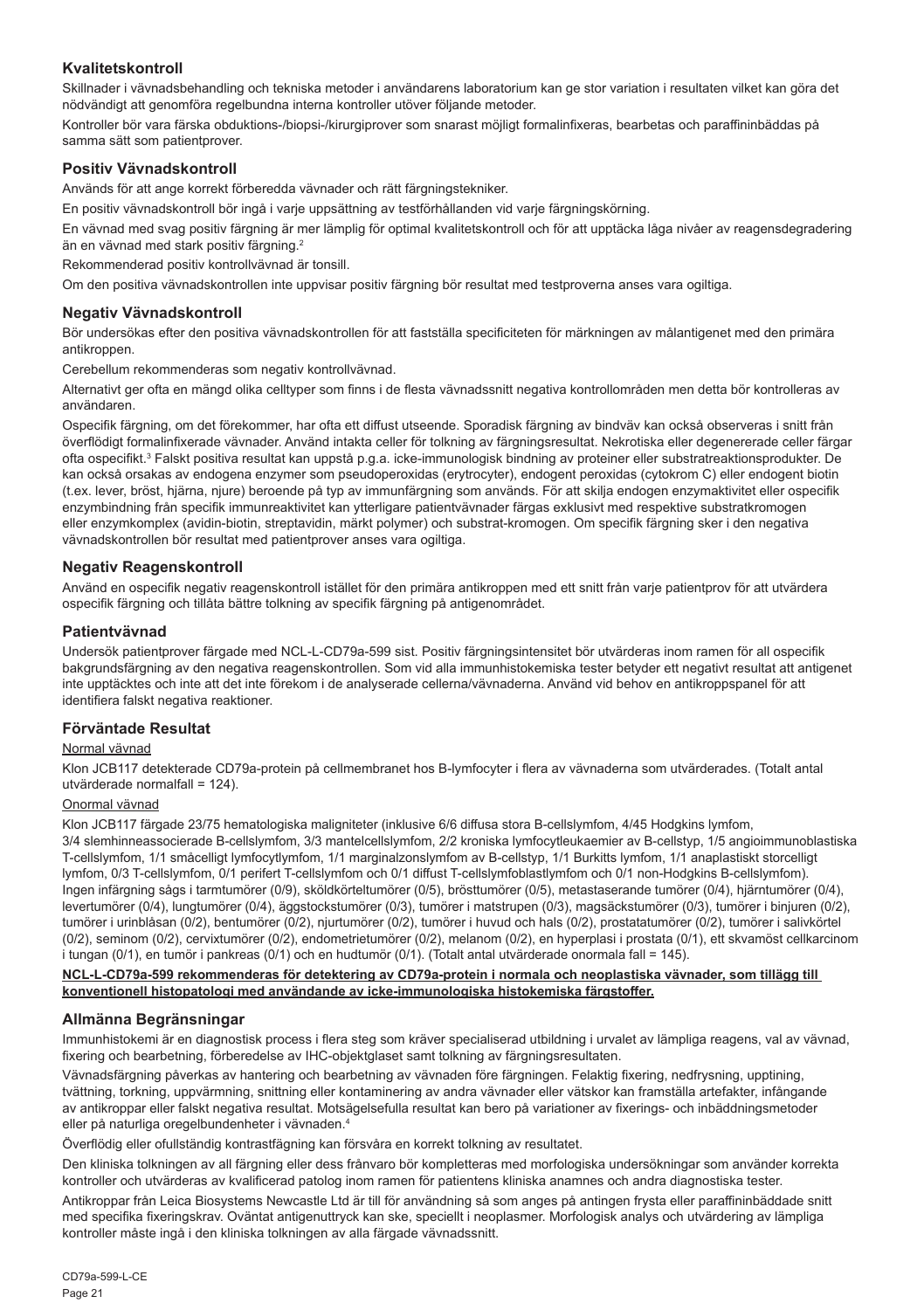#### **Kvalitetskontroll**

Skillnader i vävnadsbehandling och tekniska metoder i användarens laboratorium kan ge stor variation i resultaten vilket kan göra det nödvändigt att genomföra regelbundna interna kontroller utöver följande metoder.

Kontroller bör vara färska obduktions-/biopsi-/kirurgiprover som snarast möjligt formalinfixeras, bearbetas och paraffininbäddas på samma sätt som patientprover.

#### **Positiv Vävnadskontroll**

Används för att ange korrekt förberedda vävnader och rätt färgningstekniker.

En positiv vävnadskontroll bör ingå i varje uppsättning av testförhållanden vid varje färgningskörning.

En vävnad med svag positiv färgning är mer lämplig för optimal kvalitetskontroll och för att upptäcka låga nivåer av reagensdegradering än en vävnad med stark positiv färgning.<sup>2</sup>

Rekommenderad positiv kontrollvävnad är tonsill.

Om den positiva vävnadskontrollen inte uppvisar positiv färgning bör resultat med testproverna anses vara ogiltiga.

#### **Negativ Vävnadskontroll**

Bör undersökas efter den positiva vävnadskontrollen för att fastställa specificiteten för märkningen av målantigenet med den primära antikroppen.

Cerebellum rekommenderas som negativ kontrollvävnad.

Alternativt ger ofta en mängd olika celltyper som finns i de flesta vävnadssnitt negativa kontrollområden men detta bör kontrolleras av användaren.

Ospecifik färgning, om det förekommer, har ofta ett diffust utseende. Sporadisk färgning av bindväv kan också observeras i snitt från överflödigt formalinfixerade vävnader. Använd intakta celler för tolkning av färgningsresultat. Nekrotiska eller degenererade celler färgar ofta ospecifikt.<sup>3</sup> Falskt positiva resultat kan uppstå p.g.a. icke-immunologisk bindning av proteiner eller substratreaktionsprodukter. De kan också orsakas av endogena enzymer som pseudoperoxidas (erytrocyter), endogent peroxidas (cytokrom C) eller endogent biotin (t.ex. lever, bröst, hjärna, njure) beroende på typ av immunfärgning som används. För att skilja endogen enzymaktivitet eller ospecifik enzymbindning från specifik immunreaktivitet kan ytterligare patientvävnader färgas exklusivt med respektive substratkromogen eller enzymkomplex (avidin-biotin, streptavidin, märkt polymer) och substrat-kromogen. Om specifik färgning sker i den negativa vävnadskontrollen bör resultat med patientprover anses vara ogiltiga.

#### **Negativ Reagenskontroll**

Använd en ospecifik negativ reagenskontroll istället för den primära antikroppen med ett snitt från varje patientprov för att utvärdera ospecifik färgning och tillåta bättre tolkning av specifik färgning på antigenområdet.

#### **Patientvävnad**

Undersök patientprover färgade med NCL-L-CD79a-599 sist. Positiv färgningsintensitet bör utvärderas inom ramen för all ospecifik bakgrundsfärgning av den negativa reagenskontrollen. Som vid alla immunhistokemiska tester betyder ett negativt resultat att antigenet inte upptäcktes och inte att det inte förekom i de analyserade cellerna/vävnaderna. Använd vid behov en antikroppspanel för att identifiera falskt negativa reaktioner.

#### **Förväntade Resultat**

#### Normal vävnad

Klon JCB117 detekterade CD79a-protein på cellmembranet hos B-lymfocyter i flera av vävnaderna som utvärderades. (Totalt antal utvärderade normalfall = 124).

#### Onormal vävnad

Klon JCB117 färgade 23/75 hematologiska maligniteter (inklusive 6/6 diffusa stora B-cellslymfom, 4/45 Hodgkins lymfom, 3/4 slemhinneassocierade B-cellslymfom, 3/3 mantelcellslymfom, 2/2 kroniska lymfocytleukaemier av B-cellstyp, 1/5 angioimmunoblastiska T-cellslymfom, 1/1 småcelligt lymfocytlymfom, 1/1 marginalzonslymfom av B-cellstyp, 1/1 Burkitts lymfom, 1/1 anaplastiskt storcelligt lymfom, 0/3 T-cellslymfom, 0/1 perifert T-cellslymfom och 0/1 diffust T-cellslymfoblastlymfom och 0/1 non-Hodgkins B-cellslymfom). Ingen infärgning sågs i tarmtumörer (0/9), sköldkörteltumörer (0/5), brösttumörer (0/5), metastaserande tumörer (0/4), hjärntumörer (0/4), levertumörer (0/4), lungtumörer (0/4), äggstockstumörer (0/3), tumörer i matstrupen (0/3), magsäckstumörer (0/3), tumörer i binjuren (0/2), tumörer i urinblåsan (0/2), bentumörer (0/2), njurtumörer (0/2), tumörer i huvud och hals (0/2), prostatatumörer (0/2), tumörer i salivkörtel (0/2), seminom (0/2), cervixtumörer (0/2), endometrietumörer (0/2), melanom (0/2), en hyperplasi i prostata (0/1), ett skvamöst cellkarcinom i tungan (0/1), en tumör i pankreas (0/1) och en hudtumör (0/1). (Totalt antal utvärderade onormala fall = 145).

#### **NCL-L-CD79a-599 rekommenderas för detektering av CD79a-protein i normala och neoplastiska vävnader, som tillägg till konventionell histopatologi med användande av icke-immunologiska histokemiska färgstoffer.**

#### **Allmänna Begränsningar**

Immunhistokemi är en diagnostisk process i flera steg som kräver specialiserad utbildning i urvalet av lämpliga reagens, val av vävnad, fixering och bearbetning, förberedelse av IHC-objektglaset samt tolkning av färgningsresultaten.

Vävnadsfärgning påverkas av hantering och bearbetning av vävnaden före färgningen. Felaktig fixering, nedfrysning, upptining, tvättning, torkning, uppvärmning, snittning eller kontaminering av andra vävnader eller vätskor kan framställa artefakter, infångande av antikroppar eller falskt negativa resultat. Motsägelsefulla resultat kan bero på variationer av fixerings- och inbäddningsmetoder eller på naturliga oregelbundenheter i vävnaden.4

Överflödig eller ofullständig kontrastfägning kan försvåra en korrekt tolkning av resultatet.

Den kliniska tolkningen av all färgning eller dess frånvaro bör kompletteras med morfologiska undersökningar som använder korrekta kontroller och utvärderas av kvalificerad patolog inom ramen för patientens kliniska anamnes och andra diagnostiska tester.

Antikroppar från Leica Biosystems Newcastle Ltd är till för användning så som anges på antingen frysta eller paraffininbäddade snitt med specifika fixeringskrav. Oväntat antigenuttryck kan ske, speciellt i neoplasmer. Morfologisk analys och utvärdering av lämpliga kontroller måste ingå i den kliniska tolkningen av alla färgade vävnadssnitt.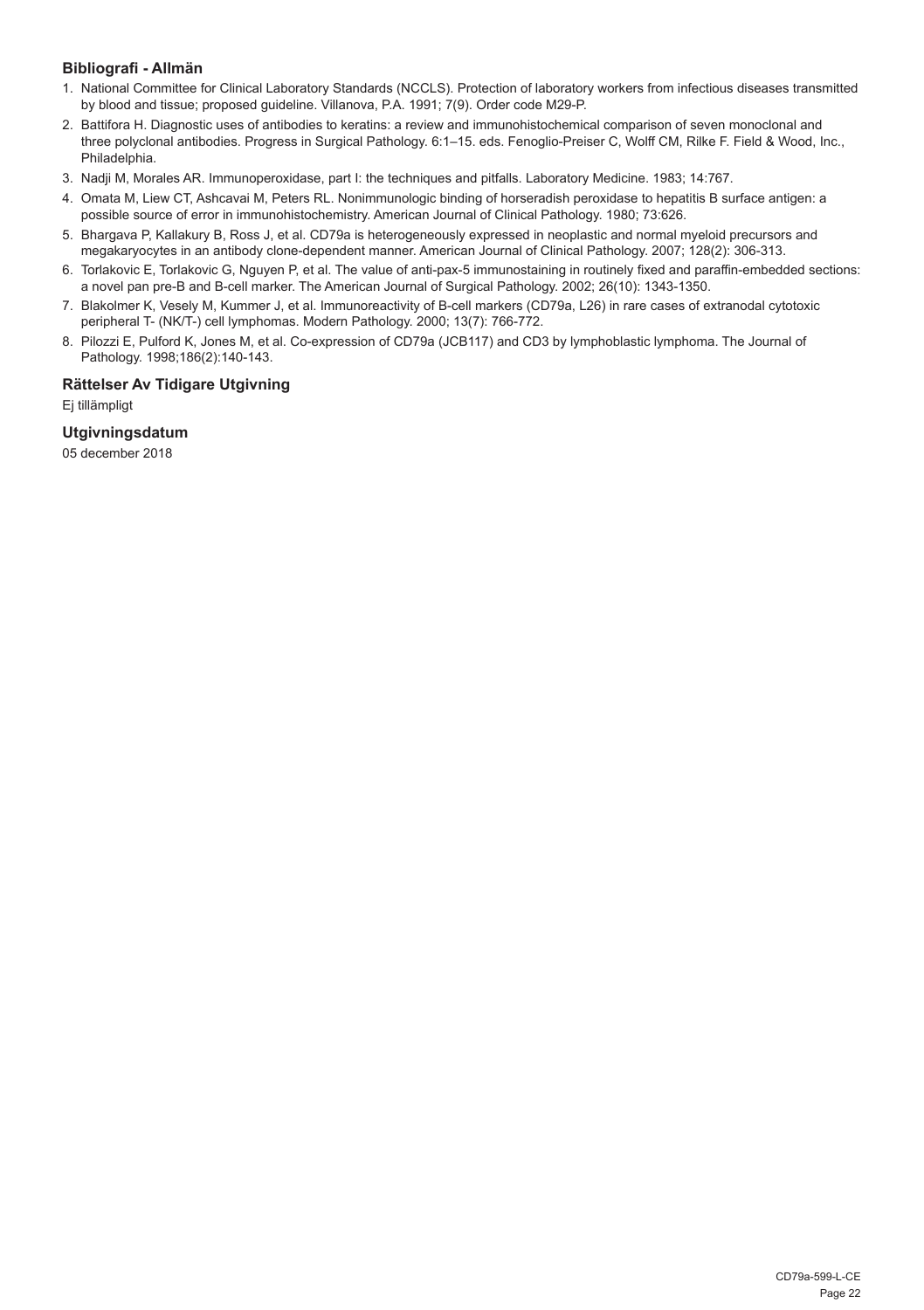#### **Bibliografi - Allmän**

- 1. National Committee for Clinical Laboratory Standards (NCCLS). Protection of laboratory workers from infectious diseases transmitted by blood and tissue; proposed guideline. Villanova, P.A. 1991; 7(9). Order code M29-P.
- 2. Battifora H. Diagnostic uses of antibodies to keratins: a review and immunohistochemical comparison of seven monoclonal and three polyclonal antibodies. Progress in Surgical Pathology. 6:1–15. eds. Fenoglio-Preiser C, Wolff CM, Rilke F. Field & Wood, Inc., Philadelphia.
- 3. Nadji M, Morales AR. Immunoperoxidase, part I: the techniques and pitfalls. Laboratory Medicine. 1983; 14:767.
- 4. Omata M, Liew CT, Ashcavai M, Peters RL. Nonimmunologic binding of horseradish peroxidase to hepatitis B surface antigen: a possible source of error in immunohistochemistry. American Journal of Clinical Pathology. 1980; 73:626.
- 5. Bhargava P, Kallakury B, Ross J, et al. CD79a is heterogeneously expressed in neoplastic and normal myeloid precursors and megakaryocytes in an antibody clone-dependent manner. American Journal of Clinical Pathology. 2007; 128(2): 306-313.
- 6. Torlakovic E, Torlakovic G, Nguyen P, et al. The value of anti-pax-5 immunostaining in routinely fixed and paraffin-embedded sections: a novel pan pre-B and B-cell marker. The American Journal of Surgical Pathology. 2002; 26(10): 1343-1350.
- 7. Blakolmer K, Vesely M, Kummer J, et al. Immunoreactivity of B-cell markers (CD79a, L26) in rare cases of extranodal cytotoxic peripheral T- (NK/T-) cell lymphomas. Modern Pathology. 2000; 13(7): 766-772.
- 8. Pilozzi E, Pulford K, Jones M, et al. Co-expression of CD79a (JCB117) and CD3 by lymphoblastic lymphoma. The Journal of Pathology. 1998;186(2):140-143.

#### **Rättelser Av Tidigare Utgivning**

Ej tillämpligt

#### **Utgivningsdatum**

05 december 2018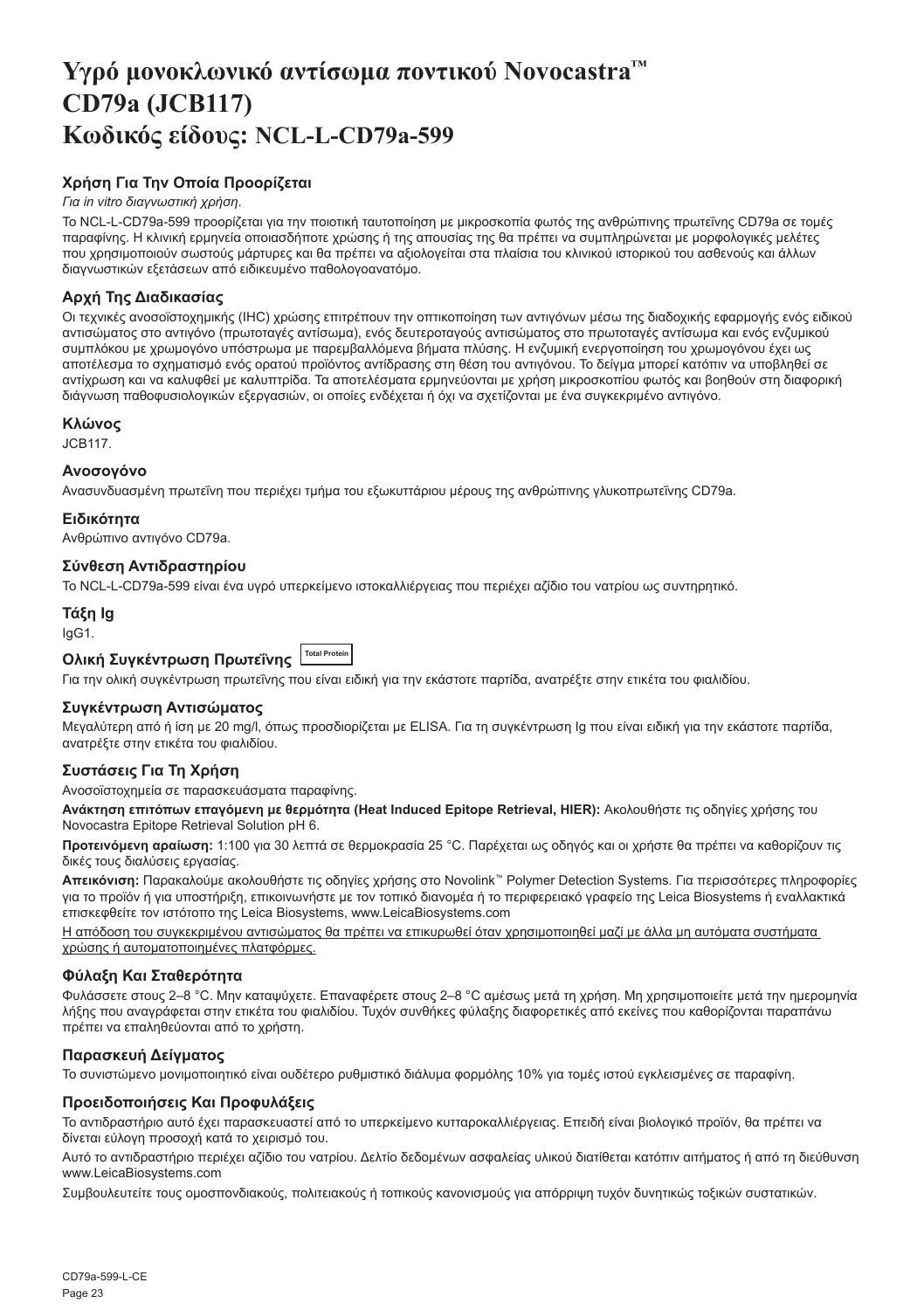## <span id="page-23-0"></span>**Υγρό μονοκλωνικό αντίσωμα ποντικού Novocastra™ CD79a (JCB117) Κωδικός είδους: NCL-L-CD79a-599**

### **Χρήση Για Την Οποία Προορίζεται**

#### *Για in vitro διαγνωστική χρήση*.

Το NCL-L-CD79a-599 προορίζεται για την ποιοτική ταυτοποίηση με μικροσκοπία φωτός της ανθρώπινης πρωτεΐνης CD79a σε τομές παραφίνης. Η κλινική ερμηνεία οποιασδήποτε χρώσης ή της απουσίας της θα πρέπει να συμπληρώνεται με μορφολογικές μελέτες που χρησιμοποιούν σωστούς μάρτυρες και θα πρέπει να αξιολογείται στα πλαίσια του κλινικού ιστορικού του ασθενούς και άλλων διαγνωστικών εξετάσεων από ειδικευμένο παθολογοανατόμο.

#### **Αρχή Της Διαδικασίας**

Οι τεχνικές ανοσοϊστοχημικής (IHC) χρώσης επιτρέπουν την οπτικοποίηση των αντιγόνων μέσω της διαδοχικής εφαρμογής ενός ειδικού αντισώματος στο αντιγόνο (πρωτοταγές αντίσωμα), ενός δευτεροταγούς αντισώματος στο πρωτοταγές αντίσωμα και ενός ενζυμικού συμπλόκου με χρωμογόνο υπόστρωμα με παρεμβαλλόμενα βήματα πλύσης. Η ενζυμική ενεργοποίηση του χρωμογόνου έχει ως αποτέλεσμα το σχηματισμό ενός ορατού προϊόντος αντίδρασης στη θέση του αντιγόνου. Το δείγμα μπορεί κατόπιν να υποβληθεί σε αντίχρωση και να καλυφθεί με καλυπτρίδα. Τα αποτελέσματα ερμηνεύονται με χρήση μικροσκοπίου φωτός και βοηθούν στη διαφορική διάγνωση παθοφυσιολογικών εξεργασιών, οι οποίες ενδέχεται ή όχι να σχετίζονται με ένα συγκεκριμένο αντιγόνο.

#### **Κλώνος**

JCB117.

#### **Ανοσογόνο**

Ανασυνδυασμένη πρωτεΐνη που περιέχει τμήμα του εξωκυττάριου μέρους της ανθρώπινης γλυκοπρωτεΐνης CD79a.

#### **Ειδικότητα**

Ανθρώπινο αντιγόνο CD79a.

#### **Σύνθεση Αντιδραστηρίου**

Το NCL-L-CD79a-599 είναι ένα υγρό υπερκείμενο ιστοκαλλιέργειας που περιέχει αζίδιο του νατρίου ως συντηρητικό.

#### **Τάξη Ig**

IgG1.

### **Ολική Συγκέντρωση Πρωτεΐνης Total Protein**

Για την ολική συγκέντρωση πρωτεΐνης που είναι ειδική για την εκάστοτε παρτίδα, ανατρέξτε στην ετικέτα του φιαλιδίου.

#### **Συγκέντρωση Αντισώματος**

Μεγαλύτερη από ή ίση με 20 mg/l, όπως προσδιορίζεται με ELISA. Για τη συγκέντρωση Ig που είναι ειδική για την εκάστοτε παρτίδα, ανατρέξτε στην ετικέτα του φιαλιδίου.

#### **Συστάσεις Για Τη Χρήση**

Ανοσοϊστοχημεία σε παρασκευάσματα παραφίνης.

**Ανάκτηση επιτόπων επαγόμενη με θερμότητα (Heat Induced Epitope Retrieval, HIER):** Ακολουθήστε τις οδηγίες χρήσης του Novocastra Epitope Retrieval Solution pH 6.

**Προτεινόμενη αραίωση:** 1:100 για 30 λεπτά σε θερμοκρασία 25 °C. Παρέχεται ως οδηγός και οι χρήστε θα πρέπει να καθορίζουν τις δικές τους διαλύσεις εργασίας.

**Απεικόνιση:** Παρακαλούμε ακολουθήστε τις οδηγίες χρήσης στο Novolink™ Polymer Detection Systems. Για περισσότερες πληροφορίες για το προϊόν ή για υποστήριξη, επικοινωνήστε με τον τοπικό διανομέα ή το περιφερειακό γραφείο της Leica Biosystems ή εναλλακτικά επισκεφθείτε τον ιστότοπο της Leica Biosystems, www.LeicaBiosystems.com

Η απόδοση του συγκεκριμένου αντισώματος θα πρέπει να επικυρωθεί όταν χρησιμοποιηθεί μαζί με άλλα μη αυτόματα συστήματα χρώσης ή αυτοματοποιημένες πλατφόρμες.

#### **Φύλαξη Και Σταθερότητα**

Φυλάσσετε στους 2–8 °C. Μην καταψύχετε. Επαναφέρετε στους 2–8 °C αμέσως μετά τη χρήση. Μη χρησιμοποιείτε μετά την ημερομηνία λήξης που αναγράφεται στην ετικέτα του φιαλιδίου. Τυχόν συνθήκες φύλαξης διαφορετικές από εκείνες που καθορίζονται παραπάνω πρέπει να επαληθεύονται από το χρήστη.

#### **Παρασκευή Δείγματος**

Το συνιστώμενο μονιμοποιητικό είναι ουδέτερο ρυθμιστικό διάλυμα φορμόλης 10% για τομές ιστού εγκλεισμένες σε παραφίνη.

#### **Προειδοποιήσεις Και Προφυλάξεις**

Το αντιδραστήριο αυτό έχει παρασκευαστεί από το υπερκείμενο κυτταροκαλλιέργειας. Επειδή είναι βιολογικό προϊόν, θα πρέπει να δίνεται εύλογη προσοχή κατά το χειρισμό του.

Αυτό το αντιδραστήριο περιέχει αζίδιο του νατρίου. Δελτίο δεδομένων ασφαλείας υλικού διατίθεται κατόπιν αιτήματος ή από τη διεύθυνση www.LeicaBiosystems.com

Συμβουλευτείτε τους ομοσπονδιακούς, πολιτειακούς ή τοπικούς κανονισμούς για απόρριψη τυχόν δυνητικώς τοξικών συστατικών.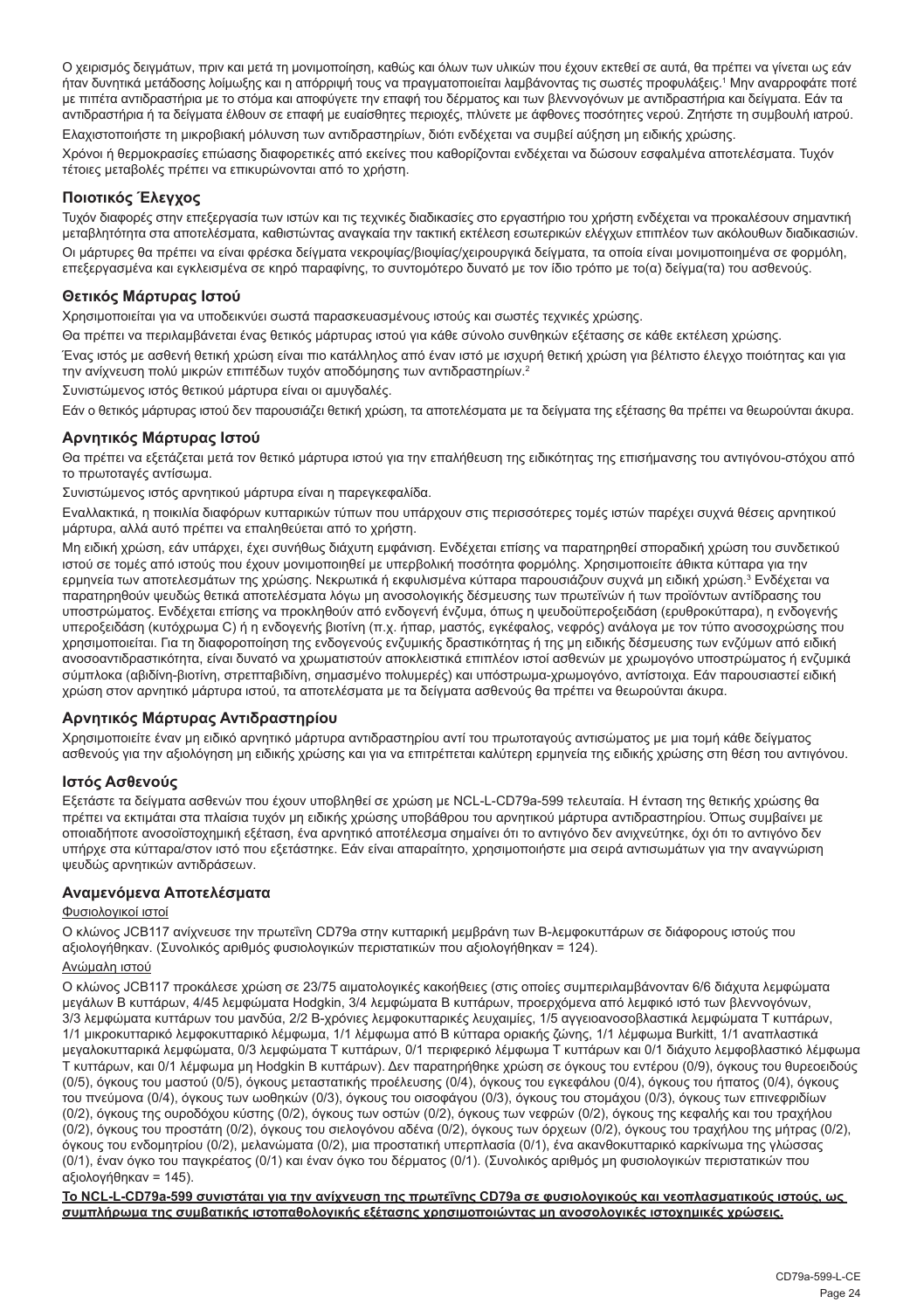Ο χειρισμός δειγμάτων, πριν και μετά τη μονιμοποίηση, καθώς και όλων των υλικών που έχουν εκτεθεί σε αυτά, θα πρέπει να γίνεται ως εάν ήταν δυνητικά μετάδοσης λοίμωξης και η απόρριψή τους να πραγματοποιείται λαμβάνοντας τις σωστές προφυλάξεις.<sup>1</sup> Μην αναρροφάτε ποτέ με πιπέτα αντιδραστήρια με το στόμα και αποφύγετε την επαφή του δέρματος και των βλεννογόνων με αντιδραστήρια και δείγματα. Εάν τα αντιδραστήρια ή τα δείγματα έλθουν σε επαφή με ευαίσθητες περιοχές, πλύνετε με άφθονες ποσότητες νερού. Ζητήστε τη συμβουλή ιατρού. Ελαχιστοποιήστε τη μικροβιακή μόλυνση των αντιδραστηρίων, διότι ενδέχεται να συμβεί αύξηση μη ειδικής χρώσης.

Χρόνοι ή θερμοκρασίες επώασης διαφορετικές από εκείνες που καθορίζονται ενδέχεται να δώσουν εσφαλμένα αποτελέσματα. Τυχόν τέτοιες μεταβολές πρέπει να επικυρώνονται από το χρήστη.

#### **Ποιοτικός Έλεγχος**

Τυχόν διαφορές στην επεξεργασία των ιστών και τις τεχνικές διαδικασίες στο εργαστήριο του χρήστη ενδέχεται να προκαλέσουν σημαντική μεταβλητότητα στα αποτελέσματα, καθιστώντας αναγκαία την τακτική εκτέλεση εσωτερικών ελέγχων επιπλέον των ακόλουθων διαδικασιών. Οι μάρτυρες θα πρέπει να είναι φρέσκα δείγματα νεκροψίας/βιοψίας/χειρουργικά δείγματα, τα οποία είναι μονιμοποιημένα σε φορμόλη, επεξεργασμένα και εγκλεισμένα σε κηρό παραφίνης, το συντομότερο δυνατό με τον ίδιο τρόπο με το(α) δείγμα(τα) του ασθενούς.

#### **Θετικός Μάρτυρας Ιστού**

Χρησιμοποιείται για να υποδεικνύει σωστά παρασκευασμένους ιστούς και σωστές τεχνικές χρώσης.

Θα πρέπει να περιλαμβάνεται ένας θετικός μάρτυρας ιστού για κάθε σύνολο συνθηκών εξέτασης σε κάθε εκτέλεση χρώσης.

Ένας ιστός με ασθενή θετική χρώση είναι πιο κατάλληλος από έναν ιστό με ισχυρή θετική χρώση για βέλτιστο έλεγχο ποιότητας και για την ανίχνευση πολύ μικρών επιπέδων τυχόν αποδόμησης των αντιδραστηρίων.<sup>2</sup>

Συνιστώμενος ιστός θετικού μάρτυρα είναι οι αμυγδαλές.

Εάν ο θετικός μάρτυρας ιστού δεν παρουσιάζει θετική χρώση, τα αποτελέσματα με τα δείγματα της εξέτασης θα πρέπει να θεωρούνται άκυρα.

#### **Αρνητικός Μάρτυρας Ιστού**

Θα πρέπει να εξετάζεται μετά τον θετικό μάρτυρα ιστού για την επαλήθευση της ειδικότητας της επισήμανσης του αντιγόνου-στόχου από το πρωτοταγές αντίσωμα.

Συνιστώμενος ιστός αρνητικού μάρτυρα είναι η παρεγκεφαλίδα.

Εναλλακτικά, η ποικιλία διαφόρων κυτταρικών τύπων που υπάρχουν στις περισσότερες τομές ιστών παρέχει συχνά θέσεις αρνητικού μάρτυρα, αλλά αυτό πρέπει να επαληθεύεται από το χρήστη.

Μη ειδική χρώση, εάν υπάρχει, έχει συνήθως διάχυτη εμφάνιση. Ενδέχεται επίσης να παρατηρηθεί σποραδική χρώση του συνδετικού ιστού σε τομές από ιστούς που έχουν μονιμοποιηθεί με υπερβολική ποσότητα φορμόλης. Χρησιμοποιείτε άθικτα κύτταρα για την ερμηνεία των αποτελεσμάτων της χρώσης. Νεκρωτικά ή εκφυλισμένα κύτταρα παρουσιάζουν συχνά μη ειδική χρώση.<sup>3</sup> Ενδέχεται να παρατηρηθούν ψευδώς θετικά αποτελέσματα λόγω μη ανοσολογικής δέσμευσης των πρωτεϊνών ή των προϊόντων αντίδρασης του υποστρώματος. Ενδέχεται επίσης να προκληθούν από ενδογενή ένζυμα, όπως η ψευδοϋπεροξειδάση (ερυθροκύτταρα), η ενδογενής υπεροξειδάση (κυτόχρωμα C) ή η ενδογενής βιοτίνη (π.χ. ήπαρ, μαστός, εγκέφαλος, νεφρός) ανάλογα με τον τύπο ανοσοχρώσης που χρησιμοποιείται. Για τη διαφοροποίηση της ενδογενούς ενζυμικής δραστικότητας ή της μη ειδικής δέσμευσης των ενζύμων από ειδική ανοσοαντιδραστικότητα, είναι δυνατό να χρωματιστούν αποκλειστικά επιπλέον ιστοί ασθενών με χρωμογόνο υποστρώματος ή ενζυμικά σύμπλοκα (αβιδίνη-βιοτίνη, στρεπταβιδίνη, σημασμένο πολυμερές) και υπόστρωμα-χρωμογόνο, αντίστοιχα. Εάν παρουσιαστεί ειδική χρώση στον αρνητικό μάρτυρα ιστού, τα αποτελέσματα με τα δείγματα ασθενούς θα πρέπει να θεωρούνται άκυρα.

#### **Αρνητικός Μάρτυρας Αντιδραστηρίου**

Χρησιμοποιείτε έναν μη ειδικό αρνητικό μάρτυρα αντιδραστηρίου αντί του πρωτοταγούς αντισώματος με μια τομή κάθε δείγματος ασθενούς για την αξιολόγηση μη ειδικής χρώσης και για να επιτρέπεται καλύτερη ερμηνεία της ειδικής χρώσης στη θέση του αντιγόνου.

#### **Ιστός Ασθενούς**

Εξετάστε τα δείγματα ασθενών που έχουν υποβληθεί σε χρώση με NCL-L-CD79a-599 τελευταία. Η ένταση της θετικής χρώσης θα πρέπει να εκτιμάται στα πλαίσια τυχόν μη ειδικής χρώσης υποβάθρου του αρνητικού μάρτυρα αντιδραστηρίου. Όπως συμβαίνει με οποιαδήποτε ανοσοϊστοχημική εξέταση, ένα αρνητικό αποτέλεσμα σημαίνει ότι το αντιγόνο δεν ανιχνεύτηκε, όχι ότι το αντιγόνο δεν υπήρχε στα κύτταρα/στον ιστό που εξετάστηκε. Εάν είναι απαραίτητο, χρησιμοποιήστε μια σειρά αντισωμάτων για την αναγνώριση ψευδώς αρνητικών αντιδράσεων.

#### **Αναμενόμενα Αποτελέσματα**

#### Φυσιολογικοί ιστοί

Ο κλώνος JCB117 ανίχνευσε την πρωτεΐνη CD79a στην κυτταρική μεμβράνη των B-λεμφοκυττάρων σε διάφορους ιστούς που αξιολογήθηκαν. (Συνολικός αριθμός φυσιολογικών περιστατικών που αξιολογήθηκαν = 124).

#### Ανώμαλη ιστού

Ο κλώνος JCB117 προκάλεσε χρώση σε 23/75 αιματολογικές κακοήθειες (στις οποίες συμπεριλαμβάνονταν 6/6 διάχυτα λεμφώματα μεγάλων Β κυττάρων, 4/45 λεμφώματα Hodgkin, 3/4 λεμφώματα Β κυττάρων, προερχόμενα από λεμφικό ιστό των βλεννογόνων, 3/3 λεμφώματα κυττάρων του μανδύα, 2/2 B-χρόνιες λεμφοκυτταρικές λευχαιμίες, 1/5 αγγειοανοσοβλαστικά λεμφώματα Τ κυττάρων, 1/1 µικροκυτταρικό λεµφοκυτταρικό λέµφωµα, 1/1 λέμφωμα από Β κύτταρα οριακής ζώνης, 1/1 λέμφωμα Burkitt, 1/1 αναπλαστικά μεγαλοκυτταρικά λεμφώματα, 0/3 λεμφώματα Τ κυττάρων, 0/1 περιφερικό λέμφωμα Τ κυττάρων και 0/1 διάχυτο λεμφοβλαστικό λέμφωμα T κυττάρων, και 0/1 λέμφωμα μη Hodgkin B κυττάρων). Δεν παρατηρήθηκε χρώση σε όγκους του εντέρου (0/9), όγκους του θυρεοειδούς (0/5), όγκους του μαστού (0/5), όγκους μεταστατικής προέλευσης (0/4), όγκους του εγκεφάλου (0/4), όγκους του ήπατος (0/4), όγκους του πνεύμονα (0/4), όγκους των ωοθηκών (0/3), όγκους του οισοφάγου (0/3), όγκους του στομάχου (0/3), όγκους των επινεφριδίων (0/2), όγκους της ουροδόχου κύστης (0/2), όγκους των οστών (0/2), όγκους των νεφρών (0/2), όγκους της κεφαλής και του τραχήλου (0/2), όγκους του προστάτη (0/2), όγκους του σιελογόνου αδένα (0/2), όγκους των όρχεων (0/2), όγκους του τραχήλου της μήτρας (0/2), όγκους του ενδομητρίου (0/2), μελανώματα (0/2), μια προστατική υπερπλασία (0/1), ένα ακανθοκυτταρικό καρκίνωμα της γλώσσας (0/1), έναν όγκο του παγκρέατος (0/1) και έναν όγκο του δέρματος (0/1). (Συνολικός αριθμός μη φυσιολογικών περιστατικών που αξιολογήθηκαν = 145).

**Το NCL-L-CD79a-599 συνιστάται για την ανίχνευση της πρωτεΐνης CD79a σε φυσιολογικούς και νεοπλασματικούς ιστούς, ως συμπλήρωμα της συμβατικής ιστοπαθολογικής εξέτασης χρησιμοποιώντας μη ανοσολογικές ιστοχημικές χρώσεις.**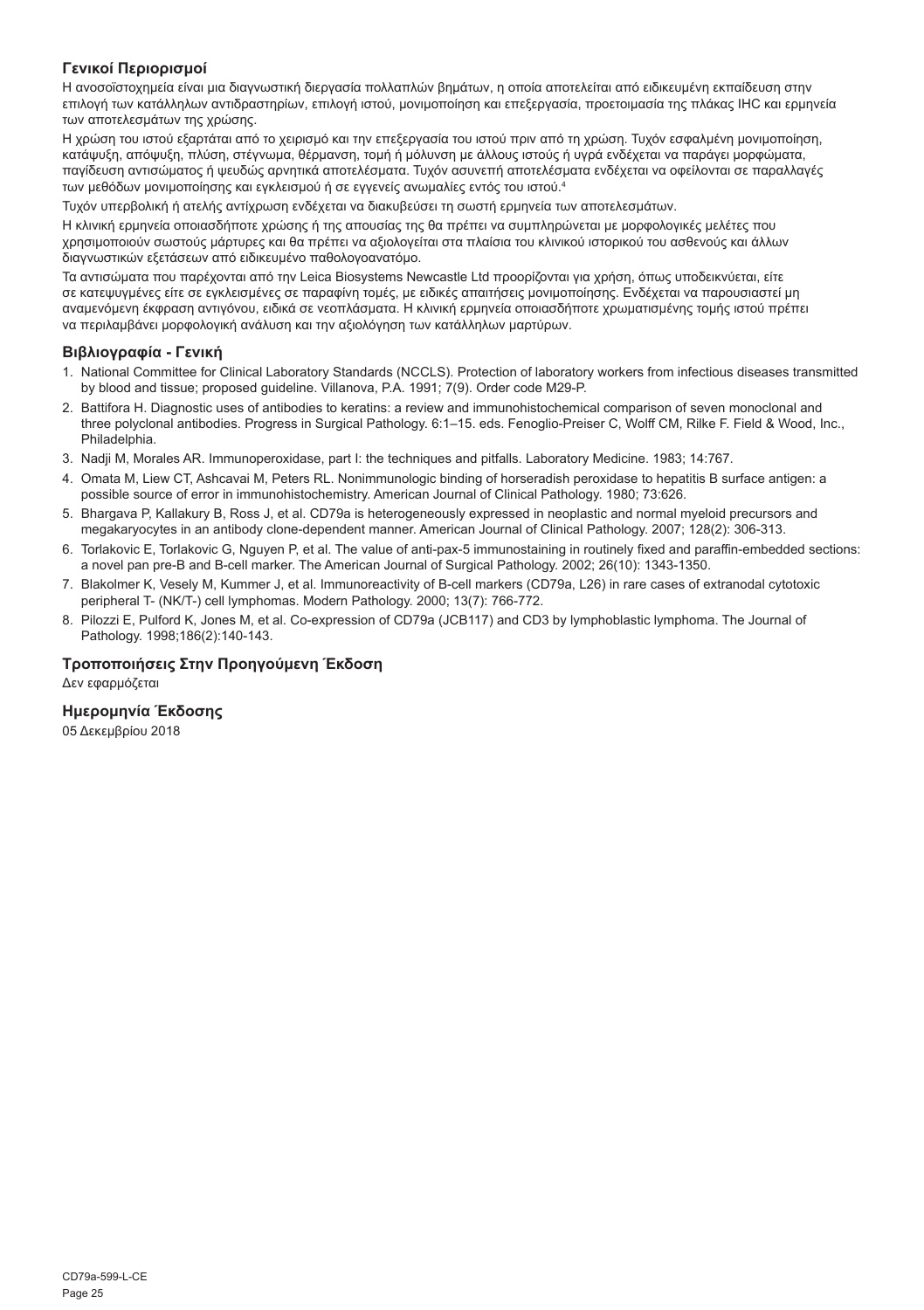#### **Γενικοί Περιορισμοί**

Η ανοσοϊστοχημεία είναι μια διαγνωστική διεργασία πολλαπλών βημάτων, η οποία αποτελείται από ειδικευμένη εκπαίδευση στην επιλογή των κατάλληλων αντιδραστηρίων, επιλογή ιστού, μονιμοποίηση και επεξεργασία, προετοιμασία της πλάκας IHC και ερμηνεία των αποτελεσμάτων της χρώσης.

Η χρώση του ιστού εξαρτάται από το χειρισμό και την επεξεργασία του ιστού πριν από τη χρώση. Τυχόν εσφαλμένη μονιμοποίηση, κατάψυξη, απόψυξη, πλύση, στέγνωμα, θέρμανση, τομή ή μόλυνση με άλλους ιστούς ή υγρά ενδέχεται να παράγει μορφώματα, παγίδευση αντισώματος ή ψευδώς αρνητικά αποτελέσματα. Τυχόν ασυνεπή αποτελέσματα ενδέχεται να οφείλονται σε παραλλαγές των μεθόδων μονιμοποίησης και εγκλεισμού ή σε εγγενείς ανωμαλίες εντός του ιστού.4

Τυχόν υπερβολική ή ατελής αντίχρωση ενδέχεται να διακυβεύσει τη σωστή ερμηνεία των αποτελεσμάτων.

Η κλινική ερμηνεία οποιασδήποτε χρώσης ή της απουσίας της θα πρέπει να συμπληρώνεται με μορφολογικές μελέτες που χρησιμοποιούν σωστούς μάρτυρες και θα πρέπει να αξιολογείται στα πλαίσια του κλινικού ιστορικού του ασθενούς και άλλων διαγνωστικών εξετάσεων από ειδικευμένο παθολογοανατόμο.

Τα αντισώματα που παρέχονται από την Leica Biosystems Newcastle Ltd προορίζονται για χρήση, όπως υποδεικνύεται, είτε σε κατεψυγμένες είτε σε εγκλεισμένες σε παραφίνη τομές, με ειδικές απαιτήσεις μονιμοποίησης. Ενδέχεται να παρουσιαστεί μη αναμενόμενη έκφραση αντιγόνου, ειδικά σε νεοπλάσματα. Η κλινική ερμηνεία οποιασδήποτε χρωματισμένης τομής ιστού πρέπει να περιλαμβάνει μορφολογική ανάλυση και την αξιολόγηση των κατάλληλων μαρτύρων.

#### **Βιβλιογραφία - Γενική**

- 1. National Committee for Clinical Laboratory Standards (NCCLS). Protection of laboratory workers from infectious diseases transmitted by blood and tissue; proposed guideline. Villanova, P.A. 1991; 7(9). Order code M29-P.
- 2. Battifora H. Diagnostic uses of antibodies to keratins: a review and immunohistochemical comparison of seven monoclonal and three polyclonal antibodies. Progress in Surgical Pathology. 6:1–15. eds. Fenoglio-Preiser C, Wolff CM, Rilke F. Field & Wood, Inc., Philadelphia.
- 3. Nadji M, Morales AR. Immunoperoxidase, part I: the techniques and pitfalls. Laboratory Medicine. 1983; 14:767.
- 4. Omata M, Liew CT, Ashcavai M, Peters RL. Nonimmunologic binding of horseradish peroxidase to hepatitis B surface antigen: a possible source of error in immunohistochemistry. American Journal of Clinical Pathology. 1980; 73:626.
- 5. Bhargava P, Kallakury B, Ross J, et al. CD79a is heterogeneously expressed in neoplastic and normal myeloid precursors and megakaryocytes in an antibody clone-dependent manner. American Journal of Clinical Pathology. 2007; 128(2): 306-313.
- 6. Torlakovic E, Torlakovic G, Nguyen P, et al. The value of anti-pax-5 immunostaining in routinely fixed and paraffin-embedded sections: a novel pan pre-B and B-cell marker. The American Journal of Surgical Pathology. 2002; 26(10): 1343-1350.
- 7. Blakolmer K, Vesely M, Kummer J, et al. Immunoreactivity of B-cell markers (CD79a, L26) in rare cases of extranodal cytotoxic peripheral T- (NK/T-) cell lymphomas. Modern Pathology. 2000; 13(7): 766-772.
- 8. Pilozzi E, Pulford K, Jones M, et al. Co-expression of CD79a (JCB117) and CD3 by lymphoblastic lymphoma. The Journal of Pathology. 1998;186(2):140-143.

#### **Τροποποιήσεις Στην Προηγούμενη Έκδοση**

Δεν εφαρμόζεται

#### **Ημερομηνία Έκδοσης**

05 Δεκεμβρίου 2018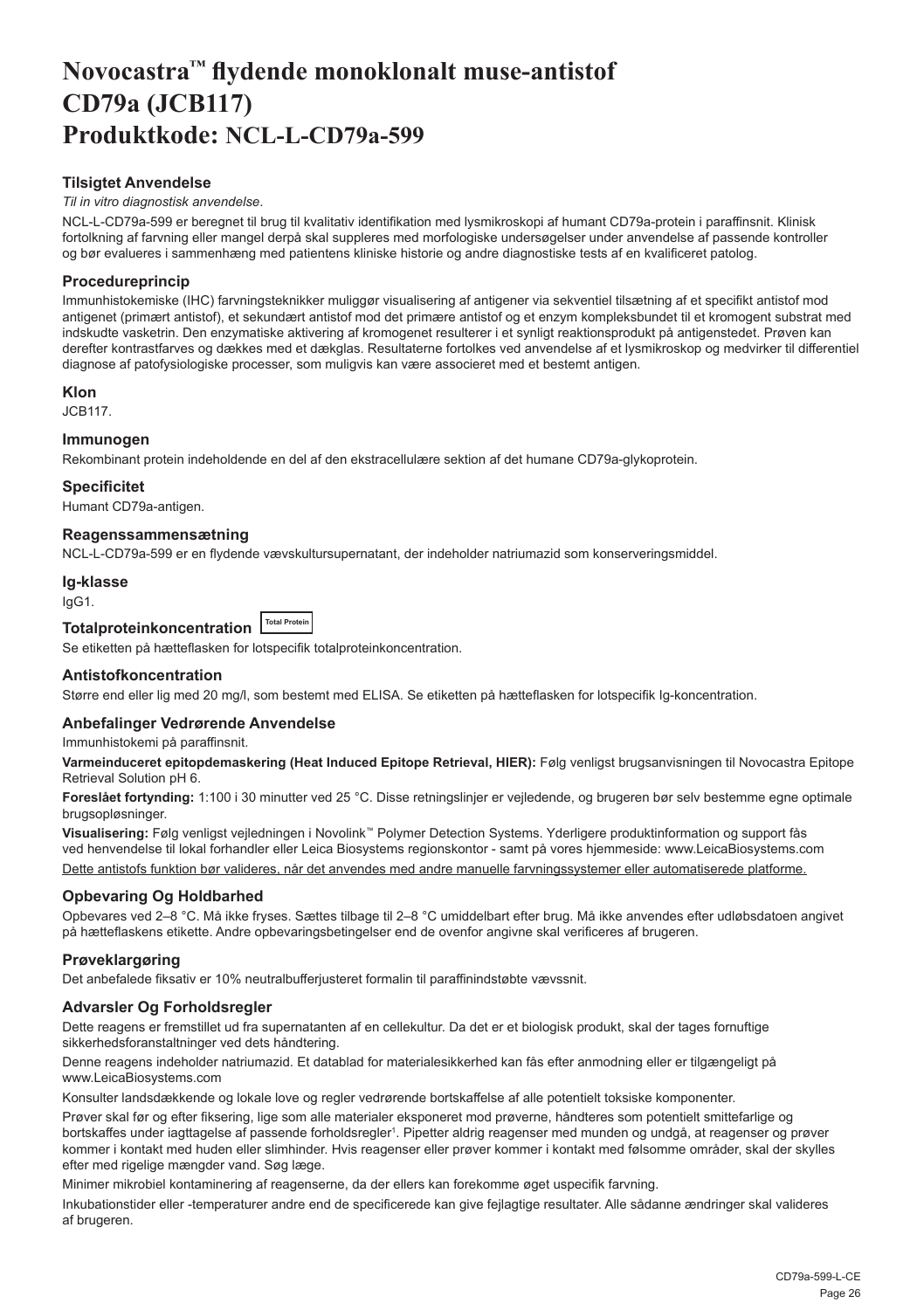## <span id="page-26-0"></span>**Novocastra™ flydende monoklonalt muse-antistof CD79a (JCB117) Produktkode: NCL-L-CD79a-599**

#### **Tilsigtet Anvendelse**

#### *Til in vitro diagnostisk anvendelse*.

NCL-L-CD79a-599 er beregnet til brug til kvalitativ identifikation med lysmikroskopi af humant CD79a-protein i paraffinsnit. Klinisk fortolkning af farvning eller mangel derpå skal suppleres med morfologiske undersøgelser under anvendelse af passende kontroller og bør evalueres i sammenhæng med patientens kliniske historie og andre diagnostiske tests af en kvalificeret patolog.

#### **Procedureprincip**

Immunhistokemiske (IHC) farvningsteknikker muliggør visualisering af antigener via sekventiel tilsætning af et specifikt antistof mod antigenet (primært antistof), et sekundært antistof mod det primære antistof og et enzym kompleksbundet til et kromogent substrat med indskudte vasketrin. Den enzymatiske aktivering af kromogenet resulterer i et synligt reaktionsprodukt på antigenstedet. Prøven kan derefter kontrastfarves og dækkes med et dækglas. Resultaterne fortolkes ved anvendelse af et lysmikroskop og medvirker til differentiel diagnose af patofysiologiske processer, som muligvis kan være associeret med et bestemt antigen.

#### **Klon**

JCB117.

#### **Immunogen**

Rekombinant protein indeholdende en del af den ekstracellulære sektion af det humane CD79a-glykoprotein.

#### **Specificitet**

Humant CD79a-antigen.

#### **Reagenssammensætning**

NCL-L-CD79a-599 er en flydende vævskultursupernatant, der indeholder natriumazid som konserveringsmiddel.

#### **Ig-klasse**

IgG1.

**Totalproteinkoncentration Total Protein** 

Se etiketten på hætteflasken for lotspecifik totalproteinkoncentration.

#### **Antistofkoncentration**

Større end eller lig med 20 mg/l, som bestemt med ELISA. Se etiketten på hætteflasken for lotspecifik Ig-koncentration.

#### **Anbefalinger Vedrørende Anvendelse**

Immunhistokemi på paraffinsnit.

**Varmeinduceret epitopdemaskering (Heat Induced Epitope Retrieval, HIER):** Følg venligst brugsanvisningen til Novocastra Epitope Retrieval Solution pH 6.

**Foreslået fortynding:** 1:100 i 30 minutter ved 25 °C. Disse retningslinjer er vejledende, og brugeren bør selv bestemme egne optimale brugsopløsninger.

**Visualisering:** Følg venligst vejledningen i Novolink™ Polymer Detection Systems. Yderligere produktinformation og support fås ved henvendelse til lokal forhandler eller Leica Biosystems regionskontor - samt på vores hjemmeside: www.LeicaBiosystems.com Dette antistofs funktion bør valideres, når det anvendes med andre manuelle farvningssystemer eller automatiserede platforme.

#### **Opbevaring Og Holdbarhed**

Opbevares ved 2–8 °C. Må ikke fryses. Sættes tilbage til 2–8 °C umiddelbart efter brug. Må ikke anvendes efter udløbsdatoen angivet på hætteflaskens etikette. Andre opbevaringsbetingelser end de ovenfor angivne skal verificeres af brugeren.

#### **Prøveklargøring**

Det anbefalede fiksativ er 10% neutralbufferjusteret formalin til paraffinindstøbte vævssnit.

#### **Advarsler Og Forholdsregler**

Dette reagens er fremstillet ud fra supernatanten af en cellekultur. Da det er et biologisk produkt, skal der tages fornuftige sikkerhedsforanstaltninger ved dets håndtering.

Denne reagens indeholder natriumazid. Et datablad for materialesikkerhed kan fås efter anmodning eller er tilgængeligt på www.LeicaBiosystems.com

Konsulter landsdækkende og lokale love og regler vedrørende bortskaffelse af alle potentielt toksiske komponenter.

Prøver skal før og efter fiksering, lige som alle materialer eksponeret mod prøverne, håndteres som potentielt smittefarlige og bortskaffes under iagttagelse af passende forholdsregler1. Pipetter aldrig reagenser med munden og undgå, at reagenser og prøver kommer i kontakt med huden eller slimhinder. Hvis reagenser eller prøver kommer i kontakt med følsomme områder, skal der skylles efter med rigelige mængder vand. Søg læge.

Minimer mikrobiel kontaminering af reagenserne, da der ellers kan forekomme øget uspecifik farvning.

Inkubationstider eller -temperaturer andre end de specificerede kan give fejlagtige resultater. Alle sådanne ændringer skal valideres af brugeren.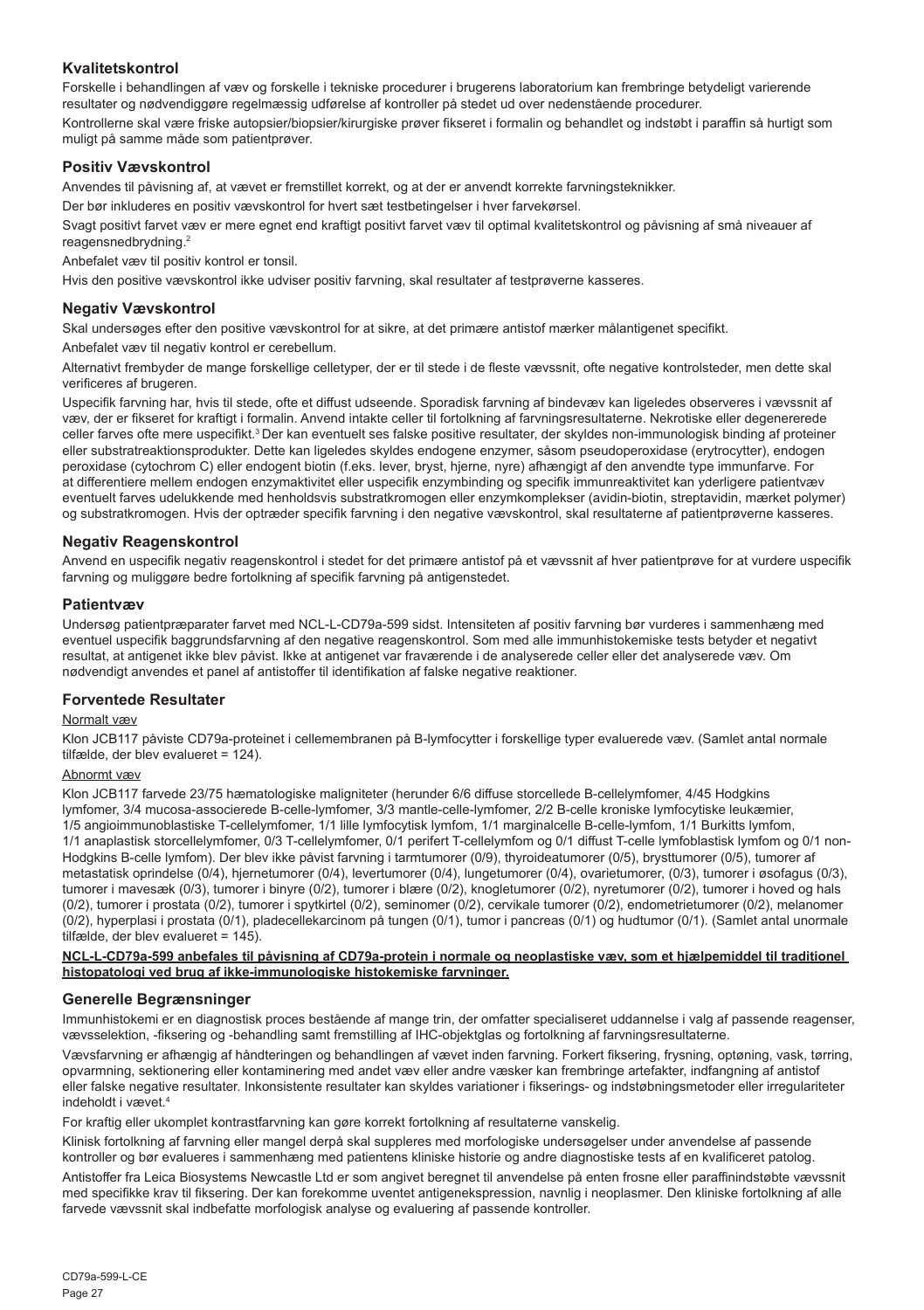#### **Kvalitetskontrol**

Forskelle i behandlingen af væv og forskelle i tekniske procedurer i brugerens laboratorium kan frembringe betydeligt varierende resultater og nødvendiggøre regelmæssig udførelse af kontroller på stedet ud over nedenstående procedurer.

Kontrollerne skal være friske autopsier/biopsier/kirurgiske prøver fikseret i formalin og behandlet og indstøbt i paraffin så hurtigt som muligt på samme måde som patientprøver.

#### **Positiv Vævskontrol**

Anvendes til påvisning af, at vævet er fremstillet korrekt, og at der er anvendt korrekte farvningsteknikker.

Der bør inkluderes en positiv vævskontrol for hvert sæt testbetingelser i hver farvekørsel.

Svagt positivt farvet væv er mere egnet end kraftigt positivt farvet væv til optimal kvalitetskontrol og påvisning af små niveauer af reagensnedbrydning.<sup>2</sup>

Anbefalet væv til positiv kontrol er tonsil.

Hvis den positive vævskontrol ikke udviser positiv farvning, skal resultater af testprøverne kasseres.

#### **Negativ Vævskontrol**

Skal undersøges efter den positive vævskontrol for at sikre, at det primære antistof mærker målantigenet specifikt.

Anbefalet væv til negativ kontrol er cerebellum.

Alternativt frembyder de mange forskellige celletyper, der er til stede i de fleste vævssnit, ofte negative kontrolsteder, men dette skal verificeres af brugeren.

Uspecifik farvning har, hvis til stede, ofte et diffust udseende. Sporadisk farvning af bindevæv kan ligeledes observeres i vævssnit af væv, der er fikseret for kraftigt i formalin. Anvend intakte celler til fortolkning af farvningsresultaterne. Nekrotiske eller degenererede celler farves ofte mere uspecifikt.<sup>3</sup>Der kan eventuelt ses falske positive resultater, der skyldes non-immunologisk binding af proteiner eller substratreaktionsprodukter. Dette kan ligeledes skyldes endogene enzymer, såsom pseudoperoxidase (erytrocytter), endogen peroxidase (cytochrom C) eller endogent biotin (f.eks. lever, bryst, hjerne, nyre) afhængigt af den anvendte type immunfarve. For at differentiere mellem endogen enzymaktivitet eller uspecifik enzymbinding og specifik immunreaktivitet kan yderligere patientvæv eventuelt farves udelukkende med henholdsvis substratkromogen eller enzymkomplekser (avidin-biotin, streptavidin, mærket polymer) og substratkromogen. Hvis der optræder specifik farvning i den negative vævskontrol, skal resultaterne af patientprøverne kasseres.

#### **Negativ Reagenskontrol**

Anvend en uspecifik negativ reagenskontrol i stedet for det primære antistof på et vævssnit af hver patientprøve for at vurdere uspecifik farvning og muliggøre bedre fortolkning af specifik farvning på antigenstedet.

#### **Patientvæv**

Undersøg patientpræparater farvet med NCL-L-CD79a-599 sidst. Intensiteten af positiv farvning bør vurderes i sammenhæng med eventuel uspecifik baggrundsfarvning af den negative reagenskontrol. Som med alle immunhistokemiske tests betyder et negativt resultat, at antigenet ikke blev påvist. Ikke at antigenet var fraværende i de analyserede celler eller det analyserede væv. Om nødvendigt anvendes et panel af antistoffer til identifikation af falske negative reaktioner.

#### **Forventede Resultater**

#### Normalt væv

Klon JCB117 påviste CD79a-proteinet i cellemembranen på B-lymfocytter i forskellige typer evaluerede væv. (Samlet antal normale tilfælde, der blev evalueret = 124).

#### Abnormt væv

Klon JCB117 farvede 23/75 hæmatologiske maligniteter (herunder 6/6 diffuse storcellede B-cellelymfomer, 4/45 Hodgkins lymfomer, 3/4 mucosa-associerede B-celle-lymfomer, 3/3 mantle-celle-lymfomer, 2/2 B-celle kroniske lymfocytiske leukæmier, 1/5 angioimmunoblastiske T-cellelymfomer, 1/1 lille lymfocytisk lymfom, 1/1 marginalcelle B-celle-lymfom, 1/1 Burkitts lymfom, 1/1 anaplastisk storcellelymfomer, 0/3 T-cellelymfomer, 0/1 perifert T-cellelymfom og 0/1 diffust T-celle lymfoblastisk lymfom og 0/1 non-Hodgkins B-celle lymfom). Der blev ikke påvist farvning i tarmtumorer (0/9), thyroideatumorer (0/5), brysttumorer (0/5), tumorer af metastatisk oprindelse (0/4), hjernetumorer (0/4), levertumorer (0/4), lungetumorer (0/4), ovarietumorer, (0/3), tumorer i øsofagus (0/3), tumorer i mavesæk (0/3), tumorer i binyre (0/2), tumorer i blære (0/2), knogletumorer (0/2), nyretumorer (0/2), tumorer i hoved og hals (0/2), tumorer i prostata (0/2), tumorer i spytkirtel (0/2), seminomer (0/2), cervikale tumorer (0/2), endometrietumorer (0/2), melanomer (0/2), hyperplasi i prostata (0/1), pladecellekarcinom på tungen (0/1), tumor i pancreas (0/1) og hudtumor (0/1). (Samlet antal unormale tilfælde, der blev evalueret = 145).

**NCL-L-CD79a-599 anbefales til påvisning af CD79a-protein i normale og neoplastiske væv, som et hjælpemiddel til traditionel histopatologi ved brug af ikke-immunologiske histokemiske farvninger.**

#### **Generelle Begrænsninger**

Immunhistokemi er en diagnostisk proces bestående af mange trin, der omfatter specialiseret uddannelse i valg af passende reagenser, vævsselektion, -fiksering og -behandling samt fremstilling af IHC-objektglas og fortolkning af farvningsresultaterne.

Vævsfarvning er afhængig af håndteringen og behandlingen af vævet inden farvning. Forkert fiksering, frysning, optøning, vask, tørring, opvarmning, sektionering eller kontaminering med andet væv eller andre væsker kan frembringe artefakter, indfangning af antistof eller falske negative resultater. Inkonsistente resultater kan skyldes variationer i fikserings- og indstøbningsmetoder eller irregulariteter indeholdt i vævet.4

For kraftig eller ukomplet kontrastfarvning kan gøre korrekt fortolkning af resultaterne vanskelig.

Klinisk fortolkning af farvning eller mangel derpå skal suppleres med morfologiske undersøgelser under anvendelse af passende kontroller og bør evalueres i sammenhæng med patientens kliniske historie og andre diagnostiske tests af en kvalificeret patolog.

Antistoffer fra Leica Biosystems Newcastle Ltd er som angivet beregnet til anvendelse på enten frosne eller paraffinindstøbte vævssnit med specifikke krav til fiksering. Der kan forekomme uventet antigenekspression, navnlig i neoplasmer. Den kliniske fortolkning af alle farvede vævssnit skal indbefatte morfologisk analyse og evaluering af passende kontroller.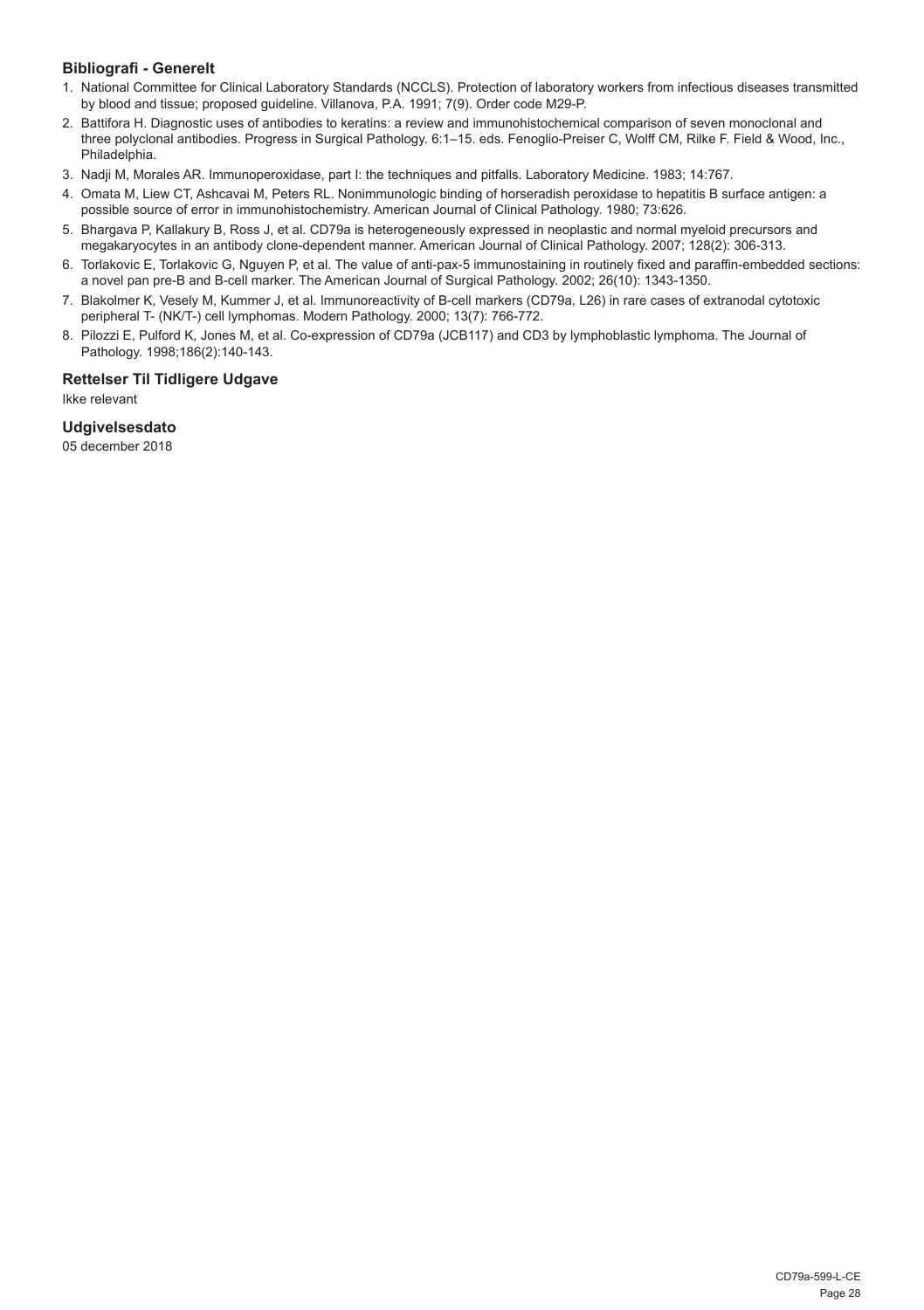#### **Bibliografi - Generelt**

- 1. National Committee for Clinical Laboratory Standards (NCCLS). Protection of laboratory workers from infectious diseases transmitted by blood and tissue; proposed guideline. Villanova, P.A. 1991; 7(9). Order code M29-P.
- 2. Battifora H. Diagnostic uses of antibodies to keratins: a review and immunohistochemical comparison of seven monoclonal and three polyclonal antibodies. Progress in Surgical Pathology. 6:1–15. eds. Fenoglio-Preiser C, Wolff CM, Rilke F. Field & Wood, Inc., Philadelphia.
- 3. Nadji M, Morales AR. Immunoperoxidase, part I: the techniques and pitfalls. Laboratory Medicine. 1983; 14:767.
- 4. Omata M, Liew CT, Ashcavai M, Peters RL. Nonimmunologic binding of horseradish peroxidase to hepatitis B surface antigen: a possible source of error in immunohistochemistry. American Journal of Clinical Pathology. 1980; 73:626.
- 5. Bhargava P, Kallakury B, Ross J, et al. CD79a is heterogeneously expressed in neoplastic and normal myeloid precursors and megakaryocytes in an antibody clone-dependent manner. American Journal of Clinical Pathology. 2007; 128(2): 306-313.
- 6. Torlakovic E, Torlakovic G, Nguyen P, et al. The value of anti-pax-5 immunostaining in routinely fixed and paraffin-embedded sections: a novel pan pre-B and B-cell marker. The American Journal of Surgical Pathology. 2002; 26(10): 1343-1350.
- 7. Blakolmer K, Vesely M, Kummer J, et al. Immunoreactivity of B-cell markers (CD79a, L26) in rare cases of extranodal cytotoxic peripheral T- (NK/T-) cell lymphomas. Modern Pathology. 2000; 13(7): 766-772.
- 8. Pilozzi E, Pulford K, Jones M, et al. Co-expression of CD79a (JCB117) and CD3 by lymphoblastic lymphoma. The Journal of Pathology. 1998;186(2):140-143.

#### **Rettelser Til Tidligere Udgave**

Ikke relevant

#### **Udgivelsesdato**

05 december 2018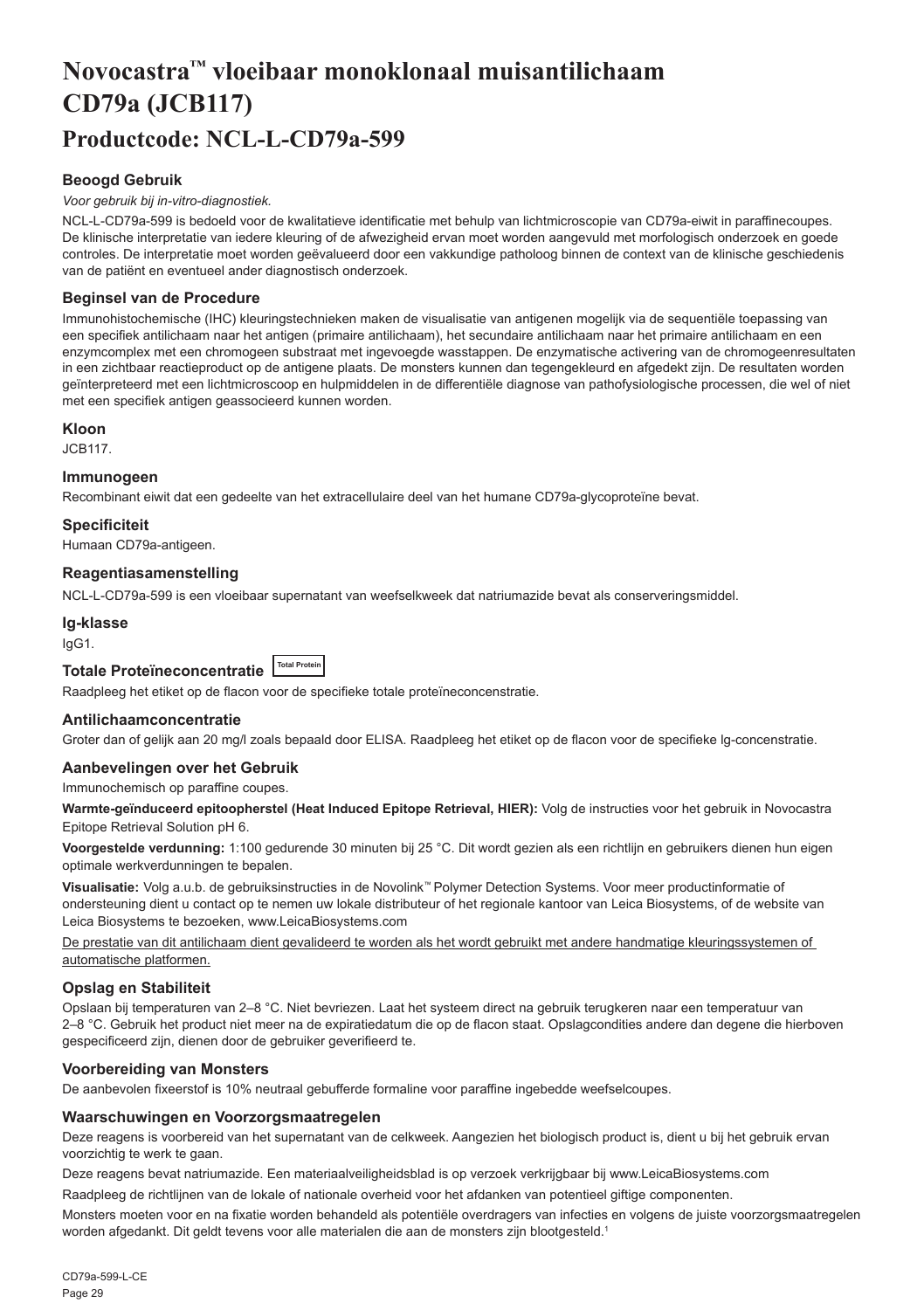## <span id="page-29-0"></span>**Novocastra™ vloeibaar monoklonaal muisantilichaam CD79a (JCB117) Productcode: NCL-L-CD79a-599**

#### **Beoogd Gebruik**

#### *Voor gebruik bij in-vitro-diagnostiek.*

NCL-L-CD79a-599 is bedoeld voor de kwalitatieve identificatie met behulp van lichtmicroscopie van CD79a-eiwit in paraffinecoupes. De klinische interpretatie van iedere kleuring of de afwezigheid ervan moet worden aangevuld met morfologisch onderzoek en goede controles. De interpretatie moet worden geëvalueerd door een vakkundige patholoog binnen de context van de klinische geschiedenis van de patiënt en eventueel ander diagnostisch onderzoek.

#### **Beginsel van de Procedure**

Immunohistochemische (IHC) kleuringstechnieken maken de visualisatie van antigenen mogelijk via de sequentiële toepassing van een specifiek antilichaam naar het antigen (primaire antilichaam), het secundaire antilichaam naar het primaire antilichaam en een enzymcomplex met een chromogeen substraat met ingevoegde wasstappen. De enzymatische activering van de chromogeenresultaten in een zichtbaar reactieproduct op de antigene plaats. De monsters kunnen dan tegengekleurd en afgedekt zijn. De resultaten worden geïnterpreteerd met een lichtmicroscoop en hulpmiddelen in de differentiële diagnose van pathofysiologische processen, die wel of niet met een specifiek antigen geassocieerd kunnen worden.

#### **Kloon**

JCB117.

#### **Immunogeen**

Recombinant eiwit dat een gedeelte van het extracellulaire deel van het humane CD79a-glycoproteïne bevat.

#### **Specificiteit**

Humaan CD79a-antigeen.

#### **Reagentiasamenstelling**

NCL-L-CD79a-599 is een vloeibaar supernatant van weefselkweek dat natriumazide bevat als conserveringsmiddel.

#### **Ig-klasse**

IgG1.

### **Totale Proteïneconcentratie Total Protein**

Raadpleeg het etiket op de flacon voor de specifieke totale proteïneconcenstratie.

#### **Antilichaamconcentratie**

Groter dan of gelijk aan 20 mg/l zoals bepaald door ELISA. Raadpleeg het etiket op de flacon voor de specifieke lg-concenstratie.

#### **Aanbevelingen over het Gebruik**

Immunochemisch op paraffine coupes.

**Warmte-geïnduceerd epitoopherstel (Heat Induced Epitope Retrieval, HIER):** Volg de instructies voor het gebruik in Novocastra Epitope Retrieval Solution pH 6.

**Voorgestelde verdunning:** 1:100 gedurende 30 minuten bij 25 °C. Dit wordt gezien als een richtlijn en gebruikers dienen hun eigen optimale werkverdunningen te bepalen.

**Visualisatie:** Volg a.u.b. de gebruiksinstructies in de Novolink™ Polymer Detection Systems. Voor meer productinformatie of ondersteuning dient u contact op te nemen uw lokale distributeur of het regionale kantoor van Leica Biosystems, of de website van Leica Biosystems te bezoeken, www.LeicaBiosystems.com

De prestatie van dit antilichaam dient gevalideerd te worden als het wordt gebruikt met andere handmatige kleuringssystemen of automatische platformen.

#### **Opslag en Stabiliteit**

Opslaan bij temperaturen van 2–8 °C. Niet bevriezen. Laat het systeem direct na gebruik terugkeren naar een temperatuur van 2–8 °C. Gebruik het product niet meer na de expiratiedatum die op de flacon staat. Opslagcondities andere dan degene die hierboven gespecificeerd zijn, dienen door de gebruiker geverifieerd te.

#### **Voorbereiding van Monsters**

De aanbevolen fixeerstof is 10% neutraal gebufferde formaline voor paraffine ingebedde weefselcoupes.

#### **Waarschuwingen en Voorzorgsmaatregelen**

Deze reagens is voorbereid van het supernatant van de celkweek. Aangezien het biologisch product is, dient u bij het gebruik ervan voorzichtig te werk te gaan.

Deze reagens bevat natriumazide. Een materiaalveiligheidsblad is op verzoek verkrijgbaar bij www.LeicaBiosystems.com

Raadpleeg de richtlijnen van de lokale of nationale overheid voor het afdanken van potentieel giftige componenten.

Monsters moeten voor en na fixatie worden behandeld als potentiële overdragers van infecties en volgens de juiste voorzorgsmaatregelen worden afgedankt. Dit geldt tevens voor alle materialen die aan de monsters zijn blootgesteld.1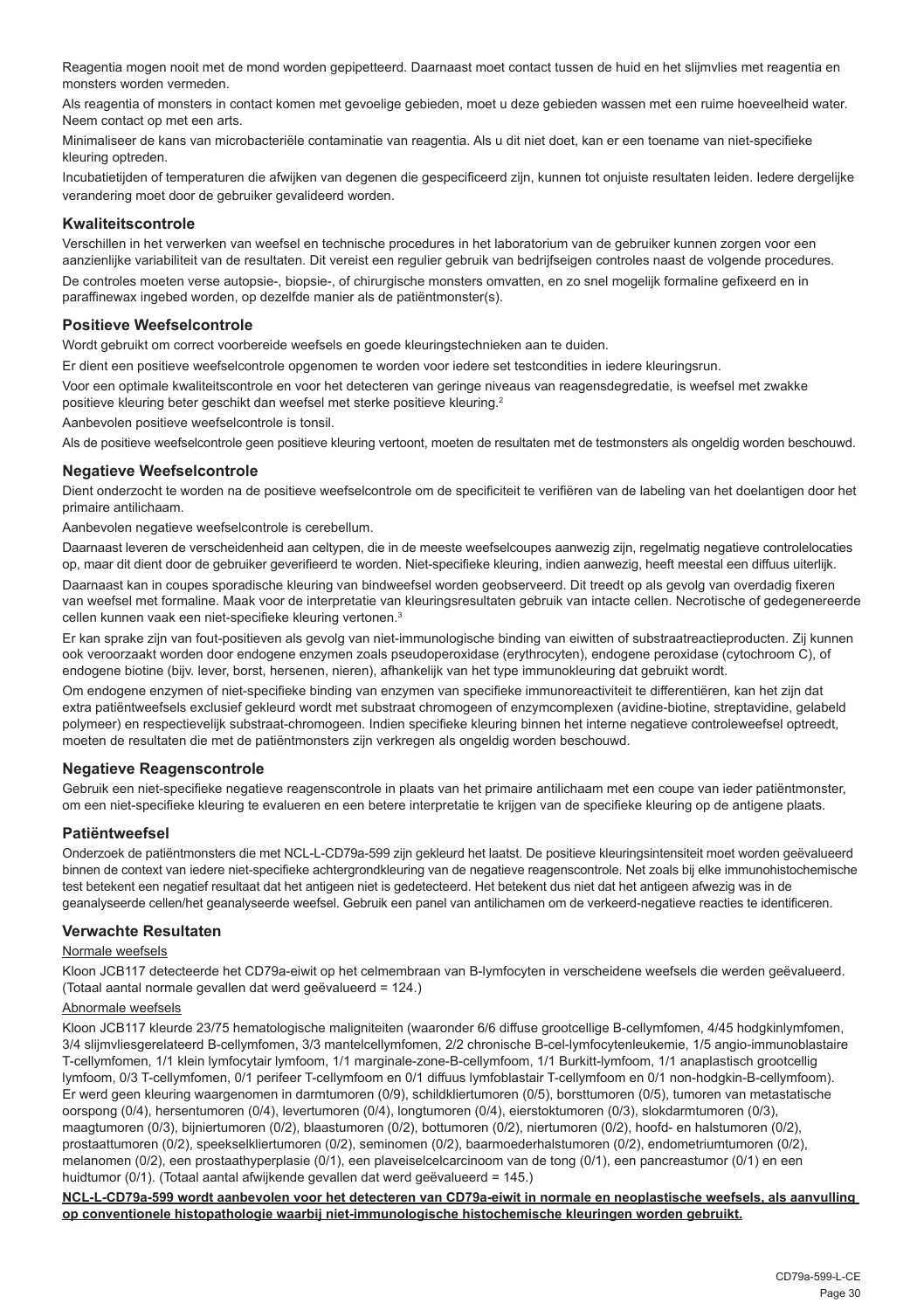Reagentia mogen nooit met de mond worden gepipetteerd. Daarnaast moet contact tussen de huid en het slijmvlies met reagentia en monsters worden vermeden.

Als reagentia of monsters in contact komen met gevoelige gebieden, moet u deze gebieden wassen met een ruime hoeveelheid water. Neem contact op met een arts.

Minimaliseer de kans van microbacteriële contaminatie van reagentia. Als u dit niet doet, kan er een toename van niet-specifieke kleuring optreden.

Incubatietijden of temperaturen die afwijken van degenen die gespecificeerd zijn, kunnen tot onjuiste resultaten leiden. Iedere dergelijke verandering moet door de gebruiker gevalideerd worden.

#### **Kwaliteitscontrole**

Verschillen in het verwerken van weefsel en technische procedures in het laboratorium van de gebruiker kunnen zorgen voor een aanzienlijke variabiliteit van de resultaten. Dit vereist een regulier gebruik van bedrijfseigen controles naast de volgende procedures. De controles moeten verse autopsie-, biopsie-, of chirurgische monsters omvatten, en zo snel mogelijk formaline gefixeerd en in paraffinewax ingebed worden, op dezelfde manier als de patiëntmonster(s).

#### **Positieve Weefselcontrole**

Wordt gebruikt om correct voorbereide weefsels en goede kleuringstechnieken aan te duiden.

Er dient een positieve weefselcontrole opgenomen te worden voor iedere set testcondities in iedere kleuringsrun.

Voor een optimale kwaliteitscontrole en voor het detecteren van geringe niveaus van reagensdegredatie, is weefsel met zwakke positieve kleuring beter geschikt dan weefsel met sterke positieve kleuring.<sup>2</sup>

Aanbevolen positieve weefselcontrole is tonsil.

Als de positieve weefselcontrole geen positieve kleuring vertoont, moeten de resultaten met de testmonsters als ongeldig worden beschouwd.

#### **Negatieve Weefselcontrole**

Dient onderzocht te worden na de positieve weefselcontrole om de specificiteit te verifiëren van de labeling van het doelantigen door het primaire antilichaam.

Aanbevolen negatieve weefselcontrole is cerebellum.

Daarnaast leveren de verscheidenheid aan celtypen, die in de meeste weefselcoupes aanwezig zijn, regelmatig negatieve controlelocaties op, maar dit dient door de gebruiker geverifieerd te worden. Niet-specifieke kleuring, indien aanwezig, heeft meestal een diffuus uiterlijk. Daarnaast kan in coupes sporadische kleuring van bindweefsel worden geobserveerd. Dit treedt op als gevolg van overdadig fixeren van weefsel met formaline. Maak voor de interpretatie van kleuringsresultaten gebruik van intacte cellen. Necrotische of gedegenereerde cellen kunnen vaak een niet-specifieke kleuring vertonen.<sup>3</sup>

Er kan sprake zijn van fout-positieven als gevolg van niet-immunologische binding van eiwitten of substraatreactieproducten. Zij kunnen ook veroorzaakt worden door endogene enzymen zoals pseudoperoxidase (erythrocyten), endogene peroxidase (cytochroom C), of endogene biotine (bijv. lever, borst, hersenen, nieren), afhankelijk van het type immunokleuring dat gebruikt wordt.

Om endogene enzymen of niet-specifieke binding van enzymen van specifieke immunoreactiviteit te differentiëren, kan het zijn dat extra patiëntweefsels exclusief gekleurd wordt met substraat chromogeen of enzymcomplexen (avidine-biotine, streptavidine, gelabeld polymeer) en respectievelijk substraat-chromogeen. Indien specifieke kleuring binnen het interne negatieve controleweefsel optreedt, moeten de resultaten die met de patiëntmonsters zijn verkregen als ongeldig worden beschouwd.

#### **Negatieve Reagenscontrole**

Gebruik een niet-specifieke negatieve reagenscontrole in plaats van het primaire antilichaam met een coupe van ieder patiëntmonster, om een niet-specifieke kleuring te evalueren en een betere interpretatie te krijgen van de specifieke kleuring op de antigene plaats.

#### **Patiëntweefsel**

Onderzoek de patiëntmonsters die met NCL-L-CD79a-599 zijn gekleurd het laatst. De positieve kleuringsintensiteit moet worden geëvalueerd binnen de context van iedere niet-specifieke achtergrondkleuring van de negatieve reagenscontrole. Net zoals bij elke immunohistochemische test betekent een negatief resultaat dat het antigeen niet is gedetecteerd. Het betekent dus niet dat het antigeen afwezig was in de geanalyseerde cellen/het geanalyseerde weefsel. Gebruik een panel van antilichamen om de verkeerd-negatieve reacties te identificeren.

#### **Verwachte Resultaten**

#### Normale weefsels

Kloon JCB117 detecteerde het CD79a-eiwit op het celmembraan van B-lymfocyten in verscheidene weefsels die werden geëvalueerd. (Totaal aantal normale gevallen dat werd geëvalueerd = 124.)

#### Abnormale weefsels

Kloon JCB117 kleurde 23/75 hematologische maligniteiten (waaronder 6/6 diffuse grootcellige B-cellymfomen, 4/45 hodgkinlymfomen, 3/4 slijmvliesgerelateerd B-cellymfomen, 3/3 mantelcellymfomen, 2/2 chronische B-cel-lymfocytenleukemie, 1/5 angio-immunoblastaire T-cellymfomen, 1/1 klein lymfocytair lymfoom, 1/1 marginale-zone-B-cellymfoom, 1/1 Burkitt-lymfoom, 1/1 anaplastisch grootcellig lymfoom, 0/3 T-cellymfomen, 0/1 perifeer T-cellymfoom en 0/1 diffuus lymfoblastair T-cellymfoom en 0/1 non-hodgkin-B-cellymfoom). Er werd geen kleuring waargenomen in darmtumoren (0/9), schildkliertumoren (0/5), borsttumoren (0/5), tumoren van metastatische oorspong (0/4), hersentumoren (0/4), levertumoren (0/4), longtumoren (0/4), eierstoktumoren (0/3), slokdarmtumoren (0/3), maagtumoren (0/3), bijniertumoren (0/2), blaastumoren (0/2), bottumoren (0/2), niertumoren (0/2), hoofd- en halstumoren (0/2), prostaattumoren (0/2), speekselkliertumoren (0/2), seminomen (0/2), baarmoederhalstumoren (0/2), endometriumtumoren (0/2), melanomen (0/2), een prostaathyperplasie (0/1), een plaveiselcelcarcinoom van de tong (0/1), een pancreastumor (0/1) en een huidtumor (0/1). (Totaal aantal afwijkende gevallen dat werd geëvalueerd = 145.)

**NCL-L-CD79a-599 wordt aanbevolen voor het detecteren van CD79a-eiwit in normale en neoplastische weefsels, als aanvulling op conventionele histopathologie waarbij niet-immunologische histochemische kleuringen worden gebruikt.**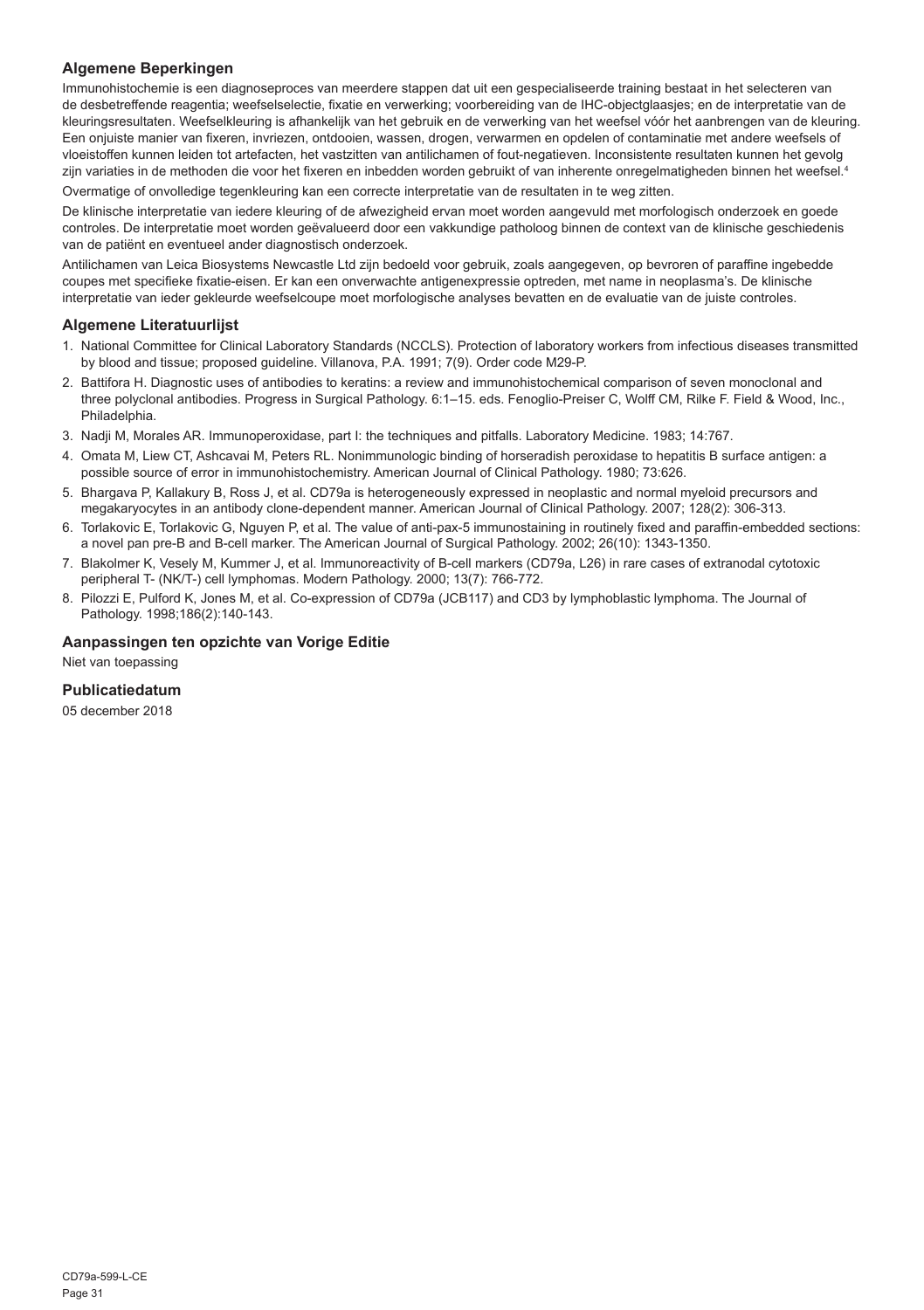#### **Algemene Beperkingen**

Immunohistochemie is een diagnoseproces van meerdere stappen dat uit een gespecialiseerde training bestaat in het selecteren van de desbetreffende reagentia; weefselselectie, fixatie en verwerking; voorbereiding van de IHC-objectglaasjes; en de interpretatie van de kleuringsresultaten. Weefselkleuring is afhankelijk van het gebruik en de verwerking van het weefsel vóór het aanbrengen van de kleuring. Een onjuiste manier van fixeren, invriezen, ontdooien, wassen, drogen, verwarmen en opdelen of contaminatie met andere weefsels of vloeistoffen kunnen leiden tot artefacten, het vastzitten van antilichamen of fout-negatieven. Inconsistente resultaten kunnen het gevolg zijn variaties in de methoden die voor het fixeren en inbedden worden gebruikt of van inherente onregelmatigheden binnen het weefsel.<sup>4</sup>

Overmatige of onvolledige tegenkleuring kan een correcte interpretatie van de resultaten in te weg zitten.

De klinische interpretatie van iedere kleuring of de afwezigheid ervan moet worden aangevuld met morfologisch onderzoek en goede controles. De interpretatie moet worden geëvalueerd door een vakkundige patholoog binnen de context van de klinische geschiedenis van de patiënt en eventueel ander diagnostisch onderzoek.

Antilichamen van Leica Biosystems Newcastle Ltd zijn bedoeld voor gebruik, zoals aangegeven, op bevroren of paraffine ingebedde coupes met specifieke fixatie-eisen. Er kan een onverwachte antigenexpressie optreden, met name in neoplasma's. De klinische interpretatie van ieder gekleurde weefselcoupe moet morfologische analyses bevatten en de evaluatie van de juiste controles.

#### **Algemene Literatuurlijst**

- 1. National Committee for Clinical Laboratory Standards (NCCLS). Protection of laboratory workers from infectious diseases transmitted by blood and tissue; proposed guideline. Villanova, P.A. 1991; 7(9). Order code M29-P.
- 2. Battifora H. Diagnostic uses of antibodies to keratins: a review and immunohistochemical comparison of seven monoclonal and three polyclonal antibodies. Progress in Surgical Pathology. 6:1–15. eds. Fenoglio-Preiser C, Wolff CM, Rilke F. Field & Wood, Inc., **Philadelphia**
- 3. Nadji M, Morales AR. Immunoperoxidase, part I: the techniques and pitfalls. Laboratory Medicine. 1983; 14:767.
- 4. Omata M, Liew CT, Ashcavai M, Peters RL. Nonimmunologic binding of horseradish peroxidase to hepatitis B surface antigen: a possible source of error in immunohistochemistry. American Journal of Clinical Pathology. 1980; 73:626.
- 5. Bhargava P, Kallakury B, Ross J, et al. CD79a is heterogeneously expressed in neoplastic and normal myeloid precursors and megakaryocytes in an antibody clone-dependent manner. American Journal of Clinical Pathology. 2007; 128(2): 306-313.
- 6. Torlakovic E, Torlakovic G, Nguyen P, et al. The value of anti-pax-5 immunostaining in routinely fixed and paraffin-embedded sections: a novel pan pre-B and B-cell marker. The American Journal of Surgical Pathology. 2002; 26(10): 1343-1350.
- 7. Blakolmer K, Vesely M, Kummer J, et al. Immunoreactivity of B-cell markers (CD79a, L26) in rare cases of extranodal cytotoxic peripheral T- (NK/T-) cell lymphomas. Modern Pathology. 2000; 13(7): 766-772.
- 8. Pilozzi E, Pulford K, Jones M, et al. Co-expression of CD79a (JCB117) and CD3 by lymphoblastic lymphoma. The Journal of Pathology. 1998;186(2):140-143.

#### **Aanpassingen ten opzichte van Vorige Editie**

Niet van toepassing

#### **Publicatiedatum**

05 december 2018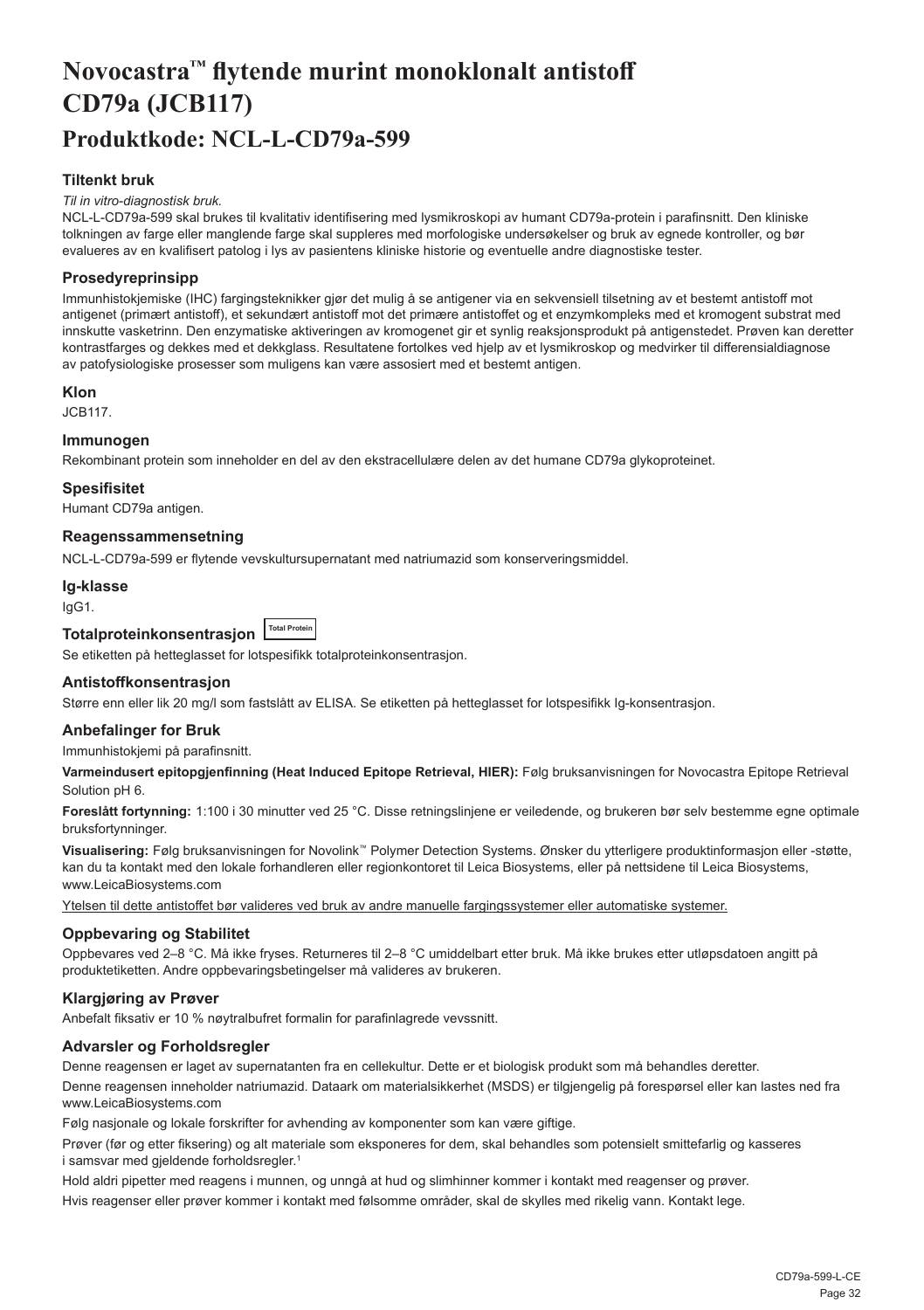## <span id="page-32-0"></span>**Novocastra™ flytende murint monoklonalt antistoff CD79a (JCB117) Produktkode: NCL-L-CD79a-599**

#### **Tiltenkt bruk**

#### *Til in vitro-diagnostisk bruk.*

NCL-L-CD79a-599 skal brukes til kvalitativ identifisering med lysmikroskopi av humant CD79a-protein i parafinsnitt. Den kliniske tolkningen av farge eller manglende farge skal suppleres med morfologiske undersøkelser og bruk av egnede kontroller, og bør evalueres av en kvalifisert patolog i lys av pasientens kliniske historie og eventuelle andre diagnostiske tester.

#### **Prosedyreprinsipp**

Immunhistokjemiske (IHC) fargingsteknikker gjør det mulig å se antigener via en sekvensiell tilsetning av et bestemt antistoff mot antigenet (primært antistoff), et sekundært antistoff mot det primære antistoffet og et enzymkompleks med et kromogent substrat med innskutte vasketrinn. Den enzymatiske aktiveringen av kromogenet gir et synlig reaksjonsprodukt på antigenstedet. Prøven kan deretter kontrastfarges og dekkes med et dekkglass. Resultatene fortolkes ved hjelp av et lysmikroskop og medvirker til differensialdiagnose av patofysiologiske prosesser som muligens kan være assosiert med et bestemt antigen.

#### **Klon**

JCB117.

#### **Immunogen**

Rekombinant protein som inneholder en del av den ekstracellulære delen av det humane CD79a glykoproteinet.

#### **Spesifisitet**

Humant CD79a antigen.

#### **Reagenssammensetning**

NCL-L-CD79a-599 er flytende vevskultursupernatant med natriumazid som konserveringsmiddel.

#### **Ig-klasse**

IgG1.

## **Totalproteinkonsentrasjon Total Protein**

Se etiketten på hetteglasset for lotspesifikk totalproteinkonsentrasjon.

#### **Antistoffkonsentrasjon**

Større enn eller lik 20 mg/l som fastslått av ELISA. Se etiketten på hetteglasset for lotspesifikk Ig-konsentrasjon.

#### **Anbefalinger for Bruk**

Immunhistokjemi på parafinsnitt.

**Varmeindusert epitopgjenfinning (Heat Induced Epitope Retrieval, HIER):** Følg bruksanvisningen for Novocastra Epitope Retrieval Solution pH 6.

**Foreslått fortynning:** 1:100 i 30 minutter ved 25 °C. Disse retningslinjene er veiledende, og brukeren bør selv bestemme egne optimale bruksfortynninger.

**Visualisering:** Følg bruksanvisningen for Novolink™ Polymer Detection Systems. Ønsker du ytterligere produktinformasjon eller -støtte, kan du ta kontakt med den lokale forhandleren eller regionkontoret til Leica Biosystems, eller på nettsidene til Leica Biosystems, www.LeicaBiosystems.com

Ytelsen til dette antistoffet bør valideres ved bruk av andre manuelle fargingssystemer eller automatiske systemer.

#### **Oppbevaring og Stabilitet**

Oppbevares ved 2–8 °C. Må ikke fryses. Returneres til 2–8 °C umiddelbart etter bruk. Må ikke brukes etter utløpsdatoen angitt på produktetiketten. Andre oppbevaringsbetingelser må valideres av brukeren.

#### **Klargjøring av Prøver**

Anbefalt fiksativ er 10 % nøytralbufret formalin for parafinlagrede vevssnitt.

#### **Advarsler og Forholdsregler**

Denne reagensen er laget av supernatanten fra en cellekultur. Dette er et biologisk produkt som må behandles deretter.

Denne reagensen inneholder natriumazid. Dataark om materialsikkerhet (MSDS) er tilgjengelig på forespørsel eller kan lastes ned fra www.LeicaBiosystems.com

Følg nasjonale og lokale forskrifter for avhending av komponenter som kan være giftige.

Prøver (før og etter fiksering) og alt materiale som eksponeres for dem, skal behandles som potensielt smittefarlig og kasseres i samsvar med gjeldende forholdsregler.<sup>1</sup>

Hold aldri pipetter med reagens i munnen, og unngå at hud og slimhinner kommer i kontakt med reagenser og prøver.

Hvis reagenser eller prøver kommer i kontakt med følsomme områder, skal de skylles med rikelig vann. Kontakt lege.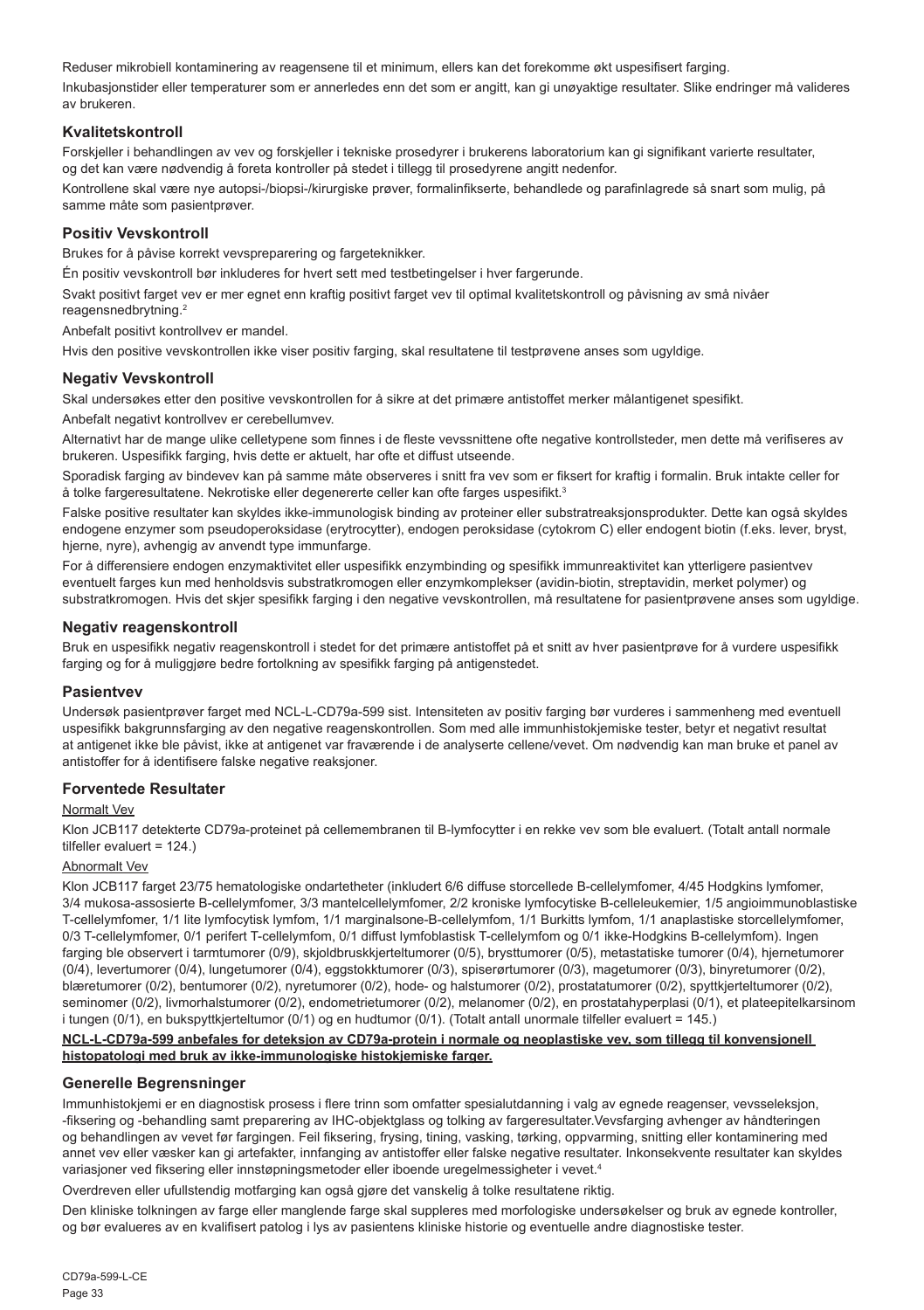Reduser mikrobiell kontaminering av reagensene til et minimum, ellers kan det forekomme økt uspesifisert farging. Inkubasjonstider eller temperaturer som er annerledes enn det som er angitt, kan gi unøyaktige resultater. Slike endringer må valideres av brukeren.

#### **Kvalitetskontroll**

Forskjeller i behandlingen av vev og forskjeller i tekniske prosedyrer i brukerens laboratorium kan gi signifikant varierte resultater, og det kan være nødvendig å foreta kontroller på stedet i tillegg til prosedyrene angitt nedenfor.

Kontrollene skal være nye autopsi-/biopsi-/kirurgiske prøver, formalinfikserte, behandlede og parafinlagrede så snart som mulig, på samme måte som pasientprøver.

#### **Positiv Vevskontroll**

Brukes for å påvise korrekt vevspreparering og fargeteknikker.

Én positiv vevskontroll bør inkluderes for hvert sett med testbetingelser i hver fargerunde.

Svakt positivt farget vev er mer egnet enn kraftig positivt farget vev til optimal kvalitetskontroll og påvisning av små nivåer reagensnedbrytning.<sup>2</sup>

Anbefalt positivt kontrollvev er mandel.

Hvis den positive vevskontrollen ikke viser positiv farging, skal resultatene til testprøvene anses som ugyldige.

#### **Negativ Vevskontroll**

Skal undersøkes etter den positive vevskontrollen for å sikre at det primære antistoffet merker målantigenet spesifikt.

Anbefalt negativt kontrollvev er cerebellumvev.

Alternativt har de mange ulike celletypene som finnes i de fleste vevssnittene ofte negative kontrollsteder, men dette må verifiseres av brukeren. Uspesifikk farging, hvis dette er aktuelt, har ofte et diffust utseende.

Sporadisk farging av bindevev kan på samme måte observeres i snitt fra vev som er fiksert for kraftig i formalin. Bruk intakte celler for å tolke fargeresultatene. Nekrotiske eller degenererte celler kan ofte farges uspesifikt.<sup>3</sup>

Falske positive resultater kan skyldes ikke-immunologisk binding av proteiner eller substratreaksjonsprodukter. Dette kan også skyldes endogene enzymer som pseudoperoksidase (erytrocytter), endogen peroksidase (cytokrom C) eller endogent biotin (f.eks. lever, bryst, hjerne, nyre), avhengig av anvendt type immunfarge.

For å differensiere endogen enzymaktivitet eller uspesifikk enzymbinding og spesifikk immunreaktivitet kan ytterligere pasientvev eventuelt farges kun med henholdsvis substratkromogen eller enzymkomplekser (avidin-biotin, streptavidin, merket polymer) og substratkromogen. Hvis det skjer spesifikk farging i den negative vevskontrollen, må resultatene for pasientprøvene anses som ugyldige.

#### **Negativ reagenskontroll**

Bruk en uspesifikk negativ reagenskontroll i stedet for det primære antistoffet på et snitt av hver pasientprøve for å vurdere uspesifikk farging og for å muliggjøre bedre fortolkning av spesifikk farging på antigenstedet.

#### **Pasientvev**

Undersøk pasientprøver farget med NCL-L-CD79a-599 sist. Intensiteten av positiv farging bør vurderes i sammenheng med eventuell uspesifikk bakgrunnsfarging av den negative reagenskontrollen. Som med alle immunhistokjemiske tester, betyr et negativt resultat at antigenet ikke ble påvist, ikke at antigenet var fraværende i de analyserte cellene/vevet. Om nødvendig kan man bruke et panel av antistoffer for å identifisere falske negative reaksjoner.

#### **Forventede Resultater**

#### Normalt Vev

Klon JCB117 detekterte CD79a-proteinet på cellemembranen til B-lymfocytter i en rekke vev som ble evaluert. (Totalt antall normale tilfeller evaluert = 124.)

#### Abnormalt Vev

Klon JCB117 farget 23/75 hematologiske ondartetheter (inkludert 6/6 diffuse storcellede B-cellelymfomer, 4/45 Hodgkins lymfomer, 3/4 mukosa-assosierte B-cellelymfomer, 3/3 mantelcellelymfomer, 2/2 kroniske lymfocytiske B-celleleukemier, 1/5 angioimmunoblastiske T-cellelymfomer, 1/1 lite lymfocytisk lymfom, 1/1 marginalsone-B-cellelymfom, 1/1 Burkitts lymfom, 1/1 anaplastiske storcellelymfomer, 0/3 T-cellelymfomer, 0/1 perifert T-cellelymfom, 0/1 diffust lymfoblastisk T-cellelymfom og 0/1 ikke-Hodgkins B-cellelymfom). Ingen farging ble observert i tarmtumorer (0/9), skjoldbruskkjerteltumorer (0/5), brysttumorer (0/5), metastatiske tumorer (0/4), hjernetumorer (0/4), levertumorer (0/4), lungetumorer (0/4), eggstokktumorer (0/3), spiserørtumorer (0/3), magetumorer (0/3), binyretumorer (0/2), blæretumorer (0/2), bentumorer (0/2), nyretumorer (0/2), hode- og halstumorer (0/2), prostatatumorer (0/2), spyttkjerteltumorer (0/2), seminomer (0/2), livmorhalstumorer (0/2), endometrietumorer (0/2), melanomer (0/2), en prostatahyperplasi (0/1), et plateepitelkarsinom i tungen (0/1), en bukspyttkjerteltumor (0/1) og en hudtumor (0/1). (Totalt antall unormale tilfeller evaluert = 145.)

#### **NCL-L-CD79a-599 anbefales for deteksjon av CD79a-protein i normale og neoplastiske vev, som tillegg til konvensjonell histopatologi med bruk av ikke-immunologiske histokjemiske farger.**

#### **Generelle Begrensninger**

Immunhistokjemi er en diagnostisk prosess i flere trinn som omfatter spesialutdanning i valg av egnede reagenser, vevsseleksjon, -fiksering og -behandling samt preparering av IHC-objektglass og tolking av fargeresultater.Vevsfarging avhenger av håndteringen og behandlingen av vevet før fargingen. Feil fiksering, frysing, tining, vasking, tørking, oppvarming, snitting eller kontaminering med annet vev eller væsker kan gi artefakter, innfanging av antistoffer eller falske negative resultater. Inkonsekvente resultater kan skyldes variasjoner ved fiksering eller innstøpningsmetoder eller iboende uregelmessigheter i vevet.4

Overdreven eller ufullstendig motfarging kan også gjøre det vanskelig å tolke resultatene riktig.

Den kliniske tolkningen av farge eller manglende farge skal suppleres med morfologiske undersøkelser og bruk av egnede kontroller, og bør evalueres av en kvalifisert patolog i lys av pasientens kliniske historie og eventuelle andre diagnostiske tester.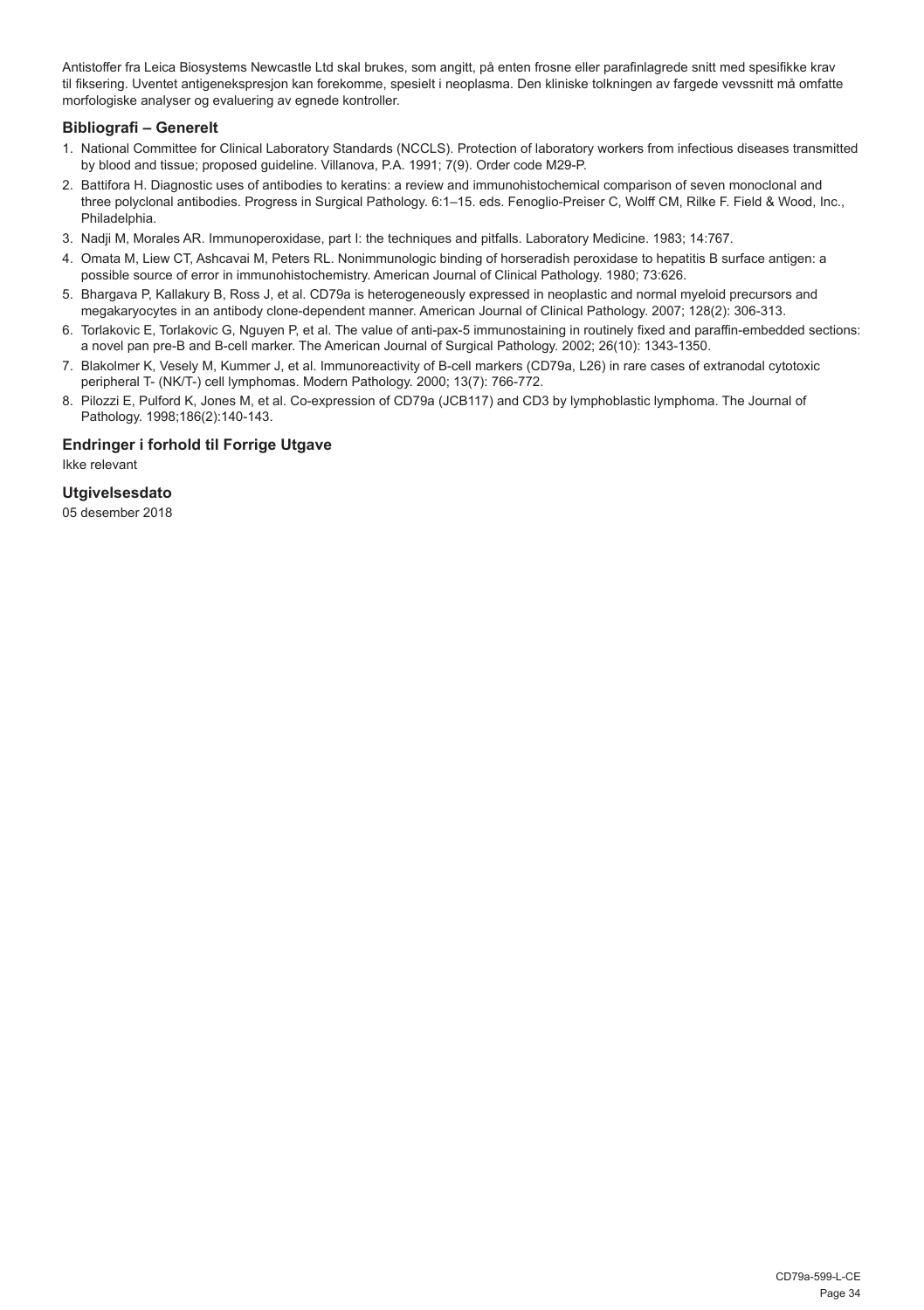Antistoffer fra Leica Biosystems Newcastle Ltd skal brukes, som angitt, på enten frosne eller parafinlagrede snitt med spesifikke krav til fiksering. Uventet antigenekspresjon kan forekomme, spesielt i neoplasma. Den kliniske tolkningen av fargede vevssnitt må omfatte morfologiske analyser og evaluering av egnede kontroller.

#### **Bibliografi – Generelt**

- 1. National Committee for Clinical Laboratory Standards (NCCLS). Protection of laboratory workers from infectious diseases transmitted by blood and tissue; proposed guideline. Villanova, P.A. 1991; 7(9). Order code M29-P.
- 2. Battifora H. Diagnostic uses of antibodies to keratins: a review and immunohistochemical comparison of seven monoclonal and three polyclonal antibodies. Progress in Surgical Pathology. 6:1–15. eds. Fenoglio-Preiser C, Wolff CM, Rilke F. Field & Wood, Inc., Philadelphia.
- 3. Nadji M, Morales AR. Immunoperoxidase, part I: the techniques and pitfalls. Laboratory Medicine. 1983; 14:767.
- 4. Omata M, Liew CT, Ashcavai M, Peters RL. Nonimmunologic binding of horseradish peroxidase to hepatitis B surface antigen: a possible source of error in immunohistochemistry. American Journal of Clinical Pathology. 1980; 73:626.
- 5. Bhargava P, Kallakury B, Ross J, et al. CD79a is heterogeneously expressed in neoplastic and normal myeloid precursors and megakaryocytes in an antibody clone-dependent manner. American Journal of Clinical Pathology. 2007; 128(2): 306-313.
- 6. Torlakovic E, Torlakovic G, Nguyen P, et al. The value of anti-pax-5 immunostaining in routinely fixed and paraffin-embedded sections: a novel pan pre-B and B-cell marker. The American Journal of Surgical Pathology. 2002; 26(10): 1343-1350.
- 7. Blakolmer K, Vesely M, Kummer J, et al. Immunoreactivity of B-cell markers (CD79a, L26) in rare cases of extranodal cytotoxic peripheral T- (NK/T-) cell lymphomas. Modern Pathology. 2000; 13(7): 766-772.
- 8. Pilozzi E, Pulford K, Jones M, et al. Co-expression of CD79a (JCB117) and CD3 by lymphoblastic lymphoma. The Journal of Pathology. 1998;186(2):140-143.

#### **Endringer i forhold til Forrige Utgave**

Ikke relevant

#### **Utgivelsesdato**

05 desember 2018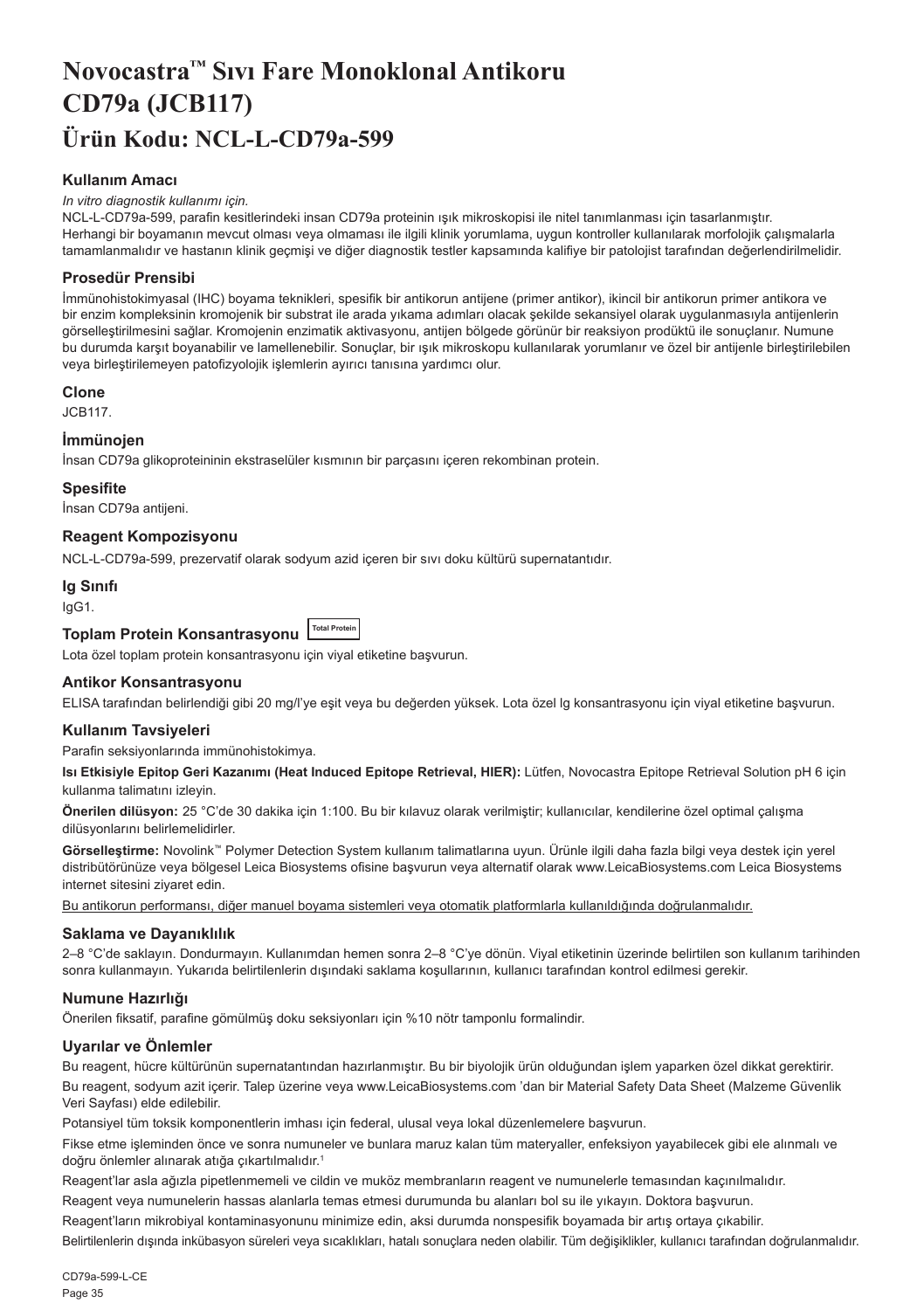## <span id="page-35-0"></span>**Novocastra™ Sıvı Fare Monoklonal Antikoru CD79a (JCB117) Ürün Kodu: NCL-L-CD79a-599**

#### **Kullanım Amacı**

#### *In vitro diagnostik kullanımı için.*

NCL-L-CD79a-599, parafin kesitlerindeki insan CD79a proteinin ışık mikroskopisi ile nitel tanımlanması için tasarlanmıştır. Herhangi bir boyamanın mevcut olması veya olmaması ile ilgili klinik yorumlama, uygun kontroller kullanılarak morfolojik çalışmalarla tamamlanmalıdır ve hastanın klinik geçmişi ve diğer diagnostik testler kapsamında kalifiye bir patolojist tarafından değerlendirilmelidir.

#### **Prosedür Prensibi**

İmmünohistokimyasal (IHC) boyama teknikleri, spesifik bir antikorun antijene (primer antikor), ikincil bir antikorun primer antikora ve bir enzim kompleksinin kromojenik bir substrat ile arada yıkama adımları olacak şekilde sekansiyel olarak uygulanmasıyla antijenlerin görselleştirilmesini sağlar. Kromojenin enzimatik aktivasyonu, antijen bölgede görünür bir reaksiyon prodüktü ile sonuçlanır. Numune bu durumda karşıt boyanabilir ve lamellenebilir. Sonuçlar, bir ışık mikroskopu kullanılarak yorumlanır ve özel bir antijenle birleştirilebilen veya birleştirilemeyen patofizyolojik işlemlerin ayırıcı tanısına yardımcı olur.

#### **Clone**

JCB117.

#### **İmmünojen**

İnsan CD79a glikoproteininin ekstraselüler kısmının bir parçasını içeren rekombinan protein.

#### **Spesifite**

İnsan CD79a antijeni.

#### **Reagent Kompozisyonu**

NCL-L-CD79a-599, prezervatif olarak sodyum azid içeren bir sıvı doku kültürü supernatantıdır.

#### **Ig Sınıfı**

IgG1.

## **Toplam Protein Konsantrasyonu Total Protein**

Lota özel toplam protein konsantrasyonu için viyal etiketine başvurun.

#### **Antikor Konsantrasyonu**

ELISA tarafından belirlendiği gibi 20 mg/l'ye eşit veya bu değerden yüksek. Lota özel lg konsantrasyonu için viyal etiketine başvurun.

#### **Kullanım Tavsiyeleri**

Parafin seksiyonlarında immünohistokimya.

**Isı Etkisiyle Epitop Geri Kazanımı (Heat Induced Epitope Retrieval, HIER):** Lütfen, Novocastra Epitope Retrieval Solution pH 6 için kullanma talimatını izleyin.

**Önerilen dilüsyon:** 25 °C'de 30 dakika için 1:100. Bu bir kılavuz olarak verilmiştir; kullanıcılar, kendilerine özel optimal çalışma dilüsyonlarını belirlemelidirler.

**Görselleştirme:** Novolink™ Polymer Detection System kullanım talimatlarına uyun. Ürünle ilgili daha fazla bilgi veya destek için yerel distribütörünüze veya bölgesel Leica Biosystems ofisine başvurun veya alternatif olarak www.LeicaBiosystems.com Leica Biosystems internet sitesini ziyaret edin.

Bu antikorun performansı, diğer manuel boyama sistemleri veya otomatik platformlarla kullanıldığında doğrulanmalıdır.

#### **Saklama ve Dayanıklılık**

2–8 °C'de saklayın. Dondurmayın. Kullanımdan hemen sonra 2–8 °C'ye dönün. Viyal etiketinin üzerinde belirtilen son kullanım tarihinden sonra kullanmayın. Yukarıda belirtilenlerin dışındaki saklama koşullarının, kullanıcı tarafından kontrol edilmesi gerekir.

#### **Numune Hazırlığı**

Önerilen fiksatif, parafine gömülmüş doku seksiyonları için %10 nötr tamponlu formalindir.

#### **Uyarılar ve Önlemler**

Bu reagent, hücre kültürünün supernatantından hazırlanmıştır. Bu bir biyolojik ürün olduğundan işlem yaparken özel dikkat gerektirir.

Bu reagent, sodyum azit içerir. Talep üzerine veya www.LeicaBiosystems.com 'dan bir Material Safety Data Sheet (Malzeme Güvenlik Veri Sayfası) elde edilebilir.

Potansiyel tüm toksik komponentlerin imhası için federal, ulusal veya lokal düzenlemelere başvurun.

Fikse etme işleminden önce ve sonra numuneler ve bunlara maruz kalan tüm materyaller, enfeksiyon yayabilecek gibi ele alınmalı ve doğru önlemler alınarak atığa çıkartılmalıdır.<sup>1</sup>

Reagent'lar asla ağızla pipetlenmemeli ve cildin ve muköz membranların reagent ve numunelerle temasından kaçınılmalıdır.

Reagent veya numunelerin hassas alanlarla temas etmesi durumunda bu alanları bol su ile yıkayın. Doktora başvurun.

Reagent'ların mikrobiyal kontaminasyonunu minimize edin, aksi durumda nonspesifik boyamada bir artış ortaya çıkabilir.

Belirtilenlerin dışında inkübasyon süreleri veya sıcaklıkları, hatalı sonuçlara neden olabilir. Tüm değişiklikler, kullanıcı tarafından doğrulanmalıdır.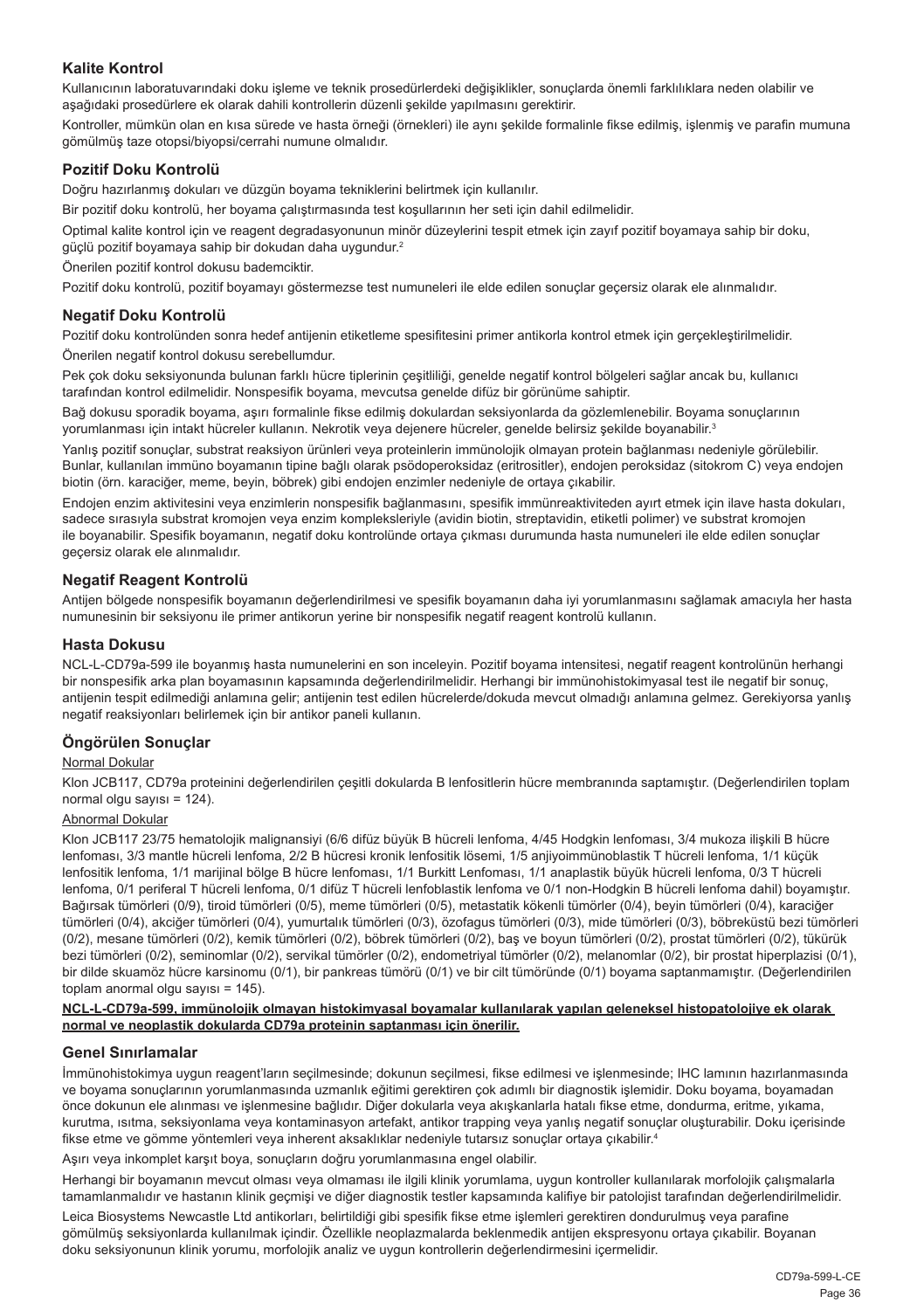#### **Kalite Kontrol**

Kullanıcının laboratuvarındaki doku işleme ve teknik prosedürlerdeki değişiklikler, sonuçlarda önemli farklılıklara neden olabilir ve aşağıdaki prosedürlere ek olarak dahili kontrollerin düzenli şekilde yapılmasını gerektirir.

Kontroller, mümkün olan en kısa sürede ve hasta örneği (örnekleri) ile aynı şekilde formalinle fikse edilmiş, işlenmiş ve parafin mumuna gömülmüş taze otopsi/biyopsi/cerrahi numune olmalıdır.

#### **Pozitif Doku Kontrolü**

Doğru hazırlanmış dokuları ve düzgün boyama tekniklerini belirtmek için kullanılır.

Bir pozitif doku kontrolü, her boyama çalıştırmasında test koşullarının her seti için dahil edilmelidir.

Optimal kalite kontrol için ve reagent degradasyonunun minör düzeylerini tespit etmek için zayıf pozitif boyamaya sahip bir doku, güçlü pozitif boyamaya sahip bir dokudan daha uygundur.<sup>2</sup>

Önerilen pozitif kontrol dokusu bademciktir.

Pozitif doku kontrolü, pozitif boyamayı göstermezse test numuneleri ile elde edilen sonuçlar geçersiz olarak ele alınmalıdır.

#### **Negatif Doku Kontrolü**

Pozitif doku kontrolünden sonra hedef antijenin etiketleme spesifitesini primer antikorla kontrol etmek için gerçekleştirilmelidir. Önerilen negatif kontrol dokusu serebellumdur.

Pek çok doku seksiyonunda bulunan farklı hücre tiplerinin çeşitliliği, genelde negatif kontrol bölgeleri sağlar ancak bu, kullanıcı tarafından kontrol edilmelidir. Nonspesifik boyama, mevcutsa genelde difüz bir görünüme sahiptir.

Bağ dokusu sporadik boyama, aşırı formalinle fikse edilmiş dokulardan seksiyonlarda da gözlemlenebilir. Boyama sonuçlarının yorumlanması için intakt hücreler kullanın. Nekrotik veya dejenere hücreler, genelde belirsiz şekilde boyanabilir.<sup>3</sup>

Yanlış pozitif sonuçlar, substrat reaksiyon ürünleri veya proteinlerin immünolojik olmayan protein bağlanması nedeniyle görülebilir. Bunlar, kullanılan immüno boyamanın tipine bağlı olarak psödoperoksidaz (eritrositler), endojen peroksidaz (sitokrom C) veya endojen biotin (örn. karaciğer, meme, beyin, böbrek) gibi endojen enzimler nedeniyle de ortaya çıkabilir.

Endojen enzim aktivitesini veya enzimlerin nonspesifik bağlanmasını, spesifik immünreaktiviteden ayırt etmek için ilave hasta dokuları, sadece sırasıyla substrat kromojen veya enzim kompleksleriyle (avidin biotin, streptavidin, etiketli polimer) ve substrat kromojen ile boyanabilir. Spesifik boyamanın, negatif doku kontrolünde ortaya çıkması durumunda hasta numuneleri ile elde edilen sonuçlar geçersiz olarak ele alınmalıdır.

#### **Negatif Reagent Kontrolü**

Antijen bölgede nonspesifik boyamanın değerlendirilmesi ve spesifik boyamanın daha iyi yorumlanmasını sağlamak amacıyla her hasta numunesinin bir seksiyonu ile primer antikorun yerine bir nonspesifik negatif reagent kontrolü kullanın.

#### **Hasta Dokusu**

NCL-L-CD79a-599 ile boyanmış hasta numunelerini en son inceleyin. Pozitif boyama intensitesi, negatif reagent kontrolünün herhangi bir nonspesifik arka plan boyamasının kapsamında değerlendirilmelidir. Herhangi bir immünohistokimyasal test ile negatif bir sonuç, antijenin tespit edilmediği anlamına gelir; antijenin test edilen hücrelerde/dokuda mevcut olmadığı anlamına gelmez. Gerekiyorsa yanlış negatif reaksiyonları belirlemek için bir antikor paneli kullanın.

#### **Öngörülen Sonuçlar**

#### Normal Dokular

Klon JCB117, CD79a proteinini değerlendirilen çeşitli dokularda B lenfositlerin hücre membranında saptamıştır. (Değerlendirilen toplam normal olgu sayısı =  $124$ ).

#### Abnormal Dokular

Klon JCB117 23/75 hematolojik malignansiyi (6/6 difüz büyük B hücreli lenfoma, 4/45 Hodgkin lenfoması, 3/4 mukoza ilişkili B hücre lenfoması, 3/3 mantle hücreli lenfoma, 2/2 B hücresi kronik lenfositik lösemi, 1/5 anjiyoimmünoblastik T hücreli lenfoma, 1/1 küçük lenfositik lenfoma, 1/1 marijinal bölge B hücre lenfoması, 1/1 Burkitt Lenfoması, 1/1 anaplastik büyük hücreli lenfoma, 0/3 T hücreli lenfoma, 0/1 periferal T hücreli lenfoma, 0/1 difüz T hücreli lenfoblastik lenfoma ve 0/1 non-Hodgkin B hücreli lenfoma dahil) boyamıştır. Bağırsak tümörleri (0/9), tiroid tümörleri (0/5), meme tümörleri (0/5), metastatik kökenli tümörler (0/4), beyin tümörleri (0/4), karaciğer tümörleri (0/4), akciğer tümörleri (0/4), yumurtalık tümörleri (0/3), özofagus tümörleri (0/3), mide tümörleri (0/3), böbreküstü bezi tümörleri (0/2), mesane tümörleri (0/2), kemik tümörleri (0/2), böbrek tümörleri (0/2), baş ve boyun tümörleri (0/2), prostat tümörleri (0/2), tükürük bezi tümörleri (0/2), seminomlar (0/2), servikal tümörler (0/2), endometriyal tümörler (0/2), melanomlar (0/2), bir prostat hiperplazisi (0/1), bir dilde skuamöz hücre karsinomu (0/1), bir pankreas tümörü (0/1) ve bir cilt tümöründe (0/1) boyama saptanmamıştır. (Değerlendirilen toplam anormal olgu sayısı = 145).

#### **NCL-L-CD79a-599, immünolojik olmayan histokimyasal boyamalar kullanılarak yapılan geleneksel histopatolojiye ek olarak normal ve neoplastik dokularda CD79a proteinin saptanması için önerilir.**

#### **Genel Sınırlamalar**

İmmünohistokimya uygun reagent'ların seçilmesinde; dokunun seçilmesi, fikse edilmesi ve işlenmesinde; IHC lamının hazırlanmasında ve boyama sonuçlarının yorumlanmasında uzmanlık eğitimi gerektiren çok adımlı bir diagnostik işlemidir. Doku boyama, boyamadan önce dokunun ele alınması ve işlenmesine bağlıdır. Diğer dokularla veya akışkanlarla hatalı fikse etme, dondurma, eritme, yıkama, kurutma, ısıtma, seksiyonlama veya kontaminasyon artefakt, antikor trapping veya yanlış negatif sonuçlar oluşturabilir. Doku içerisinde fikse etme ve gömme yöntemleri veya inherent aksaklıklar nedeniyle tutarsız sonuçlar ortaya çıkabilir. 4

Aşırı veya inkomplet karşıt boya, sonuçların doğru yorumlanmasına engel olabilir.

Herhangi bir boyamanın mevcut olması veya olmaması ile ilgili klinik yorumlama, uygun kontroller kullanılarak morfolojik çalışmalarla tamamlanmalıdır ve hastanın klinik geçmişi ve diğer diagnostik testler kapsamında kalifiye bir patolojist tarafından değerlendirilmelidir.

Leica Biosystems Newcastle Ltd antikorları, belirtildiği gibi spesifik fikse etme işlemleri gerektiren dondurulmuş veya parafine gömülmüş seksiyonlarda kullanılmak içindir. Özellikle neoplazmalarda beklenmedik antijen ekspresyonu ortaya çıkabilir. Boyanan doku seksiyonunun klinik yorumu, morfolojik analiz ve uygun kontrollerin değerlendirmesini içermelidir.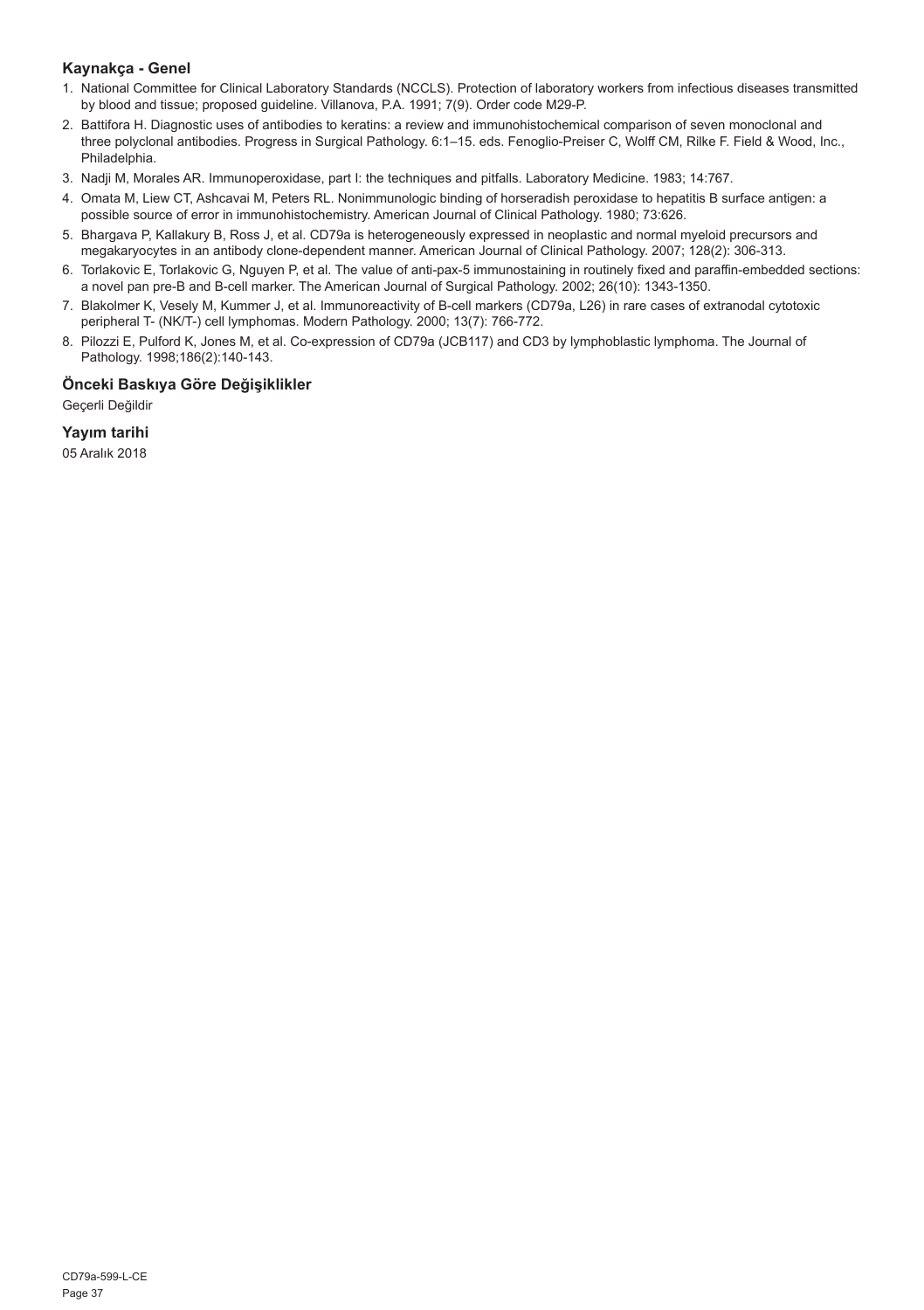#### **Kaynakça - Genel**

- 1. National Committee for Clinical Laboratory Standards (NCCLS). Protection of laboratory workers from infectious diseases transmitted by blood and tissue; proposed guideline. Villanova, P.A. 1991; 7(9). Order code M29-P.
- 2. Battifora H. Diagnostic uses of antibodies to keratins: a review and immunohistochemical comparison of seven monoclonal and three polyclonal antibodies. Progress in Surgical Pathology. 6:1–15. eds. Fenoglio-Preiser C, Wolff CM, Rilke F. Field & Wood, Inc., Philadelphia.
- 3. Nadji M, Morales AR. Immunoperoxidase, part I: the techniques and pitfalls. Laboratory Medicine. 1983; 14:767.
- 4. Omata M, Liew CT, Ashcavai M, Peters RL. Nonimmunologic binding of horseradish peroxidase to hepatitis B surface antigen: a possible source of error in immunohistochemistry. American Journal of Clinical Pathology. 1980; 73:626.
- 5. Bhargava P, Kallakury B, Ross J, et al. CD79a is heterogeneously expressed in neoplastic and normal myeloid precursors and megakaryocytes in an antibody clone-dependent manner. American Journal of Clinical Pathology. 2007; 128(2): 306-313.
- 6. Torlakovic E, Torlakovic G, Nguyen P, et al. The value of anti-pax-5 immunostaining in routinely fixed and paraffin-embedded sections: a novel pan pre-B and B-cell marker. The American Journal of Surgical Pathology. 2002; 26(10): 1343-1350.
- 7. Blakolmer K, Vesely M, Kummer J, et al. Immunoreactivity of B-cell markers (CD79a, L26) in rare cases of extranodal cytotoxic peripheral T- (NK/T-) cell lymphomas. Modern Pathology. 2000; 13(7): 766-772.
- 8. Pilozzi E, Pulford K, Jones M, et al. Co-expression of CD79a (JCB117) and CD3 by lymphoblastic lymphoma. The Journal of Pathology. 1998;186(2):140-143.

### **Önceki Baskıya Göre Değişiklikler**

Geçerli Değildir

**Yayım tarihi**

05 Aralık 2018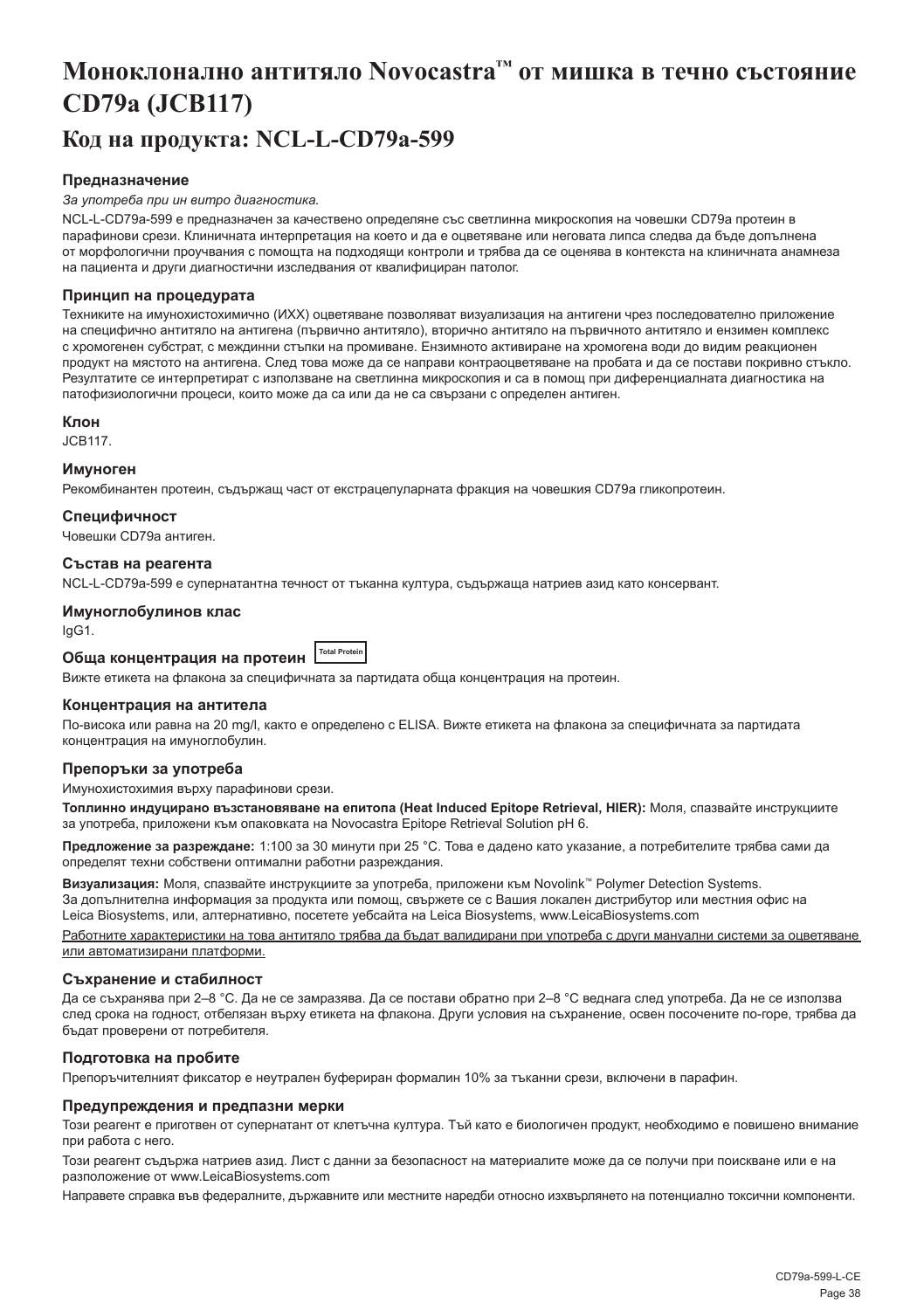## <span id="page-38-0"></span>**Моноклонално антитяло Novocastra™ от мишка в течно състояние CD79a (JCB117)**

### **Код на продукта: NCL-L-CD79a-599**

#### **Предназначение**

#### *За употреба при ин витро диагностика.*

NCL-L-CD79a-599 е предназначен за качествено определяне със светлинна микроскопия на човешки CD79a протеин в парафинови срези. Клиничната интерпретация на което и да е оцветяване или неговата липса следва да бъде допълнена от морфологични проучвания с помощта на подходящи контроли и трябва да се оценява в контекста на клиничната анамнеза на пациента и други диагностични изследвания от квалифициран патолог.

#### **Принцип на процедурата**

Техниките на имунохистохимично (ИХХ) оцветяване позволяват визуализация на антигени чрез последователно приложение на специфично антитяло на антигена (първично антитяло), вторично антитяло на първичното антитяло и ензимен комплекс с хромогенен субстрат, с междинни стъпки на промиване. Ензимното активиране на хромогена води до видим реакционен продукт на мястото на антигена. След това може да се направи контраоцветяване на пробата и да се постави покривно стъкло. Резултатите се интерпретират с използване на светлинна микроскопия и са в помощ при диференциалната диагностика на патофизиологични процеси, които може да са или да не са свързани с определен антиген.

#### **Клон**

JCB117.

#### **Имуноген**

Рекомбинантен протеин, съдържащ част от екстрацелуларната фракция на човешкия CD79a гликопротеин.

#### **Специфичност**

Човешки CD79a антиген.

#### **Състав на реагента**

NCL-L-CD79a-599 е супернатантна течност от тъканна култура, съдържаща натриев азид като консервант.

#### **Имуноглобулинов клас**

IgG1.

**Обща концентрация на протеин Total Protein**

Вижте етикета на флакона за специфичната за партидата обща концентрация на протеин.

#### **Концентрация на антитела**

По-висока или равна на 20 mg/l, както е определено с ELISA. Вижте етикета на флакона за специфичната за партидата концентрация на имуноглобулин.

#### **Препоръки за употреба**

#### Имунохистохимия върху парафинови срези.

**Топлинно индуцирано възстановяване на епитопа (Heat Induced Epitope Retrieval, HIER):** Моля, спазвайте инструкциите за употреба, приложени към опаковката на Novocastra Epitope Retrieval Solution pH 6.

**Предложение за разреждане:** 1:100 за 30 минути при 25 °C. Това е дадено като указание, а потребителите трябва сами да определят техни собствени оптимални работни разреждания.

**Визуализация:** Моля, спазвайте инструкциите за употреба, приложени към Novolink™ Polymer Detection Systems. За допълнителна информация за продукта или помощ, свържете се с Вашия локален дистрибутор или местния офис на Leica Biosystems, или, алтернативно, посетете уебсайта на Leica Biosystems, www.LeicaBiosystems.com

Работните характеристики на това антитяло трябва да бъдат валидирани при употреба с други мануални системи за оцветяване или автоматизирани платформи.

#### **Съхранение и стабилност**

Да се съхранява при 2–8 °C. Да не се замразява. Да се постави обратно при 2–8 °C веднага след употреба. Да не се използва след срока на годност, отбелязан върху етикета на флакона. Други условия на съхранение, освен посочените по-горе, трябва да бъдат проверени от потребителя.

#### **Подготовка на пробите**

Препоръчителният фиксатор е неутрален буфериран формалин 10% за тъканни срези, включени в парафин.

#### **Предупреждения и предпазни мерки**

Този реагент е приготвен от супернатант от клетъчна култура. Тъй като е биологичен продукт, необходимо е повишено внимание при работа с него.

Този реагент съдържа натриев азид. Лист с данни за безопасност на материалите може да се получи при поискване или е на разположение от www.LeicaBiosystems.com

Направете справка във федералните, държавните или местните наредби относно изхвърлянето на потенциално токсични компоненти.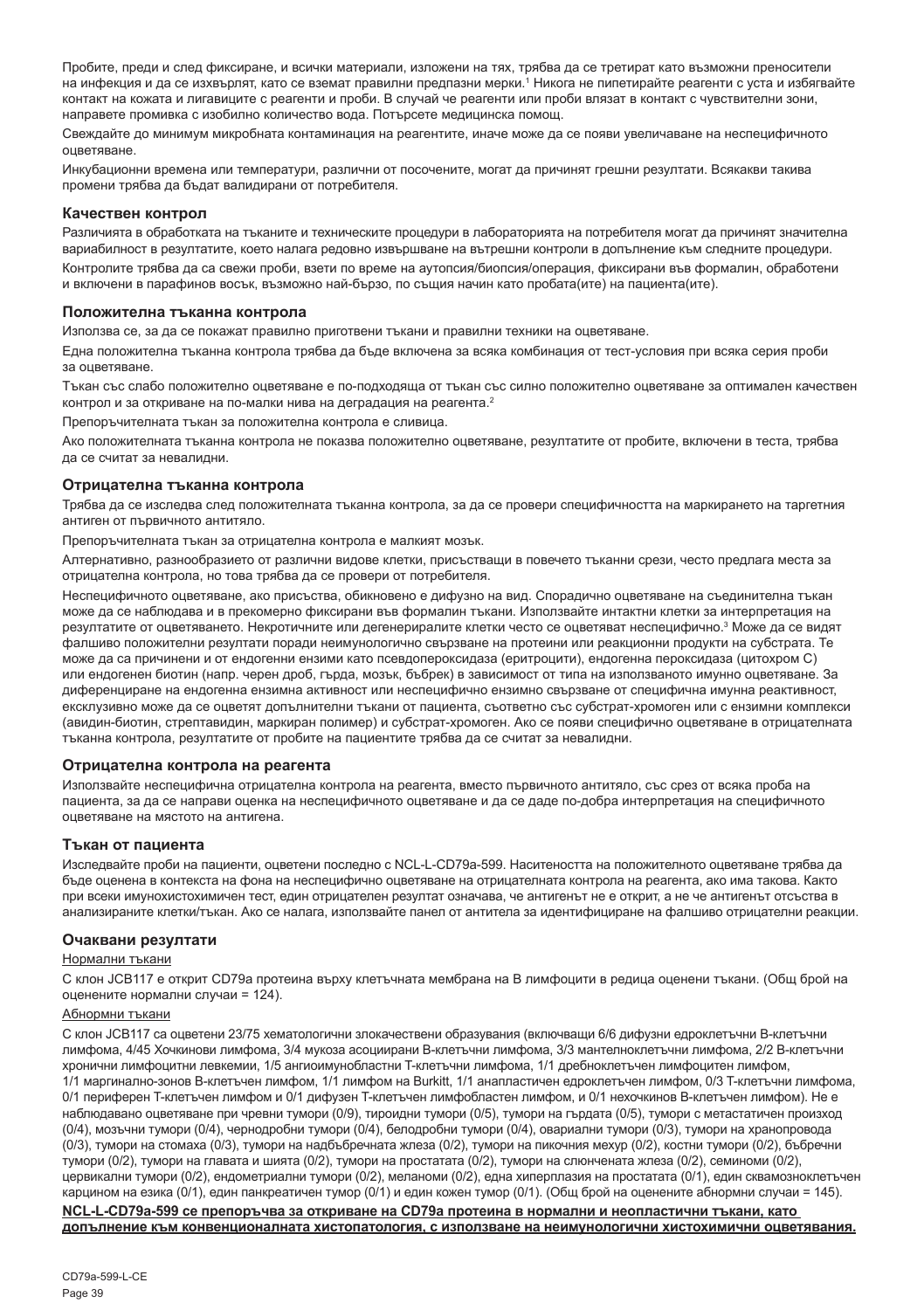Пробите, преди и след фиксиране, и всички материали, изложени на тях, трябва да се третират като възможни преносители на инфекция и да се изхвърлят, като се вземат правилни предпазни мерки.<sup>1</sup> Никога не пипетирайте реагенти с уста и избягвайте контакт на кожата и лигавиците с реагенти и проби. В случай че реагенти или проби влязат в контакт с чувствителни зони, направете промивка с изобилно количество вода. Потърсете медицинска помощ.

Свеждайте до минимум микробната контаминация на реагентите, иначе може да се появи увеличаване на неспецифичното оцветяване.

Инкубационни времена или температури, различни от посочените, могат да причинят грешни резултати. Всякакви такива промени трябва да бъдат валидирани от потребителя.

#### **Качествен контрол**

Различията в обработката на тъканите и техническите процедури в лабораторията на потребителя могат да причинят значителна вариабилност в резултатите, което налага редовно извършване на вътрешни контроли в допълнение към следните процедури. Контролите трябва да са свежи проби, взети по време на аутопсия/биопсия/операция, фиксирани във формалин, обработени и включени в парафинов восък, възможно най-бързо, по същия начин като пробата(ите) на пациента(ите).

#### **Положителна тъканна контрола**

Използва се, за да се покажат правилно приготвени тъкани и правилни техники на оцветяване.

Една положителна тъканна контрола трябва да бъде включена за всяка комбинация от тест-условия при всяка серия проби за оцветяване.

Тъкан със слабо положително оцветяване е по-подходяща от тъкан със силно положително оцветяване за оптимален качествен контрол и за откриване на по-малки нива на деградация на реагента.<sup>2</sup>

Препоръчителната тъкан за положителна контрола е сливица.

Ако положителната тъканна контрола не показва положително оцветяване, резултатите от пробите, включени в теста, трябва да се считат за невалидни.

#### **Отрицателна тъканна контрола**

Трябва да се изследва след положителната тъканна контрола, за да се провери специфичността на маркирането на таргетния антиген от първичното антитяло.

Препоръчителната тъкан за отрицателна контрола е малкият мозък.

Алтернативно, разнообразието от различни видове клетки, присъстващи в повечето тъканни срези, често предлага места за отрицателна контрола, но това трябва да се провери от потребителя.

Неспецифичното оцветяване, ако присъства, обикновено е дифузно на вид. Спорадично оцветяване на съединителна тъкан може да се наблюдава и в прекомерно фиксирани във формалин тъкани. Използвайте интактни клетки за интерпретация на резултатите от оцветяването. Некротичните или дегенериралите клетки често се оцветяват неспецифично.<sup>з</sup> Може да се видят фалшиво положителни резултати поради неимунологично свързване на протеини или реакционни продукти на субстрата. Те може да са причинени и от ендогенни ензими като псевдопероксидаза (еритроцити), ендогенна пероксидаза (цитохром C) или ендогенен биотин (напр. черен дроб, гърда, мозък, бъбрек) в зависимост от типа на използваното имунно оцветяване. За диференциране на ендогенна ензимна активност или неспецифично ензимно свързване от специфична имунна реактивност, ексклузивно може да се оцветят допълнителни тъкани от пациента, съответно със субстрат-хромоген или с ензимни комплекси (авидин-биотин, стрептавидин, маркиран полимер) и субстрат-хромоген. Ако се появи специфично оцветяване в отрицателната тъканна контрола, резултатите от пробите на пациентите трябва да се считат за невалидни.

#### **Отрицателна контрола на реагента**

Използвайте неспецифична отрицателна контрола на реагента, вместо първичното антитяло, със срез от всяка проба на пациента, за да се направи оценка на неспецифичното оцветяване и да се даде по-добра интерпретация на специфичното оцветяване на мястото на антигена.

#### **Тъкан от пациента**

Изследвайте проби на пациенти, оцветени последно с NCL-L-CD79a-599. Наситеността на положителното оцветяване трябва да бъде оценена в контекста на фона на неспецифично оцветяване на отрицателната контрола на реагента, ако има такова. Както при всеки имунохистохимичен тест, един отрицателен резултат означава, че антигенът не е открит, а не че антигенът отсъства в анализираните клетки/тъкан. Ако се налага, използвайте панел от антитела за идентифициране на фалшиво отрицателни реакции.

#### **Очаквани резултати**

#### Нормални тъкани

С клон JCB117 е открит CD79a протеина върху клетъчната мембрана на B лимфоцити в редица оценени тъкани. (Общ брой на оценените нормални случаи = 124).

#### Абнормни тъкани

С клон JCB117 са оцветени 23/75 хематологични злокачествени образувания (включващи 6/6 дифузни едроклетъчни B-клетъчни лимфома, 4/45 Хочкинови лимфома, 3/4 мукоза асоциирани B-клетъчни лимфома, 3/3 мантелноклетъчни лимфома, 2/2 B-клетъчни хронични лимфоцитни левкемии, 1/5 ангиоимунобластни T-клетъчни лимфома, 1/1 дребноклетъчен лимфоцитен лимфом, 1/1 маргинално-зонов B-клетъчен лимфом, 1/1 лимфом на Burkitt, 1/1 анапластичен едроклетъчен лимфом, 0/3 T-клетъчни лимфома, 0/1 периферен T-клетъчен лимфом и 0/1 дифузен T-клетъчен лимфобластен лимфом, и 0/1 нехочкинов B-клетъчен лимфом). Не е наблюдавано оцветяване при чревни тумори (0/9), тироидни тумори (0/5), тумори на гърдата (0/5), тумори с метастатичен произход (0/4), мозъчни тумори (0/4), чернодробни тумори (0/4), белодробни тумори (0/4), овариални тумори (0/3), тумори на хранопровода (0/3), тумори на стомаха (0/3), тумори на надбъбречната жлеза (0/2), тумори на пикочния мехур (0/2), костни тумори (0/2), бъбречни тумори (0/2), тумори на главата и шията (0/2), тумори на простатата (0/2), тумори на слюнчената жлеза (0/2), семиноми (0/2), цервикални тумори (0/2), ендометриални тумори (0/2), меланоми (0/2), една хиперплазия на простатата (0/1), един сквамозноклетъчен карцином на езика (0/1), един панкреатичен тумор (0/1) и един кожен тумор (0/1). (Общ брой на оценените абнормни случаи = 145). **NCL-L-CD79a-599 се препоръчва за откриване на CD79a протеина в нормални и неопластични тъкани, като допълнение към конвенционалната хистопатология, с използване на неимунологични хистохимични оцветявания.**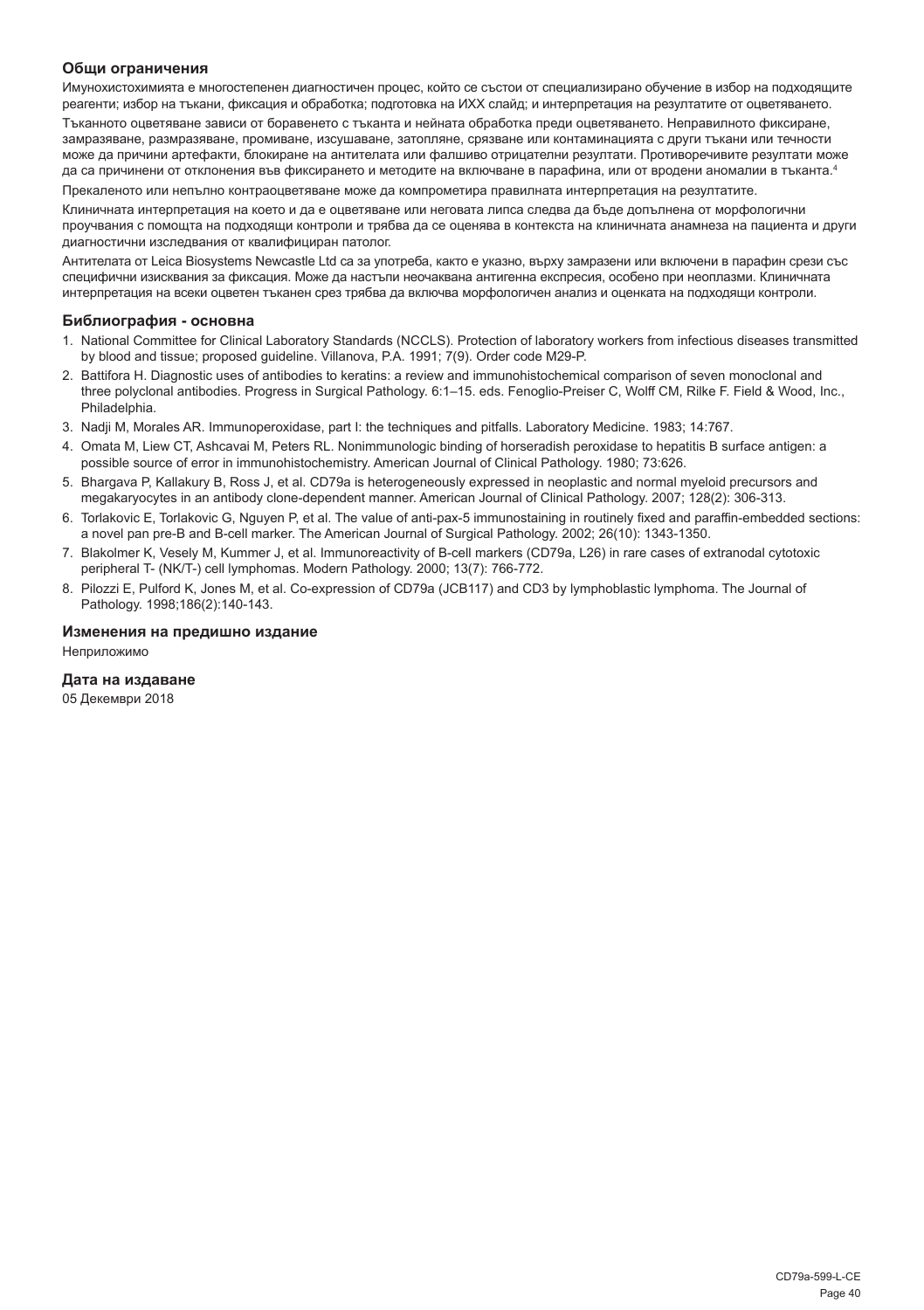#### **Общи ограничения**

Имунохистохимията е многостепенен диагностичен процес, който се състои от специализирано обучение в избор на подходящите реагенти; избор на тъкани, фиксация и обработка; подготовка на ИХХ слайд; и интерпретация на резултатите от оцветяването.

Тъканното оцветяване зависи от боравенето с тъканта и нейната обработка преди оцветяването. Неправилното фиксиране, замразяване, размразяване, промиване, изсушаване, затопляне, срязване или контаминацията с други тъкани или течности може да причини артефакти, блокиране на антителата или фалшиво отрицателни резултати. Противоречивите резултати може да са причинени от отклонения във фиксирането и методите на включване в парафина, или от вродени аномалии в тъканта.4

Прекаленото или непълно контраоцветяване може да компрометира правилната интерпретация на резултатите.

Клиничната интерпретация на което и да е оцветяване или неговата липса следва да бъде допълнена от морфологични проучвания с помощта на подходящи контроли и трябва да се оценява в контекста на клиничната анамнеза на пациента и други диагностични изследвания от квалифициран патолог.

Антителата от Leica Biosystems Newcastle Ltd са за употреба, както е указно, върху замразени или включени в парафин срези със специфични изисквания за фиксация. Може да настъпи неочаквана антигенна експресия, особено при неоплазми. Клиничната интерпретация на всеки оцветен тъканен срез трябва да включва морфологичен анализ и оценката на подходящи контроли.

#### **Библиография - основна**

- 1. National Committee for Clinical Laboratory Standards (NCCLS). Protection of laboratory workers from infectious diseases transmitted by blood and tissue; proposed guideline. Villanova, P.A. 1991; 7(9). Order code M29-P.
- 2. Battifora H. Diagnostic uses of antibodies to keratins: a review and immunohistochemical comparison of seven monoclonal and three polyclonal antibodies. Progress in Surgical Pathology. 6:1–15. eds. Fenoglio-Preiser C, Wolff CM, Rilke F. Field & Wood, Inc., Philadelphia.
- 3. Nadji M, Morales AR. Immunoperoxidase, part I: the techniques and pitfalls. Laboratory Medicine. 1983; 14:767.
- 4. Omata M, Liew CT, Ashcavai M, Peters RL. Nonimmunologic binding of horseradish peroxidase to hepatitis B surface antigen: a possible source of error in immunohistochemistry. American Journal of Clinical Pathology. 1980; 73:626.
- 5. Bhargava P, Kallakury B, Ross J, et al. CD79a is heterogeneously expressed in neoplastic and normal myeloid precursors and megakaryocytes in an antibody clone-dependent manner. American Journal of Clinical Pathology. 2007; 128(2): 306-313.
- 6. Torlakovic E, Torlakovic G, Nguyen P, et al. The value of anti-pax-5 immunostaining in routinely fixed and paraffin-embedded sections: a novel pan pre-B and B-cell marker. The American Journal of Surgical Pathology. 2002; 26(10): 1343-1350.
- 7. Blakolmer K, Vesely M, Kummer J, et al. Immunoreactivity of B-cell markers (CD79a, L26) in rare cases of extranodal cytotoxic peripheral T- (NK/T-) cell lymphomas. Modern Pathology. 2000; 13(7): 766-772.
- 8. Pilozzi E, Pulford K, Jones M, et al. Co-expression of CD79a (JCB117) and CD3 by lymphoblastic lymphoma. The Journal of Pathology. 1998;186(2):140-143.

#### **Изменения на предишно издание**

Неприложимо

#### **Дата на издаване**

05 Декември 2018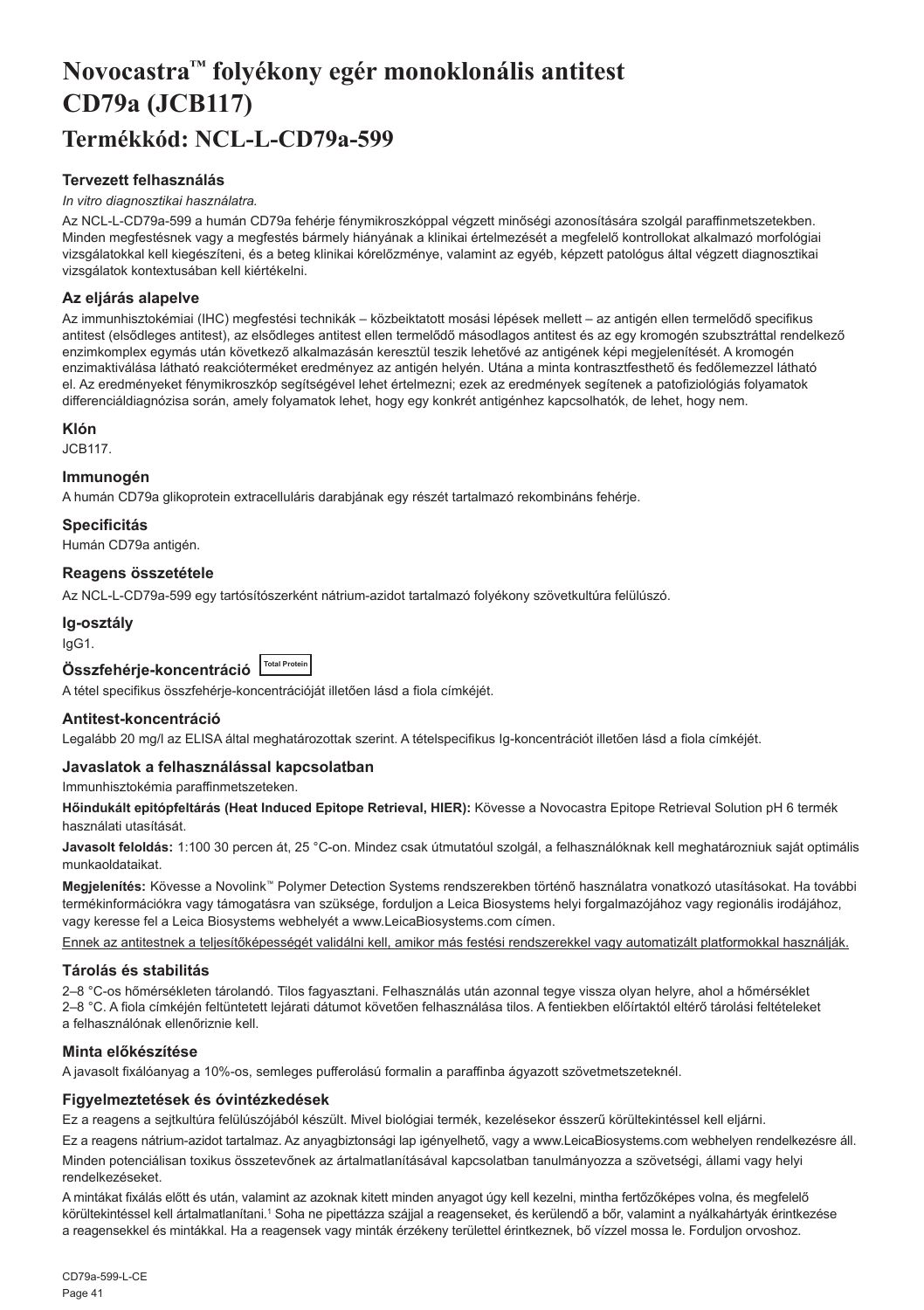## <span id="page-41-0"></span>**Novocastra™ folyékony egér monoklonális antitest CD79a (JCB117) Termékkód: NCL-L-CD79a-599**

#### **Tervezett felhasználás**

#### *In vitro diagnosztikai használatra.*

Az NCL-L-CD79a-599 a humán CD79a fehérje fénymikroszkóppal végzett minőségi azonosítására szolgál paraffinmetszetekben. Minden megfestésnek vagy a megfestés bármely hiányának a klinikai értelmezését a megfelelő kontrollokat alkalmazó morfológiai vizsgálatokkal kell kiegészíteni, és a beteg klinikai kórelőzménye, valamint az egyéb, képzett patológus által végzett diagnosztikai vizsgálatok kontextusában kell kiértékelni.

#### **Az eljárás alapelve**

Az immunhisztokémiai (IHC) megfestési technikák – közbeiktatott mosási lépések mellett – az antigén ellen termelődő specifikus antitest (elsődleges antitest), az elsődleges antitest ellen termelődő másodlagos antitest és az egy kromogén szubsztráttal rendelkező enzimkomplex egymás után következő alkalmazásán keresztül teszik lehetővé az antigének képi megjelenítését. A kromogén enzimaktiválása látható reakcióterméket eredményez az antigén helyén. Utána a minta kontrasztfesthető és fedőlemezzel látható el. Az eredményeket fénymikroszkóp segítségével lehet értelmezni; ezek az eredmények segítenek a patofiziológiás folyamatok differenciáldiagnózisa során, amely folyamatok lehet, hogy egy konkrét antigénhez kapcsolhatók, de lehet, hogy nem.

#### **Klón**

JCB117.

#### **Immunogén**

A humán CD79a glikoprotein extracelluláris darabjának egy részét tartalmazó rekombináns fehérje.

#### **Specificitás**

Humán CD79a antigén.

#### **Reagens összetétele**

Az NCL-L-CD79a-599 egy tartósítószerként nátrium-azidot tartalmazó folyékony szövetkultúra felülúszó.

#### **Ig-osztály**

IgG1.

| Összfehérje-koncentráció Total Protein |  |  |
|----------------------------------------|--|--|
|----------------------------------------|--|--|

A tétel specifikus összfehérje-koncentrációját illetően lásd a fiola címkéjét.

#### **Antitest-koncentráció**

Legalább 20 mg/l az ELISA által meghatározottak szerint. A tételspecifikus Ig-koncentrációt illetően lásd a fiola címkéjét.

#### **Javaslatok a felhasználással kapcsolatban**

Immunhisztokémia paraffinmetszeteken.

**Hőindukált epitópfeltárás (Heat Induced Epitope Retrieval, HIER):** Kövesse a Novocastra Epitope Retrieval Solution pH 6 termék használati utasítását.

**Javasolt feloldás:** 1:100 30 percen át, 25 °C-on. Mindez csak útmutatóul szolgál, a felhasználóknak kell meghatározniuk saját optimális munkaoldataikat.

**Megjelenítés:** Kövesse a Novolink™ Polymer Detection Systems rendszerekben történő használatra vonatkozó utasításokat. Ha további termékinformációkra vagy támogatásra van szüksége, forduljon a Leica Biosystems helyi forgalmazójához vagy regionális irodájához, vagy keresse fel a Leica Biosystems webhelyét a www.LeicaBiosystems.com címen.

Ennek az antitestnek a teljesítőképességét validálni kell, amikor más festési rendszerekkel vagy automatizált platformokkal használják.

#### **Tárolás és stabilitás**

2–8 °C-os hőmérsékleten tárolandó. Tilos fagyasztani. Felhasználás után azonnal tegye vissza olyan helyre, ahol a hőmérséklet 2–8 °C. A fiola címkéjén feltüntetett lejárati dátumot követően felhasználása tilos. A fentiekben előírtaktól eltérő tárolási feltételeket a felhasználónak ellenőriznie kell.

#### **Minta előkészítése**

A javasolt fixálóanyag a 10%-os, semleges pufferolású formalin a paraffinba ágyazott szövetmetszeteknél.

#### **Figyelmeztetések és óvintézkedések**

Ez a reagens a sejtkultúra felülúszójából készült. Mivel biológiai termék, kezelésekor ésszerű körültekintéssel kell eljárni.

Ez a reagens nátrium-azidot tartalmaz. Az anyagbiztonsági lap igényelhető, vagy a www.LeicaBiosystems.com webhelyen rendelkezésre áll. Minden potenciálisan toxikus összetevőnek az ártalmatlanításával kapcsolatban tanulmányozza a szövetségi, állami vagy helyi rendelkezéseket.

A mintákat fixálás előtt és után, valamint az azoknak kitett minden anyagot úgy kell kezelni, mintha fertőzőképes volna, és megfelelő körültekintéssel kell ártalmatlanítani.' Soha ne pipettázza szájjal a reagenseket, és kerülendő a bőr, valamint a nyálkahártyák érintkezése a reagensekkel és mintákkal. Ha a reagensek vagy minták érzékeny területtel érintkeznek, bő vízzel mossa le. Forduljon orvoshoz.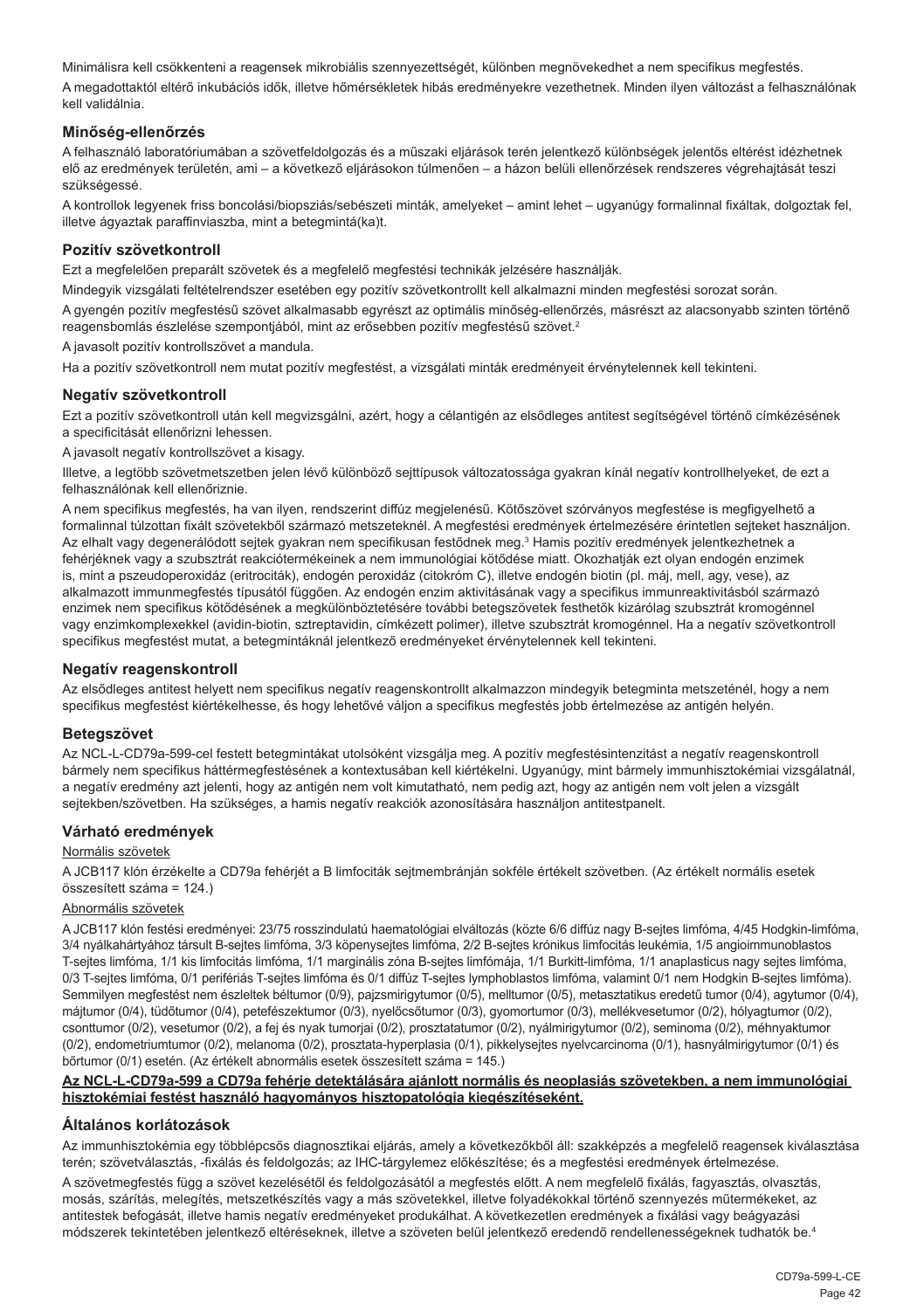Minimálisra kell csökkenteni a reagensek mikrobiális szennyezettségét, különben megnövekedhet a nem specifikus megfestés. A megadottaktól eltérő inkubációs idők, illetve hőmérsékletek hibás eredményekre vezethetnek. Minden ilyen változást a felhasználónak kell validálnia.

#### **Minőség-ellenőrzés**

A felhasználó laboratóriumában a szövetfeldolgozás és a műszaki eljárások terén jelentkező különbségek jelentős eltérést idézhetnek elő az eredmények területén, ami – a következő eljárásokon túlmenően – a házon belüli ellenőrzések rendszeres végrehajtását teszi szükségessé.

A kontrollok legyenek friss boncolási/biopsziás/sebészeti minták, amelyeket – amint lehet – ugyanúgy formalinnal fixáltak, dolgoztak fel, illetve ágyaztak paraffinviaszba, mint a betegmintá(ka)t.

#### **Pozitív szövetkontroll**

Ezt a megfelelően preparált szövetek és a megfelelő megfestési technikák jelzésére használják.

Mindegyik vizsgálati feltételrendszer esetében egy pozitív szövetkontrollt kell alkalmazni minden megfestési sorozat során.

A gyengén pozitív megfestésű szövet alkalmasabb egyrészt az optimális minőség-ellenőrzés, másrészt az alacsonyabb szinten történő reagensbomlás észlelése szempontjából, mint az erősebben pozitív megfestésű szövet.<sup>2</sup>

A javasolt pozitív kontrollszövet a mandula.

Ha a pozitív szövetkontroll nem mutat pozitív megfestést, a vizsgálati minták eredményeit érvénytelennek kell tekinteni.

#### **Negatív szövetkontroll**

Ezt a pozitív szövetkontroll után kell megvizsgálni, azért, hogy a célantigén az elsődleges antitest segítségével történő címkézésének a specificitását ellenőrizni lehessen.

A javasolt negatív kontrollszövet a kisagy.

Illetve, a legtöbb szövetmetszetben jelen lévő különböző sejttípusok változatossága gyakran kínál negatív kontrollhelyeket, de ezt a felhasználónak kell ellenőriznie.

A nem specifikus megfestés, ha van ilyen, rendszerint diffúz megjelenésű. Kötőszövet szórványos megfestése is megfigyelhető a formalinnal túlzottan fixált szövetekből származó metszeteknél. A megfestési eredmények értelmezésére érintetlen sejteket használjon. Az elhalt vagy degenerálódott sejtek gyakran nem specifikusan festődnek meg.<sup>3</sup> Hamis pozitív eredmények jelentkezhetnek a fehérjéknek vagy a szubsztrát reakciótermékeinek a nem immunológiai kötődése miatt. Okozhatják ezt olyan endogén enzimek is, mint a pszeudoperoxidáz (eritrociták), endogén peroxidáz (citokróm C), illetve endogén biotin (pl. máj, mell, agy, vese), az alkalmazott immunmegfestés típusától függően. Az endogén enzim aktivitásának vagy a specifikus immunreaktivitásból származó enzimek nem specifikus kötődésének a megkülönböztetésére további betegszövetek festhetők kizárólag szubsztrát kromogénnel vagy enzimkomplexekkel (avidin-biotin, sztreptavidin, címkézett polimer), illetve szubsztrát kromogénnel. Ha a negatív szövetkontroll specifikus megfestést mutat, a betegmintáknál jelentkező eredményeket érvénytelennek kell tekinteni.

#### **Negatív reagenskontroll**

Az elsődleges antitest helyett nem specifikus negatív reagenskontrollt alkalmazzon mindegyik betegminta metszeténél, hogy a nem specifikus megfestést kiértékelhesse, és hogy lehetővé váljon a specifikus megfestés jobb értelmezése az antigén helyén.

#### **Betegszövet**

Az NCL-L-CD79a-599-cel festett betegmintákat utolsóként vizsgálja meg. A pozitív megfestésintenzitást a negatív reagenskontroll bármely nem specifikus háttérmegfestésének a kontextusában kell kiértékelni. Ugyanúgy, mint bármely immunhisztokémiai vizsgálatnál, a negatív eredmény azt jelenti, hogy az antigén nem volt kimutatható, nem pedig azt, hogy az antigén nem volt jelen a vizsgált sejtekben/szövetben. Ha szükséges, a hamis negatív reakciók azonosítására használjon antitestpanelt.

#### **Várható eredmények**

#### Normális szövetek

A JCB117 klón érzékelte a CD79a fehérjét a B limfociták sejtmembránján sokféle értékelt szövetben. (Az értékelt normális esetek összesített száma = 124.)

#### Abnormális szövetek

A JCB117 klón festési eredményei: 23/75 rosszindulatú haematológiai elváltozás (közte 6/6 diffúz nagy B-sejtes limfóma, 4/45 Hodgkin-limfóma, 3/4 nyálkahártyához társult B-sejtes limfóma, 3/3 köpenysejtes limfóma, 2/2 B-sejtes krónikus limfocitás leukémia, 1/5 angioimmunoblastos T-sejtes limfóma, 1/1 kis limfocitás limfóma, 1/1 marginális zóna B-sejtes limfómája, 1/1 Burkitt-limfóma, 1/1 anaplasticus nagy sejtes limfóma, 0/3 T-sejtes limfóma, 0/1 perifériás T-sejtes limfóma és 0/1 diffúz T-sejtes lymphoblastos limfóma, valamint 0/1 nem Hodgkin B-sejtes limfóma). Semmilyen megfestést nem észleltek béltumor (0/9), pajzsmirigytumor (0/5), melltumor (0/5), metasztatikus eredetű tumor (0/4), agytumor (0/4), májtumor (0/4), tüdőtumor (0/4), petefészektumor (0/3), nyelőcsőtumor (0/3), gyomortumor (0/3), mellékvesetumor (0/2), hólyagtumor (0/2), csonttumor (0/2), vesetumor (0/2), a fej és nyak tumorjai (0/2), prosztatatumor (0/2), nyálmirigytumor (0/2), seminoma (0/2), méhnyaktumor (0/2), endometriumtumor (0/2), melanoma (0/2), prosztata-hyperplasia (0/1), pikkelysejtes nyelvcarcinoma (0/1), hasnyálmirigytumor (0/1) és bőrtumor (0/1) esetén. (Az értékelt abnormális esetek összesített száma = 145.)

#### **Az NCL-L-CD79a-599 a CD79a fehérje detektálására ajánlott normális és neoplasiás szövetekben, a nem immunológiai hisztokémiai festést használó hagyományos hisztopatológia kiegészítéseként.**

#### **Általános korlátozások**

Az immunhisztokémia egy többlépcsős diagnosztikai eljárás, amely a következőkből áll: szakképzés a megfelelő reagensek kiválasztása terén; szövetválasztás, -fixálás és feldolgozás; az IHC-tárgylemez előkészítése; és a megfestési eredmények értelmezése.

A szövetmegfestés függ a szövet kezelésétől és feldolgozásától a megfestés előtt. A nem megfelelő fixálás, fagyasztás, olvasztás, mosás, szárítás, melegítés, metszetkészítés vagy a más szövetekkel, illetve folyadékokkal történő szennyezés műtermékeket, az antitestek befogását, illetve hamis negatív eredményeket produkálhat. A következetlen eredmények a fixálási vagy beágyazási módszerek tekintetében jelentkező eltéréseknek, illetve a szöveten belül jelentkező eredendő rendellenességeknek tudhatók be.4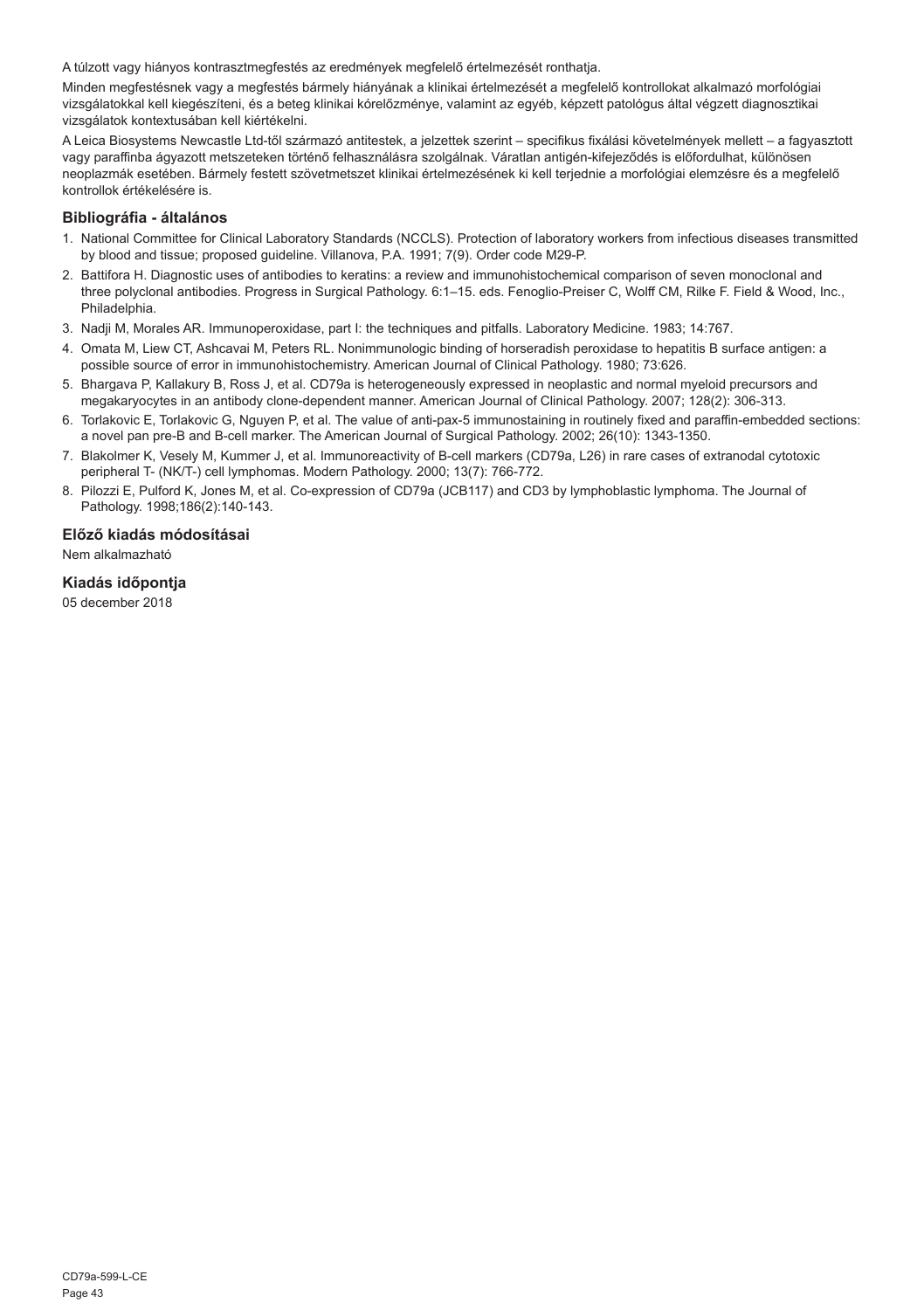A túlzott vagy hiányos kontrasztmegfestés az eredmények megfelelő értelmezését ronthatja.

Minden megfestésnek vagy a megfestés bármely hiányának a klinikai értelmezését a megfelelő kontrollokat alkalmazó morfológiai vizsgálatokkal kell kiegészíteni, és a beteg klinikai kórelőzménye, valamint az egyéb, képzett patológus által végzett diagnosztikai vizsgálatok kontextusában kell kiértékelni.

A Leica Biosystems Newcastle Ltd-től származó antitestek, a jelzettek szerint – specifikus fixálási követelmények mellett – a fagyasztott vagy paraffinba ágyazott metszeteken történő felhasználásra szolgálnak. Váratlan antigén-kifejeződés is előfordulhat, különösen neoplazmák esetében. Bármely festett szövetmetszet klinikai értelmezésének ki kell terjednie a morfológiai elemzésre és a megfelelő kontrollok értékelésére is.

#### **Bibliográfia - általános**

- 1. National Committee for Clinical Laboratory Standards (NCCLS). Protection of laboratory workers from infectious diseases transmitted by blood and tissue; proposed guideline. Villanova, P.A. 1991; 7(9). Order code M29-P.
- 2. Battifora H. Diagnostic uses of antibodies to keratins: a review and immunohistochemical comparison of seven monoclonal and three polyclonal antibodies. Progress in Surgical Pathology. 6:1–15. eds. Fenoglio-Preiser C, Wolff CM, Rilke F. Field & Wood, Inc., Philadelphia.
- 3. Nadji M, Morales AR. Immunoperoxidase, part I: the techniques and pitfalls. Laboratory Medicine. 1983; 14:767.
- 4. Omata M, Liew CT, Ashcavai M, Peters RL. Nonimmunologic binding of horseradish peroxidase to hepatitis B surface antigen: a possible source of error in immunohistochemistry. American Journal of Clinical Pathology. 1980; 73:626.
- 5. Bhargava P, Kallakury B, Ross J, et al. CD79a is heterogeneously expressed in neoplastic and normal myeloid precursors and megakaryocytes in an antibody clone-dependent manner. American Journal of Clinical Pathology. 2007; 128(2): 306-313.
- 6. Torlakovic E, Torlakovic G, Nguyen P, et al. The value of anti-pax-5 immunostaining in routinely fixed and paraffin-embedded sections: a novel pan pre-B and B-cell marker. The American Journal of Surgical Pathology. 2002; 26(10): 1343-1350.
- 7. Blakolmer K, Vesely M, Kummer J, et al. Immunoreactivity of B-cell markers (CD79a, L26) in rare cases of extranodal cytotoxic peripheral T- (NK/T-) cell lymphomas. Modern Pathology. 2000; 13(7): 766-772.
- 8. Pilozzi E, Pulford K, Jones M, et al. Co-expression of CD79a (JCB117) and CD3 by lymphoblastic lymphoma. The Journal of Pathology. 1998;186(2):140-143.

#### **Előző kiadás módosításai**

Nem alkalmazható

#### **Kiadás időpontja**

05 december 2018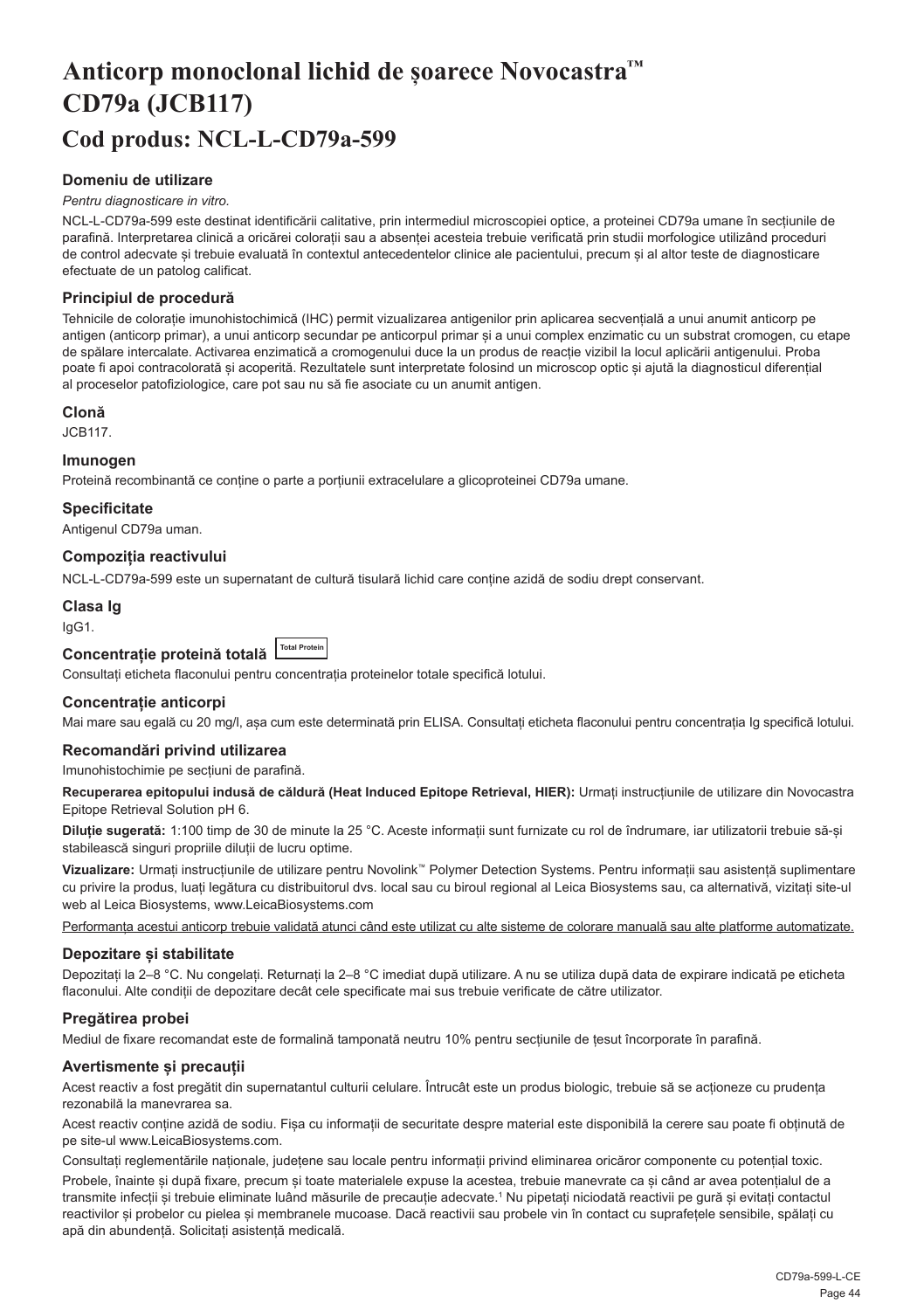## <span id="page-44-0"></span>**Anticorp monoclonal lichid de șoarece Novocastra™ CD79a (JCB117) Cod produs: NCL-L-CD79a-599**

#### **Domeniu de utilizare**

#### *Pentru diagnosticare in vitro.*

NCL-L-CD79a-599 este destinat identificării calitative, prin intermediul microscopiei optice, a proteinei CD79a umane în secțiunile de parafină. Interpretarea clinică a oricărei colorații sau a absenței acesteia trebuie verificată prin studii morfologice utilizând proceduri de control adecvate și trebuie evaluată în contextul antecedentelor clinice ale pacientului, precum și al altor teste de diagnosticare efectuate de un patolog calificat.

#### **Principiul de procedură**

Tehnicile de colorație imunohistochimică (IHC) permit vizualizarea antigenilor prin aplicarea secvențială a unui anumit anticorp pe antigen (anticorp primar), a unui anticorp secundar pe anticorpul primar și a unui complex enzimatic cu un substrat cromogen, cu etape de spălare intercalate. Activarea enzimatică a cromogenului duce la un produs de reacție vizibil la locul aplicării antigenului. Proba poate fi apoi contracolorată și acoperită. Rezultatele sunt interpretate folosind un microscop optic și ajută la diagnosticul diferențial al proceselor patofiziologice, care pot sau nu să fie asociate cu un anumit antigen.

#### **Clonă**

JCB117.

#### **Imunogen**

Proteină recombinantă ce conține o parte a porțiunii extracelulare a glicoproteinei CD79a umane.

**Specificitate**

Antigenul CD79a uman.

#### **Compoziția reactivului**

NCL-L-CD79a-599 este un supernatant de cultură tisulară lichid care conține azidă de sodiu drept conservant.

#### **Clasa Ig**

IgG1.

## **Concentrație proteină totală Total Protein**

Consultați eticheta flaconului pentru concentrația proteinelor totale specifică lotului.

#### **Concentrație anticorpi**

Mai mare sau egală cu 20 mg/l, așa cum este determinată prin ELISA. Consultați eticheta flaconului pentru concentrația Ig specifică lotului.

#### **Recomandări privind utilizarea**

Imunohistochimie pe secțiuni de parafină.

**Recuperarea epitopului indusă de căldură (Heat Induced Epitope Retrieval, HIER):** Urmați instrucțiunile de utilizare din Novocastra Epitope Retrieval Solution pH 6.

**Diluție sugerată:** 1:100 timp de 30 de minute la 25 °C. Aceste informații sunt furnizate cu rol de îndrumare, iar utilizatorii trebuie să-și stabilească singuri propriile diluții de lucru optime.

**Vizualizare:** Urmați instrucțiunile de utilizare pentru Novolink™ Polymer Detection Systems. Pentru informații sau asistență suplimentare cu privire la produs, luați legătura cu distribuitorul dvs. local sau cu biroul regional al Leica Biosystems sau, ca alternativă, vizitați site-ul web al Leica Biosystems, www.LeicaBiosystems.com

Performanta acestui anticorp trebuie validată atunci când este utilizat cu alte sisteme de colorare manuală sau alte platforme automatizate.

#### **Depozitare și stabilitate**

Depozitați la 2–8 °C. Nu congelați. Returnați la 2–8 °C imediat după utilizare. A nu se utiliza după data de expirare indicată pe eticheta flaconului. Alte condiții de depozitare decât cele specificate mai sus trebuie verificate de către utilizator.

#### **Pregătirea probei**

Mediul de fixare recomandat este de formalină tamponată neutru 10% pentru secțiunile de țesut încorporate în parafină.

#### **Avertismente și precauții**

Acest reactiv a fost pregătit din supernatantul culturii celulare. Întrucât este un produs biologic, trebuie să se acționeze cu prudența rezonabilă la manevrarea sa.

Acest reactiv conține azidă de sodiu. Fișa cu informații de securitate despre material este disponibilă la cerere sau poate fi obținută de pe site-ul www.LeicaBiosystems.com.

Consultați reglementările naționale, județene sau locale pentru informații privind eliminarea oricăror componente cu potențial toxic.

Probele, înainte și după fixare, precum și toate materialele expuse la acestea, trebuie manevrate ca și când ar avea potențialul de a transmite infecții și trebuie eliminate luând măsurile de precauție adecvate.<sup>1</sup> Nu pipetați niciodată reactivii pe gură și evitați contactul reactivilor și probelor cu pielea și membranele mucoase. Dacă reactivii sau probele vin în contact cu suprafețele sensibile, spălați cu apă din abundență. Solicitați asistență medicală.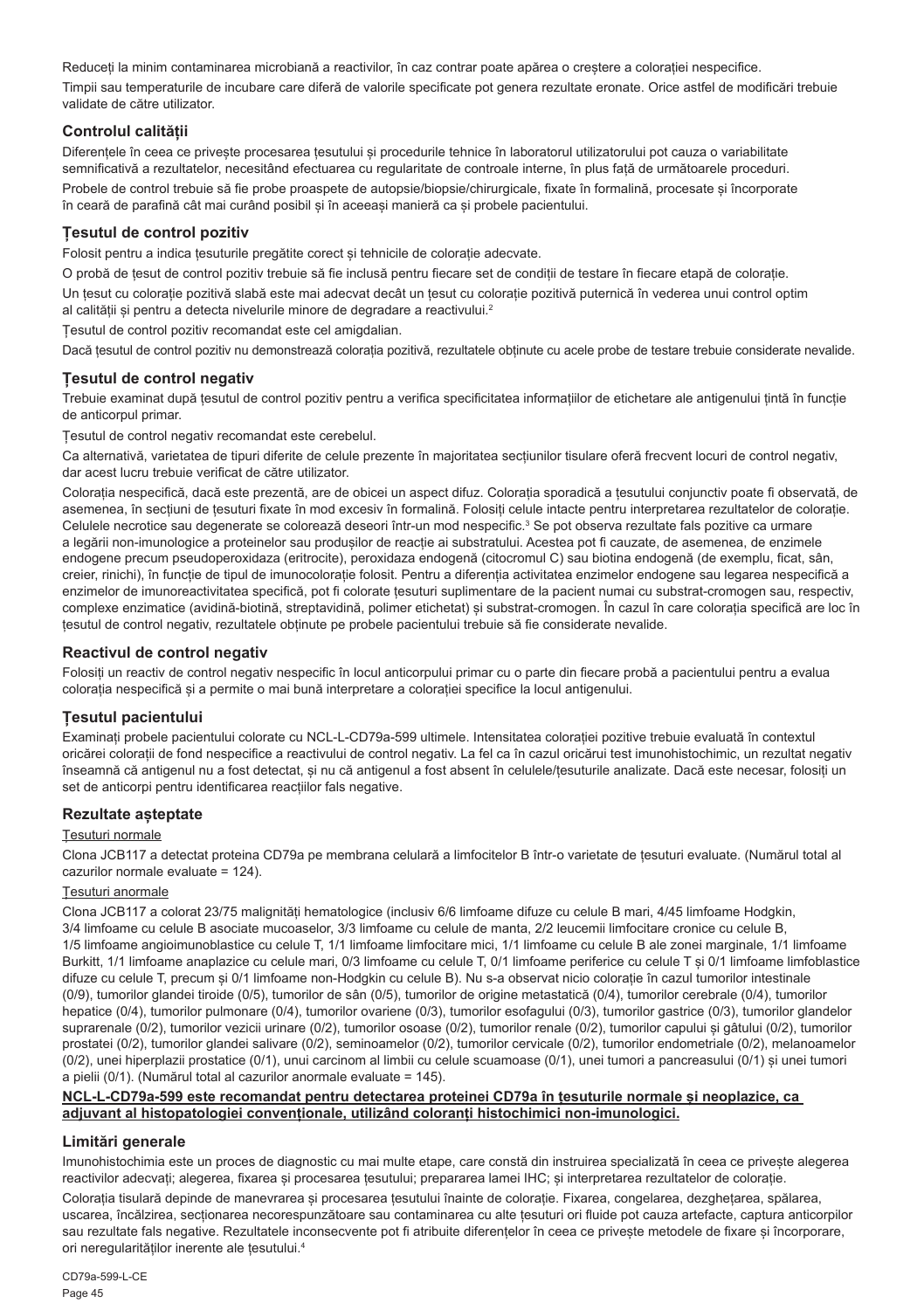Reduceți la minim contaminarea microbiană a reactivilor, în caz contrar poate apărea o creștere a colorației nespecifice.

Timpii sau temperaturile de incubare care diferă de valorile specificate pot genera rezultate eronate. Orice astfel de modificări trebuie validate de către utilizator.

#### **Controlul calității**

Diferentele în ceea ce priveste procesarea tesutului si procedurile tehnice în laboratorul utilizatorului pot cauza o variabilitate semnificativă a rezultatelor, necesitând efectuarea cu regularitate de controale interne, în plus față de următoarele proceduri. Probele de control trebuie să fie probe proaspete de autopsie/biopsie/chirurgicale, fixate în formalină, procesate și încorporate în ceară de parafină cât mai curând posibil și în aceeași manieră ca și probele pacientului.

#### **Țesutul de control pozitiv**

Folosit pentru a indica țesuturile pregătite corect și tehnicile de colorație adecvate.

O probă de țesut de control pozitiv trebuie să fie inclusă pentru fiecare set de condiții de testare în fiecare etapă de colorație. Un țesut cu colorație pozitivă slabă este mai adecvat decât un țesut cu colorație pozitivă puternică în vederea unui control optim al calității și pentru a detecta nivelurile minore de degradare a reactivului.<sup>2</sup>

Țesutul de control pozitiv recomandat este cel amigdalian.

Dacă tesutul de control pozitiv nu demonstrează colorația pozitivă, rezultatele obținute cu acele probe de testare trebuie considerate nevalide.

#### **Țesutul de control negativ**

Trebuie examinat după țesutul de control pozitiv pentru a verifica specificitatea informațiilor de etichetare ale antigenului țintă în funcție de anticorpul primar.

Țesutul de control negativ recomandat este cerebelul.

Ca alternativă, varietatea de tipuri diferite de celule prezente în majoritatea secțiunilor tisulare oferă frecvent locuri de control negativ, dar acest lucru trebuie verificat de către utilizator.

Colorația nespecifică, dacă este prezentă, are de obicei un aspect difuz. Colorația sporadică a țesutului conjunctiv poate fi observată, de asemenea, în secțiuni de țesuturi fixate în mod excesiv în formalină. Folosiți celule intacte pentru interpretarea rezultatelor de colorație. Celulele necrotice sau degenerate se colorează deseori într-un mod nespecific.<sup>3</sup> Se pot observa rezultate fals pozitive ca urmare a legării non-imunologice a proteinelor sau produșilor de reacție ai substratului. Acestea pot fi cauzate, de asemenea, de enzimele endogene precum pseudoperoxidaza (eritrocite), peroxidaza endogenă (citocromul C) sau biotina endogenă (de exemplu, ficat, sân, creier, rinichi), în funcție de tipul de imunocolorație folosit. Pentru a diferenția activitatea enzimelor endogene sau legarea nespecifică a enzimelor de imunoreactivitatea specifică, pot fi colorate țesuturi suplimentare de la pacient numai cu substrat-cromogen sau, respectiv, complexe enzimatice (avidină-biotină, streptavidină, polimer etichetat) și substrat-cromogen. În cazul în care colorația specifică are loc în țesutul de control negativ, rezultatele obținute pe probele pacientului trebuie să fie considerate nevalide.

#### **Reactivul de control negativ**

Folosiți un reactiv de control negativ nespecific în locul anticorpului primar cu o parte din fiecare probă a pacientului pentru a evalua colorația nespecifică și a permite o mai bună interpretare a colorației specifice la locul antigenului.

#### **Țesutul pacientului**

Examinați probele pacientului colorate cu NCL-L-CD79a-599 ultimele. Intensitatea colorației pozitive trebuie evaluată în contextul oricărei colorații de fond nespecifice a reactivului de control negativ. La fel ca în cazul oricărui test imunohistochimic, un rezultat negativ înseamnă că antigenul nu a fost detectat, și nu că antigenul a fost absent în celulele/țesuturile analizate. Dacă este necesar, folosiți un set de anticorpi pentru identificarea reacțiilor fals negative.

#### **Rezultate așteptate**

#### Țesuturi normale

Clona JCB117 a detectat proteina CD79a pe membrana celulară a limfocitelor B într-o varietate de țesuturi evaluate. (Numărul total al cazurilor normale evaluate = 124).

#### Țesuturi anormale

Clona JCB117 a colorat 23/75 malignități hematologice (inclusiv 6/6 limfoame difuze cu celule B mari, 4/45 limfoame Hodgkin, 3/4 limfoame cu celule B asociate mucoaselor, 3/3 limfoame cu celule de manta, 2/2 leucemii limfocitare cronice cu celule B, 1/5 limfoame angioimunoblastice cu celule T, 1/1 limfoame limfocitare mici, 1/1 limfoame cu celule B ale zonei marginale, 1/1 limfoame Burkitt, 1/1 limfoame anaplazice cu celule mari, 0/3 limfoame cu celule T, 0/1 limfoame periferice cu celule T și 0/1 limfoame limfoblastice difuze cu celule T, precum și 0/1 limfoame non-Hodgkin cu celule B). Nu s-a observat nicio colorație în cazul tumorilor intestinale (0/9), tumorilor glandei tiroide (0/5), tumorilor de sân (0/5), tumorilor de origine metastatică (0/4), tumorilor cerebrale (0/4), tumorilor hepatice (0/4), tumorilor pulmonare (0/4), tumorilor ovariene (0/3), tumorilor esofagului (0/3), tumorilor gastrice (0/3), tumorilor glandelor suprarenale (0/2), tumorilor vezicii urinare (0/2), tumorilor osoase (0/2), tumorilor renale (0/2), tumorilor capului și gâtului (0/2), tumorilor prostatei (0/2), tumorilor glandei salivare (0/2), seminoamelor (0/2), tumorilor cervicale (0/2), tumorilor endometriale (0/2), melanoamelor (0/2), unei hiperplazii prostatice (0/1), unui carcinom al limbii cu celule scuamoase (0/1), unei tumori a pancreasului (0/1) și unei tumori a pielii (0/1). (Numărul total al cazurilor anormale evaluate = 145).

#### **NCL-L-CD79a-599 este recomandat pentru detectarea proteinei CD79a în țesuturile normale și neoplazice, ca adjuvant al histopatologiei convenționale, utilizând coloranți histochimici non-imunologici.**

#### **Limitări generale**

Imunohistochimia este un proces de diagnostic cu mai multe etape, care constă din instruirea specializată în ceea ce privește alegerea reactivilor adecvati; alegerea, fixarea și procesarea tesutului; prepararea lamei IHC; și interpretarea rezultatelor de colorație.

Colorația tisulară depinde de manevrarea și procesarea tesutului înainte de colorație. Fixarea, congelarea, dezghețarea, spălarea, uscarea, încălzirea, secționarea necorespunzătoare sau contaminarea cu alte țesuturi ori fluide pot cauza artefacte, captura anticorpilor sau rezultate fals negative. Rezultatele inconsecvente pot fi atribuite diferențelor în ceea ce privește metodele de fixare și încorporare. ori neregularităților inerente ale țesutului.4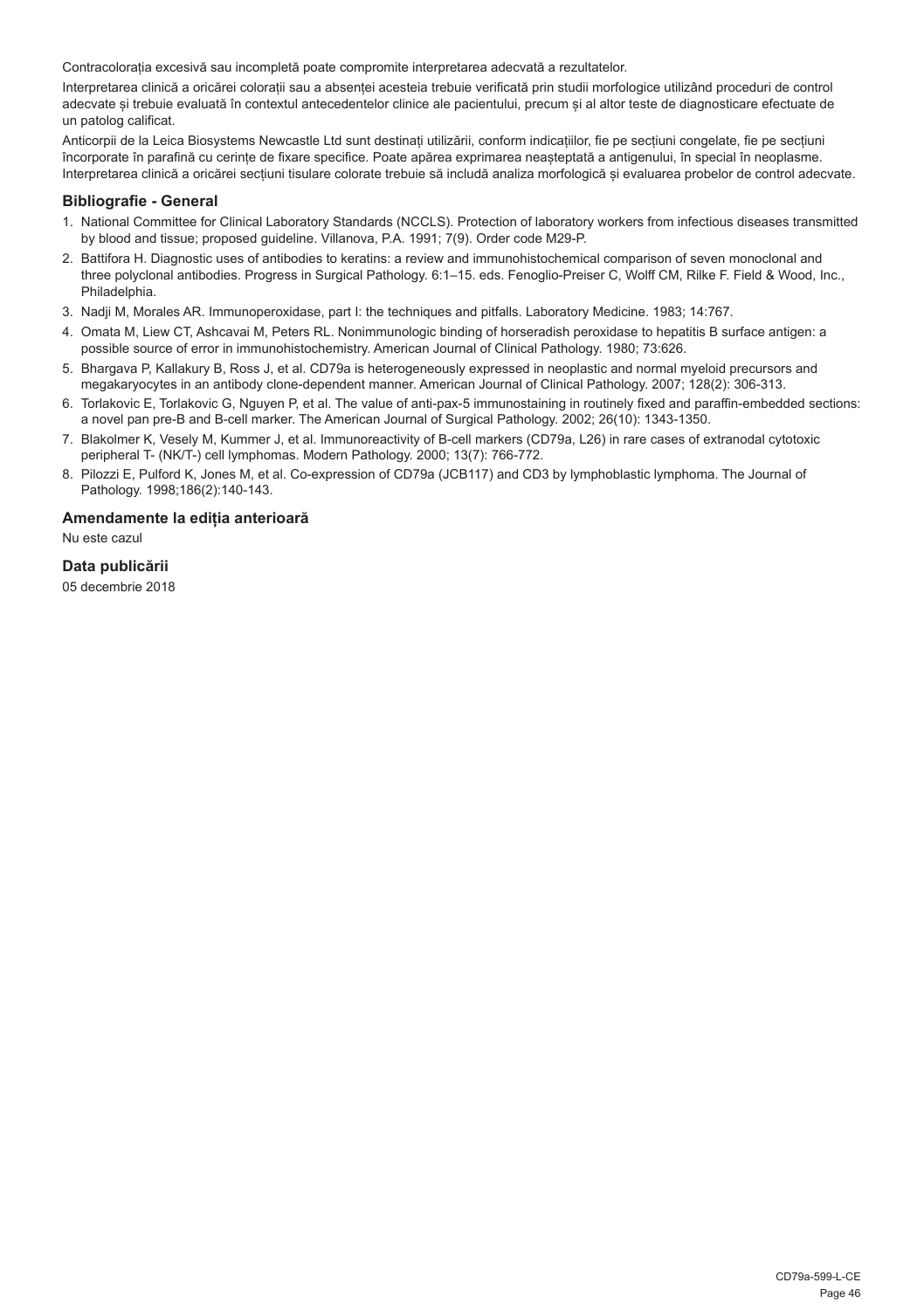Contracolorația excesivă sau incompletă poate compromite interpretarea adecvată a rezultatelor.

Interpretarea clinică a oricărei colorații sau a absenței acesteia trebuie verificată prin studii morfologice utilizând proceduri de control adecvate și trebuie evaluată în contextul antecedentelor clinice ale pacientului, precum și al altor teste de diagnosticare efectuate de un patolog calificat.

Anticorpii de la Leica Biosystems Newcastle Ltd sunt destinați utilizării, conform indicațiilor, fie pe secțiuni congelate, fie pe secțiuni încorporate în parafină cu cerințe de fixare specifice. Poate apărea exprimarea neașteptată a antigenului, în special în neoplasme. Interpretarea clinică a oricărei secțiuni tisulare colorate trebuie să includă analiza morfologică și evaluarea probelor de control adecvate.

#### **Bibliografie - General**

- 1. National Committee for Clinical Laboratory Standards (NCCLS). Protection of laboratory workers from infectious diseases transmitted by blood and tissue; proposed guideline. Villanova, P.A. 1991; 7(9). Order code M29-P.
- 2. Battifora H. Diagnostic uses of antibodies to keratins: a review and immunohistochemical comparison of seven monoclonal and three polyclonal antibodies. Progress in Surgical Pathology. 6:1–15. eds. Fenoglio-Preiser C, Wolff CM, Rilke F. Field & Wood, Inc., Philadelphia.
- 3. Nadji M, Morales AR. Immunoperoxidase, part I: the techniques and pitfalls. Laboratory Medicine. 1983; 14:767.
- 4. Omata M, Liew CT, Ashcavai M, Peters RL. Nonimmunologic binding of horseradish peroxidase to hepatitis B surface antigen: a possible source of error in immunohistochemistry. American Journal of Clinical Pathology. 1980; 73:626.
- 5. Bhargava P, Kallakury B, Ross J, et al. CD79a is heterogeneously expressed in neoplastic and normal myeloid precursors and megakaryocytes in an antibody clone-dependent manner. American Journal of Clinical Pathology. 2007; 128(2): 306-313.
- 6. Torlakovic E, Torlakovic G, Nguyen P, et al. The value of anti-pax-5 immunostaining in routinely fixed and paraffin-embedded sections: a novel pan pre-B and B-cell marker. The American Journal of Surgical Pathology. 2002; 26(10): 1343-1350.
- 7. Blakolmer K, Vesely M, Kummer J, et al. Immunoreactivity of B-cell markers (CD79a, L26) in rare cases of extranodal cytotoxic peripheral T- (NK/T-) cell lymphomas. Modern Pathology. 2000; 13(7): 766-772.
- 8. Pilozzi E, Pulford K, Jones M, et al. Co-expression of CD79a (JCB117) and CD3 by lymphoblastic lymphoma. The Journal of Pathology. 1998;186(2):140-143.

#### **Amendamente la ediția anterioară**

Nu este cazul

#### **Data publicării**

05 decembrie 2018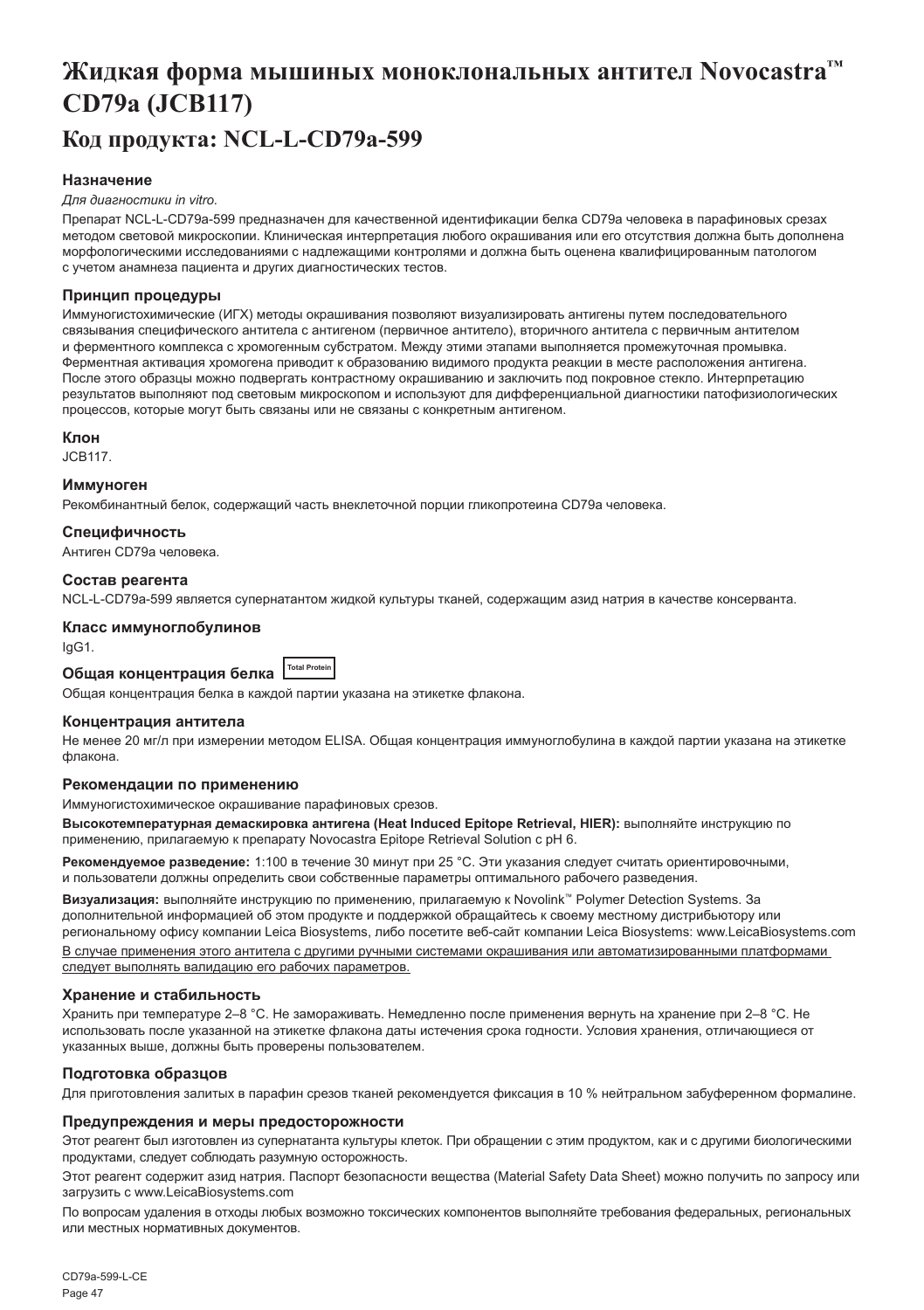## <span id="page-47-0"></span>**Жидкая форма мышиных моноклональных антител Novocastra™ CD79a (JCB117) Код продукта: NCL-L-CD79a-599**

#### **Назначение**

#### *Для диагностики in vitro.*

Препарат NCL-L-CD79a-599 предназначен для качественной идентификации белка CD79a человека в парафиновых срезах методом световой микроскопии. Клиническая интерпретация любого окрашивания или его отсутствия должна быть дополнена морфологическими исследованиями с надлежащими контролями и должна быть оценена квалифицированным патологом с учетом анамнеза пациента и других диагностических тестов.

#### **Принцип процедуры**

Иммуногистохимические (ИГХ) методы окрашивания позволяют визуализировать антигены путем последовательного связывания специфического антитела с антигеном (первичное антитело), вторичного антитела с первичным антителом и ферментного комплекса с хромогенным субстратом. Между этими этапами выполняется промежуточная промывка. Ферментная активация хромогена приводит к образованию видимого продукта реакции в месте расположения антигена. После этого образцы можно подвергать контрастному окрашиванию и заключить под покровное стекло. Интерпретацию результатов выполняют под световым микроскопом и используют для дифференциальной диагностики патофизиологических процессов, которые могут быть связаны или не связаны с конкретным антигеном.

#### **Клон**

JCB117.

#### **Иммуноген**

Рекомбинантный белок, содержащий часть внеклеточной порции гликопротеина CD79a человека.

#### **Специфичность**

Антиген CD79a человека.

#### **Состав реагента**

NCL-L-CD79a-599 является супернатантом жидкой культуры тканей, содержащим азид натрия в качестве консерванта.

#### **Класс иммуноглобулинов**

IgG1.

**Общая концентрация белка Total Protein**

Общая концентрация белка в каждой партии указана на этикетке флакона.

#### **Концентрация антитела**

Не менее 20 мг/л при измерении методом ELISA. Общая концентрация иммуноглобулина в каждой партии указана на этикетке флакона.

#### **Рекомендации по применению**

Иммуногистохимическое окрашивание парафиновых срезов.

**Высокотемпературная демаскировка антигена (Heat Induced Epitope Retrieval, HIER):** выполняйте инструкцию по применению, прилагаемую к препарату Novocastra Epitope Retrieval Solution с pH 6.

**Рекомендуемое разведение:** 1:100 в течение 30 минут при 25 °C. Эти указания следует считать ориентировочными, и пользователи должны определить свои собственные параметры оптимального рабочего разведения.

**Визуализация:** выполняйте инструкцию по применению, прилагаемую к Novolink™ Polymer Detection Systems. За дополнительной информацией об этом продукте и поддержкой обращайтесь к своему местному дистрибьютору или региональному офису компании Leica Biosystems, либо посетите веб-сайт компании Leica Biosystems: www.LeicaBiosystems.com В случае применения этого антитела с другими ручными системами окрашивания или автоматизированными платформами

следует выполнять валидацию его рабочих параметров.

#### **Хранение и стабильность**

Хранить при температуре 2–8 °C. Не замораживать. Немедленно после применения вернуть на хранение при 2–8 °C. Не использовать после указанной на этикетке флакона даты истечения срока годности. Условия хранения, отличающиеся от указанных выше, должны быть проверены пользователем.

#### **Подготовка образцов**

Для приготовления залитых в парафин срезов тканей рекомендуется фиксация в 10 % нейтральном забуференном формалине.

#### **Предупреждения и меры предосторожности**

Этот реагент был изготовлен из супернатанта культуры клеток. При обращении с этим продуктом, как и с другими биологическими продуктами, следует соблюдать разумную осторожность.

Этот реагент содержит азид натрия. Паспорт безопасности вещества (Material Safety Data Sheet) можно получить по запросу или загрузить с www.LeicaBiosystems.com

По вопросам удаления в отходы любых возможно токсических компонентов выполняйте требования федеральных, региональных или местных нормативных документов.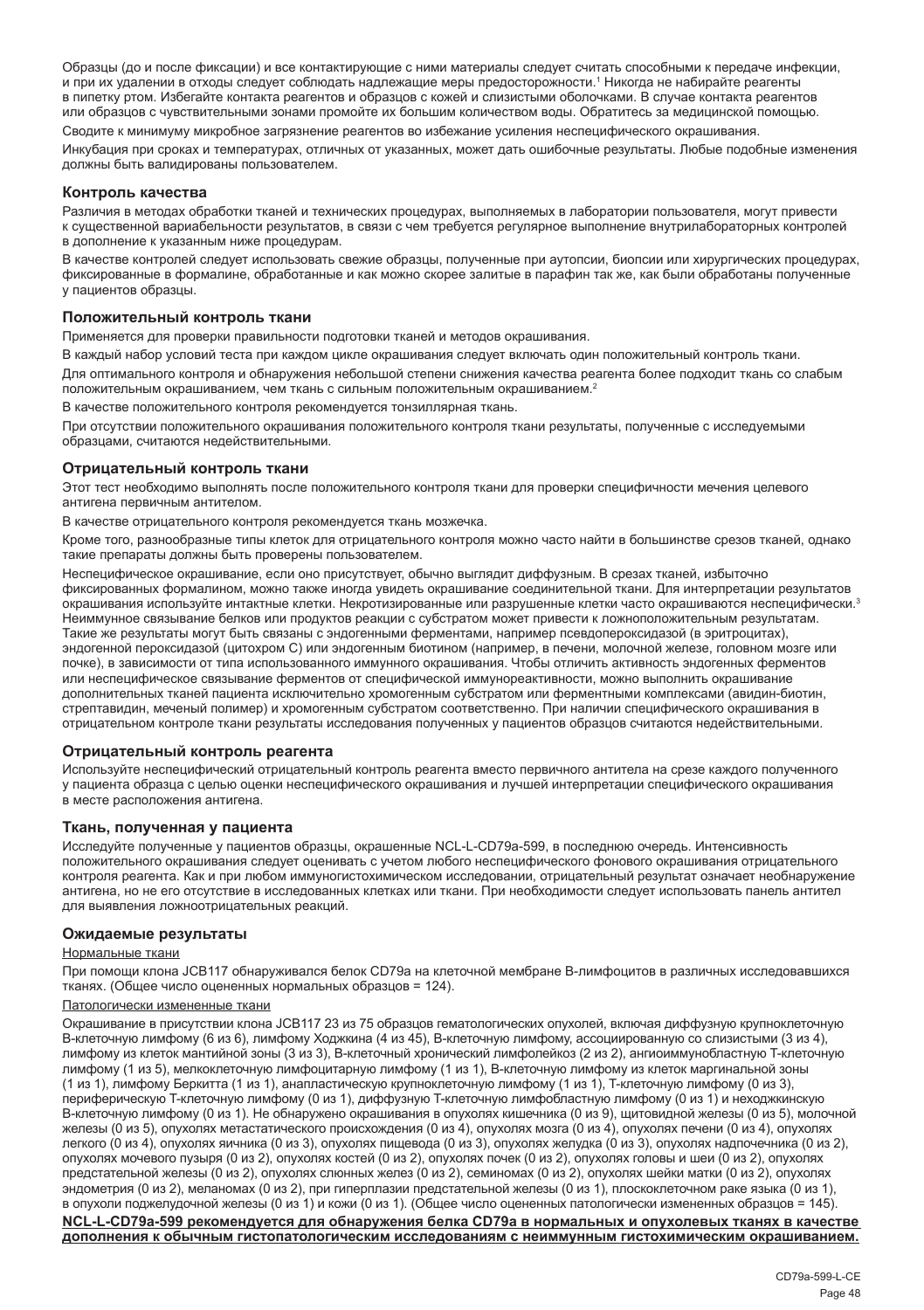Образцы (до и после фиксации) и все контактирующие с ними материалы следует считать способными к передаче инфекции, и при их удалении в отходы следует соблюдать надлежащие меры предосторожности.<sup>1</sup> Никогда не набирайте реагенты в пипетку ртом. Избегайте контакта реагентов и образцов с кожей и слизистыми оболочками. В случае контакта реагентов или образцов с чувствительными зонами промойте их большим количеством воды. Обратитесь за медицинской помощью. Сводите к минимуму микробное загрязнение реагентов во избежание усиления неспецифического окрашивания.

Инкубация при сроках и температурах, отличных от указанных, может дать ошибочные результаты. Любые подобные изменения должны быть валидированы пользователем.

#### **Контроль качества**

Различия в методах обработки тканей и технических процедурах, выполняемых в лаборатории пользователя, могут привести к существенной вариабельности результатов, в связи с чем требуется регулярное выполнение внутрилабораторных контролей в дополнение к указанным ниже процедурам.

В качестве контролей следует использовать свежие образцы, полученные при аутопсии, биопсии или хирургических процедурах, фиксированные в формалине, обработанные и как можно скорее залитые в парафин так же, как были обработаны полученные у пациентов образцы.

#### **Положительный контроль ткани**

Применяется для проверки правильности подготовки тканей и методов окрашивания.

В каждый набор условий теста при каждом цикле окрашивания следует включать один положительный контроль ткани. Для оптимального контроля и обнаружения небольшой степени снижения качества реагента более подходит ткань со слабым положительным окрашиванием, чем ткань с сильным положительным окрашиванием.<sup>2</sup>

В качестве положительного контроля рекомендуется тонзиллярная ткань.

При отсутствии положительного окрашивания положительного контроля ткани результаты, полученные с исследуемыми образцами, считаются недействительными.

#### **Отрицательный контроль ткани**

Этот тест необходимо выполнять после положительного контроля ткани для проверки специфичности мечения целевого антигена первичным антителом.

В качестве отрицательного контроля рекомендуется ткань мозжечка.

Кроме того, разнообразные типы клеток для отрицательного контроля можно часто найти в большинстве срезов тканей, однако такие препараты должны быть проверены пользователем.

Неспецифическое окрашивание, если оно присутствует, обычно выглядит диффузным. В срезах тканей, избыточно фиксированных формалином, можно также иногда увидеть окрашивание соединительной ткани. Для интерпретации результатов окрашивания используйте интактные клетки. Некротизированные или разрушенные клетки часто окрашиваются неспецифически.<sup>3</sup> Неиммунное связывание белков или продуктов реакции с субстратом может привести к ложноположительным результатам. Такие же результаты могут быть связаны с эндогенными ферментами, например псевдопероксидазой (в эритроцитах), эндогенной пероксидазой (цитохром C) или эндогенным биотином (например, в печени, молочной железе, головном мозге или почке), в зависимости от типа использованного иммунного окрашивания. Чтобы отличить активность эндогенных ферментов или неспецифическое связывание ферментов от специфической иммунореактивности, можно выполнить окрашивание дополнительных тканей пациента исключительно хромогенным субстратом или ферментными комплексами (авидин-биотин, стрептавидин, меченый полимер) и хромогенным субстратом соответственно. При наличии специфического окрашивания в отрицательном контроле ткани результаты исследования полученных у пациентов образцов считаются недействительными.

#### **Отрицательный контроль реагента**

Используйте неспецифический отрицательный контроль реагента вместо первичного антитела на срезе каждого полученного у пациента образца с целью оценки неспецифического окрашивания и лучшей интерпретации специфического окрашивания в месте расположения антигена.

#### **Ткань, полученная у пациента**

Исследуйте полученные у пациентов образцы, окрашенные NCL-L-CD79a-599, в последнюю очередь. Интенсивность положительного окрашивания следует оценивать с учетом любого неспецифического фонового окрашивания отрицательного контроля реагента. Как и при любом иммуногистохимическом исследовании, отрицательный результат означает необнаружение антигена, но не его отсутствие в исследованных клетках или ткани. При необходимости следует использовать панель антител для выявления ложноотрицательных реакций.

#### **Ожидаемые результаты**

#### Нормальные ткани

При помощи клона JCB117 обнаруживался белок CD79a на клеточной мембране B-лимфоцитов в различных исследовавшихся тканях. (Общее число оцененных нормальных образцов = 124).

#### Патологически измененные ткани

Окрашивание в присутствии клона JCB117 23 из 75 образцов гематологических опухолей, включая диффузную крупноклеточную B-клеточную лимфому (6 из 6), лимфому Ходжкина (4 из 45), В-клеточную лимфому, ассоциированную со слизистыми (3 из 4), лимфому из клеток мантийной зоны (3 из 3), B-клеточный хронический лимфолейкоз (2 из 2), ангиоиммунобластную T-клеточную лимфому (1 из 5), мелкоклеточную лимфоцитарную лимфому (1 из 1), B-клеточную лимфому из клеток маргинальной зоны (1 из 1), лимфому Беркитта (1 из 1), анапластическую крупноклеточную лимфому (1 из 1), T-клеточную лимфому (0 из 3), периферическую T-клеточную лимфому (0 из 1), диффузную T-клеточную лимфобластную лимфому (0 из 1) и неходжкинскую B-клеточную лимфому (0 из 1). Не обнаружено окрашивания в опухолях кишечника (0 из 9), щитовидной железы (0 из 5), молочной железы (0 из 5), опухолях метастатического происхождения (0 из 4), опухолях мозга (0 из 4), опухолях печени (0 из 4), опухолях легкого (0 из 4), опухолях яичника (0 из 3), опухолях пищевода (0 из 3), опухолях желудка (0 из 3), опухолях надпочечника (0 из 2), опухолях мочевого пузыря (0 из 2), опухолях костей (0 из 2), опухолях почек (0 из 2), опухолях головы и шеи (0 из 2), опухолях предстательной железы (0 из 2), опухолях слюнных желез (0 из 2), семиномах (0 из 2), опухолях шейки матки (0 из 2), опухолях эндометрия (0 из 2), меланомах (0 из 2), при гиперплазии предстательной железы (0 из 1), плоскоклеточном раке языка (0 из 1), в опухоли поджелудочной железы (0 из 1) и кожи (0 из 1). (Общее число оцененных патологически измененных образцов = 145).

**NCL-L-CD79a-599 рекомендуется для обнаружения белка CD79a в нормальных и опухолевых тканях в качестве дополнения к обычным гистопатологическим исследованиям с неиммунным гистохимическим окрашиванием.**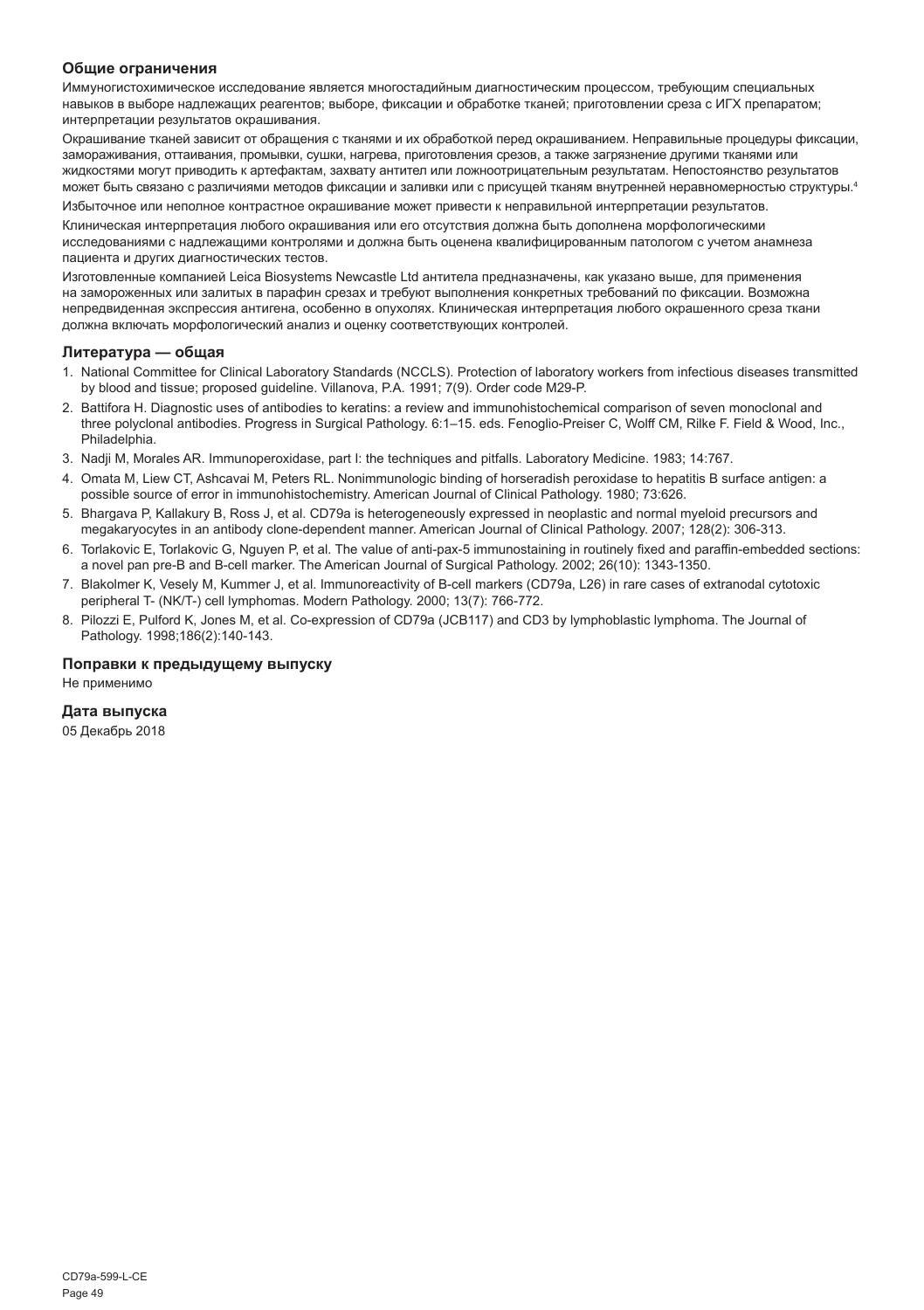#### **Общие ограничения**

Иммуногистохимическое исследование является многостадийным диагностическим процессом, требующим специальных навыков в выборе надлежащих реагентов; выборе, фиксации и обработке тканей; приготовлении среза с ИГХ препаратом; интерпретации результатов окрашивания.

Окрашивание тканей зависит от обращения с тканями и их обработкой перед окрашиванием. Неправильные процедуры фиксации, замораживания, оттаивания, промывки, сушки, нагрева, приготовления срезов, а также загрязнение другими тканями или жидкостями могут приводить к артефактам, захвату антител или ложноотрицательным результатам. Непостоянство результатов может быть связано с различиями методов фиксации и заливки или с присущей тканям внутренней неравномерностью структуры.4

Избыточное или неполное контрастное окрашивание может привести к неправильной интерпретации результатов.

Клиническая интерпретация любого окрашивания или его отсутствия должна быть дополнена морфологическими исследованиями с надлежащими контролями и должна быть оценена квалифицированным патологом с учетом анамнеза пациента и других диагностических тестов.

Изготовленные компанией Leica Biosystems Newcastle Ltd антитела предназначены, как указано выше, для применения на замороженных или залитых в парафин срезах и требуют выполнения конкретных требований по фиксации. Возможна непредвиденная экспрессия антигена, особенно в опухолях. Клиническая интерпретация любого окрашенного среза ткани должна включать морфологический анализ и оценку соответствующих контролей.

#### **Литература — общая**

- 1. National Committee for Clinical Laboratory Standards (NCCLS). Protection of laboratory workers from infectious diseases transmitted by blood and tissue; proposed guideline. Villanova, P.A. 1991; 7(9). Order code M29-P.
- 2. Battifora H. Diagnostic uses of antibodies to keratins: a review and immunohistochemical comparison of seven monoclonal and three polyclonal antibodies. Progress in Surgical Pathology. 6:1–15. eds. Fenoglio-Preiser C, Wolff CM, Rilke F. Field & Wood, Inc., Philadelphia.
- 3. Nadji M, Morales AR. Immunoperoxidase, part I: the techniques and pitfalls. Laboratory Medicine. 1983; 14:767.
- 4. Omata M, Liew CT, Ashcavai M, Peters RL. Nonimmunologic binding of horseradish peroxidase to hepatitis B surface antigen: a possible source of error in immunohistochemistry. American Journal of Clinical Pathology. 1980; 73:626.
- 5. Bhargava P, Kallakury B, Ross J, et al. CD79a is heterogeneously expressed in neoplastic and normal myeloid precursors and megakaryocytes in an antibody clone-dependent manner. American Journal of Clinical Pathology. 2007; 128(2): 306-313.
- 6. Torlakovic E, Torlakovic G, Nguyen P, et al. The value of anti-pax-5 immunostaining in routinely fixed and paraffin-embedded sections: a novel pan pre-B and B-cell marker. The American Journal of Surgical Pathology. 2002; 26(10): 1343-1350.
- 7. Blakolmer K, Vesely M, Kummer J, et al. Immunoreactivity of B-cell markers (CD79a, L26) in rare cases of extranodal cytotoxic peripheral T- (NK/T-) cell lymphomas. Modern Pathology. 2000; 13(7): 766-772.
- 8. Pilozzi E, Pulford K, Jones M, et al. Co-expression of CD79a (JCB117) and CD3 by lymphoblastic lymphoma. The Journal of Pathology. 1998;186(2):140-143.

#### **Поправки к предыдущему выпуску**

Не применимо

#### **Дата выпуска**

05 Декабрь 2018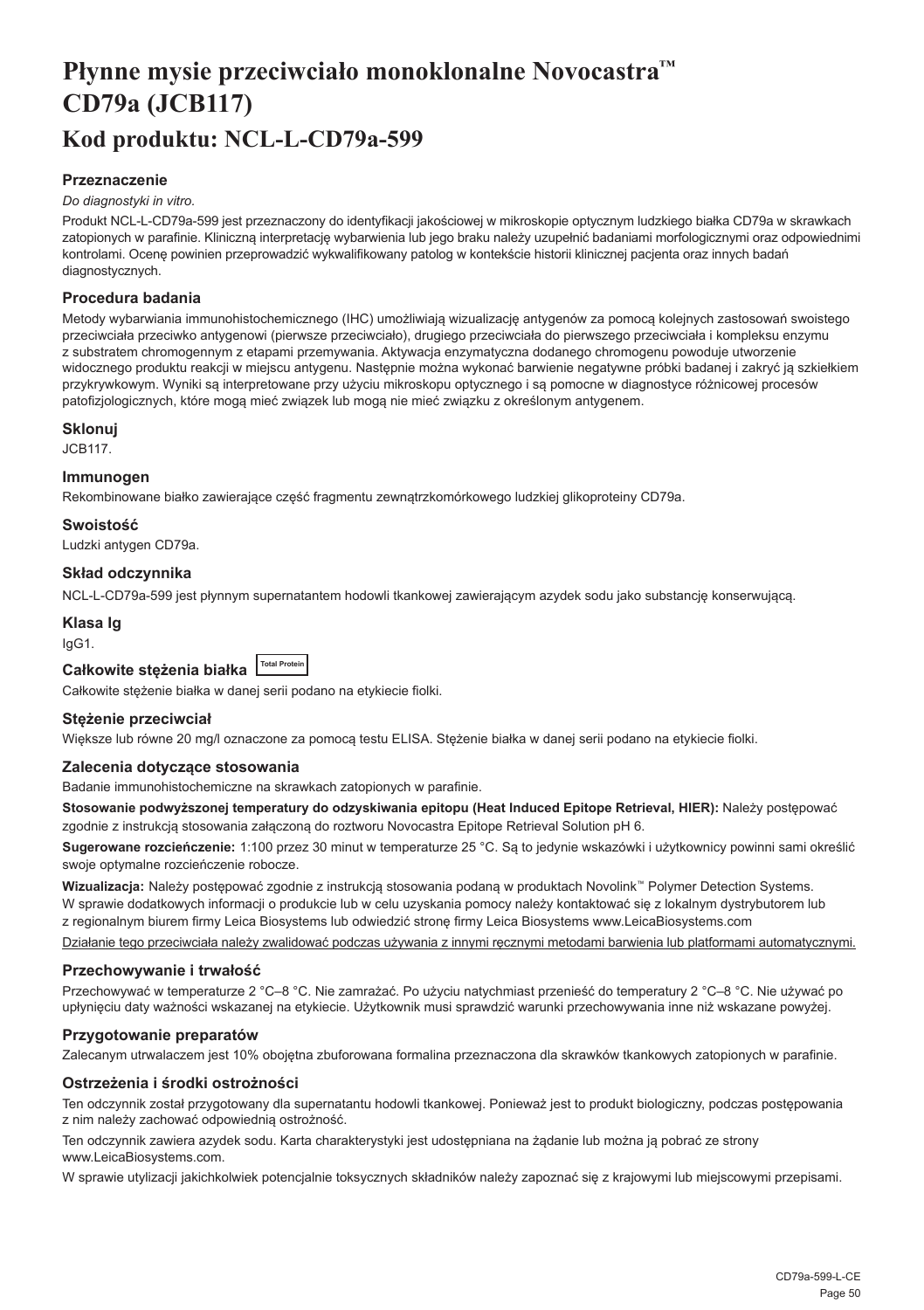## <span id="page-50-0"></span>**Płynne mysie przeciwciało monoklonalne Novocastra™ CD79a (JCB117) Kod produktu: NCL-L-CD79a-599**

#### **Przeznaczenie**

#### *Do diagnostyki in vitro.*

Produkt NCL-L-CD79a-599 jest przeznaczony do identyfikacji jakościowej w mikroskopie optycznym ludzkiego białka CD79a w skrawkach zatopionych w parafinie. Kliniczną interpretację wybarwienia lub jego braku należy uzupełnić badaniami morfologicznymi oraz odpowiednimi kontrolami. Ocenę powinien przeprowadzić wykwalifikowany patolog w kontekście historii klinicznej pacjenta oraz innych badań diagnostycznych.

#### **Procedura badania**

Metody wybarwiania immunohistochemicznego (IHC) umożliwiają wizualizację antygenów za pomocą kolejnych zastosowań swoistego przeciwciała przeciwko antygenowi (pierwsze przeciwciało), drugiego przeciwciała do pierwszego przeciwciała i kompleksu enzymu z substratem chromogennym z etapami przemywania. Aktywacja enzymatyczna dodanego chromogenu powoduje utworzenie widocznego produktu reakcji w miejscu antygenu. Następnie można wykonać barwienie negatywne próbki badanej i zakryć ją szkiełkiem przykrywkowym. Wyniki są interpretowane przy użyciu mikroskopu optycznego i są pomocne w diagnostyce różnicowej procesów patofizjologicznych, które mogą mieć związek lub mogą nie mieć związku z określonym antygenem.

#### **Sklonuj**

JCB117.

#### **Immunogen**

Rekombinowane białko zawierające część fragmentu zewnątrzkomórkowego ludzkiej glikoproteiny CD79a.

#### **Swoistość**

Ludzki antygen CD79a.

#### **Skład odczynnika**

NCL-L-CD79a-599 jest płynnym supernatantem hodowli tkankowej zawierającym azydek sodu jako substancję konserwującą.

#### **Klasa Ig**

IgG1.

| Całkowite steżenia białka | <b>Total Protein</b> |
|---------------------------|----------------------|
|---------------------------|----------------------|

Całkowite stężenie białka w danej serii podano na etykiecie fiolki.

#### **Stężenie przeciwciał**

Większe lub równe 20 mg/l oznaczone za pomocą testu ELISA. Stężenie białka w danej serii podano na etykiecie fiolki.

#### **Zalecenia dotyczące stosowania**

Badanie immunohistochemiczne na skrawkach zatopionych w parafinie.

**Stosowanie podwyższonej temperatury do odzyskiwania epitopu (Heat Induced Epitope Retrieval, HIER):** Należy postępować zgodnie z instrukcją stosowania załączoną do roztworu Novocastra Epitope Retrieval Solution pH 6.

**Sugerowane rozcieńczenie:** 1:100 przez 30 minut w temperaturze 25 °C. Są to jedynie wskazówki i użytkownicy powinni sami określić swoje optymalne rozcieńczenie robocze.

**Wizualizacja:** Należy postępować zgodnie z instrukcją stosowania podaną w produktach Novolink™ Polymer Detection Systems. W sprawie dodatkowych informacji o produkcie lub w celu uzyskania pomocy należy kontaktować się z lokalnym dystrybutorem lub z regionalnym biurem firmy Leica Biosystems lub odwiedzić stronę firmy Leica Biosystems www.LeicaBiosystems.com

Działanie tego przeciwciała należy zwalidować podczas używania z innymi ręcznymi metodami barwienia lub platformami automatycznymi.

#### **Przechowywanie i trwałość**

Przechowywać w temperaturze 2 °C–8 °C. Nie zamrażać. Po użyciu natychmiast przenieść do temperatury 2 °C–8 °C. Nie używać po upłynięciu daty ważności wskazanej na etykiecie. Użytkownik musi sprawdzić warunki przechowywania inne niż wskazane powyżej.

#### **Przygotowanie preparatów**

Zalecanym utrwalaczem jest 10% obojętna zbuforowana formalina przeznaczona dla skrawków tkankowych zatopionych w parafinie.

#### **Ostrzeżenia i środki ostrożności**

Ten odczynnik został przygotowany dla supernatantu hodowli tkankowej. Ponieważ jest to produkt biologiczny, podczas postępowania z nim należy zachować odpowiednią ostrożność.

Ten odczynnik zawiera azydek sodu. Karta charakterystyki jest udostępniana na żądanie lub można ją pobrać ze strony www.LeicaBiosystems.com.

W sprawie utylizacji jakichkolwiek potencjalnie toksycznych składników należy zapoznać się z krajowymi lub miejscowymi przepisami.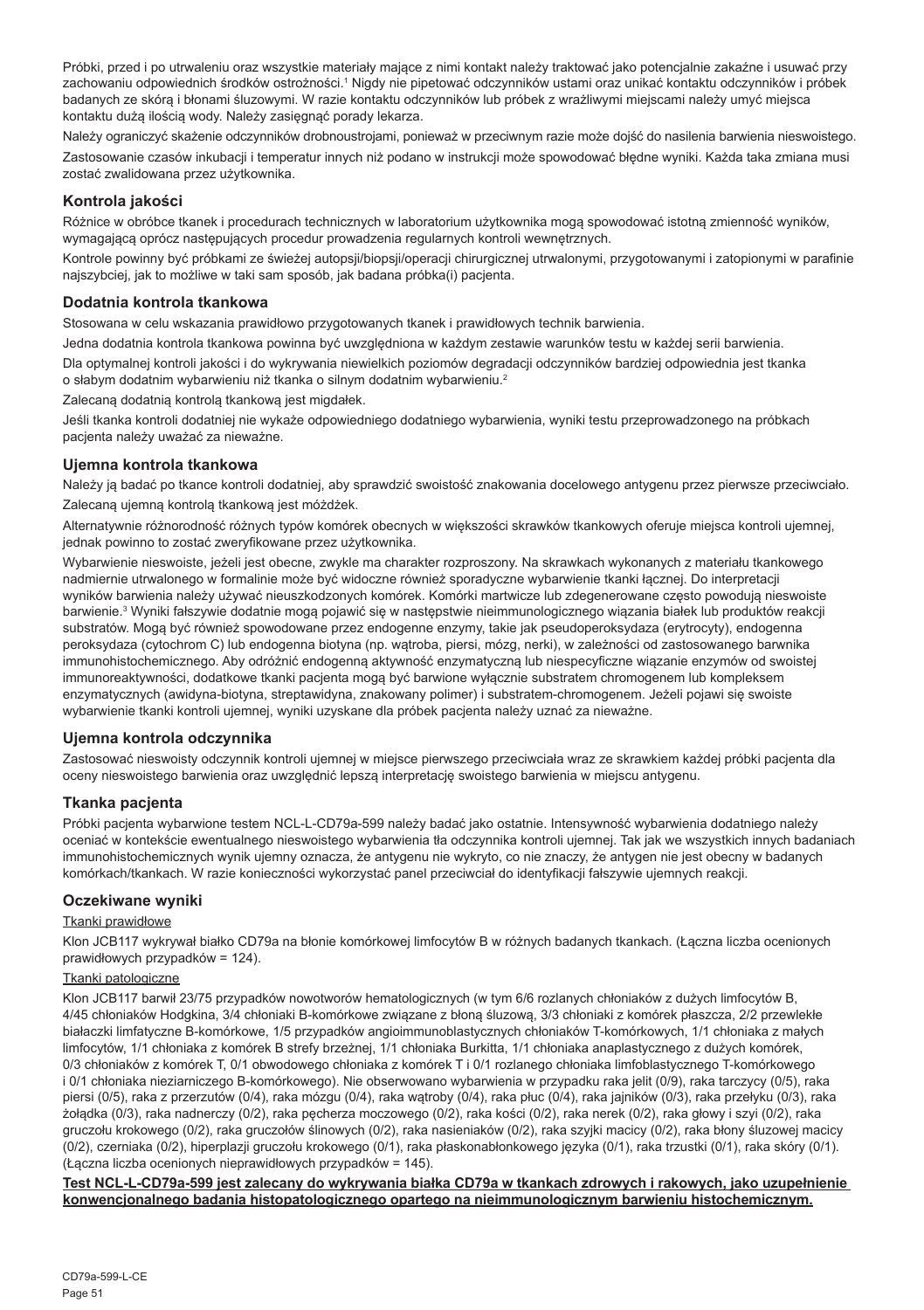Próbki, przed i po utrwaleniu oraz wszystkie materiały mające z nimi kontakt należy traktować jako potencjalnie zakaźne i usuwać przy zachowaniu odpowiednich środków ostrożności.' Nigdy nie pipetować odczynników ustami oraz unikać kontaktu odczynników i próbek badanych ze skórą i błonami śluzowymi. W razie kontaktu odczynników lub próbek z wrażliwymi miejscami należy umyć miejsca kontaktu dużą ilością wody. Należy zasięgnąć porady lekarza.

Należy ograniczyć skażenie odczynników drobnoustrojami, ponieważ w przeciwnym razie może dojść do nasilenia barwienia nieswoistego. Zastosowanie czasów inkubacji i temperatur innych niż podano w instrukcji może spowodować błędne wyniki. Każda taka zmiana musi zostać zwalidowana przez użytkownika.

#### **Kontrola jakości**

Różnice w obróbce tkanek i procedurach technicznych w laboratorium użytkownika mogą spowodować istotną zmienność wyników, wymagającą oprócz następujących procedur prowadzenia regularnych kontroli wewnętrznych.

Kontrole powinny być próbkami ze świeżej autopsji/biopsji/operacji chirurgicznej utrwalonymi, przygotowanymi i zatopionymi w parafinie najszybciej, jak to możliwe w taki sam sposób, jak badana próbka(i) pacjenta.

#### **Dodatnia kontrola tkankowa**

Stosowana w celu wskazania prawidłowo przygotowanych tkanek i prawidłowych technik barwienia.

Jedna dodatnia kontrola tkankowa powinna być uwzględniona w każdym zestawie warunków testu w każdej serii barwienia. Dla optymalnej kontroli jakości i do wykrywania niewielkich poziomów degradacji odczynników bardziej odpowiednia jest tkanka o słabym dodatnim wybarwieniu niż tkanka o silnym dodatnim wybarwieniu.<sup>2</sup>

Zalecaną dodatnią kontrolą tkankową jest migdałek.

Jeśli tkanka kontroli dodatniej nie wykaże odpowiedniego dodatniego wybarwienia, wyniki testu przeprowadzonego na próbkach pacjenta należy uważać za nieważne.

#### **Ujemna kontrola tkankowa**

Należy ją badać po tkance kontroli dodatniej, aby sprawdzić swoistość znakowania docelowego antygenu przez pierwsze przeciwciało. Zalecaną ujemną kontrolą tkankową jest móżdżek.

Alternatywnie różnorodność różnych typów komórek obecnych w większości skrawków tkankowych oferuje miejsca kontroli ujemnej, jednak powinno to zostać zweryfikowane przez użytkownika.

Wybarwienie nieswoiste, jeżeli jest obecne, zwykle ma charakter rozproszony. Na skrawkach wykonanych z materiału tkankowego nadmiernie utrwalonego w formalinie może być widoczne również sporadyczne wybarwienie tkanki łącznej. Do interpretacji wyników barwienia należy używać nieuszkodzonych komórek. Komórki martwicze lub zdegenerowane często powodują nieswoiste barwienie.<sup>3</sup> Wyniki fałszywie dodatnie mogą pojawić się w następstwie nieimmunologicznego wiązania białek lub produktów reakcji substratów. Mogą być również spowodowane przez endogenne enzymy, takie jak pseudoperoksydaza (erytrocyty), endogenna peroksydaza (cytochrom C) lub endogenna biotyna (np. wątroba, piersi, mózg, nerki), w zależności od zastosowanego barwnika immunohistochemicznego. Aby odróżnić endogenną aktywność enzymatyczną lub niespecyficzne wiązanie enzymów od swoistej immunoreaktywności, dodatkowe tkanki pacjenta mogą być barwione wyłącznie substratem chromogenem lub kompleksem enzymatycznych (awidyna-biotyna, streptawidyna, znakowany polimer) i substratem-chromogenem. Jeżeli pojawi się swoiste wybarwienie tkanki kontroli ujemnej, wyniki uzyskane dla próbek pacjenta należy uznać za nieważne.

#### **Ujemna kontrola odczynnika**

Zastosować nieswoisty odczynnik kontroli ujemnej w miejsce pierwszego przeciwciała wraz ze skrawkiem każdej próbki pacjenta dla oceny nieswoistego barwienia oraz uwzględnić lepszą interpretację swoistego barwienia w miejscu antygenu.

#### **Tkanka pacjenta**

Próbki pacjenta wybarwione testem NCL-L-CD79a-599 należy badać jako ostatnie. Intensywność wybarwienia dodatniego należy oceniać w kontekście ewentualnego nieswoistego wybarwienia tła odczynnika kontroli ujemnej. Tak jak we wszystkich innych badaniach immunohistochemicznych wynik ujemny oznacza, że antygenu nie wykryto, co nie znaczy, że antygen nie jest obecny w badanych komórkach/tkankach. W razie konieczności wykorzystać panel przeciwciał do identyfikacji fałszywie ujemnych reakcji.

#### **Oczekiwane wyniki**

#### Tkanki prawidłowe

Klon JCB117 wykrywał białko CD79a na błonie komórkowej limfocytów B w różnych badanych tkankach. (Łączna liczba ocenionych prawidłowych przypadków = 124).

#### Tkanki patologiczne

Klon JCB117 barwił 23/75 przypadków nowotworów hematologicznych (w tym 6/6 rozlanych chłoniaków z dużych limfocytów B, 4/45 chłoniaków Hodgkina, 3/4 chłoniaki B-komórkowe związane z błoną śluzową, 3/3 chłoniaki z komórek płaszcza, 2/2 przewlekłe białaczki limfatyczne B-komórkowe, 1/5 przypadków angioimmunoblastycznych chłoniaków T-komórkowych, 1/1 chłoniaka z małych limfocytów, 1/1 chłoniaka z komórek B strefy brzeżnej, 1/1 chłoniaka Burkitta, 1/1 chłoniaka anaplastycznego z dużych komórek, 0/3 chłoniaków z komórek T, 0/1 obwodowego chłoniaka z komórek T i 0/1 rozlanego chłoniaka limfoblastycznego T-komórkowego i 0/1 chłoniaka nieziarniczego B-komórkowego). Nie obserwowano wybarwienia w przypadku raka jelit (0/9), raka tarczycy (0/5), raka piersi (0/5), raka z przerzutów (0/4), raka mózgu (0/4), raka wątroby (0/4), raka płuc (0/4), raka jajników (0/3), raka przełyku (0/3), raka żołądka (0/3), raka nadnerczy (0/2), raka pęcherza moczowego (0/2), raka kości (0/2), raka nerek (0/2), raka głowy i szyi (0/2), raka gruczołu krokowego (0/2), raka gruczołów ślinowych (0/2), raka nasieniaków (0/2), raka szyjki macicy (0/2), raka błony śluzowej macicy (0/2), czerniaka (0/2), hiperplazji gruczołu krokowego (0/1), raka płaskonabłonkowego języka (0/1), raka trzustki (0/1), raka skóry (0/1). (Łączna liczba ocenionych nieprawidłowych przypadków = 145).

**Test NCL-L-CD79a-599 jest zalecany do wykrywania białka CD79a w tkankach zdrowych i rakowych, jako uzupełnienie konwencjonalnego badania histopatologicznego opartego na nieimmunologicznym barwieniu histochemicznym.**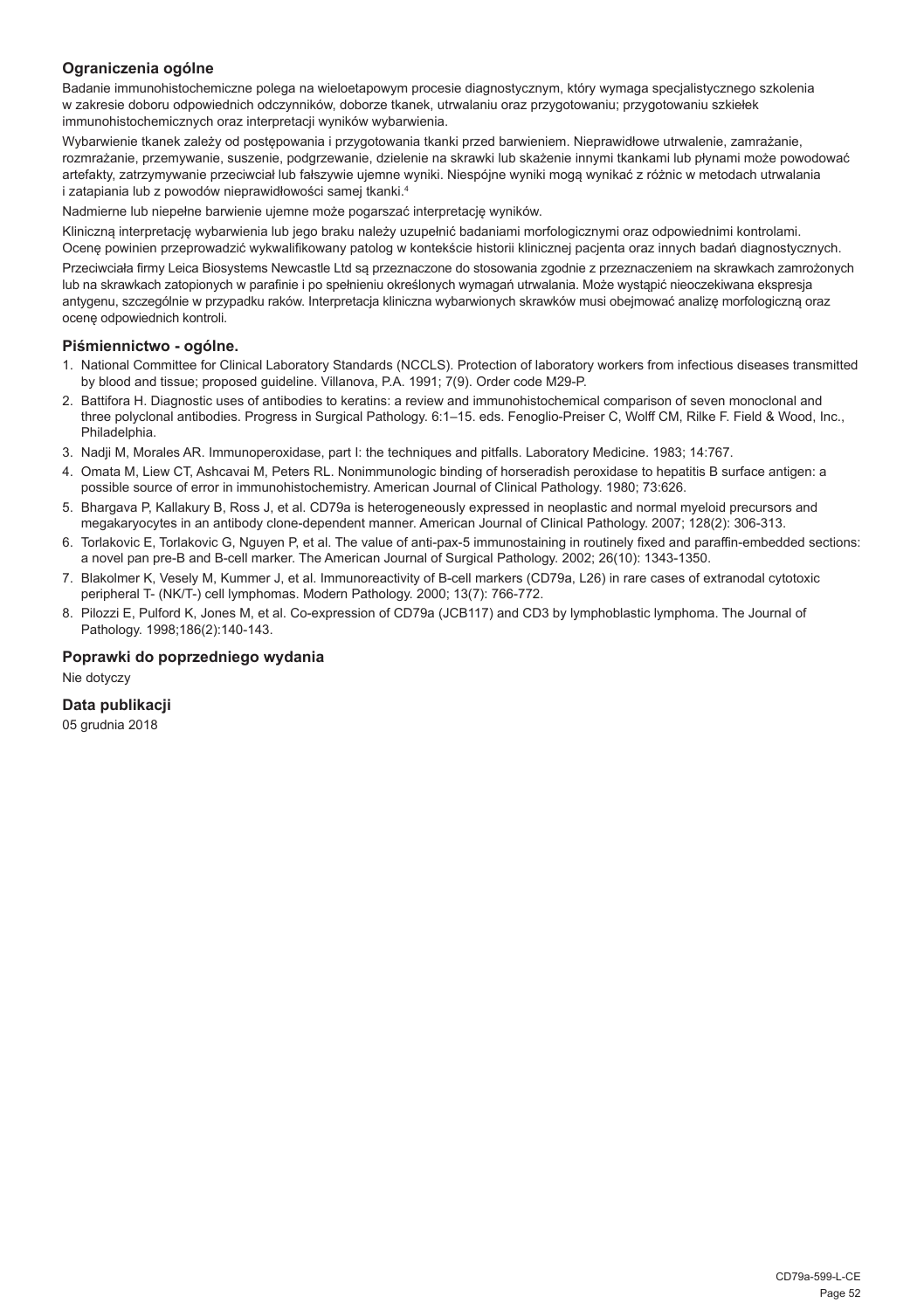#### **Ograniczenia ogólne**

Badanie immunohistochemiczne polega na wieloetapowym procesie diagnostycznym, który wymaga specjalistycznego szkolenia w zakresie doboru odpowiednich odczynników, doborze tkanek, utrwalaniu oraz przygotowaniu; przygotowaniu szkiełek immunohistochemicznych oraz interpretacji wyników wybarwienia.

Wybarwienie tkanek zależy od postępowania i przygotowania tkanki przed barwieniem. Nieprawidłowe utrwalenie, zamrażanie, rozmrażanie, przemywanie, suszenie, podgrzewanie, dzielenie na skrawki lub skażenie innymi tkankami lub płynami może powodować artefakty, zatrzymywanie przeciwciał lub fałszywie ujemne wyniki. Niespójne wyniki mogą wynikać z różnic w metodach utrwalania i zatapiania lub z powodów nieprawidłowości samej tkanki.4

Nadmierne lub niepełne barwienie ujemne może pogarszać interpretację wyników.

Kliniczną interpretację wybarwienia lub jego braku należy uzupełnić badaniami morfologicznymi oraz odpowiednimi kontrolami. Ocenę powinien przeprowadzić wykwalifikowany patolog w kontekście historii klinicznej pacjenta oraz innych badań diagnostycznych.

Przeciwciała firmy Leica Biosystems Newcastle Ltd są przeznaczone do stosowania zgodnie z przeznaczeniem na skrawkach zamrożonych lub na skrawkach zatopionych w parafinie i po spełnieniu określonych wymagań utrwalania. Może wystąpić nieoczekiwana ekspresja antygenu, szczególnie w przypadku raków. Interpretacja kliniczna wybarwionych skrawków musi obejmować analizę morfologiczną oraz ocenę odpowiednich kontroli.

#### **Piśmiennictwo - ogólne.**

- 1. National Committee for Clinical Laboratory Standards (NCCLS). Protection of laboratory workers from infectious diseases transmitted by blood and tissue; proposed guideline. Villanova, P.A. 1991; 7(9). Order code M29-P.
- 2. Battifora H. Diagnostic uses of antibodies to keratins: a review and immunohistochemical comparison of seven monoclonal and three polyclonal antibodies. Progress in Surgical Pathology. 6:1–15. eds. Fenoglio-Preiser C, Wolff CM, Rilke F. Field & Wood, Inc., Philadelphia.
- 3. Nadji M, Morales AR. Immunoperoxidase, part I: the techniques and pitfalls. Laboratory Medicine. 1983; 14:767.
- 4. Omata M, Liew CT, Ashcavai M, Peters RL. Nonimmunologic binding of horseradish peroxidase to hepatitis B surface antigen: a possible source of error in immunohistochemistry. American Journal of Clinical Pathology. 1980; 73:626.
- 5. Bhargava P, Kallakury B, Ross J, et al. CD79a is heterogeneously expressed in neoplastic and normal myeloid precursors and megakaryocytes in an antibody clone-dependent manner. American Journal of Clinical Pathology. 2007; 128(2): 306-313.
- 6. Torlakovic E, Torlakovic G, Nguyen P, et al. The value of anti-pax-5 immunostaining in routinely fixed and paraffin-embedded sections: a novel pan pre-B and B-cell marker. The American Journal of Surgical Pathology. 2002; 26(10): 1343-1350.
- 7. Blakolmer K, Vesely M, Kummer J, et al. Immunoreactivity of B-cell markers (CD79a, L26) in rare cases of extranodal cytotoxic peripheral T- (NK/T-) cell lymphomas. Modern Pathology. 2000; 13(7): 766-772.
- 8. Pilozzi E, Pulford K, Jones M, et al. Co-expression of CD79a (JCB117) and CD3 by lymphoblastic lymphoma. The Journal of Pathology. 1998;186(2):140-143.

#### **Poprawki do poprzedniego wydania**

Nie dotyczy

### **Data publikacji**

05 grudnia 2018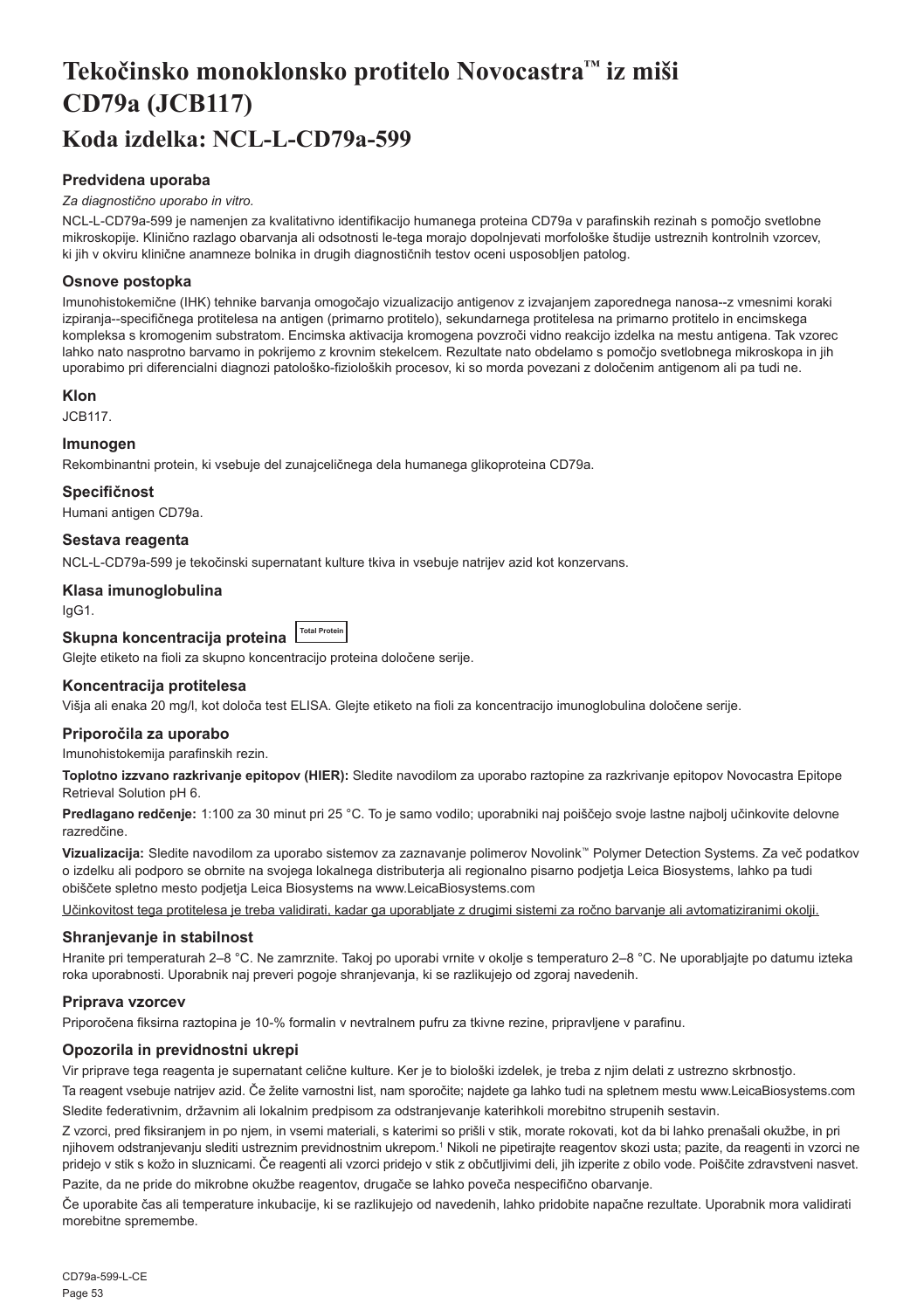## <span id="page-53-0"></span>**Tekočinsko monoklonsko protitelo Novocastra™ iz miši CD79a (JCB117) Koda izdelka: NCL-L-CD79a-599**

#### **Predvidena uporaba**

#### *Za diagnostično uporabo in vitro.*

NCL-L-CD79a-599 je namenjen za kvalitativno identifikacijo humanega proteina CD79a v parafinskih rezinah s pomočjo svetlobne mikroskopije. Klinično razlago obarvanja ali odsotnosti le-tega morajo dopolnjevati morfološke študije ustreznih kontrolnih vzorcev, ki jih v okviru klinične anamneze bolnika in drugih diagnostičnih testov oceni usposobljen patolog.

#### **Osnove postopka**

Imunohistokemične (IHK) tehnike barvanja omogočajo vizualizacijo antigenov z izvajanjem zaporednega nanosa--z vmesnimi koraki izpiranja--specifičnega protitelesa na antigen (primarno protitelo), sekundarnega protitelesa na primarno protitelo in encimskega kompleksa s kromogenim substratom. Encimska aktivacija kromogena povzroči vidno reakcijo izdelka na mestu antigena. Tak vzorec lahko nato nasprotno barvamo in pokrijemo z krovnim stekelcem. Rezultate nato obdelamo s pomočjo svetlobnega mikroskopa in jih uporabimo pri diferencialni diagnozi patološko-fizioloških procesov, ki so morda povezani z določenim antigenom ali pa tudi ne.

#### **Klon**

JCB117.

#### **Imunogen**

Rekombinantni protein, ki vsebuje del zunajceličnega dela humanega glikoproteina CD79a.

#### **Specifičnost**

Humani antigen CD79a.

#### **Sestava reagenta**

NCL-L-CD79a-599 je tekočinski supernatant kulture tkiva in vsebuje natrijev azid kot konzervans.

#### **Klasa imunoglobulina**

IgG1.

### **Skupna koncentracija proteina Total Protein**

Glejte etiketo na fioli za skupno koncentracijo proteina določene serije.

#### **Koncentracija protitelesa**

Višja ali enaka 20 mg/l, kot določa test ELISA. Glejte etiketo na fioli za koncentracijo imunoglobulina določene serije.

#### **Priporočila za uporabo**

Imunohistokemija parafinskih rezin.

**Toplotno izzvano razkrivanje epitopov (HIER):** Sledite navodilom za uporabo raztopine za razkrivanje epitopov Novocastra Epitope Retrieval Solution pH 6.

**Predlagano redčenje:** 1:100 za 30 minut pri 25 °C. To je samo vodilo; uporabniki naj poiščejo svoje lastne najbolj učinkovite delovne razredčine.

**Vizualizacija:** Sledite navodilom za uporabo sistemov za zaznavanje polimerov Novolink™ Polymer Detection Systems. Za več podatkov o izdelku ali podporo se obrnite na svojega lokalnega distributerja ali regionalno pisarno podjetja Leica Biosystems, lahko pa tudi obiščete spletno mesto podjetja Leica Biosystems na www.LeicaBiosystems.com

Učinkovitost tega protitelesa je treba validirati, kadar ga uporabljate z drugimi sistemi za ročno barvanje ali avtomatiziranimi okolji.

#### **Shranjevanje in stabilnost**

Hranite pri temperaturah 2–8 °C. Ne zamrznite. Takoj po uporabi vrnite v okolje s temperaturo 2–8 °C. Ne uporabljajte po datumu izteka roka uporabnosti. Uporabnik naj preveri pogoje shranjevanja, ki se razlikujejo od zgoraj navedenih.

#### **Priprava vzorcev**

Priporočena fiksirna raztopina je 10-% formalin v nevtralnem pufru za tkivne rezine, pripravljene v parafinu.

#### **Opozorila in previdnostni ukrepi**

Vir priprave tega reagenta je supernatant celične kulture. Ker je to biološki izdelek, je treba z njim delati z ustrezno skrbnostjo.

Ta reagent vsebuje natrijev azid. Če želite varnostni list, nam sporočite; najdete ga lahko tudi na spletnem mestu www.LeicaBiosystems.com Sledite federativnim, državnim ali lokalnim predpisom za odstranjevanje katerihkoli morebitno strupenih sestavin.

Z vzorci, pred fiksiranjem in po njem, in vsemi materiali, s katerimi so prišli v stik, morate rokovati, kot da bi lahko prenašali okužbe, in pri njihovem odstranjevanju slediti ustreznim previdnostnim ukrepom.1 Nikoli ne pipetirajte reagentov skozi usta; pazite, da reagenti in vzorci ne pridejo v stik s kožo in sluznicami. Če reagenti ali vzorci pridejo v stik z občutljivimi deli, jih izperite z obilo vode. Poiščite zdravstveni nasvet.

Pazite, da ne pride do mikrobne okužbe reagentov, drugače se lahko poveča nespecifično obarvanje.

Če uporabite čas ali temperature inkubacije, ki se razlikujejo od navedenih, lahko pridobite napačne rezultate. Uporabnik mora validirati morebitne spremembe.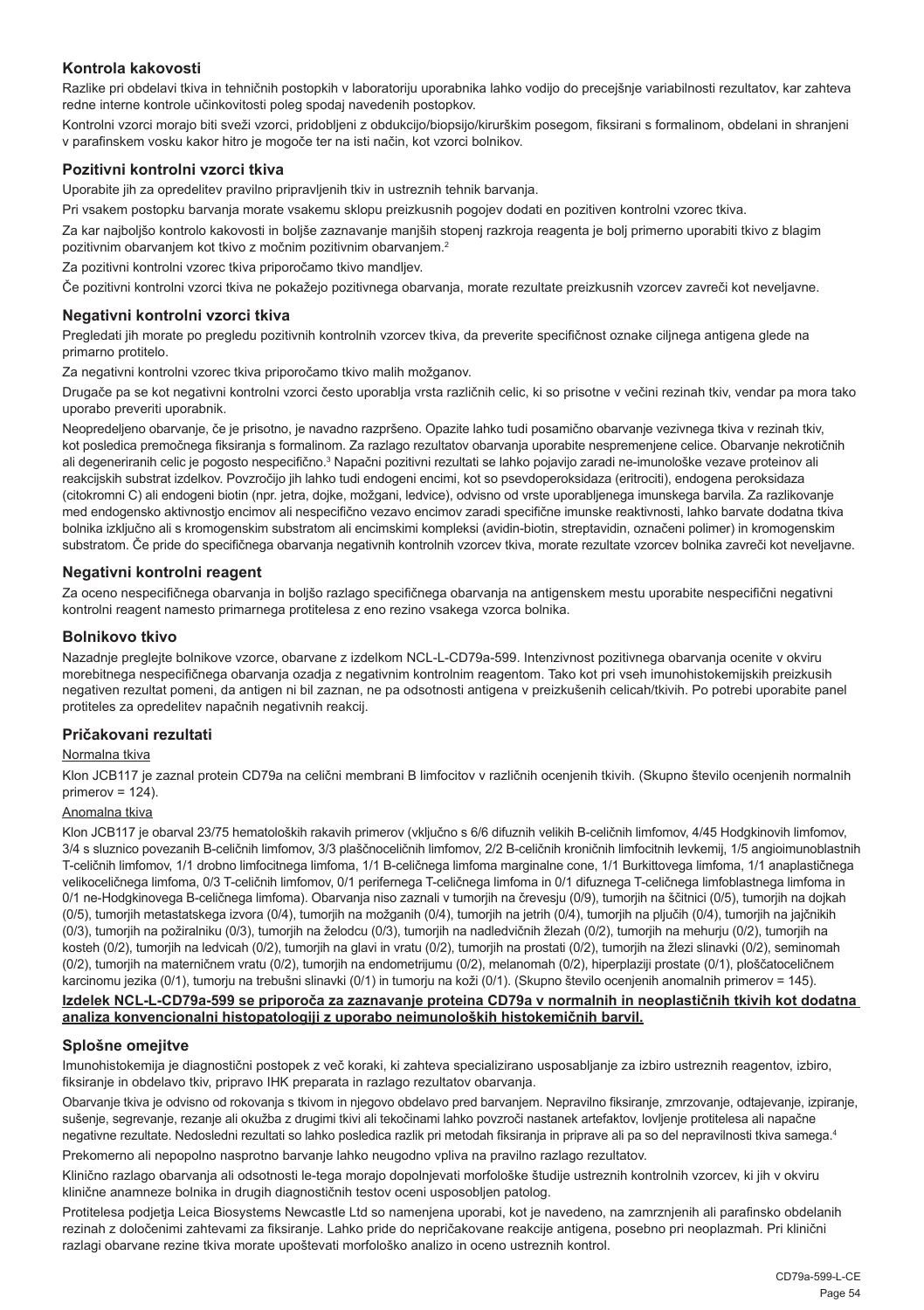#### **Kontrola kakovosti**

Razlike pri obdelavi tkiva in tehničnih postopkih v laboratoriju uporabnika lahko vodijo do precejšnje variabilnosti rezultatov, kar zahteva redne interne kontrole učinkovitosti poleg spodaj navedenih postopkov.

Kontrolni vzorci morajo biti sveži vzorci, pridobljeni z obdukcijo/biopsijo/kirurškim posegom, fiksirani s formalinom, obdelani in shranjeni v parafinskem vosku kakor hitro je mogoče ter na isti način, kot vzorci bolnikov.

#### **Pozitivni kontrolni vzorci tkiva**

Uporabite jih za opredelitev pravilno pripravljenih tkiv in ustreznih tehnik barvanja.

Pri vsakem postopku barvanja morate vsakemu sklopu preizkusnih pogojev dodati en pozitiven kontrolni vzorec tkiva.

Za kar najboljšo kontrolo kakovosti in boljše zaznavanje manjših stopenj razkroja reagenta je bolj primerno uporabiti tkivo z blagim pozitivnim obarvanjem kot tkivo z močnim pozitivnim obarvanjem.<sup>2</sup>

Za pozitivni kontrolni vzorec tkiva priporočamo tkivo mandljev.

Če pozitivni kontrolni vzorci tkiva ne pokažejo pozitivnega obarvanja, morate rezultate preizkusnih vzorcev zavreči kot neveljavne.

#### **Negativni kontrolni vzorci tkiva**

Pregledati jih morate po pregledu pozitivnih kontrolnih vzorcev tkiva, da preverite specifičnost oznake ciljnega antigena glede na primarno protitelo.

Za negativni kontrolni vzorec tkiva priporočamo tkivo malih možganov.

Drugače pa se kot negativni kontrolni vzorci često uporablja vrsta različnih celic, ki so prisotne v večini rezinah tkiv, vendar pa mora tako uporabo preveriti uporabnik.

Neopredeljeno obarvanje, če je prisotno, je navadno razpršeno. Opazite lahko tudi posamično obarvanje vezivnega tkiva v rezinah tkiv, kot posledica premočnega fiksiranja s formalinom. Za razlago rezultatov obarvanja uporabite nespremenjene celice. Obarvanje nekrotičnih ali degeneriranih celic je pogosto nespecifično.<sup>3</sup> Napačni pozitivni rezultati se lahko pojavijo zaradi ne-imunološke vezave proteinov ali reakcijskih substrat izdelkov. Povzročijo jih lahko tudi endogeni encimi, kot so psevdoperoksidaza (eritrociti), endogena peroksidaza (citokromni C) ali endogeni biotin (npr. jetra, dojke, možgani, ledvice), odvisno od vrste uporabljenega imunskega barvila. Za razlikovanje med endogensko aktivnostjo encimov ali nespecifično vezavo encimov zaradi specifične imunske reaktivnosti, lahko barvate dodatna tkiva bolnika izključno ali s kromogenskim substratom ali encimskimi kompleksi (avidin-biotin, streptavidin, označeni polimer) in kromogenskim substratom. Če pride do specifičnega obarvanja negativnih kontrolnih vzorcev tkiva, morate rezultate vzorcev bolnika zavreči kot neveljavne.

#### **Negativni kontrolni reagent**

Za oceno nespecifičnega obarvanja in boljšo razlago specifičnega obarvanja na antigenskem mestu uporabite nespecifični negativni kontrolni reagent namesto primarnega protitelesa z eno rezino vsakega vzorca bolnika.

#### **Bolnikovo tkivo**

Nazadnje preglejte bolnikove vzorce, obarvane z izdelkom NCL-L-CD79a-599. Intenzivnost pozitivnega obarvanja ocenite v okviru morebitnega nespecifičnega obarvanja ozadja z negativnim kontrolnim reagentom. Tako kot pri vseh imunohistokemijskih preizkusih negativen rezultat pomeni, da antigen ni bil zaznan, ne pa odsotnosti antigena v preizkušenih celicah/tkivih. Po potrebi uporabite panel protiteles za opredelitev napačnih negativnih reakcij.

#### **Pričakovani rezultati**

#### Normalna tkiva

Klon JCB117 je zaznal protein CD79a na celični membrani B limfocitov v različnih ocenjenih tkivih. (Skupno število ocenjenih normalnih primerov = 124).

#### Anomalna tkiva

Klon JCB117 je obarval 23/75 hematoloških rakavih primerov (vključno s 6/6 difuznih velikih B-celičnih limfomov, 4/45 Hodgkinovih limfomov, 3/4 s sluznico povezanih B-celičnih limfomov, 3/3 plaščnoceličnih limfomov, 2/2 B-celičnih kroničnih limfocitnih levkemij, 1/5 angioimunoblastnih T-celičnih limfomov, 1/1 drobno limfocitnega limfoma, 1/1 B-celičnega limfoma marginalne cone, 1/1 Burkittovega limfoma, 1/1 anaplastičnega velikoceličnega limfoma, 0/3 T-celičnih limfomov, 0/1 perifernega T-celičnega limfoma in 0/1 difuznega T-celičnega limfoblastnega limfoma in 0/1 ne-Hodgkinovega B-celičnega limfoma). Obarvanja niso zaznali v tumorijh na črevesju (0/9), tumorjih na ščitnici (0/5), tumorjih na dojkah (0/5), tumorjih metastatskega izvora (0/4), tumorjih na možganih (0/4), tumorjih na jetrih (0/4), tumorjih na pljučih (0/4), tumorjih na jajčnikih (0/3), tumorjih na požiralniku (0/3), tumorjih na želodcu (0/3), tumorjih na nadledvičnih žlezah (0/2), tumorjih na mehurju (0/2), tumorjih na kosteh (0/2), tumorjih na ledvicah (0/2), tumorjih na glavi in vratu (0/2), tumorjih na prostati (0/2), tumorjih na žlezi slinavki (0/2), seminomah (0/2), tumorjih na materničnem vratu (0/2), tumorjih na endometrijumu (0/2), melanomah (0/2), hiperplaziji prostate (0/1), ploščatoceličnem karcinomu jezika (0/1), tumorju na trebušni slinavki (0/1) in tumorju na koži (0/1). (Skupno število ocenjenih anomalnih primerov = 145).

#### **Izdelek NCL-L-CD79a-599 se priporoča za zaznavanje proteina CD79a v normalnih in neoplastičnih tkivih kot dodatna analiza konvencionalni histopatologiji z uporabo neimunoloških histokemičnih barvil.**

#### **Splošne omejitve**

Imunohistokemija je diagnostični postopek z več koraki, ki zahteva specializirano usposabljanje za izbiro ustreznih reagentov, izbiro, fiksiranje in obdelavo tkiv, pripravo IHK preparata in razlago rezultatov obarvanja.

Obarvanje tkiva je odvisno od rokovanja s tkivom in njegovo obdelavo pred barvanjem. Nepravilno fiksiranje, zmrzovanje, odtajevanje, izpiranje, sušenje, segrevanje, rezanje ali okužba z drugimi tkivi ali tekočinami lahko povzroči nastanek artefaktov, lovljenje protitelesa ali napačne negativne rezultate. Nedosledni rezultati so lahko posledica razlik pri metodah fiksiranja in priprave ali pa so del nepravilnosti tkiva samega.4

Prekomerno ali nepopolno nasprotno barvanje lahko neugodno vpliva na pravilno razlago rezultatov.

Klinično razlago obarvanja ali odsotnosti le-tega morajo dopolnjevati morfološke študije ustreznih kontrolnih vzorcev, ki jih v okviru klinične anamneze bolnika in drugih diagnostičnih testov oceni usposobljen patolog.

Protitelesa podjetja Leica Biosystems Newcastle Ltd so namenjena uporabi, kot je navedeno, na zamrznjenih ali parafinsko obdelanih rezinah z določenimi zahtevami za fiksiranje. Lahko pride do nepričakovane reakcije antigena, posebno pri neoplazmah. Pri klinični razlagi obarvane rezine tkiva morate upoštevati morfološko analizo in oceno ustreznih kontrol.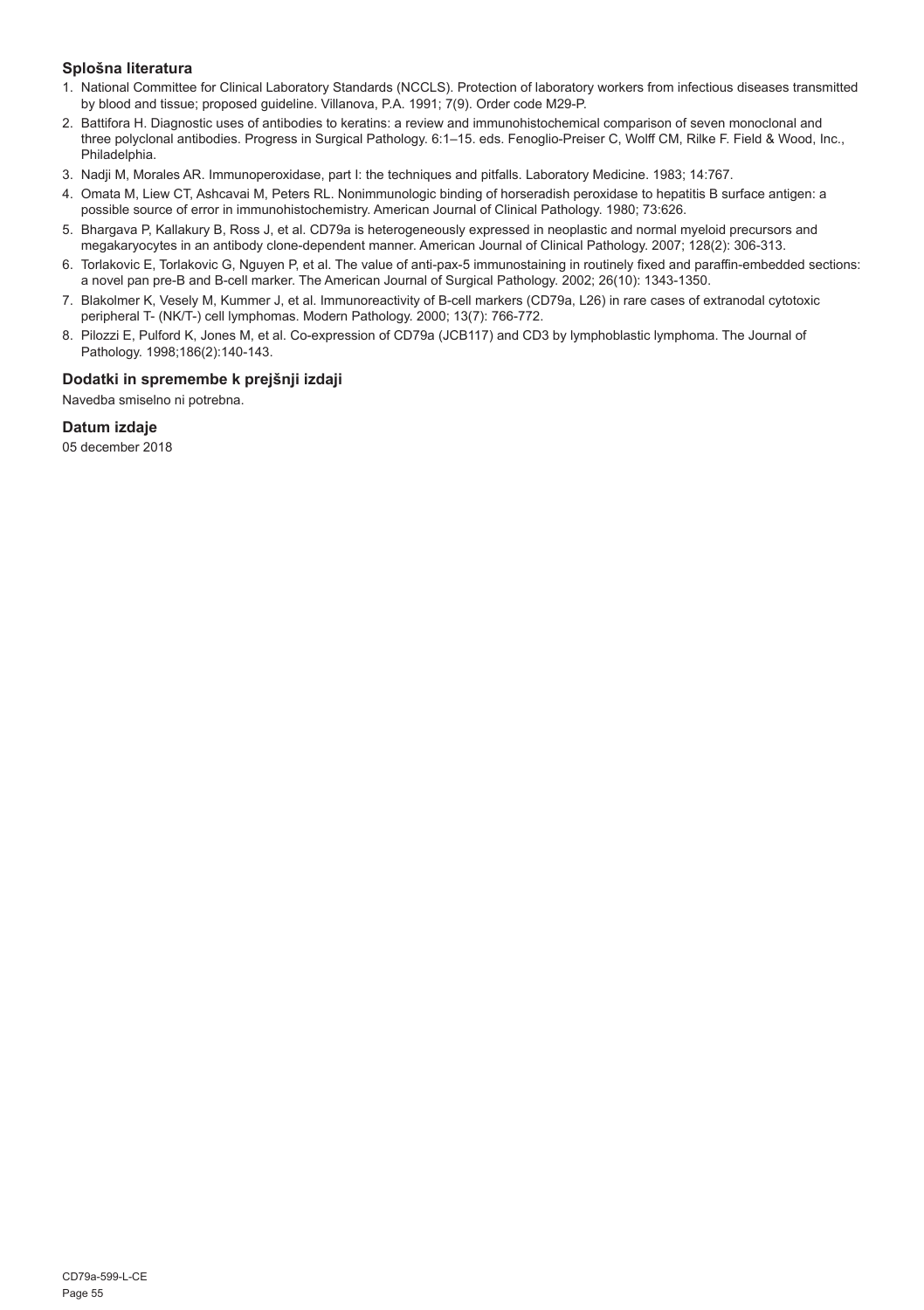#### **Splošna literatura**

- 1. National Committee for Clinical Laboratory Standards (NCCLS). Protection of laboratory workers from infectious diseases transmitted by blood and tissue; proposed guideline. Villanova, P.A. 1991; 7(9). Order code M29-P.
- 2. Battifora H. Diagnostic uses of antibodies to keratins: a review and immunohistochemical comparison of seven monoclonal and three polyclonal antibodies. Progress in Surgical Pathology. 6:1–15. eds. Fenoglio-Preiser C, Wolff CM, Rilke F. Field & Wood, Inc., Philadelphia.
- 3. Nadji M, Morales AR. Immunoperoxidase, part I: the techniques and pitfalls. Laboratory Medicine. 1983; 14:767.
- 4. Omata M, Liew CT, Ashcavai M, Peters RL. Nonimmunologic binding of horseradish peroxidase to hepatitis B surface antigen: a possible source of error in immunohistochemistry. American Journal of Clinical Pathology. 1980; 73:626.
- 5. Bhargava P, Kallakury B, Ross J, et al. CD79a is heterogeneously expressed in neoplastic and normal myeloid precursors and megakaryocytes in an antibody clone-dependent manner. American Journal of Clinical Pathology. 2007; 128(2): 306-313.
- 6. Torlakovic E, Torlakovic G, Nguyen P, et al. The value of anti-pax-5 immunostaining in routinely fixed and paraffin-embedded sections: a novel pan pre-B and B-cell marker. The American Journal of Surgical Pathology. 2002; 26(10): 1343-1350.
- 7. Blakolmer K, Vesely M, Kummer J, et al. Immunoreactivity of B-cell markers (CD79a, L26) in rare cases of extranodal cytotoxic peripheral T- (NK/T-) cell lymphomas. Modern Pathology. 2000; 13(7): 766-772.
- 8. Pilozzi E, Pulford K, Jones M, et al. Co-expression of CD79a (JCB117) and CD3 by lymphoblastic lymphoma. The Journal of Pathology. 1998;186(2):140-143.

#### **Dodatki in spremembe k prejšnji izdaji**

Navedba smiselno ni potrebna.

#### **Datum izdaje**

05 december 2018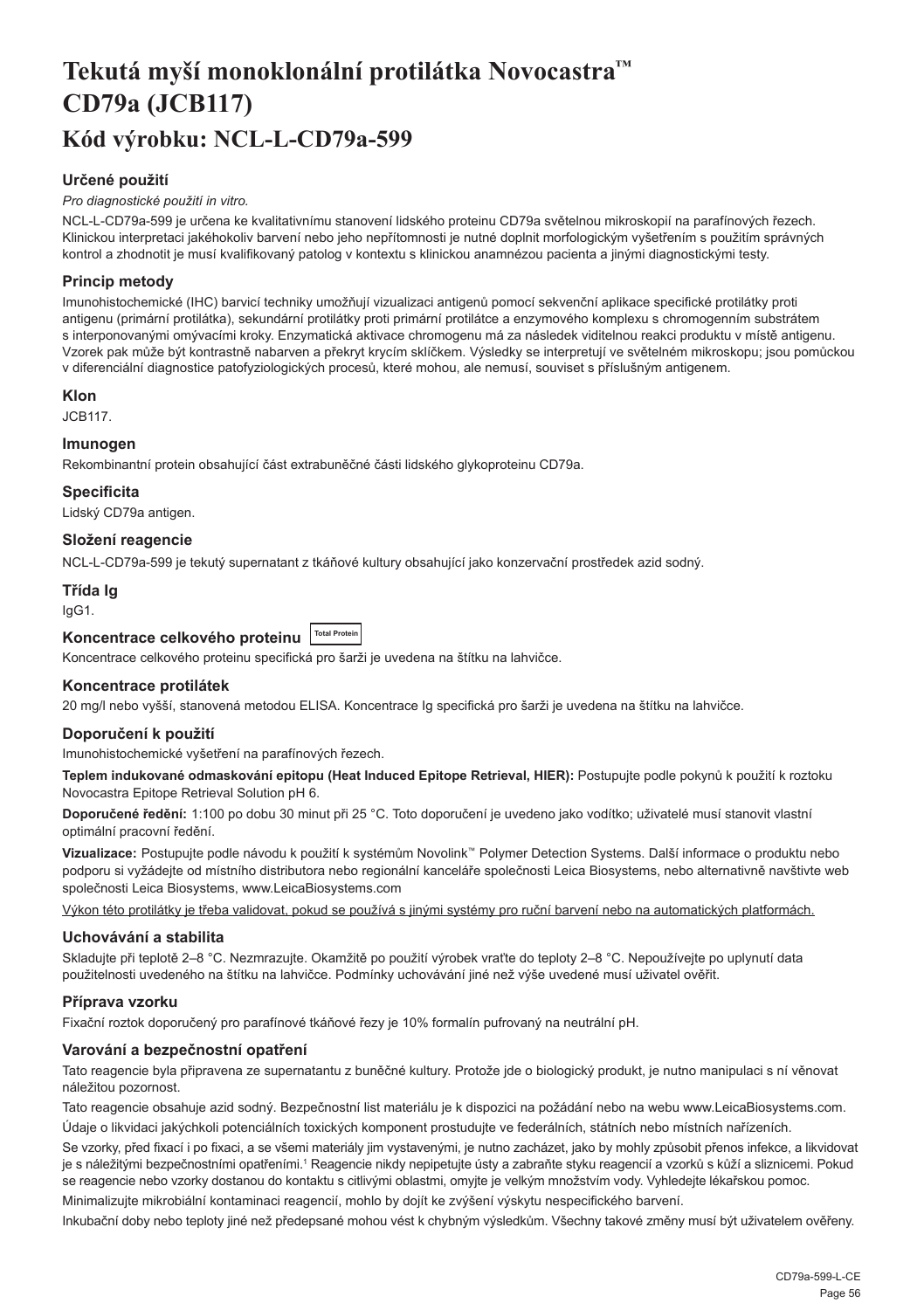## <span id="page-56-0"></span>**Tekutá myší monoklonální protilátka Novocastra™ CD79a (JCB117) Kód výrobku: NCL-L-CD79a-599**

#### **Určené použití**

#### *Pro diagnostické použití in vitro.*

NCL-L-CD79a-599 je určena ke kvalitativnímu stanovení lidského proteinu CD79a světelnou mikroskopií na parafínových řezech. Klinickou interpretaci jakéhokoliv barvení nebo jeho nepřítomnosti je nutné doplnit morfologickým vyšetřením s použitím správných kontrol a zhodnotit je musí kvalifikovaný patolog v kontextu s klinickou anamnézou pacienta a jinými diagnostickými testy.

#### **Princip metody**

Imunohistochemické (IHC) barvicí techniky umožňují vizualizaci antigenů pomocí sekvenční aplikace specifické protilátky proti antigenu (primární protilátka), sekundární protilátky proti primární protilátce a enzymového komplexu s chromogenním substrátem s interponovanými omývacími kroky. Enzymatická aktivace chromogenu má za následek viditelnou reakci produktu v místě antigenu. Vzorek pak může být kontrastně nabarven a překryt krycím sklíčkem. Výsledky se interpretují ve světelném mikroskopu; jsou pomůckou v diferenciální diagnostice patofyziologických procesů, které mohou, ale nemusí, souviset s příslušným antigenem.

#### **Klon**

JCB117.

#### **Imunogen**

Rekombinantní protein obsahující část extrabuněčné části lidského glykoproteinu CD79a.

#### **Specificita**

Lidský CD79a antigen.

#### **Složení reagencie**

NCL-L-CD79a-599 je tekutý supernatant z tkáňové kultury obsahující jako konzervační prostředek azid sodný.

#### **Třída Ig**

IgG1.

### Koncentrace celkového proteinu <sup>Total Prote</sup>

Koncentrace celkového proteinu specifická pro šarži je uvedena na štítku na lahvičce.

#### **Koncentrace protilátek**

20 mg/l nebo vyšší, stanovená metodou ELISA. Koncentrace Ig specifická pro šarži je uvedena na štítku na lahvičce.

#### **Doporučení k použití**

Imunohistochemické vyšetření na parafínových řezech.

**Teplem indukované odmaskování epitopu (Heat Induced Epitope Retrieval, HIER):** Postupujte podle pokynů k použití k roztoku Novocastra Epitope Retrieval Solution pH 6.

**Doporučené ředění:** 1:100 po dobu 30 minut při 25 °C. Toto doporučení je uvedeno jako vodítko; uživatelé musí stanovit vlastní optimální pracovní ředění.

**Vizualizace:** Postupujte podle návodu k použití k systémům Novolink™ Polymer Detection Systems. Další informace o produktu nebo podporu si vyžádejte od místního distributora nebo regionální kanceláře společnosti Leica Biosystems, nebo alternativně navštivte web společnosti Leica Biosystems, www.LeicaBiosystems.com

Výkon této protilátky je třeba validovat, pokud se používá s jinými systémy pro ruční barvení nebo na automatických platformách.

#### **Uchovávání a stabilita**

Skladujte při teplotě 2–8 °C. Nezmrazujte. Okamžitě po použití výrobek vraťte do teploty 2–8 °C. Nepoužívejte po uplynutí data použitelnosti uvedeného na štítku na lahvičce. Podmínky uchovávání jiné než výše uvedené musí uživatel ověřit.

#### **Příprava vzorku**

Fixační roztok doporučený pro parafínové tkáňové řezy je 10% formalín pufrovaný na neutrální pH.

#### **Varování a bezpečnostní opatření**

Tato reagencie byla připravena ze supernatantu z buněčné kultury. Protože jde o biologický produkt, je nutno manipulaci s ní věnovat náležitou pozornost.

Tato reagencie obsahuje azid sodný. Bezpečnostní list materiálu je k dispozici na požádání nebo na webu www.LeicaBiosystems.com. Údaje o likvidaci jakýchkoli potenciálních toxických komponent prostudujte ve federálních, státních nebo místních nařízeních.

Se vzorky, před fixací i po fixaci, a se všemi materiály jim vystavenými, je nutno zacházet, jako by mohly způsobit přenos infekce, a likvidovat je s náležitými bezpečnostními opatřeními.1 Reagencie nikdy nepipetujte ústy a zabraňte styku reagencií a vzorků s kůží a sliznicemi. Pokud se reagencie nebo vzorky dostanou do kontaktu s citlivými oblastmi, omyjte je velkým množstvím vody. Vyhledejte lékařskou pomoc.

Minimalizujte mikrobiální kontaminaci reagencií, mohlo by dojít ke zvýšení výskytu nespecifického barvení.

Inkubační doby nebo teploty jiné než předepsané mohou vést k chybným výsledkům. Všechny takové změny musí být uživatelem ověřeny.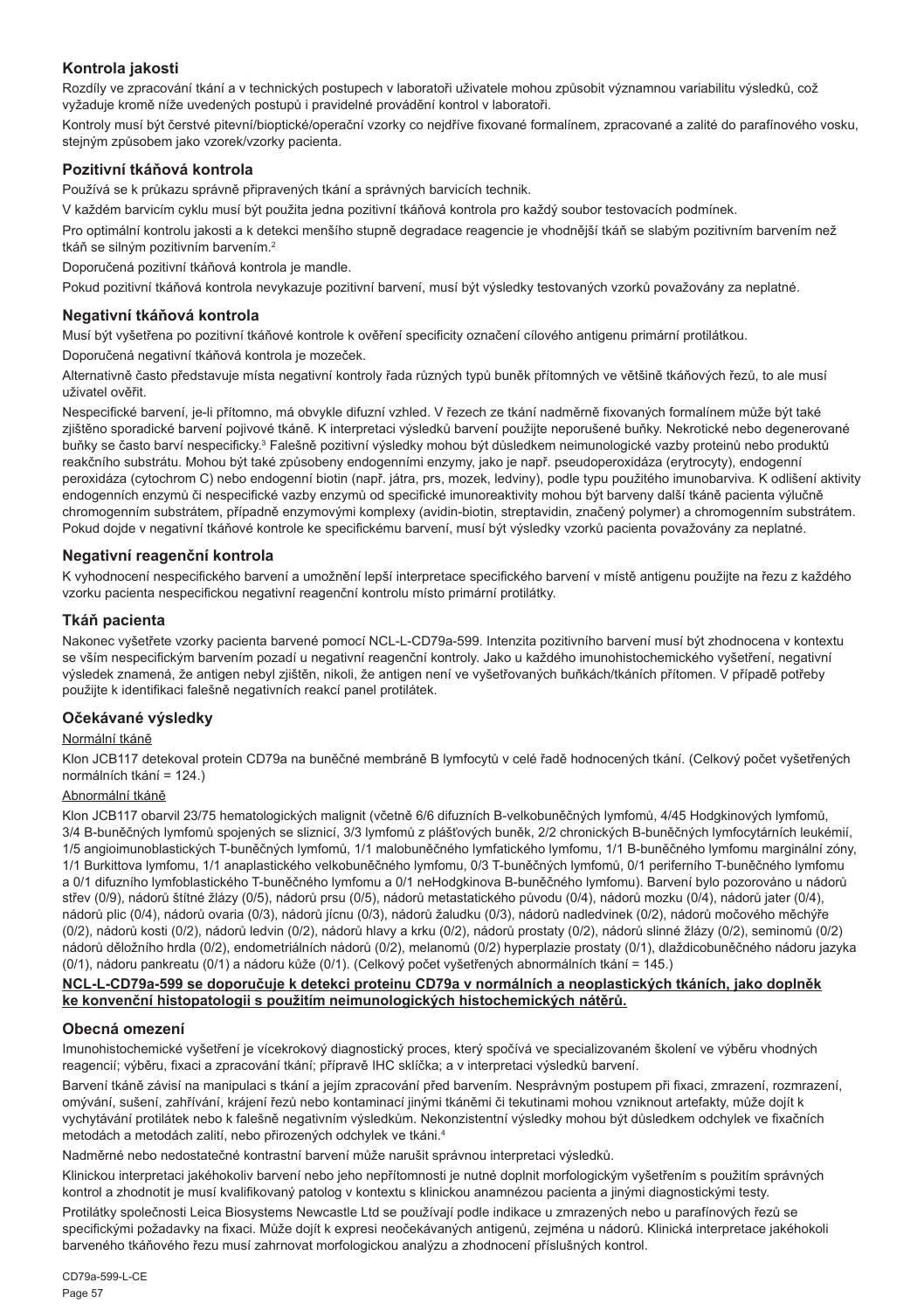#### **Kontrola jakosti**

Rozdíly ve zpracování tkání a v technických postupech v laboratoři uživatele mohou způsobit významnou variabilitu výsledků, což vyžaduje kromě níže uvedených postupů i pravidelné provádění kontrol v laboratoři.

Kontroly musí být čerstvé pitevní/bioptické/operační vzorky co nejdříve fixované formalínem, zpracované a zalité do parafínového vosku, stejným způsobem jako vzorek/vzorky pacienta.

#### **Pozitivní tkáňová kontrola**

Používá se k průkazu správně připravených tkání a správných barvicích technik.

V každém barvicím cyklu musí být použita jedna pozitivní tkáňová kontrola pro každý soubor testovacích podmínek.

Pro optimální kontrolu jakosti a k detekci menšího stupně degradace reagencie je vhodnější tkáň se slabým pozitivním barvením než tkáň se silným pozitivním barvením.<sup>2</sup>

Doporučená pozitivní tkáňová kontrola je mandle.

Pokud pozitivní tkáňová kontrola nevykazuje pozitivní barvení, musí být výsledky testovaných vzorků považovány za neplatné.

#### **Negativní tkáňová kontrola**

Musí být vyšetřena po pozitivní tkáňové kontrole k ověření specificity označení cílového antigenu primární protilátkou.

Doporučená negativní tkáňová kontrola je mozeček.

Alternativně často představuje místa negativní kontroly řada různých typů buněk přítomných ve většině tkáňových řezů, to ale musí uživatel ověřit.

Nespecifické barvení, je-li přítomno, má obvykle difuzní vzhled. V řezech ze tkání nadměrně fixovaných formalínem může být také zjištěno sporadické barvení pojivové tkáně. K interpretaci výsledků barvení použijte neporušené buňky. Nekrotické nebo degenerované buňky se často barví nespecificky.<sup>3</sup> Falešně pozitivní výsledky mohou být důsledkem neimunologické vazby proteinů nebo produktů reakčního substrátu. Mohou být také způsobeny endogenními enzymy, jako je např. pseudoperoxidáza (erytrocyty), endogenní peroxidáza (cytochrom C) nebo endogenní biotin (např. játra, prs, mozek, ledviny), podle typu použitého imunobarviva. K odlišení aktivity endogenních enzymů či nespecifické vazby enzymů od specifické imunoreaktivity mohou být barveny další tkáně pacienta výlučně chromogenním substrátem, případně enzymovými komplexy (avidin-biotin, streptavidin, značený polymer) a chromogenním substrátem. Pokud dojde v negativní tkáňové kontrole ke specifickému barvení, musí být výsledky vzorků pacienta považovány za neplatné.

#### **Negativní reagenční kontrola**

K vyhodnocení nespecifického barvení a umožnění lepší interpretace specifického barvení v místě antigenu použijte na řezu z každého vzorku pacienta nespecifickou negativní reagenční kontrolu místo primární protilátky.

#### **Tkáň pacienta**

Nakonec vyšetřete vzorky pacienta barvené pomocí NCL-L-CD79a-599. Intenzita pozitivního barvení musí být zhodnocena v kontextu se vším nespecifickým barvením pozadí u negativní reagenční kontroly. Jako u každého imunohistochemického vyšetření, negativní výsledek znamená, že antigen nebyl zjištěn, nikoli, že antigen není ve vyšetřovaných buňkách/tkáních přítomen. V případě potřeby použijte k identifikaci falešně negativních reakcí panel protilátek.

#### **Očekávané výsledky**

#### Normální tkáně

Klon JCB117 detekoval protein CD79a na buněčné membráně B lymfocytů v celé řadě hodnocených tkání. (Celkový počet vyšetřených normálních tkání = 124.)

#### Abnormální tkáně

Klon JCB117 obarvil 23/75 hematologických malignit (včetně 6/6 difuzních B-velkobuněčných lymfomů, 4/45 Hodgkinových lymfomů, 3/4 B-buněčných lymfomů spojených se sliznicí, 3/3 lymfomů z plášťových buněk, 2/2 chronických B-buněčných lymfocytárních leukémií, 1/5 angioimunoblastických T-buněčných lymfomů, 1/1 malobuněčného lymfatického lymfomu, 1/1 B-buněčného lymfomu marginální zóny, 1/1 Burkittova lymfomu, 1/1 anaplastického velkobuněčného lymfomu, 0/3 T-buněčných lymfomů, 0/1 periferního T-buněčného lymfomu a 0/1 difuzního lymfoblastického T-buněčného lymfomu a 0/1 neHodgkinova B-buněčného lymfomu). Barvení bylo pozorováno u nádorů střev (0/9), nádorů štítné žlázy (0/5), nádorů prsu (0/5), nádorů metastatického původu (0/4), nádorů mozku (0/4), nádorů jater (0/4), nádorů plic (0/4), nádorů ovaria (0/3), nádorů jícnu (0/3), nádorů žaludku (0/3), nádorů nadledvinek (0/2), nádorů močového měchýře (0/2), nádorů kosti (0/2), nádorů ledvin (0/2), nádorů hlavy a krku (0/2), nádorů prostaty (0/2), nádorů slinné žlázy (0/2), seminomů (0/2) nádorů děložního hrdla (0/2), endometriálních nádorů (0/2), melanomů (0/2) hyperplazie prostaty (0/1), dlaždicobuněčného nádoru jazyka (0/1), nádoru pankreatu (0/1) a nádoru kůže (0/1). (Celkový počet vyšetřených abnormálních tkání = 145.)

#### **NCL-L-CD79a-599 se doporučuje k detekci proteinu CD79a v normálních a neoplastických tkáních, jako doplněk ke konvenční histopatologii s použitím neimunologických histochemických nátěrů.**

#### **Obecná omezení**

Imunohistochemické vyšetření je vícekrokový diagnostický proces, který spočívá ve specializovaném školení ve výběru vhodných reagencií; výběru, fixaci a zpracování tkání; přípravě IHC sklíčka; a v interpretaci výsledků barvení.

Barvení tkáně závisí na manipulaci s tkání a jejím zpracování před barvením. Nesprávným postupem při fixaci, zmrazení, rozmrazení, omývání, sušení, zahřívání, krájení řezů nebo kontaminací jinými tkáněmi či tekutinami mohou vzniknout artefakty, může dojít k vychytávání protilátek nebo k falešně negativním výsledkům. Nekonzistentní výsledky mohou být důsledkem odchylek ve fixačních metodách a metodách zalití, nebo přirozených odchylek ve tkáni.4

Nadměrné nebo nedostatečné kontrastní barvení může narušit správnou interpretaci výsledků.

Klinickou interpretaci jakéhokoliv barvení nebo jeho nepřítomnosti je nutné doplnit morfologickým vyšetřením s použitím správných kontrol a zhodnotit je musí kvalifikovaný patolog v kontextu s klinickou anamnézou pacienta a jinými diagnostickými testy.

Protilátky společnosti Leica Biosystems Newcastle Ltd se používají podle indikace u zmrazených nebo u parafínových řezů se specifickými požadavky na fixaci. Může dojít k expresi neočekávaných antigenů, zejména u nádorů. Klinická interpretace jakéhokoli barveného tkáňového řezu musí zahrnovat morfologickou analýzu a zhodnocení příslušných kontrol.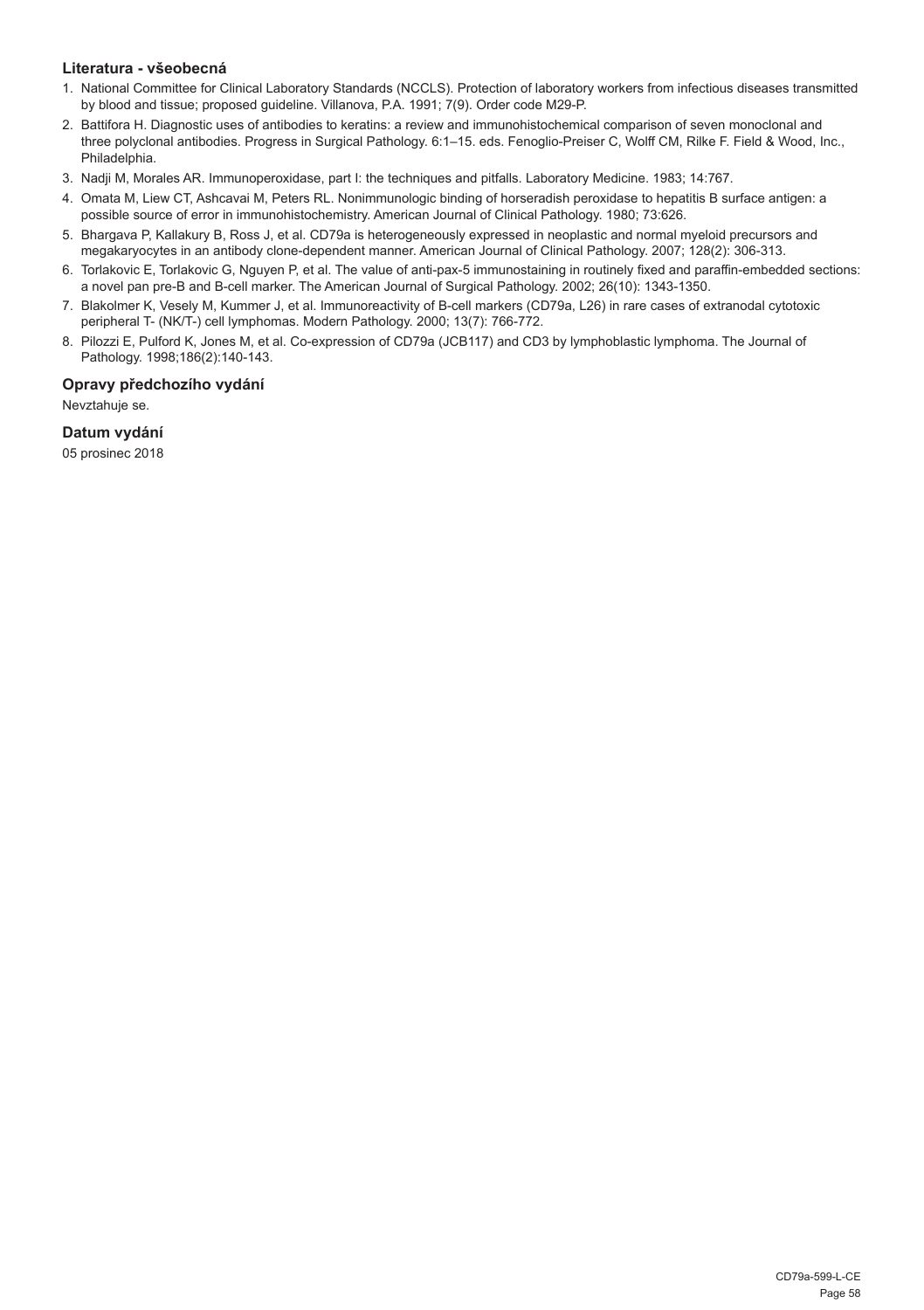#### **Literatura - všeobecná**

- 1. National Committee for Clinical Laboratory Standards (NCCLS). Protection of laboratory workers from infectious diseases transmitted by blood and tissue; proposed guideline. Villanova, P.A. 1991; 7(9). Order code M29-P.
- 2. Battifora H. Diagnostic uses of antibodies to keratins: a review and immunohistochemical comparison of seven monoclonal and three polyclonal antibodies. Progress in Surgical Pathology. 6:1–15. eds. Fenoglio-Preiser C, Wolff CM, Rilke F. Field & Wood, Inc., Philadelphia.
- 3. Nadji M, Morales AR. Immunoperoxidase, part I: the techniques and pitfalls. Laboratory Medicine. 1983; 14:767.
- 4. Omata M, Liew CT, Ashcavai M, Peters RL. Nonimmunologic binding of horseradish peroxidase to hepatitis B surface antigen: a possible source of error in immunohistochemistry. American Journal of Clinical Pathology. 1980; 73:626.
- 5. Bhargava P, Kallakury B, Ross J, et al. CD79a is heterogeneously expressed in neoplastic and normal myeloid precursors and megakaryocytes in an antibody clone-dependent manner. American Journal of Clinical Pathology. 2007; 128(2): 306-313.
- 6. Torlakovic E, Torlakovic G, Nguyen P, et al. The value of anti-pax-5 immunostaining in routinely fixed and paraffin-embedded sections: a novel pan pre-B and B-cell marker. The American Journal of Surgical Pathology. 2002; 26(10): 1343-1350.
- 7. Blakolmer K, Vesely M, Kummer J, et al. Immunoreactivity of B-cell markers (CD79a, L26) in rare cases of extranodal cytotoxic peripheral T- (NK/T-) cell lymphomas. Modern Pathology. 2000; 13(7): 766-772.
- 8. Pilozzi E, Pulford K, Jones M, et al. Co-expression of CD79a (JCB117) and CD3 by lymphoblastic lymphoma. The Journal of Pathology. 1998;186(2):140-143.

### **Opravy předchozího vydání**

Nevztahuje se.

### **Datum vydání**

05 prosinec 2018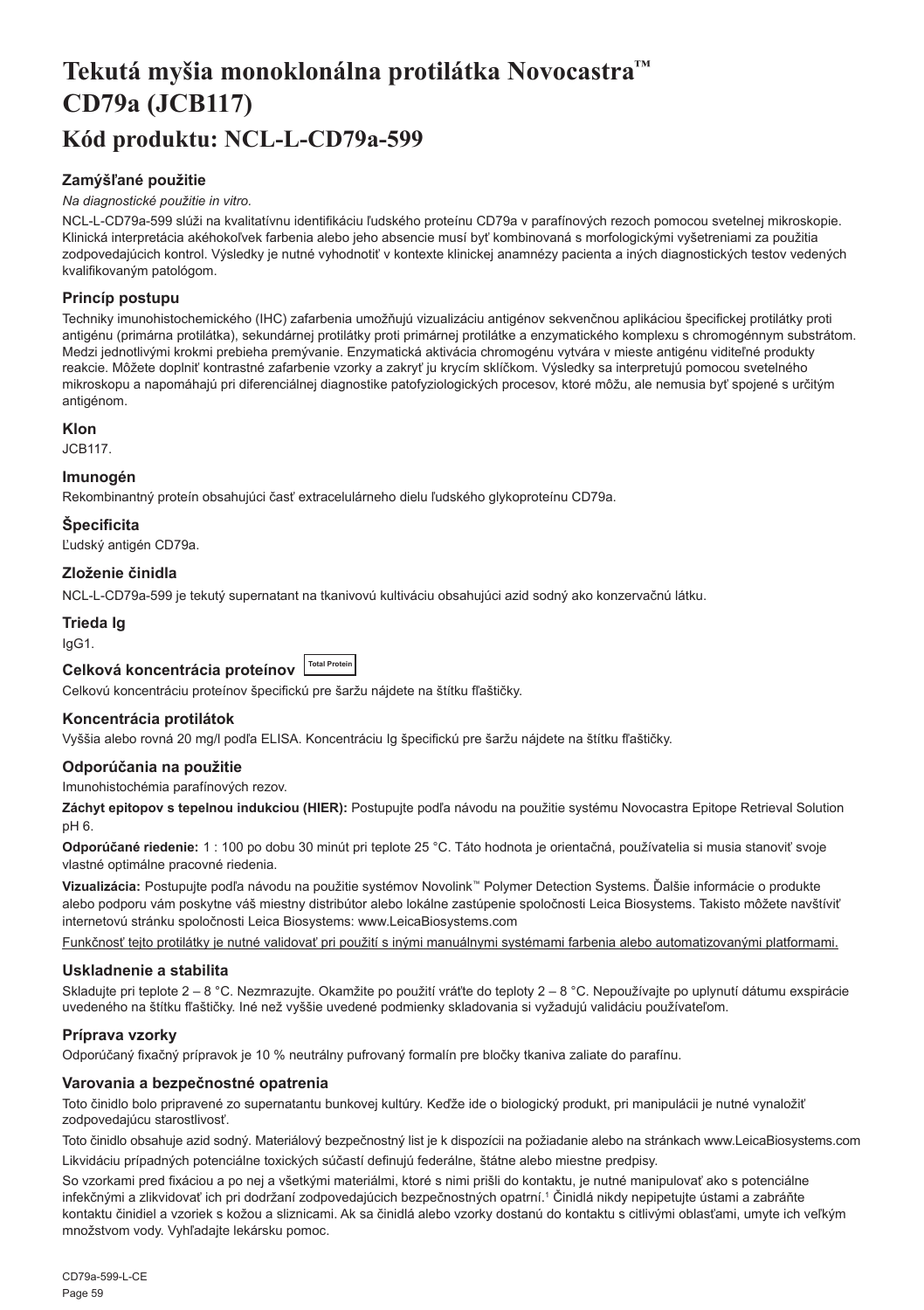## <span id="page-59-0"></span>**Tekutá myšia monoklonálna protilátka Novocastra™ CD79a (JCB117) Kód produktu: NCL-L-CD79a-599**

#### **Zamýšľané použitie**

#### *Na diagnostické použitie in vitro.*

NCL-L-CD79a-599 slúži na kvalitatívnu identifikáciu ľudského proteínu CD79a v parafínových rezoch pomocou svetelnej mikroskopie. Klinická interpretácia akéhokoľvek farbenia alebo jeho absencie musí byť kombinovaná s morfologickými vyšetreniami za použitia zodpovedajúcich kontrol. Výsledky je nutné vyhodnotiť v kontexte klinickej anamnézy pacienta a iných diagnostických testov vedených kvalifikovaným patológom.

#### **Princíp postupu**

Techniky imunohistochemického (IHC) zafarbenia umožňujú vizualizáciu antigénov sekvenčnou aplikáciou špecifickej protilátky proti antigénu (primárna protilátka), sekundárnej protilátky proti primárnej protilátke a enzymatického komplexu s chromogénnym substrátom. Medzi jednotlivými krokmi prebieha premývanie. Enzymatická aktivácia chromogénu vytvára v mieste antigénu viditeľné produkty reakcie. Môžete doplniť kontrastné zafarbenie vzorky a zakryť ju krycím sklíčkom. Výsledky sa interpretujú pomocou svetelného mikroskopu a napomáhajú pri diferenciálnej diagnostike patofyziologických procesov, ktoré môžu, ale nemusia byť spojené s určitým antigénom.

#### **Klon**

JCB117.

#### **Imunogén**

Rekombinantný proteín obsahujúci časť extracelulárneho dielu ľudského glykoproteínu CD79a.

#### **Špecificita**

Ľudský antigén CD79a.

#### **Zloženie činidla**

NCL-L-CD79a-599 je tekutý supernatant na tkanivovú kultiváciu obsahujúci azid sodný ako konzervačnú látku.

#### **Trieda Ig**

IgG1.

## **Celková koncentrácia proteínov Total Protein**

Celkovú koncentráciu proteínov špecifickú pre šaržu nájdete na štítku fľaštičky.

#### **Koncentrácia protilátok**

Vyššia alebo rovná 20 mg/l podľa ELISA. Koncentráciu Ig špecifickú pre šaržu nájdete na štítku fľaštičky.

#### **Odporúčania na použitie**

Imunohistochémia parafínových rezov.

**Záchyt epitopov s tepelnou indukciou (HIER):** Postupujte podľa návodu na použitie systému Novocastra Epitope Retrieval Solution pH 6.

**Odporúčané riedenie:** 1 : 100 po dobu 30 minút pri teplote 25 °C. Táto hodnota je orientačná, používatelia si musia stanoviť svoje vlastné optimálne pracovné riedenia.

**Vizualizácia:** Postupujte podľa návodu na použitie systémov Novolink™ Polymer Detection Systems. Ďalšie informácie o produkte alebo podporu vám poskytne váš miestny distribútor alebo lokálne zastúpenie spoločnosti Leica Biosystems. Takisto môžete navštíviť internetovú stránku spoločnosti Leica Biosystems: www.LeicaBiosystems.com

Funkčnosť tejto protilátky je nutné validovať pri použití s inými manuálnymi systémami farbenia alebo automatizovanými platformami.

#### **Uskladnenie a stabilita**

Skladujte pri teplote 2 – 8 °C. Nezmrazujte. Okamžite po použití vráťte do teploty 2 – 8 °C. Nepoužívajte po uplynutí dátumu exspirácie uvedeného na štítku fľaštičky. Iné než vyššie uvedené podmienky skladovania si vyžadujú validáciu používateľom.

#### **Príprava vzorky**

Odporúčaný fixačný prípravok je 10 % neutrálny pufrovaný formalín pre bločky tkaniva zaliate do parafínu.

#### **Varovania a bezpečnostné opatrenia**

Toto činidlo bolo pripravené zo supernatantu bunkovej kultúry. Keďže ide o biologický produkt, pri manipulácii je nutné vynaložiť zodpovedajúcu starostlivosť.

Toto činidlo obsahuje azid sodný. Materiálový bezpečnostný list je k dispozícii na požiadanie alebo na stránkach www.LeicaBiosystems.com Likvidáciu prípadných potenciálne toxických súčastí definujú federálne, štátne alebo miestne predpisy.

So vzorkami pred fixáciou a po nej a všetkými materiálmi, ktoré s nimi prišli do kontaktu, je nutné manipulovať ako s potenciálne infekčnými a zlikvidovať ich pri dodržaní zodpovedajúcich bezpečnostných opatrní.<sup>1</sup> Činidlá nikdy nepipetujte ústami a zabráňte kontaktu činidiel a vzoriek s kožou a sliznicami. Ak sa činidlá alebo vzorky dostanú do kontaktu s citlivými oblasťami, umyte ich veľkým množstvom vody. Vyhľadajte lekársku pomoc.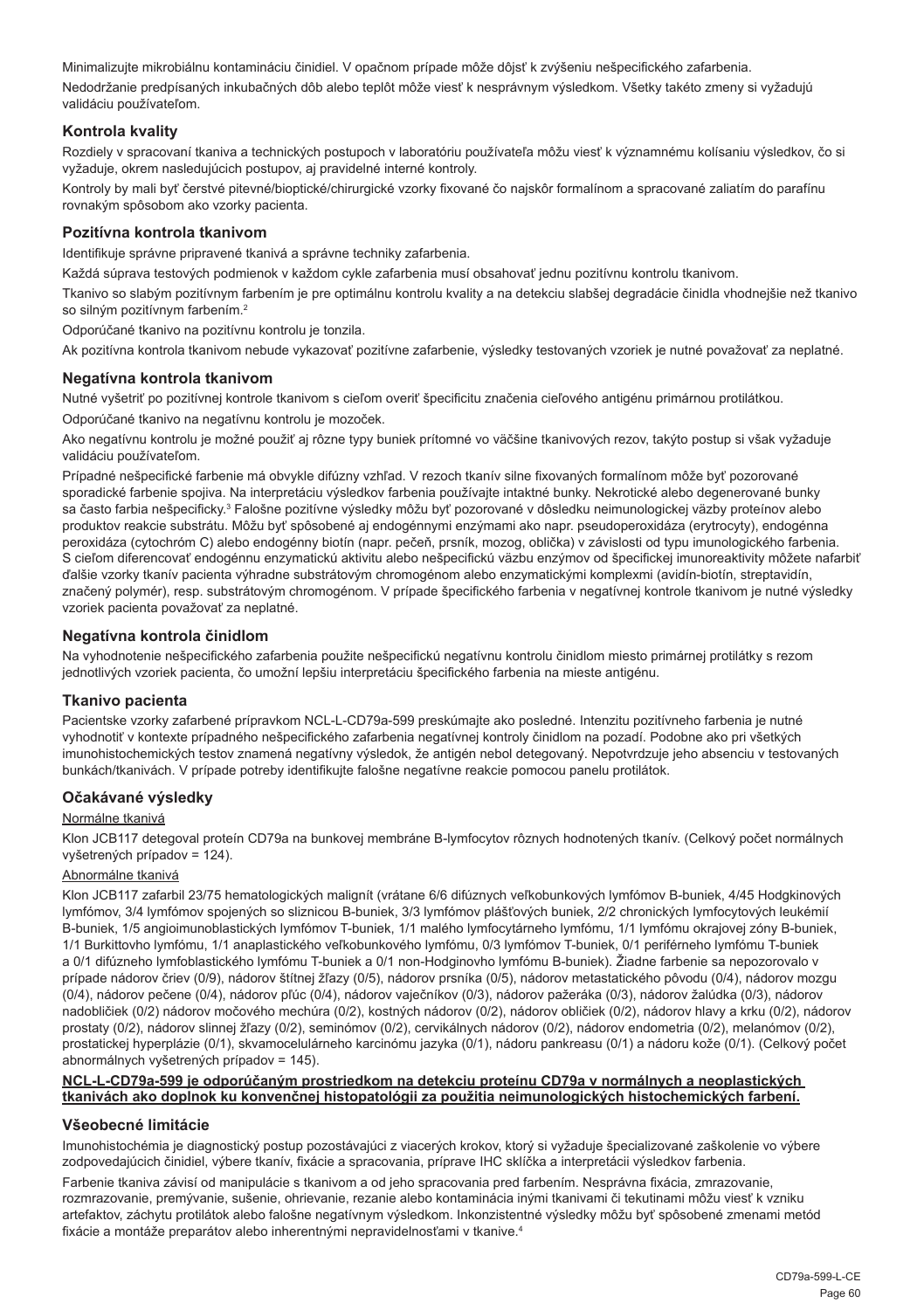Minimalizujte mikrobiálnu kontamináciu činidiel. V opačnom prípade môže dôjsť k zvýšeniu nešpecifického zafarbenia.

Nedodržanie predpísaných inkubačných dôb alebo teplôt môže viesť k nesprávnym výsledkom. Všetky takéto zmeny si vyžadujú validáciu používateľom.

#### **Kontrola kvality**

Rozdiely v spracovaní tkaniva a technických postupoch v laboratóriu používateľa môžu viesť k významnému kolísaniu výsledkov, čo si vyžaduje, okrem nasledujúcich postupov, aj pravidelné interné kontroly.

Kontroly by mali byť čerstvé pitevné/bioptické/chirurgické vzorky fixované čo najskôr formalínom a spracované zaliatím do parafínu rovnakým spôsobom ako vzorky pacienta.

#### **Pozitívna kontrola tkanivom**

Identifikuje správne pripravené tkanivá a správne techniky zafarbenia.

Každá súprava testových podmienok v každom cykle zafarbenia musí obsahovať jednu pozitívnu kontrolu tkanivom.

Tkanivo so slabým pozitívnym farbením je pre optimálnu kontrolu kvality a na detekciu slabšej degradácie činidla vhodnejšie než tkanivo so silným pozitívnym farbením.<sup>2</sup>

Odporúčané tkanivo na pozitívnu kontrolu je tonzila.

Ak pozitívna kontrola tkanivom nebude vykazovať pozitívne zafarbenie, výsledky testovaných vzoriek je nutné považovať za neplatné.

#### **Negatívna kontrola tkanivom**

Nutné vyšetriť po pozitívnej kontrole tkanivom s cieľom overiť špecificitu značenia cieľového antigénu primárnou protilátkou.

Odporúčané tkanivo na negatívnu kontrolu je mozoček.

Ako negatívnu kontrolu je možné použiť aj rôzne typy buniek prítomné vo väčšine tkanivových rezov, takýto postup si však vyžaduje validáciu používateľom.

Prípadné nešpecifické farbenie má obvykle difúzny vzhľad. V rezoch tkanív silne fixovaných formalínom môže byť pozorované sporadické farbenie spojiva. Na interpretáciu výsledkov farbenia používajte intaktné bunky. Nekrotické alebo degenerované bunky sa často farbia nešpecificky.<sup>3</sup> Falošne pozitívne výsledky môžu byť pozorované v dôsledku neimunologickej väzby proteínov alebo produktov reakcie substrátu. Môžu byť spôsobené aj endogénnymi enzýmami ako napr. pseudoperoxidáza (erytrocyty), endogénna peroxidáza (cytochróm C) alebo endogénny biotín (napr. pečeň, prsník, mozog, oblička) v závislosti od typu imunologického farbenia. S cieľom diferencovať endogénnu enzymatickú aktivitu alebo nešpecifickú väzbu enzýmov od špecifickej imunoreaktivity môžete nafarbiť ďalšie vzorky tkanív pacienta výhradne substrátovým chromogénom alebo enzymatickými komplexmi (avidín-biotín, streptavidín, značený polymér), resp. substrátovým chromogénom. V prípade špecifického farbenia v negatívnej kontrole tkanivom je nutné výsledky vzoriek pacienta považovať za neplatné.

#### **Negatívna kontrola činidlom**

Na vyhodnotenie nešpecifického zafarbenia použite nešpecifickú negatívnu kontrolu činidlom miesto primárnej protilátky s rezom jednotlivých vzoriek pacienta, čo umožní lepšiu interpretáciu špecifického farbenia na mieste antigénu.

#### **Tkanivo pacienta**

Pacientske vzorky zafarbené prípravkom NCL-L-CD79a-599 preskúmajte ako posledné. Intenzitu pozitívneho farbenia je nutné vyhodnotiť v kontexte prípadného nešpecifického zafarbenia negatívnej kontroly činidlom na pozadí. Podobne ako pri všetkých imunohistochemických testov znamená negatívny výsledok, že antigén nebol detegovaný. Nepotvrdzuje jeho absenciu v testovaných bunkách/tkanivách. V prípade potreby identifikujte falošne negatívne reakcie pomocou panelu protilátok.

#### **Očakávané výsledky**

#### Normálne tkanivá

Klon JCB117 detegoval proteín CD79a na bunkovej membráne B-lymfocytov rôznych hodnotených tkanív. (Celkový počet normálnych vyšetrených prípadov = 124).

#### Abnormálne tkanivá

Klon JCB117 zafarbil 23/75 hematologických malignít (vrátane 6/6 difúznych veľkobunkových lymfómov B-buniek, 4/45 Hodgkinových lymfómov, 3/4 lymfómov spojených so sliznicou B-buniek, 3/3 lymfómov plášťových buniek, 2/2 chronických lymfocytových leukémií B-buniek, 1/5 angioimunoblastických lymfómov T-buniek, 1/1 malého lymfocytárneho lymfómu, 1/1 lymfómu okrajovej zóny B-buniek, 1/1 Burkittovho lymfómu, 1/1 anaplastického veľkobunkového lymfómu, 0/3 lymfómov T-buniek, 0/1 periférneho lymfómu T-buniek a 0/1 difúzneho lymfoblastického lymfómu T-buniek a 0/1 non-Hodginovho lymfómu B-buniek). Žiadne farbenie sa nepozorovalo v prípade nádorov čriev (0/9), nádorov štítnej žľazy (0/5), nádorov prsníka (0/5), nádorov metastatického pôvodu (0/4), nádorov mozgu (0/4), nádorov pečene (0/4), nádorov pľúc (0/4), nádorov vaječníkov (0/3), nádorov pažeráka (0/3), nádorov žalúdka (0/3), nádorov nadobličiek (0/2) nádorov močového mechúra (0/2), kostných nádorov (0/2), nádorov obličiek (0/2), nádorov hlavy a krku (0/2), nádorov prostaty (0/2), nádorov slinnej žľazy (0/2), seminómov (0/2), cervikálnych nádorov (0/2), nádorov endometria (0/2), melanómov (0/2), prostatickej hyperplázie (0/1), skvamocelulárneho karcinómu jazyka (0/1), nádoru pankreasu (0/1) a nádoru kože (0/1). (Celkový počet abnormálnych vyšetrených prípadov = 145).

#### **NCL-L-CD79a-599 je odporúčaným prostriedkom na detekciu proteínu CD79a v normálnych a neoplastických tkanivách ako doplnok ku konvenčnej histopatológii za použitia neimunologických histochemických farbení.**

#### **Všeobecné limitácie**

Imunohistochémia je diagnostický postup pozostávajúci z viacerých krokov, ktorý si vyžaduje špecializované zaškolenie vo výbere zodpovedajúcich činidiel, výbere tkanív, fixácie a spracovania, príprave IHC sklíčka a interpretácii výsledkov farbenia.

Farbenie tkaniva závisí od manipulácie s tkanivom a od jeho spracovania pred farbením. Nesprávna fixácia, zmrazovanie, rozmrazovanie, premývanie, sušenie, ohrievanie, rezanie alebo kontaminácia inými tkanivami či tekutinami môžu viesť k vzniku artefaktov, záchytu protilátok alebo falošne negatívnym výsledkom. Inkonzistentné výsledky môžu byť spôsobené zmenami metód fixácie a montáže preparátov alebo inherentnými nepravidelnosťami v tkanive.4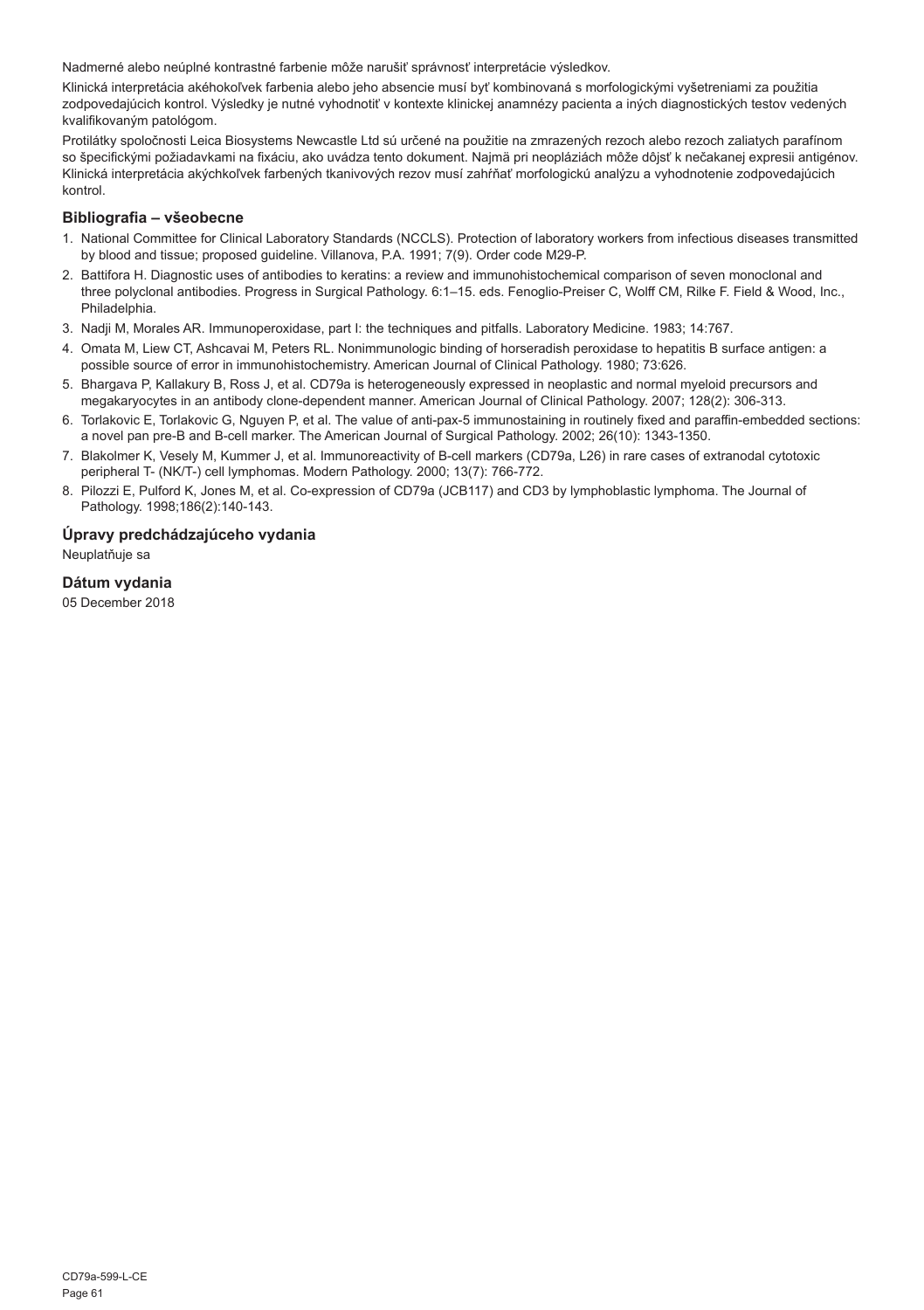Nadmerné alebo neúplné kontrastné farbenie môže narušiť správnosť interpretácie výsledkov.

Klinická interpretácia akéhokoľvek farbenia alebo jeho absencie musí byť kombinovaná s morfologickými vyšetreniami za použitia zodpovedajúcich kontrol. Výsledky je nutné vyhodnotiť v kontexte klinickej anamnézy pacienta a iných diagnostických testov vedených kvalifikovaným patológom.

Protilátky spoločnosti Leica Biosystems Newcastle Ltd sú určené na použitie na zmrazených rezoch alebo rezoch zaliatych parafínom so špecifickými požiadavkami na fixáciu, ako uvádza tento dokument. Najmä pri neopláziách môže dôjsť k nečakanej expresii antigénov. Klinická interpretácia akýchkoľvek farbených tkanivových rezov musí zahŕňať morfologickú analýzu a vyhodnotenie zodpovedajúcich kontrol.

#### **Bibliografia – všeobecne**

- 1. National Committee for Clinical Laboratory Standards (NCCLS). Protection of laboratory workers from infectious diseases transmitted by blood and tissue; proposed guideline. Villanova, P.A. 1991; 7(9). Order code M29-P.
- 2. Battifora H. Diagnostic uses of antibodies to keratins: a review and immunohistochemical comparison of seven monoclonal and three polyclonal antibodies. Progress in Surgical Pathology. 6:1–15. eds. Fenoglio-Preiser C, Wolff CM, Rilke F. Field & Wood, Inc., Philadelphia.
- 3. Nadji M, Morales AR. Immunoperoxidase, part I: the techniques and pitfalls. Laboratory Medicine. 1983; 14:767.
- 4. Omata M, Liew CT, Ashcavai M, Peters RL. Nonimmunologic binding of horseradish peroxidase to hepatitis B surface antigen: a possible source of error in immunohistochemistry. American Journal of Clinical Pathology. 1980; 73:626.
- 5. Bhargava P, Kallakury B, Ross J, et al. CD79a is heterogeneously expressed in neoplastic and normal myeloid precursors and megakaryocytes in an antibody clone-dependent manner. American Journal of Clinical Pathology. 2007; 128(2): 306-313.
- 6. Torlakovic E, Torlakovic G, Nguyen P, et al. The value of anti-pax-5 immunostaining in routinely fixed and paraffin-embedded sections: a novel pan pre-B and B-cell marker. The American Journal of Surgical Pathology. 2002; 26(10): 1343-1350.
- 7. Blakolmer K, Vesely M, Kummer J, et al. Immunoreactivity of B-cell markers (CD79a, L26) in rare cases of extranodal cytotoxic peripheral T- (NK/T-) cell lymphomas. Modern Pathology. 2000; 13(7): 766-772.
- 8. Pilozzi E, Pulford K, Jones M, et al. Co-expression of CD79a (JCB117) and CD3 by lymphoblastic lymphoma. The Journal of Pathology. 1998;186(2):140-143.

#### **Úpravy predchádzajúceho vydania**

Neuplatňuje sa

#### **Dátum vydania**

05 December 2018